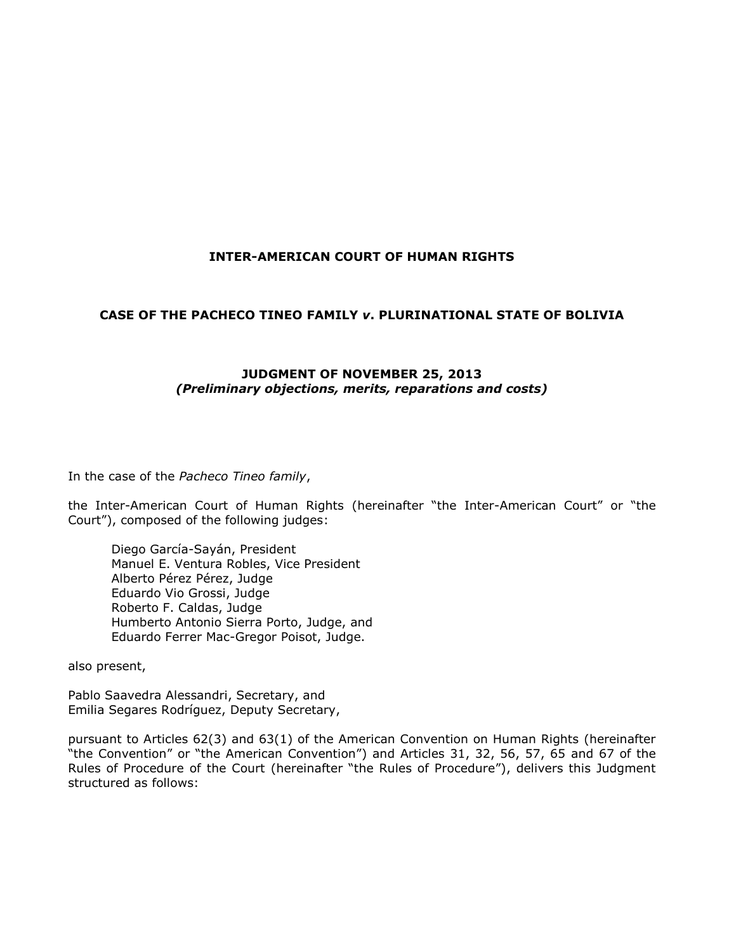### **INTER-AMERICAN COURT OF HUMAN RIGHTS**

### **CASE OF THE PACHECO TINEO FAMILY** *v***. PLURINATIONAL STATE OF BOLIVIA**

### **JUDGMENT OF NOVEMBER 25, 2013** *(Preliminary objections, merits, reparations and costs)*

In the case of the *Pacheco Tineo family*,

the Inter-American Court of Human Rights (hereinafter "the Inter-American Court" or "the Court"), composed of the following judges:

Diego García-Sayán, President Manuel E. Ventura Robles, Vice President Alberto Pérez Pérez, Judge Eduardo Vio Grossi, Judge Roberto F. Caldas, Judge Humberto Antonio Sierra Porto, Judge, and Eduardo Ferrer Mac-Gregor Poisot, Judge.

also present,

Pablo Saavedra Alessandri, Secretary, and Emilia Segares Rodríguez, Deputy Secretary,

pursuant to Articles 62(3) and 63(1) of the American Convention on Human Rights (hereinafter "the Convention" or "the American Convention") and Articles 31, 32, 56, 57, 65 and 67 of the Rules of Procedure of the Court (hereinafter "the Rules of Procedure"), delivers this Judgment structured as follows: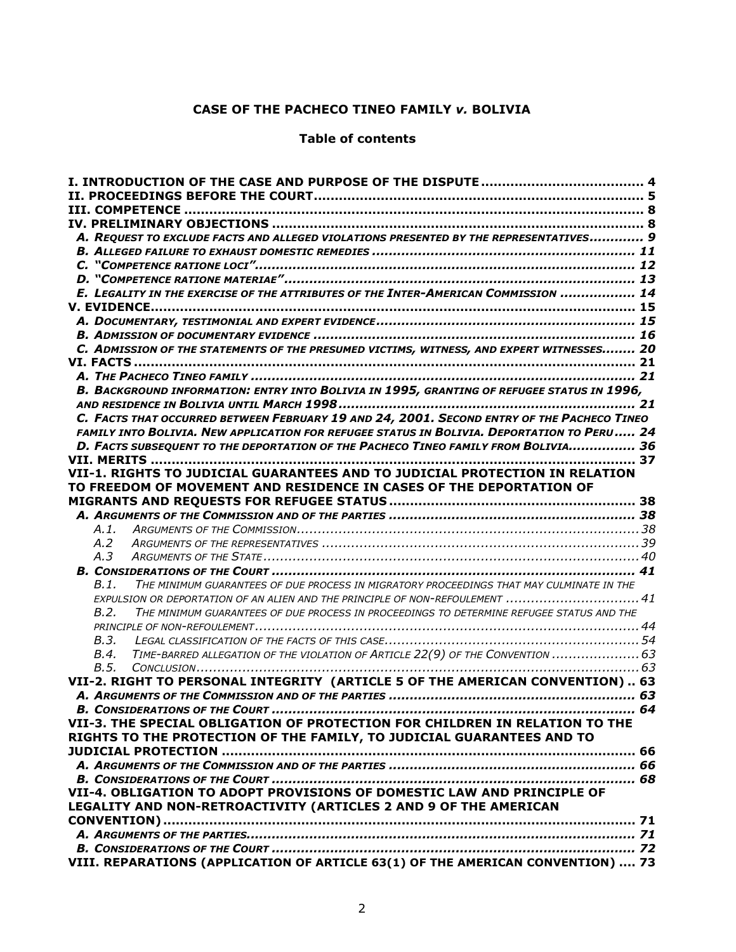### **CASE OF THE PACHECO TINEO FAMILY** *v.* **BOLIVIA**

### **Table of contents**

| A. REQUEST TO EXCLUDE FACTS AND ALLEGED VIOLATIONS PRESENTED BY THE REPRESENTATIVES 9            |  |
|--------------------------------------------------------------------------------------------------|--|
|                                                                                                  |  |
|                                                                                                  |  |
|                                                                                                  |  |
| E. LEGALITY IN THE EXERCISE OF THE ATTRIBUTES OF THE INTER-AMERICAN COMMISSION  14               |  |
|                                                                                                  |  |
|                                                                                                  |  |
|                                                                                                  |  |
| C. ADMISSION OF THE STATEMENTS OF THE PRESUMED VICTIMS, WITNESS, AND EXPERT WITNESSES 20         |  |
|                                                                                                  |  |
|                                                                                                  |  |
| B. BACKGROUND INFORMATION: ENTRY INTO BOLIVIA IN 1995, GRANTING OF REFUGEE STATUS IN 1996,       |  |
|                                                                                                  |  |
| C. FACTS THAT OCCURRED BETWEEN FEBRUARY 19 AND 24, 2001. SECOND ENTRY OF THE PACHECO TINEO       |  |
| FAMILY INTO BOLIVIA. NEW APPLICATION FOR REFUGEE STATUS IN BOLIVIA. DEPORTATION TO PERU 24       |  |
| D. FACTS SUBSEQUENT TO THE DEPORTATION OF THE PACHECO TINEO FAMILY FROM BOLIVIA 36               |  |
|                                                                                                  |  |
| VII-1. RIGHTS TO JUDICIAL GUARANTEES AND TO JUDICIAL PROTECTION IN RELATION                      |  |
| TO FREEDOM OF MOVEMENT AND RESIDENCE IN CASES OF THE DEPORTATION OF                              |  |
|                                                                                                  |  |
|                                                                                                  |  |
| A.1.                                                                                             |  |
| A.2                                                                                              |  |
| A.3                                                                                              |  |
|                                                                                                  |  |
| THE MINIMUM GUARANTEES OF DUE PROCESS IN MIGRATORY PROCEEDINGS THAT MAY CULMINATE IN THE<br>B.1. |  |
| EXPULSION OR DEPORTATION OF AN ALIEN AND THE PRINCIPLE OF NON-REFOULEMENT  41                    |  |
| B.2.<br>THE MINIMUM GUARANTEES OF DUE PROCESS IN PROCEEDINGS TO DETERMINE REFUGEE STATUS AND THE |  |
|                                                                                                  |  |
| B.3.                                                                                             |  |
| TIME-BARRED ALLEGATION OF THE VIOLATION OF ARTICLE 22(9) OF THE CONVENTION  63<br>B.4.           |  |
| B.5.                                                                                             |  |
| VII-2. RIGHT TO PERSONAL INTEGRITY (ARTICLE 5 OF THE AMERICAN CONVENTION) 63                     |  |
|                                                                                                  |  |
|                                                                                                  |  |
| VII-3. THE SPECIAL OBLIGATION OF PROTECTION FOR CHILDREN IN RELATION TO THE                      |  |
| RIGHTS TO THE PROTECTION OF THE FAMILY, TO JUDICIAL GUARANTEES AND TO                            |  |
|                                                                                                  |  |
|                                                                                                  |  |
|                                                                                                  |  |
| VII-4. OBLIGATION TO ADOPT PROVISIONS OF DOMESTIC LAW AND PRINCIPLE OF                           |  |
| LEGALITY AND NON-RETROACTIVITY (ARTICLES 2 AND 9 OF THE AMERICAN                                 |  |
|                                                                                                  |  |
|                                                                                                  |  |
|                                                                                                  |  |
| VIII. REPARATIONS (APPLICATION OF ARTICLE 63(1) OF THE AMERICAN CONVENTION)  73                  |  |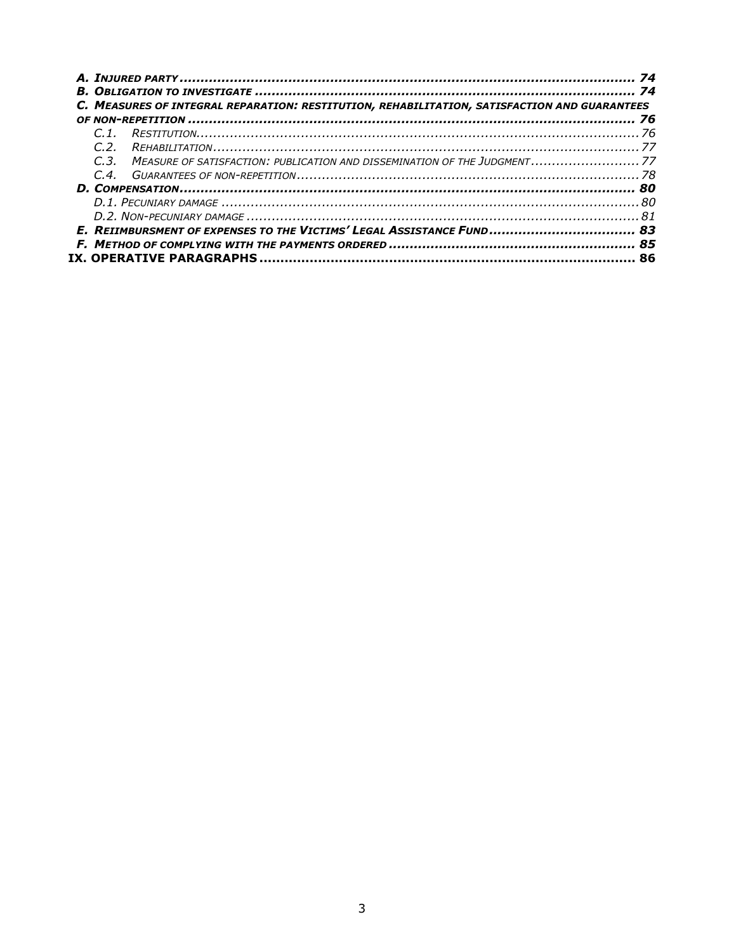|       | C. MEASURES OF INTEGRAL REPARATION: RESTITUTION, REHABILITATION, SATISFACTION AND GUARANTEES |  |
|-------|----------------------------------------------------------------------------------------------|--|
|       |                                                                                              |  |
| C2    |                                                                                              |  |
| $C_3$ | MEASURE OF SATISFACTION: PUBLICATION AND DISSEMINATION OF THE JUDGMENT 77                    |  |
| C.4   |                                                                                              |  |
|       |                                                                                              |  |
|       |                                                                                              |  |
|       |                                                                                              |  |
|       |                                                                                              |  |
|       |                                                                                              |  |
|       |                                                                                              |  |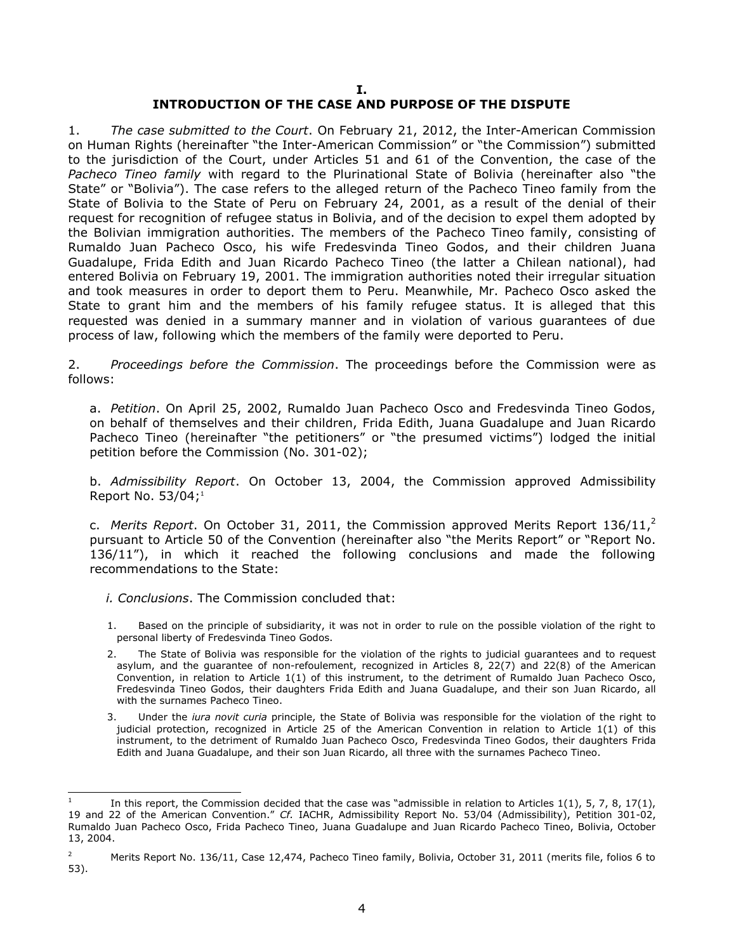#### **I. INTRODUCTION OF THE CASE AND PURPOSE OF THE DISPUTE**

<span id="page-3-0"></span>1. *The case submitted to the Court*. On February 21, 2012, the Inter-American Commission on Human Rights (hereinafter "the Inter-American Commission" or "the Commission") submitted to the jurisdiction of the Court, under Articles 51 and 61 of the Convention, the case of the *Pacheco Tineo family* with regard to the Plurinational State of Bolivia (hereinafter also "the State" or "Bolivia"). The case refers to the alleged return of the Pacheco Tineo family from the State of Bolivia to the State of Peru on February 24, 2001, as a result of the denial of their request for recognition of refugee status in Bolivia, and of the decision to expel them adopted by the Bolivian immigration authorities. The members of the Pacheco Tineo family, consisting of Rumaldo Juan Pacheco Osco, his wife Fredesvinda Tineo Godos, and their children Juana Guadalupe, Frida Edith and Juan Ricardo Pacheco Tineo (the latter a Chilean national), had entered Bolivia on February 19, 2001. The immigration authorities noted their irregular situation and took measures in order to deport them to Peru. Meanwhile, Mr. Pacheco Osco asked the State to grant him and the members of his family refugee status. It is alleged that this requested was denied in a summary manner and in violation of various guarantees of due process of law, following which the members of the family were deported to Peru.

2. *Proceedings before the Commission*. The proceedings before the Commission were as follows:

a. *Petition*. On April 25, 2002, Rumaldo Juan Pacheco Osco and Fredesvinda Tineo Godos, on behalf of themselves and their children, Frida Edith, Juana Guadalupe and Juan Ricardo Pacheco Tineo (hereinafter "the petitioners" or "the presumed victims") lodged the initial petition before the Commission (No. 301-02);

b. *Admissibility Report*. On October 13, 2004, the Commission approved Admissibility Report No. 53/04; 1

c. *Merits Report*. On October 31, 2011, the Commission approved Merits Report 136/11, 2 pursuant to Article 50 of the Convention (hereinafter also "the Merits Report" or "Report No. 136/11"), in which it reached the following conclusions and made the following recommendations to the State:

- *i. Conclusions*. The Commission concluded that:
- 1. Based on the principle of subsidiarity, it was not in order to rule on the possible violation of the right to personal liberty of Fredesvinda Tineo Godos.
- 2. The State of Bolivia was responsible for the violation of the rights to judicial guarantees and to request asylum, and the guarantee of non-refoulement, recognized in Articles 8, 22(7) and 22(8) of the American Convention, in relation to Article 1(1) of this instrument, to the detriment of Rumaldo Juan Pacheco Osco, Fredesvinda Tineo Godos, their daughters Frida Edith and Juana Guadalupe, and their son Juan Ricardo, all with the surnames Pacheco Tineo.
- 3. Under the *iura novit curia* principle, the State of Bolivia was responsible for the violation of the right to judicial protection, recognized in Article 25 of the American Convention in relation to Article 1(1) of this instrument, to the detriment of Rumaldo Juan Pacheco Osco, Fredesvinda Tineo Godos, their daughters Frida Edith and Juana Guadalupe, and their son Juan Ricardo, all three with the surnames Pacheco Tineo.

l 1 In this report, the Commission decided that the case was "admissible in relation to Articles 1(1), 5, 7, 8, 17(1), 19 and 22 of the American Convention." *Cf.* IACHR, Admissibility Report No. 53/04 (Admissibility), Petition 301-02, Rumaldo Juan Pacheco Osco, Frida Pacheco Tineo, Juana Guadalupe and Juan Ricardo Pacheco Tineo, Bolivia, October 13, 2004.

<sup>&</sup>lt;sup>2</sup> Merits Report No. 136/11, Case 12,474, Pacheco Tineo family, Bolivia, October 31, 2011 (merits file, folios 6 to 53).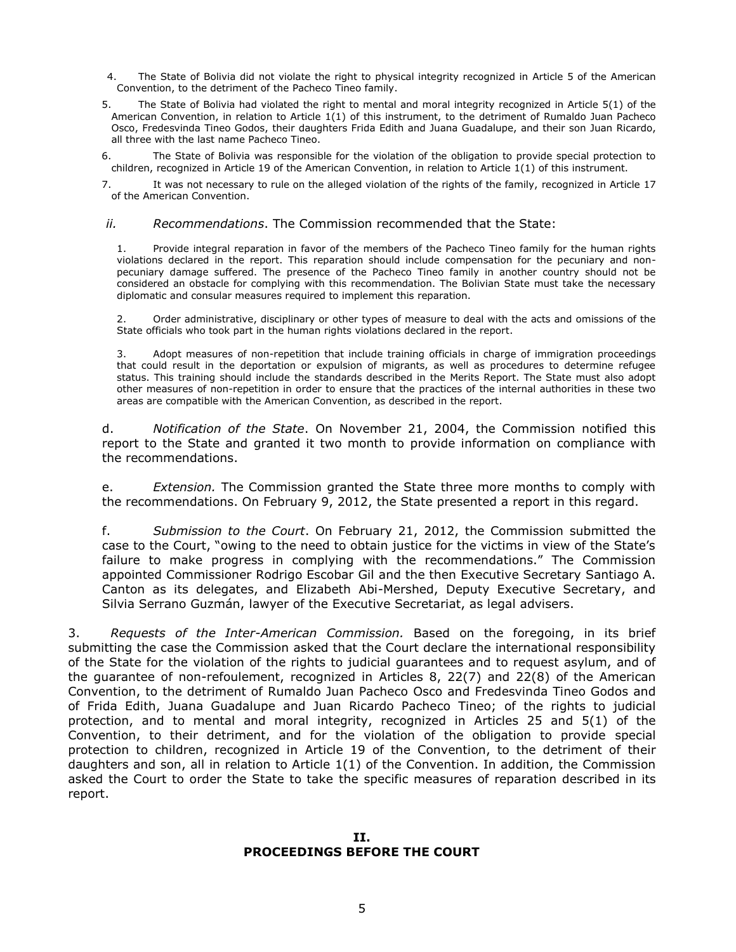- 4. The State of Bolivia did not violate the right to physical integrity recognized in Article 5 of the American Convention, to the detriment of the Pacheco Tineo family.
- 5. The State of Bolivia had violated the right to mental and moral integrity recognized in Article 5(1) of the American Convention, in relation to Article 1(1) of this instrument, to the detriment of Rumaldo Juan Pacheco Osco, Fredesvinda Tineo Godos, their daughters Frida Edith and Juana Guadalupe, and their son Juan Ricardo, all three with the last name Pacheco Tineo.

6. The State of Bolivia was responsible for the violation of the obligation to provide special protection to children, recognized in Article 19 of the American Convention, in relation to Article 1(1) of this instrument.

7. It was not necessary to rule on the alleged violation of the rights of the family, recognized in Article 17 of the American Convention.

#### *ii. Recommendations*. The Commission recommended that the State:

1. Provide integral reparation in favor of the members of the Pacheco Tineo family for the human rights violations declared in the report. This reparation should include compensation for the pecuniary and nonpecuniary damage suffered. The presence of the Pacheco Tineo family in another country should not be considered an obstacle for complying with this recommendation. The Bolivian State must take the necessary diplomatic and consular measures required to implement this reparation.

2. Order administrative, disciplinary or other types of measure to deal with the acts and omissions of the State officials who took part in the human rights violations declared in the report.

3. Adopt measures of non-repetition that include training officials in charge of immigration proceedings that could result in the deportation or expulsion of migrants, as well as procedures to determine refugee status. This training should include the standards described in the Merits Report. The State must also adopt other measures of non-repetition in order to ensure that the practices of the internal authorities in these two areas are compatible with the American Convention, as described in the report.

d. *Notification of the State*. On November 21, 2004, the Commission notified this report to the State and granted it two month to provide information on compliance with the recommendations.

e. *Extension.* The Commission granted the State three more months to comply with the recommendations. On February 9, 2012, the State presented a report in this regard.

f. *Submission to the Court*. On February 21, 2012, the Commission submitted the case to the Court, "owing to the need to obtain justice for the victims in view of the State's failure to make progress in complying with the recommendations." The Commission appointed Commissioner Rodrigo Escobar Gil and the then Executive Secretary Santiago A. Canton as its delegates, and Elizabeth Abi-Mershed, Deputy Executive Secretary, and Silvia Serrano Guzmán, lawyer of the Executive Secretariat, as legal advisers.

3. *Requests of the Inter-American Commission.* Based on the foregoing, in its brief submitting the case the Commission asked that the Court declare the international responsibility of the State for the violation of the rights to judicial guarantees and to request asylum, and of the guarantee of non-refoulement, recognized in Articles 8, 22(7) and 22(8) of the American Convention, to the detriment of Rumaldo Juan Pacheco Osco and Fredesvinda Tineo Godos and of Frida Edith, Juana Guadalupe and Juan Ricardo Pacheco Tineo; of the rights to judicial protection, and to mental and moral integrity, recognized in Articles 25 and 5(1) of the Convention, to their detriment, and for the violation of the obligation to provide special protection to children, recognized in Article 19 of the Convention, to the detriment of their daughters and son, all in relation to Article 1(1) of the Convention. In addition, the Commission asked the Court to order the State to take the specific measures of reparation described in its report.

#### <span id="page-4-0"></span>**II. PROCEEDINGS BEFORE THE COURT**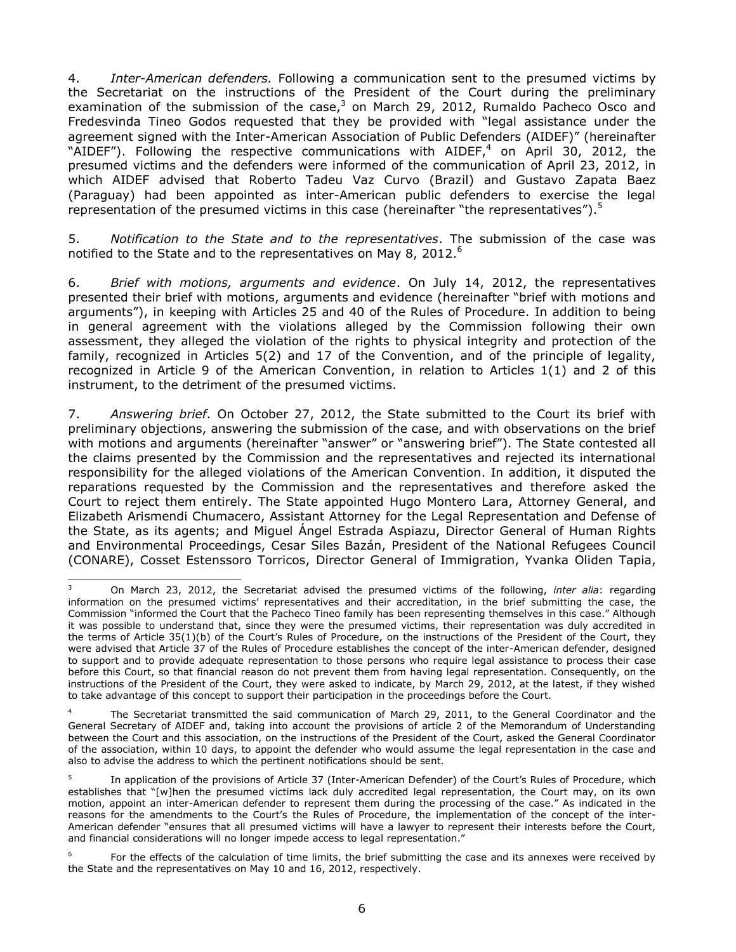4. *Inter-American defenders.* Following a communication sent to the presumed victims by the Secretariat on the instructions of the President of the Court during the preliminary examination of the submission of the case, $3$  on March 29, 2012, Rumaldo Pacheco Osco and Fredesvinda Tineo Godos requested that they be provided with "legal assistance under the agreement signed with the Inter-American Association of Public Defenders (AIDEF)" (hereinafter "AIDEF"). Following the respective communications with AIDEF,<sup>4</sup> on April 30, 2012, the presumed victims and the defenders were informed of the communication of April 23, 2012, in which AIDEF advised that Roberto Tadeu Vaz Curvo (Brazil) and Gustavo Zapata Baez (Paraguay) had been appointed as inter-American public defenders to exercise the legal representation of the presumed victims in this case (hereinafter "the representatives").<sup>5</sup>

5. *Notification to the State and to the representatives*. The submission of the case was notified to the State and to the representatives on May 8, 2012.<sup>6</sup>

6. *Brief with motions, arguments and evidence*. On July 14, 2012, the representatives presented their brief with motions, arguments and evidence (hereinafter "brief with motions and arguments"), in keeping with Articles 25 and 40 of the Rules of Procedure. In addition to being in general agreement with the violations alleged by the Commission following their own assessment, they alleged the violation of the rights to physical integrity and protection of the family, recognized in Articles 5(2) and 17 of the Convention, and of the principle of legality, recognized in Article 9 of the American Convention, in relation to Articles 1(1) and 2 of this instrument, to the detriment of the presumed victims.

7. *Answering brief*. On October 27, 2012, the State submitted to the Court its brief with preliminary objections, answering the submission of the case, and with observations on the brief with motions and arguments (hereinafter "answer" or "answering brief"). The State contested all the claims presented by the Commission and the representatives and rejected its international responsibility for the alleged violations of the American Convention. In addition, it disputed the reparations requested by the Commission and the representatives and therefore asked the Court to reject them entirely. The State appointed Hugo Montero Lara, Attorney General, and Elizabeth Arismendi Chumacero, Assistant Attorney for the Legal Representation and Defense of the State, as its agents; and Miguel Ángel Estrada Aspiazu, Director General of Human Rights and Environmental Proceedings, Cesar Siles Bazán, President of the National Refugees Council (CONARE), Cosset Estenssoro Torricos, Director General of Immigration, Yvanka Oliden Tapia,

 $\overline{3}$ <sup>3</sup> On March 23, 2012, the Secretariat advised the presumed victims of the following, *inter alia*: regarding information on the presumed victims' representatives and their accreditation, in the brief submitting the case, the Commission "informed the Court that the Pacheco Tineo family has been representing themselves in this case." Although it was possible to understand that, since they were the presumed victims, their representation was duly accredited in the terms of Article 35(1)(b) of the Court's Rules of Procedure, on the instructions of the President of the Court, they were advised that Article 37 of the Rules of Procedure establishes the concept of the inter-American defender, designed to support and to provide adequate representation to those persons who require legal assistance to process their case before this Court, so that financial reason do not prevent them from having legal representation. Consequently, on the instructions of the President of the Court, they were asked to indicate, by March 29, 2012, at the latest, if they wished to take advantage of this concept to support their participation in the proceedings before the Court.

The Secretariat transmitted the said communication of March 29, 2011, to the General Coordinator and the General Secretary of AIDEF and, taking into account the provisions of article 2 of the Memorandum of Understanding between the Court and this association, on the instructions of the President of the Court, asked the General Coordinator of the association, within 10 days, to appoint the defender who would assume the legal representation in the case and also to advise the address to which the pertinent notifications should be sent.

<sup>5</sup> In application of the provisions of Article 37 (Inter-American Defender) of the Court's Rules of Procedure, which establishes that "[w]hen the presumed victims lack duly accredited legal representation, the Court may, on its own motion, appoint an inter-American defender to represent them during the processing of the case." As indicated in the reasons for the amendments to the Court's the Rules of Procedure, the implementation of the concept of the inter-American defender "ensures that all presumed victims will have a lawyer to represent their interests before the Court, and financial considerations will no longer impede access to legal representation."

<sup>6</sup> For the effects of the calculation of time limits, the brief submitting the case and its annexes were received by the State and the representatives on May 10 and 16, 2012, respectively.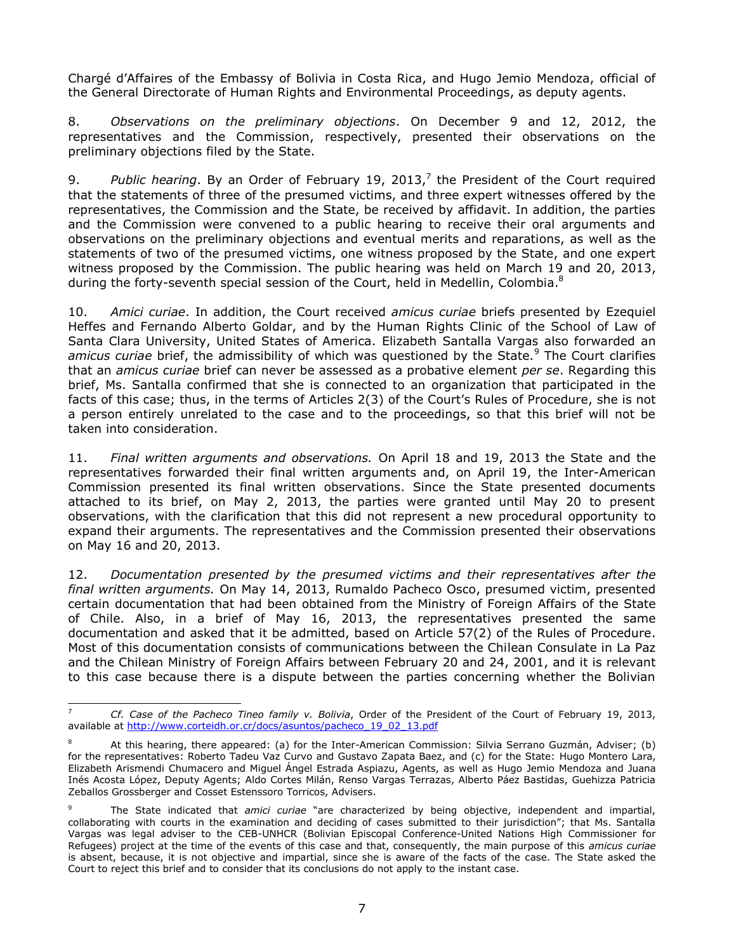Chargé d'Affaires of the Embassy of Bolivia in Costa Rica, and Hugo Jemio Mendoza, official of the General Directorate of Human Rights and Environmental Proceedings, as deputy agents.

8. *Observations on the preliminary objections*. On December 9 and 12, 2012, the representatives and the Commission, respectively, presented their observations on the preliminary objections filed by the State.

9. *Public hearing*. By an Order of February 19, 2013, 7 the President of the Court required that the statements of three of the presumed victims, and three expert witnesses offered by the representatives, the Commission and the State, be received by affidavit. In addition, the parties and the Commission were convened to a public hearing to receive their oral arguments and observations on the preliminary objections and eventual merits and reparations, as well as the statements of two of the presumed victims, one witness proposed by the State, and one expert witness proposed by the Commission. The public hearing was held on March 19 and 20, 2013, during the forty-seventh special session of the Court, held in Medellin, Colombia.<sup>8</sup>

10. *Amici curiae*. In addition, the Court received *amicus curiae* briefs presented by Ezequiel Heffes and Fernando Alberto Goldar, and by the Human Rights Clinic of the School of Law of Santa Clara University, United States of America. Elizabeth Santalla Vargas also forwarded an *amicus curiae* brief, the admissibility of which was questioned by the State.<sup>9</sup> The Court clarifies that an *amicus curiae* brief can never be assessed as a probative element *per se*. Regarding this brief, Ms. Santalla confirmed that she is connected to an organization that participated in the facts of this case; thus, in the terms of Articles 2(3) of the Court's Rules of Procedure, she is not a person entirely unrelated to the case and to the proceedings, so that this brief will not be taken into consideration.

11. *Final written arguments and observations.* On April 18 and 19, 2013 the State and the representatives forwarded their final written arguments and, on April 19, the Inter-American Commission presented its final written observations. Since the State presented documents attached to its brief, on May 2, 2013, the parties were granted until May 20 to present observations, with the clarification that this did not represent a new procedural opportunity to expand their arguments. The representatives and the Commission presented their observations on May 16 and 20, 2013.

12. *Documentation presented by the presumed victims and their representatives after the final written arguments.* On May 14, 2013, Rumaldo Pacheco Osco, presumed victim, presented certain documentation that had been obtained from the Ministry of Foreign Affairs of the State of Chile. Also, in a brief of May 16, 2013, the representatives presented the same documentation and asked that it be admitted, based on Article 57(2) of the Rules of Procedure. Most of this documentation consists of communications between the Chilean Consulate in La Paz and the Chilean Ministry of Foreign Affairs between February 20 and 24, 2001, and it is relevant to this case because there is a dispute between the parties concerning whether the Bolivian

 $\overline{7}$ <sup>7</sup> *Cf. Case of the Pacheco Tineo family v. Bolivia*, Order of the President of the Court of February 19, 2013, available at [http://www.corteidh.or.cr/docs/asuntos/pacheco\\_19\\_02\\_13.pdf](http://www.corteidh.or.cr/docs/asuntos/pacheco_19_02_13.pdf) 

<sup>8</sup> At this hearing, there appeared: (a) for the Inter-American Commission: Silvia Serrano Guzmán, Adviser; (b) for the representatives: Roberto Tadeu Vaz Curvo and Gustavo Zapata Baez, and (c) for the State: Hugo Montero Lara, Elizabeth Arismendi Chumacero and Miguel Ángel Estrada Aspiazu, Agents, as well as Hugo Jemio Mendoza and Juana Inés Acosta López, Deputy Agents; Aldo Cortes Milán, Renso Vargas Terrazas, Alberto Páez Bastidas, Guehizza Patricia Zeballos Grossberger and Cosset Estenssoro Torricos, Advisers.

<sup>9</sup> The State indicated that *amici curiae* "are characterized by being objective, independent and impartial, collaborating with courts in the examination and deciding of cases submitted to their jurisdiction"; that Ms. Santalla Vargas was legal adviser to the CEB-UNHCR (Bolivian Episcopal Conference-United Nations High Commissioner for Refugees) project at the time of the events of this case and that, consequently, the main purpose of this *amicus curiae* is absent, because, it is not objective and impartial, since she is aware of the facts of the case. The State asked the Court to reject this brief and to consider that its conclusions do not apply to the instant case.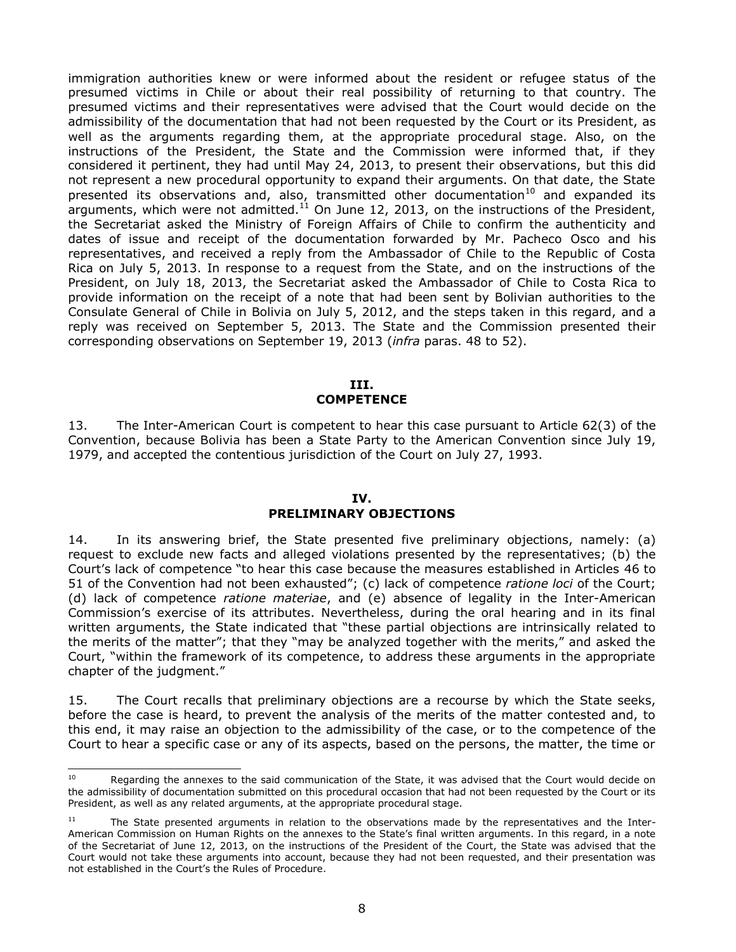immigration authorities knew or were informed about the resident or refugee status of the presumed victims in Chile or about their real possibility of returning to that country. The presumed victims and their representatives were advised that the Court would decide on the admissibility of the documentation that had not been requested by the Court or its President, as well as the arguments regarding them, at the appropriate procedural stage. Also, on the instructions of the President, the State and the Commission were informed that, if they considered it pertinent, they had until May 24, 2013, to present their observations, but this did not represent a new procedural opportunity to expand their arguments. On that date, the State presented its observations and, also, transmitted other documentation<sup>10</sup> and expanded its arguments, which were not admitted.<sup>11</sup> On June 12, 2013, on the instructions of the President, the Secretariat asked the Ministry of Foreign Affairs of Chile to confirm the authenticity and dates of issue and receipt of the documentation forwarded by Mr. Pacheco Osco and his representatives, and received a reply from the Ambassador of Chile to the Republic of Costa Rica on July 5, 2013. In response to a request from the State, and on the instructions of the President, on July 18, 2013, the Secretariat asked the Ambassador of Chile to Costa Rica to provide information on the receipt of a note that had been sent by Bolivian authorities to the Consulate General of Chile in Bolivia on July 5, 2012, and the steps taken in this regard, and a reply was received on September 5, 2013. The State and the Commission presented their corresponding observations on September 19, 2013 (*infra* paras. 48 to 52).

#### **III. COMPETENCE**

<span id="page-7-0"></span>13. The Inter-American Court is competent to hear this case pursuant to Article 62(3) of the Convention, because Bolivia has been a State Party to the American Convention since July 19, 1979, and accepted the contentious jurisdiction of the Court on July 27, 1993.

### **IV.**

## **PRELIMINARY OBJECTIONS**

<span id="page-7-1"></span>14. In its answering brief, the State presented five preliminary objections, namely: (a) request to exclude new facts and alleged violations presented by the representatives; (b) the Court's lack of competence "to hear this case because the measures established in Articles 46 to 51 of the Convention had not been exhausted"; (c) lack of competence *ratione loci* of the Court; (d) lack of competence *ratione materiae*, and (e) absence of legality in the Inter-American Commission's exercise of its attributes. Nevertheless, during the oral hearing and in its final written arguments, the State indicated that "these partial objections are intrinsically related to the merits of the matter"; that they "may be analyzed together with the merits," and asked the Court, "within the framework of its competence, to address these arguments in the appropriate chapter of the judgment."

15. The Court recalls that preliminary objections are a recourse by which the State seeks, before the case is heard, to prevent the analysis of the merits of the matter contested and, to this end, it may raise an objection to the admissibility of the case, or to the competence of the Court to hear a specific case or any of its aspects, based on the persons, the matter, the time or

<sup>10</sup> Regarding the annexes to the said communication of the State, it was advised that the Court would decide on the admissibility of documentation submitted on this procedural occasion that had not been requested by the Court or its President, as well as any related arguments, at the appropriate procedural stage.

<sup>&</sup>lt;sup>11</sup> The State presented arguments in relation to the observations made by the representatives and the Inter-American Commission on Human Rights on the annexes to the State's final written arguments. In this regard, in a note of the Secretariat of June 12, 2013, on the instructions of the President of the Court, the State was advised that the Court would not take these arguments into account, because they had not been requested, and their presentation was not established in the Court's the Rules of Procedure.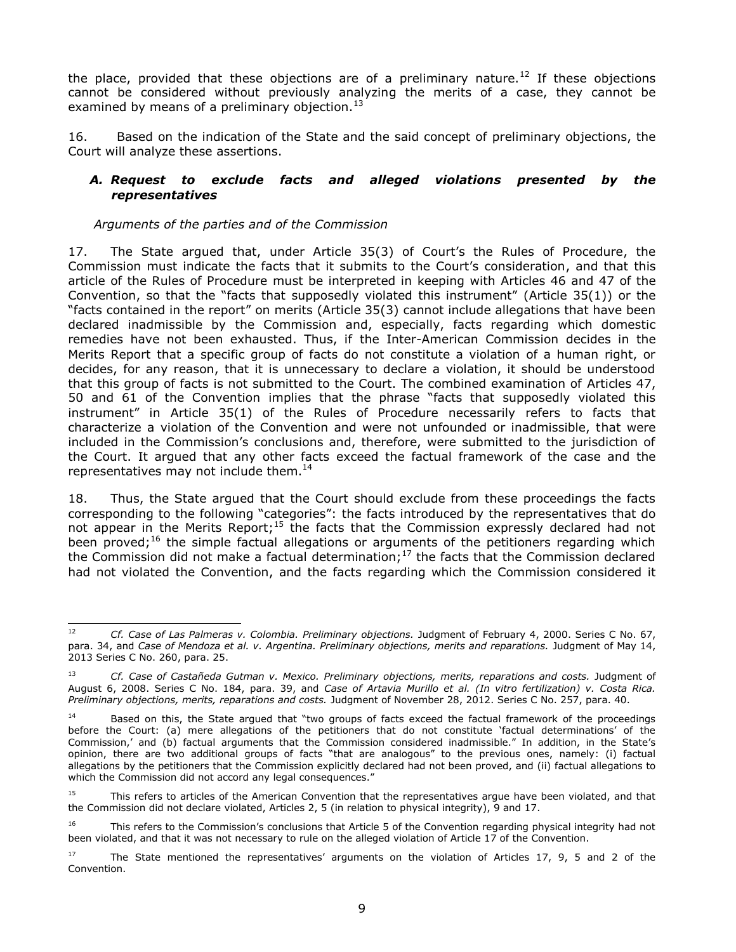the place, provided that these objections are of a preliminary nature.<sup>12</sup> If these objections cannot be considered without previously analyzing the merits of a case, they cannot be examined by means of a preliminary objection. $^{13}$ 

16. Based on the indication of the State and the said concept of preliminary objections, the Court will analyze these assertions.

### <span id="page-8-0"></span>*A. Request to exclude facts and alleged violations presented by the representatives*

### *Arguments of the parties and of the Commission*

17. The State argued that, under Article 35(3) of Court's the Rules of Procedure, the Commission must indicate the facts that it submits to the Court's consideration, and that this article of the Rules of Procedure must be interpreted in keeping with Articles 46 and 47 of the Convention, so that the "facts that supposedly violated this instrument" (Article 35(1)) or the "facts contained in the report" on merits (Article 35(3) cannot include allegations that have been declared inadmissible by the Commission and, especially, facts regarding which domestic remedies have not been exhausted. Thus, if the Inter-American Commission decides in the Merits Report that a specific group of facts do not constitute a violation of a human right, or decides, for any reason, that it is unnecessary to declare a violation, it should be understood that this group of facts is not submitted to the Court. The combined examination of Articles 47, 50 and 61 of the Convention implies that the phrase "facts that supposedly violated this instrument" in Article 35(1) of the Rules of Procedure necessarily refers to facts that characterize a violation of the Convention and were not unfounded or inadmissible, that were included in the Commission's conclusions and, therefore, were submitted to the jurisdiction of the Court. It argued that any other facts exceed the factual framework of the case and the representatives may not include them. $^{14}$ 

18. Thus, the State argued that the Court should exclude from these proceedings the facts corresponding to the following "categories": the facts introduced by the representatives that do not appear in the Merits Report;<sup>15</sup> the facts that the Commission expressly declared had not been proved;<sup>16</sup> the simple factual allegations or arguments of the petitioners regarding which the Commission did not make a factual determination;<sup>17</sup> the facts that the Commission declared had not violated the Convention, and the facts regarding which the Commission considered it

 $12$ <sup>12</sup> *Cf. Case of Las Palmeras v. Colombia. Preliminary objections.* Judgment of February 4, 2000. Series C No. 67, para. 34, and *[Case of Mendoza et al. v. Argentina. Preliminary objections, merits and reparations.](http://joomla.corteidh.or.cr:8080/joomla/es/jurisprudencia-oc-simple/38-jurisprudencia/2053-corte-idh-caso-mendoza-y-otros-vs-argentina-excepciones-preliminares-fondo-y-reparaciones-sentencia-de-14-de-mayo-de-2013-serie-c-no-260)* Judgment of May 14, [2013 Series C No. 260,](http://joomla.corteidh.or.cr:8080/joomla/es/jurisprudencia-oc-simple/38-jurisprudencia/2053-corte-idh-caso-mendoza-y-otros-vs-argentina-excepciones-preliminares-fondo-y-reparaciones-sentencia-de-14-de-mayo-de-2013-serie-c-no-260) para. 25.

<sup>13</sup> *Cf. Case of Castañeda Gutman v. Mexico. Preliminary objections, merits, reparations and costs.* Judgment of August 6, 2008. Series C No. 184, para. 39, and *Case of Artavia Murillo et al. (In vitro fertilization) v. Costa Rica. Preliminary objections, merits, reparations and costs.* Judgment of November 28, 2012. Series C No. 257, para. 40.

<sup>&</sup>lt;sup>14</sup> Based on this, the State argued that "two groups of facts exceed the factual framework of the proceedings before the Court: (a) mere allegations of the petitioners that do not constitute 'factual determinations' of the Commission,' and (b) factual arguments that the Commission considered inadmissible." In addition, in the State's opinion, there are two additional groups of facts "that are analogous" to the previous ones, namely: (i) factual allegations by the petitioners that the Commission explicitly declared had not been proved, and (ii) factual allegations to which the Commission did not accord any legal consequences."

<sup>&</sup>lt;sup>15</sup> This refers to articles of the American Convention that the representatives argue have been violated, and that the Commission did not declare violated, Articles 2, 5 (in relation to physical integrity), 9 and 17.

<sup>&</sup>lt;sup>16</sup> This refers to the Commission's conclusions that Article 5 of the Convention regarding physical integrity had not been violated, and that it was not necessary to rule on the alleged violation of Article 17 of the Convention.

 $17$  The State mentioned the representatives' arguments on the violation of Articles 17, 9, 5 and 2 of the Convention.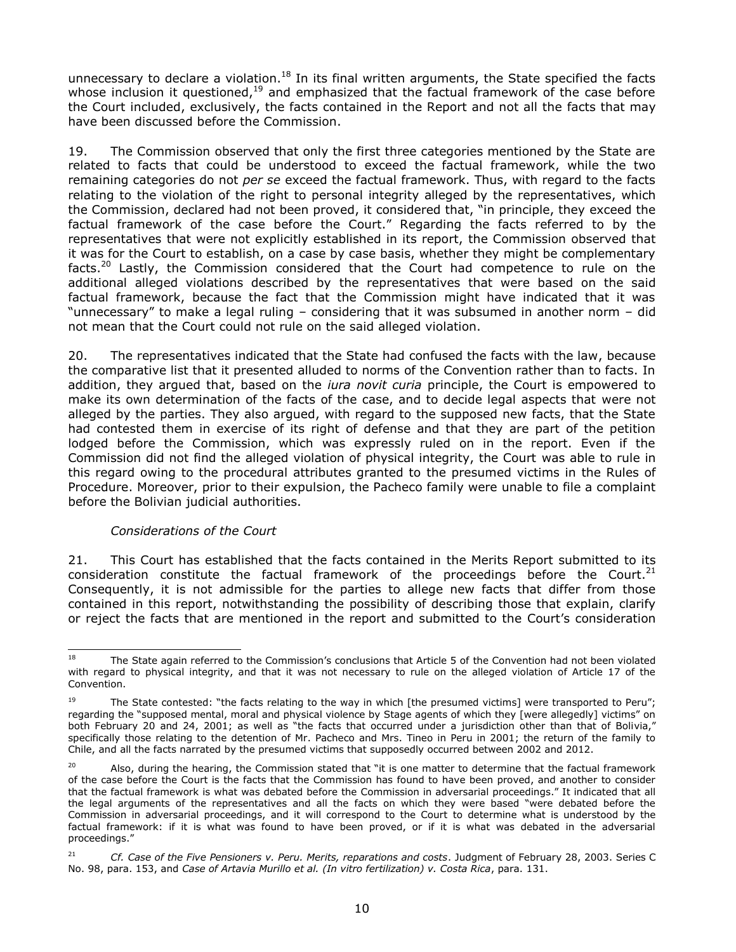unnecessary to declare a violation.<sup>18</sup> In its final written arguments, the State specified the facts whose inclusion it questioned,<sup>19</sup> and emphasized that the factual framework of the case before the Court included, exclusively, the facts contained in the Report and not all the facts that may have been discussed before the Commission.

19. The Commission observed that only the first three categories mentioned by the State are related to facts that could be understood to exceed the factual framework, while the two remaining categories do not *per se* exceed the factual framework. Thus, with regard to the facts relating to the violation of the right to personal integrity alleged by the representatives, which the Commission, declared had not been proved, it considered that, "in principle, they exceed the factual framework of the case before the Court." Regarding the facts referred to by the representatives that were not explicitly established in its report, the Commission observed that it was for the Court to establish, on a case by case basis, whether they might be complementary facts.<sup>20</sup> Lastly, the Commission considered that the Court had competence to rule on the additional alleged violations described by the representatives that were based on the said factual framework, because the fact that the Commission might have indicated that it was "unnecessary" to make a legal ruling – considering that it was subsumed in another norm – did not mean that the Court could not rule on the said alleged violation.

20. The representatives indicated that the State had confused the facts with the law, because the comparative list that it presented alluded to norms of the Convention rather than to facts. In addition, they argued that, based on the *iura novit curia* principle, the Court is empowered to make its own determination of the facts of the case, and to decide legal aspects that were not alleged by the parties. They also argued, with regard to the supposed new facts, that the State had contested them in exercise of its right of defense and that they are part of the petition lodged before the Commission, which was expressly ruled on in the report. Even if the Commission did not find the alleged violation of physical integrity, the Court was able to rule in this regard owing to the procedural attributes granted to the presumed victims in the Rules of Procedure. Moreover, prior to their expulsion, the Pacheco family were unable to file a complaint before the Bolivian judicial authorities.

### *Considerations of the Court*

21. This Court has established that the facts contained in the Merits Report submitted to its consideration constitute the factual framework of the proceedings before the Court.<sup>21</sup> Consequently, it is not admissible for the parties to allege new facts that differ from those contained in this report, notwithstanding the possibility of describing those that explain, clarify or reject the facts that are mentioned in the report and submitted to the Court's consideration

<sup>18</sup> The State again referred to the Commission's conclusions that Article 5 of the Convention had not been violated with regard to physical integrity, and that it was not necessary to rule on the alleged violation of Article 17 of the Convention.

<sup>&</sup>lt;sup>19</sup> The State contested: "the facts relating to the way in which [the presumed victims] were transported to Peru"; regarding the "supposed mental, moral and physical violence by Stage agents of which they [were allegedly] victims" on both February 20 and 24, 2001; as well as "the facts that occurred under a jurisdiction other than that of Bolivia," specifically those relating to the detention of Mr. Pacheco and Mrs. Tineo in Peru in 2001; the return of the family to Chile, and all the facts narrated by the presumed victims that supposedly occurred between 2002 and 2012.

<sup>&</sup>lt;sup>20</sup> Also, during the hearing, the Commission stated that "it is one matter to determine that the factual framework of the case before the Court is the facts that the Commission has found to have been proved, and another to consider that the factual framework is what was debated before the Commission in adversarial proceedings." It indicated that all the legal arguments of the representatives and all the facts on which they were based "were debated before the Commission in adversarial proceedings, and it will correspond to the Court to determine what is understood by the factual framework: if it is what was found to have been proved, or if it is what was debated in the adversarial proceedings."

<sup>21</sup> *Cf. Case of the Five Pensioners v. Peru. Merits, reparations and costs*. Judgment of February 28, 2003. Series C No. 98, para. 153, and *Case of Artavia Murillo et al. (In vitro fertilization) v. Costa Rica*, para. 131.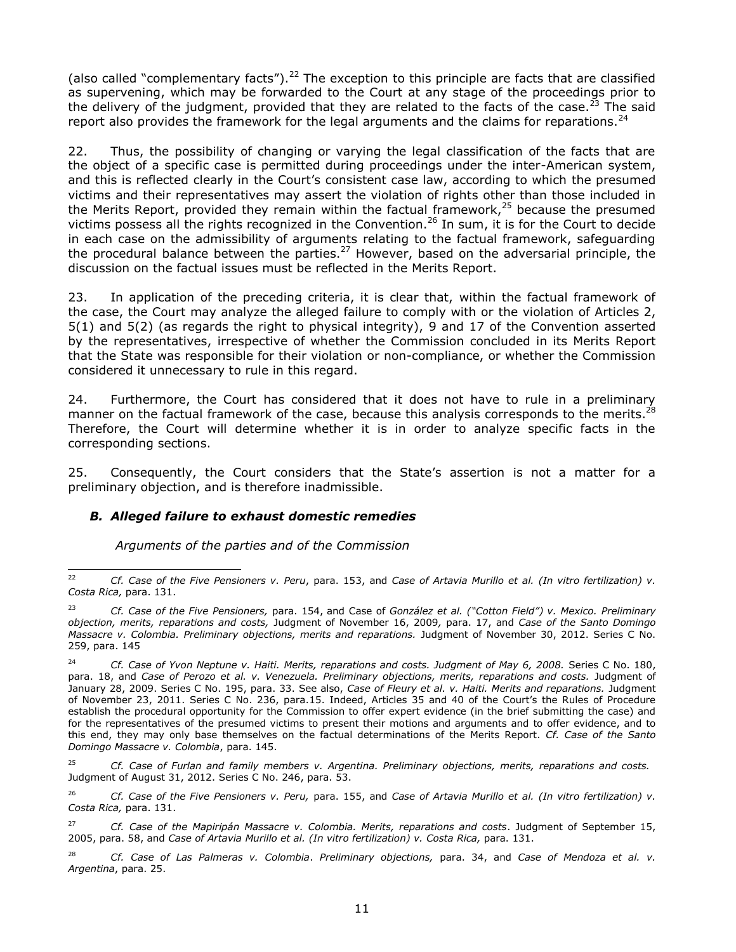(also called "complementary facts").<sup>22</sup> The exception to this principle are facts that are classified as supervening, which may be forwarded to the Court at any stage of the proceedings prior to the delivery of the judgment, provided that they are related to the facts of the case.<sup>23</sup> The said report also provides the framework for the legal arguments and the claims for reparations.<sup>24</sup>

22. Thus, the possibility of changing or varying the legal classification of the facts that are the object of a specific case is permitted during proceedings under the inter-American system, and this is reflected clearly in the Court's consistent case law, according to which the presumed victims and their representatives may assert the violation of rights other than those included in the Merits Report, provided they remain within the factual framework,<sup>25</sup> because the presumed victims possess all the rights recognized in the Convention. <sup>26</sup> In sum, it is for the Court to decide in each case on the admissibility of arguments relating to the factual framework, safeguarding the procedural balance between the parties.<sup>27</sup> However, based on the adversarial principle, the discussion on the factual issues must be reflected in the Merits Report.

23. In application of the preceding criteria, it is clear that, within the factual framework of the case, the Court may analyze the alleged failure to comply with or the violation of Articles 2, 5(1) and 5(2) (as regards the right to physical integrity), 9 and 17 of the Convention asserted by the representatives, irrespective of whether the Commission concluded in its Merits Report that the State was responsible for their violation or non-compliance, or whether the Commission considered it unnecessary to rule in this regard.

24. Furthermore, the Court has considered that it does not have to rule in a preliminary manner on the factual framework of the case, because this analysis corresponds to the merits.<sup>28</sup> Therefore, the Court will determine whether it is in order to analyze specific facts in the corresponding sections.

25. Consequently, the Court considers that the State's assertion is not a matter for a preliminary objection, and is therefore inadmissible.

### *B. Alleged failure to exhaust domestic remedies*

*Arguments of the parties and of the Commission*

<sup>22</sup> <sup>22</sup> *Cf. Case of the Five Pensioners v. Peru*, para. 153, and *Case of Artavia Murillo et al. (In vitro fertilization) v. Costa Rica,* para. 131.

<sup>23</sup> *Cf. Case of the Five Pensioners,* para. 154, and Case of *González et al. ("Cotton Field") v. Mexico. Preliminary objection, merits, reparations and costs,* Judgment of November 16, 2009*,* para. 17, and *Case of the Santo Domingo Massacre v. Colombia. Preliminary objections, merits and reparations.* Judgment of November 30, 2012. Series C No. 259, para. 145

<sup>&</sup>lt;sup>24</sup> *Cf. Case of Yvon Neptune v. Haiti. Merits, reparations and costs. Judgment of May 6, 2008. Series C No. 180,* para. 18, and *Case of Perozo et al. v. Venezuela. Preliminary objections, merits, reparations and costs.* Judgment of January 28, 2009. Series C No. 195, para. 33. See also, *Case of Fleury et al. v. Haiti. Merits and reparations.* Judgment of November 23, 2011. Series C No. 236, para.15. Indeed, Articles 35 and 40 of the Court's the Rules of Procedure establish the procedural opportunity for the Commission to offer expert evidence (in the brief submitting the case) and for the representatives of the presumed victims to present their motions and arguments and to offer evidence, and to this end, they may only base themselves on the factual determinations of the Merits Report. *Cf. Case of the Santo Domingo Massacre v. Colombia*, para. 145.

<sup>25</sup> *Cf. Case of Furlan and family members v. Argentina. Preliminary objections, merits, reparations and costs.* Judgment of August 31, 2012. Series C No. 246, para. 53.

<sup>26</sup> *Cf. Case of the Five Pensioners v. Peru,* para. 155, and *Case of Artavia Murillo et al. (In vitro fertilization) v. Costa Rica,* para. 131.

<sup>27</sup> *Cf. Case of the Mapiripán Massacre v. Colombia. Merits, reparations and costs*. Judgment of September 15, 2005, para. 58, and *Case of Artavia Murillo et al. (In vitro fertilization) v. Costa Rica,* para. 131.

<sup>28</sup> *Cf. Case of Las Palmeras v. Colombia*. *Preliminary objections,* para. 34, and *[Case of Mendoza et al. v.](http://joomla.corteidh.or.cr:8080/joomla/es/jurisprudencia-oc-simple/38-jurisprudencia/2053-corte-idh-caso-mendoza-y-otros-vs-argentina-excepciones-preliminares-fondo-y-reparaciones-sentencia-de-14-de-mayo-de-2013-serie-c-no-260)  [Argentina](http://joomla.corteidh.or.cr:8080/joomla/es/jurisprudencia-oc-simple/38-jurisprudencia/2053-corte-idh-caso-mendoza-y-otros-vs-argentina-excepciones-preliminares-fondo-y-reparaciones-sentencia-de-14-de-mayo-de-2013-serie-c-no-260)*, para. 25.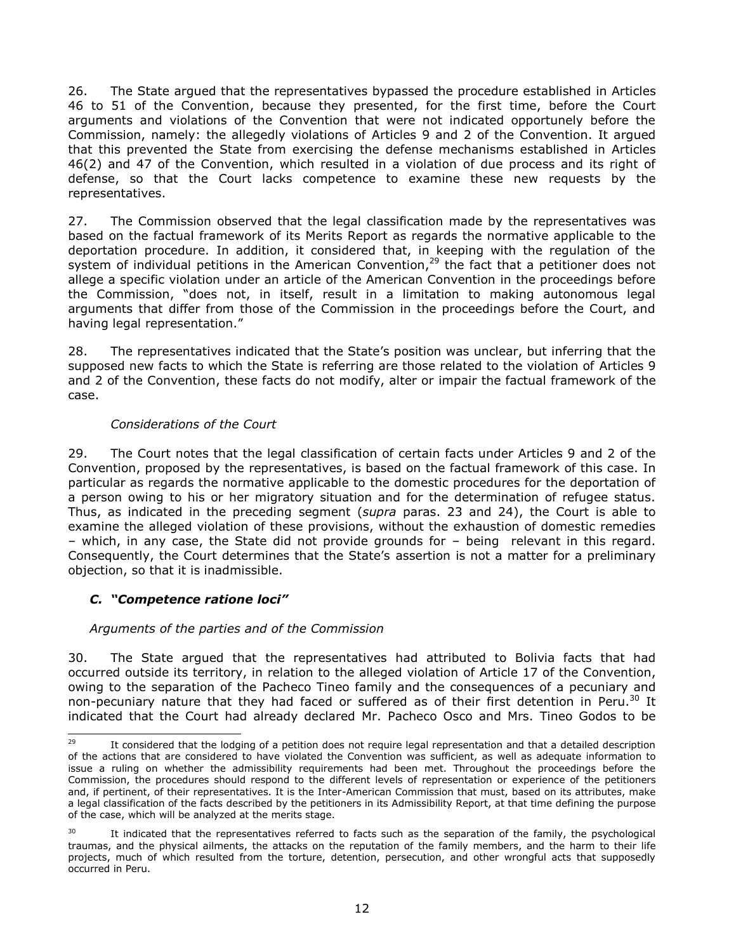26. The State argued that the representatives bypassed the procedure established in Articles 46 to 51 of the Convention, because they presented, for the first time, before the Court arguments and violations of the Convention that were not indicated opportunely before the Commission, namely: the allegedly violations of Articles 9 and 2 of the Convention. It argued that this prevented the State from exercising the defense mechanisms established in Articles 46(2) and 47 of the Convention, which resulted in a violation of due process and its right of defense, so that the Court lacks competence to examine these new requests by the representatives.

27. The Commission observed that the legal classification made by the representatives was based on the factual framework of its Merits Report as regards the normative applicable to the deportation procedure. In addition, it considered that, in keeping with the regulation of the system of individual petitions in the American Convention, $^{29}$  the fact that a petitioner does not allege a specific violation under an article of the American Convention in the proceedings before the Commission, "does not, in itself, result in a limitation to making autonomous legal arguments that differ from those of the Commission in the proceedings before the Court, and having legal representation."

28. The representatives indicated that the State's position was unclear, but inferring that the supposed new facts to which the State is referring are those related to the violation of Articles 9 and 2 of the Convention, these facts do not modify, alter or impair the factual framework of the case.

### *Considerations of the Court*

29. The Court notes that the legal classification of certain facts under Articles 9 and 2 of the Convention, proposed by the representatives, is based on the factual framework of this case. In particular as regards the normative applicable to the domestic procedures for the deportation of a person owing to his or her migratory situation and for the determination of refugee status. Thus, as indicated in the preceding segment (*supra* paras. 23 and 24), the Court is able to examine the alleged violation of these provisions, without the exhaustion of domestic remedies – which, in any case, the State did not provide grounds for – being relevant in this regard. Consequently, the Court determines that the State's assertion is not a matter for a preliminary objection, so that it is inadmissible.

## <span id="page-11-0"></span>*C. "Competence ratione loci"*

### *Arguments of the parties and of the Commission*

30. The State argued that the representatives had attributed to Bolivia facts that had occurred outside its territory, in relation to the alleged violation of Article 17 of the Convention, owing to the separation of the Pacheco Tineo family and the consequences of a pecuniary and non-pecuniary nature that they had faced or suffered as of their first detention in Peru.<sup>30</sup> It indicated that the Court had already declared Mr. Pacheco Osco and Mrs. Tineo Godos to be

<sup>29</sup> It considered that the lodging of a petition does not require legal representation and that a detailed description of the actions that are considered to have violated the Convention was sufficient, as well as adequate information to issue a ruling on whether the admissibility requirements had been met. Throughout the proceedings before the Commission, the procedures should respond to the different levels of representation or experience of the petitioners and, if pertinent, of their representatives. It is the Inter-American Commission that must, based on its attributes, make a legal classification of the facts described by the petitioners in its Admissibility Report, at that time defining the purpose of the case, which will be analyzed at the merits stage.

It indicated that the representatives referred to facts such as the separation of the family, the psychological traumas, and the physical ailments, the attacks on the reputation of the family members, and the harm to their life projects, much of which resulted from the torture, detention, persecution, and other wrongful acts that supposedly occurred in Peru.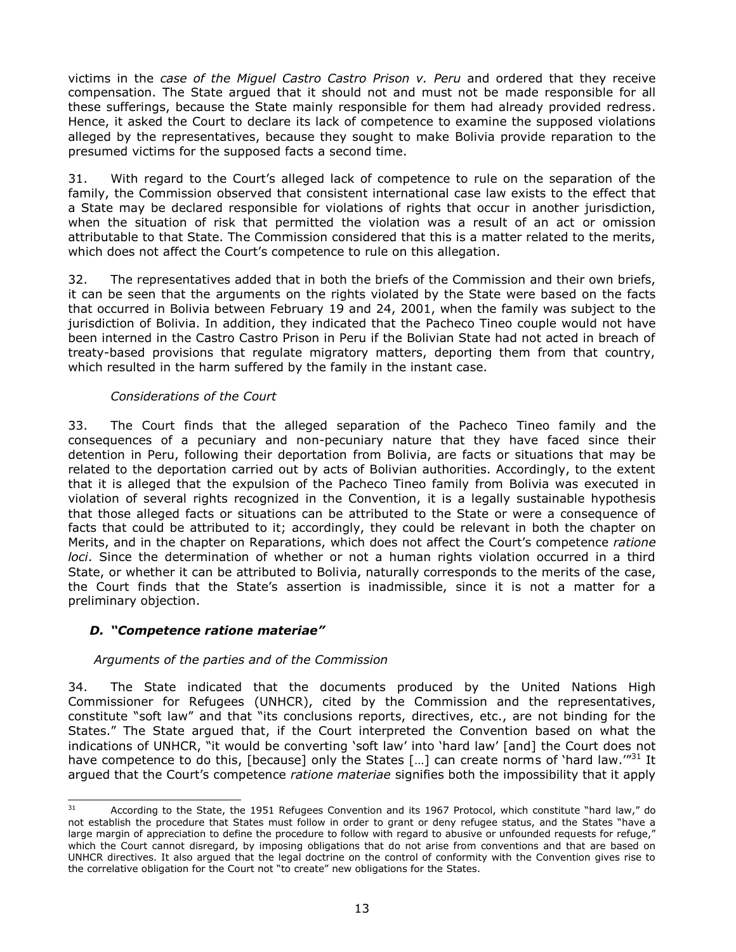victims in the *case of the Miguel Castro Castro Prison v. Peru* and ordered that they receive compensation. The State argued that it should not and must not be made responsible for all these sufferings, because the State mainly responsible for them had already provided redress. Hence, it asked the Court to declare its lack of competence to examine the supposed violations alleged by the representatives, because they sought to make Bolivia provide reparation to the presumed victims for the supposed facts a second time.

31. With regard to the Court's alleged lack of competence to rule on the separation of the family, the Commission observed that consistent international case law exists to the effect that a State may be declared responsible for violations of rights that occur in another jurisdiction, when the situation of risk that permitted the violation was a result of an act or omission attributable to that State. The Commission considered that this is a matter related to the merits, which does not affect the Court's competence to rule on this allegation.

32. The representatives added that in both the briefs of the Commission and their own briefs, it can be seen that the arguments on the rights violated by the State were based on the facts that occurred in Bolivia between February 19 and 24, 2001, when the family was subject to the jurisdiction of Bolivia. In addition, they indicated that the Pacheco Tineo couple would not have been interned in the Castro Castro Prison in Peru if the Bolivian State had not acted in breach of treaty-based provisions that regulate migratory matters, deporting them from that country, which resulted in the harm suffered by the family in the instant case.

### *Considerations of the Court*

33. The Court finds that the alleged separation of the Pacheco Tineo family and the consequences of a pecuniary and non-pecuniary nature that they have faced since their detention in Peru, following their deportation from Bolivia, are facts or situations that may be related to the deportation carried out by acts of Bolivian authorities. Accordingly, to the extent that it is alleged that the expulsion of the Pacheco Tineo family from Bolivia was executed in violation of several rights recognized in the Convention, it is a legally sustainable hypothesis that those alleged facts or situations can be attributed to the State or were a consequence of facts that could be attributed to it; accordingly, they could be relevant in both the chapter on Merits, and in the chapter on Reparations, which does not affect the Court's competence *ratione loci*. Since the determination of whether or not a human rights violation occurred in a third State, or whether it can be attributed to Bolivia, naturally corresponds to the merits of the case, the Court finds that the State's assertion is inadmissible, since it is not a matter for a preliminary objection.

## <span id="page-12-0"></span>*D. "Competence ratione materiae"*

## *Arguments of the parties and of the Commission*

34. The State indicated that the documents produced by the United Nations High Commissioner for Refugees (UNHCR), cited by the Commission and the representatives, constitute "soft law" and that "its conclusions reports, directives, etc., are not binding for the States." The State argued that, if the Court interpreted the Convention based on what the indications of UNHCR, "it would be converting 'soft law' into 'hard law' [and] the Court does not have competence to do this, [because] only the States [...] can create norms of 'hard law.'"<sup>31</sup> It argued that the Court's competence *ratione materiae* signifies both the impossibility that it apply

l <sup>31</sup> According to the State, the 1951 Refugees Convention and its 1967 Protocol, which constitute "hard law," do not establish the procedure that States must follow in order to grant or deny refugee status, and the States "have a large margin of appreciation to define the procedure to follow with regard to abusive or unfounded requests for refuge," which the Court cannot disregard, by imposing obligations that do not arise from conventions and that are based on UNHCR directives. It also argued that the legal doctrine on the control of conformity with the Convention gives rise to the correlative obligation for the Court not "to create" new obligations for the States.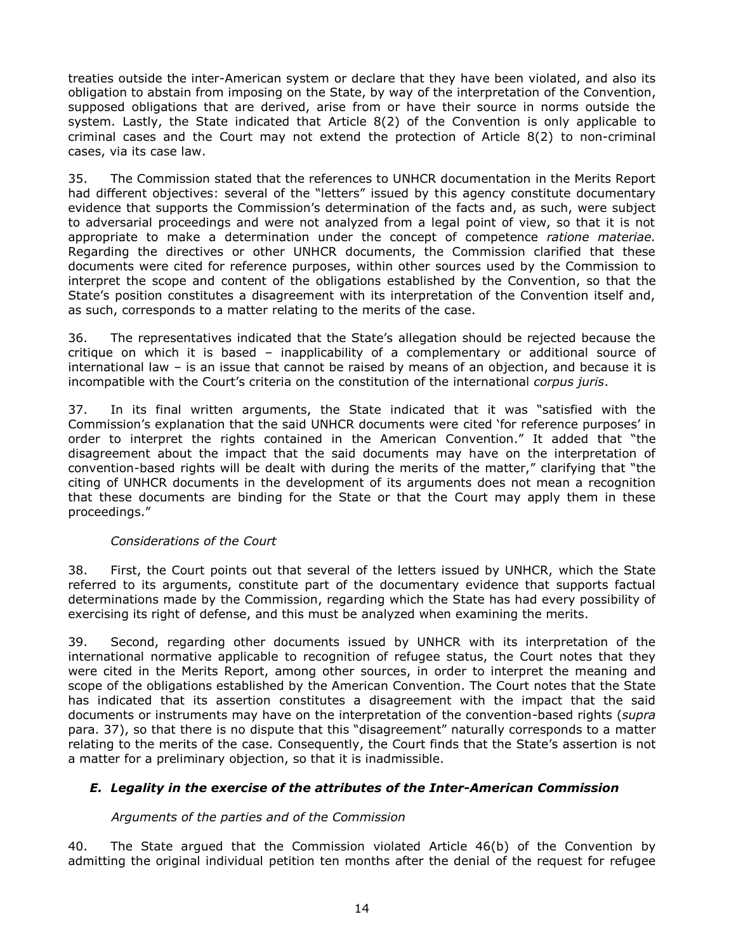treaties outside the inter-American system or declare that they have been violated, and also its obligation to abstain from imposing on the State, by way of the interpretation of the Convention, supposed obligations that are derived, arise from or have their source in norms outside the system. Lastly, the State indicated that Article 8(2) of the Convention is only applicable to criminal cases and the Court may not extend the protection of Article 8(2) to non-criminal cases, via its case law.

35. The Commission stated that the references to UNHCR documentation in the Merits Report had different objectives: several of the "letters" issued by this agency constitute documentary evidence that supports the Commission's determination of the facts and, as such, were subject to adversarial proceedings and were not analyzed from a legal point of view, so that it is not appropriate to make a determination under the concept of competence *ratione materiae.*  Regarding the directives or other UNHCR documents, the Commission clarified that these documents were cited for reference purposes, within other sources used by the Commission to interpret the scope and content of the obligations established by the Convention, so that the State's position constitutes a disagreement with its interpretation of the Convention itself and, as such, corresponds to a matter relating to the merits of the case.

36. The representatives indicated that the State's allegation should be rejected because the critique on which it is based – inapplicability of a complementary or additional source of international law – is an issue that cannot be raised by means of an objection, and because it is incompatible with the Court's criteria on the constitution of the international *corpus juris*.

37. In its final written arguments, the State indicated that it was "satisfied with the Commission's explanation that the said UNHCR documents were cited 'for reference purposes' in order to interpret the rights contained in the American Convention." It added that "the disagreement about the impact that the said documents may have on the interpretation of convention-based rights will be dealt with during the merits of the matter," clarifying that "the citing of UNHCR documents in the development of its arguments does not mean a recognition that these documents are binding for the State or that the Court may apply them in these proceedings."

### *Considerations of the Court*

38. First, the Court points out that several of the letters issued by UNHCR, which the State referred to its arguments, constitute part of the documentary evidence that supports factual determinations made by the Commission, regarding which the State has had every possibility of exercising its right of defense, and this must be analyzed when examining the merits.

39. Second, regarding other documents issued by UNHCR with its interpretation of the international normative applicable to recognition of refugee status, the Court notes that they were cited in the Merits Report, among other sources, in order to interpret the meaning and scope of the obligations established by the American Convention. The Court notes that the State has indicated that its assertion constitutes a disagreement with the impact that the said documents or instruments may have on the interpretation of the convention-based rights (*supra*  para. 37), so that there is no dispute that this "disagreement" naturally corresponds to a matter relating to the merits of the case. Consequently, the Court finds that the State's assertion is not a matter for a preliminary objection, so that it is inadmissible.

## <span id="page-13-0"></span>*E. Legality in the exercise of the attributes of the Inter-American Commission*

## *Arguments of the parties and of the Commission*

40. The State argued that the Commission violated Article 46(b) of the Convention by admitting the original individual petition ten months after the denial of the request for refugee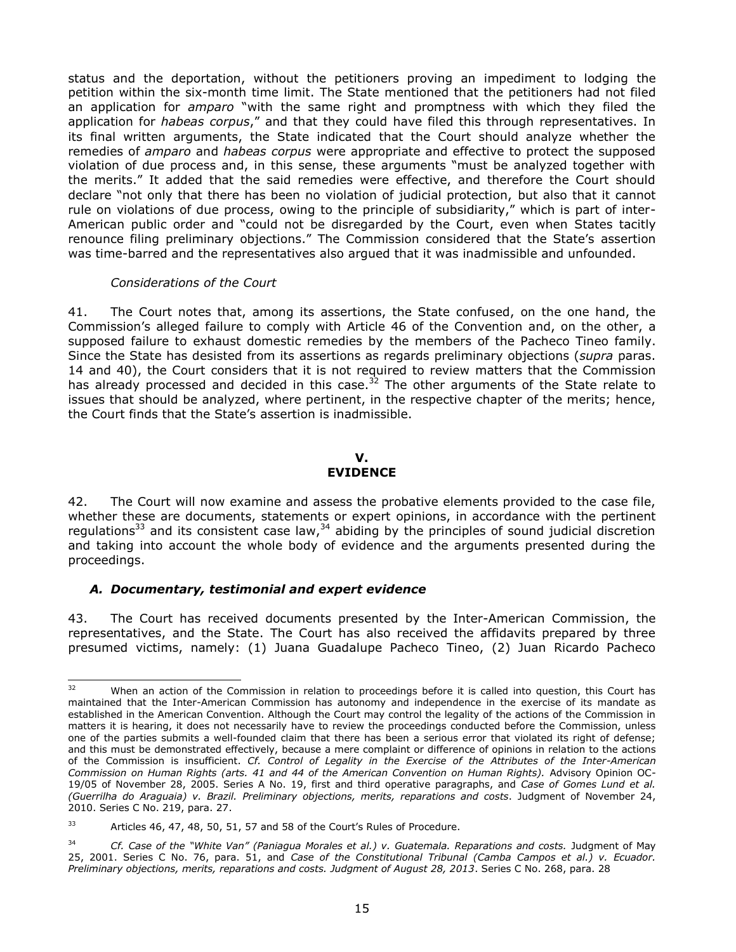status and the deportation, without the petitioners proving an impediment to lodging the petition within the six-month time limit. The State mentioned that the petitioners had not filed an application for *amparo* "with the same right and promptness with which they filed the application for *habeas corpus*," and that they could have filed this through representatives. In its final written arguments, the State indicated that the Court should analyze whether the remedies of *amparo* and *habeas corpus* were appropriate and effective to protect the supposed violation of due process and, in this sense, these arguments "must be analyzed together with the merits." It added that the said remedies were effective, and therefore the Court should declare "not only that there has been no violation of judicial protection, but also that it cannot rule on violations of due process, owing to the principle of subsidiarity," which is part of inter-American public order and "could not be disregarded by the Court, even when States tacitly renounce filing preliminary objections." The Commission considered that the State's assertion was time-barred and the representatives also argued that it was inadmissible and unfounded.

#### *Considerations of the Court*

41. The Court notes that, among its assertions, the State confused, on the one hand, the Commission's alleged failure to comply with Article 46 of the Convention and, on the other, a supposed failure to exhaust domestic remedies by the members of the Pacheco Tineo family. Since the State has desisted from its assertions as regards preliminary objections (*supra* paras. 14 and 40), the Court considers that it is not required to review matters that the Commission has already processed and decided in this case.<sup>32</sup> The other arguments of the State relate to issues that should be analyzed, where pertinent, in the respective chapter of the merits; hence, the Court finds that the State's assertion is inadmissible.

#### **V. EVIDENCE**

<span id="page-14-0"></span>42. The Court will now examine and assess the probative elements provided to the case file, whether these are documents, statements or expert opinions, in accordance with the pertinent regulations<sup>33</sup> and its consistent case law,<sup>34</sup> abiding by the principles of sound judicial discretion and taking into account the whole body of evidence and the arguments presented during the proceedings.

### *A. Documentary, testimonial and expert evidence*

43. The Court has received documents presented by the Inter-American Commission, the representatives, and the State. The Court has also received the affidavits prepared by three presumed victims, namely: (1) Juana Guadalupe Pacheco Tineo, (2) Juan Ricardo Pacheco

 $32$ When an action of the Commission in relation to proceedings before it is called into question, this Court has maintained that the Inter-American Commission has autonomy and independence in the exercise of its mandate as established in the American Convention. Although the Court may control the legality of the actions of the Commission in matters it is hearing, it does not necessarily have to review the proceedings conducted before the Commission, unless one of the parties submits a well-founded claim that there has been a serious error that violated its right of defense; and this must be demonstrated effectively, because a mere complaint or difference of opinions in relation to the actions of the Commission is insufficient. *Cf. Control of Legality in the Exercise of the Attributes of the Inter-American Commission on Human Rights (arts. 41 and 44 of the American Convention on Human Rights).* Advisory Opinion OC-19/05 of November 28, 2005. Series A No. 19, first and third operative paragraphs, and *Case of Gomes Lund et al. (Guerrilha do Araguaia) v. Brazil. Preliminary objections, merits, reparations and costs*. Judgment of November 24, 2010. Series C No. 219, para. 27.

<sup>&</sup>lt;sup>33</sup> Articles 46, 47, 48, 50, 51, 57 and 58 of the Court's Rules of Procedure.

<sup>34</sup> *Cf. Case of the "White Van" (Paniagua Morales et al.) v. Guatemala. Reparations and costs.* Judgment of May 25, 2001. Series C No. 76, para. 51, and *Case of the Constitutional Tribunal (Camba Campos et al.) v. Ecuador. Preliminary objections, merits, reparations and costs. Judgment of August 28, 2013*. Series C No. 268, para. 28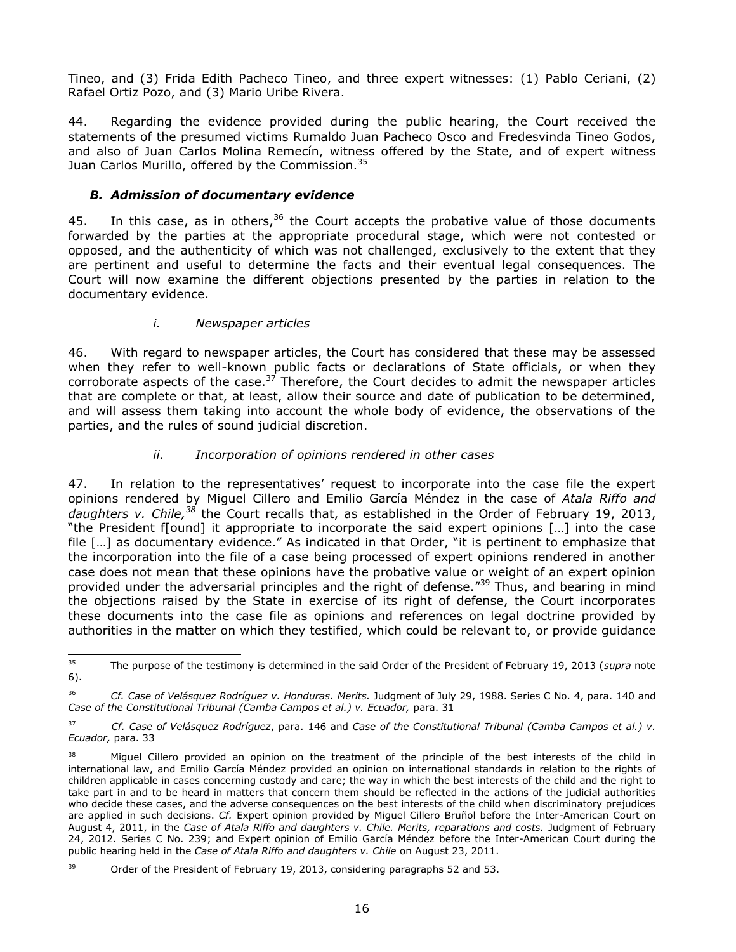Tineo, and (3) Frida Edith Pacheco Tineo, and three expert witnesses: (1) Pablo Ceriani, (2) Rafael Ortiz Pozo, and (3) Mario Uribe Rivera.

44. Regarding the evidence provided during the public hearing, the Court received the statements of the presumed victims Rumaldo Juan Pacheco Osco and Fredesvinda Tineo Godos, and also of Juan Carlos Molina Remecín, witness offered by the State, and of expert witness Juan Carlos Murillo, offered by the Commission.<sup>35</sup>

## *B. Admission of documentary evidence*

45. In this case, as in others,  $36$  the Court accepts the probative value of those documents forwarded by the parties at the appropriate procedural stage, which were not contested or opposed, and the authenticity of which was not challenged, exclusively to the extent that they are pertinent and useful to determine the facts and their eventual legal consequences. The Court will now examine the different objections presented by the parties in relation to the documentary evidence.

## *i. Newspaper articles*

46. With regard to newspaper articles, the Court has considered that these may be assessed when they refer to well-known public facts or declarations of State officials, or when they corroborate aspects of the case.<sup>37</sup> Therefore, the Court decides to admit the newspaper articles that are complete or that, at least, allow their source and date of publication to be determined, and will assess them taking into account the whole body of evidence, the observations of the parties, and the rules of sound judicial discretion.

## *ii. Incorporation of opinions rendered in other cases*

47. In relation to the representatives' request to incorporate into the case file the expert opinions rendered by Miguel Cillero and Emilio García Méndez in the case of *Atala Riffo and daughters v. Chile, <sup>38</sup>* the Court recalls that, as established in the Order of February 19, 2013, "the President f[ound] it appropriate to incorporate the said expert opinions […] into the case file […] as documentary evidence." As indicated in that Order, "it is pertinent to emphasize that the incorporation into the file of a case being processed of expert opinions rendered in another case does not mean that these opinions have the probative value or weight of an expert opinion provided under the adversarial principles and the right of defense."<sup>39</sup> Thus, and bearing in mind the objections raised by the State in exercise of its right of defense, the Court incorporates these documents into the case file as opinions and references on legal doctrine provided by authorities in the matter on which they testified, which could be relevant to, or provide guidance

<sup>35</sup> <sup>35</sup> The purpose of the testimony is determined in the said Order of the President of February 19, 2013 (*supra* note 6).

<sup>36</sup> *Cf. Case of Velásquez Rodríguez v. Honduras. Merits.* Judgment of July 29, 1988. Series C No. 4, para. 140 and Case of the Constitutional Tribunal (Camba Campos et al.) v. Ecuador, para. 31

<sup>37</sup> *Cf. Case of Velásquez Rodríguez*, para. 146 and *Case of the Constitutional Tribunal (Camba Campos et al.) v. Ecuador,* para. 33

<sup>&</sup>lt;sup>38</sup> Miguel Cillero provided an opinion on the treatment of the principle of the best interests of the child in international law, and Emilio García Méndez provided an opinion on international standards in relation to the rights of children applicable in cases concerning custody and care; the way in which the best interests of the child and the right to take part in and to be heard in matters that concern them should be reflected in the actions of the judicial authorities who decide these cases, and the adverse consequences on the best interests of the child when discriminatory prejudices are applied in such decisions. *Cf.* Expert opinion provided by Miguel Cillero Bruñol before the Inter-American Court on August 4, 2011, in the *Case of Atala Riffo and daughters v. Chile. Merits, reparations and costs.* Judgment of February 24, 2012. Series C No. 239; and Expert opinion of Emilio García Méndez before the Inter-American Court during the public hearing held in the *Case of Atala Riffo and daughters v. Chile* on August 23, 2011.

 $39$  Order of the President of February 19, 2013, considering paragraphs 52 and 53.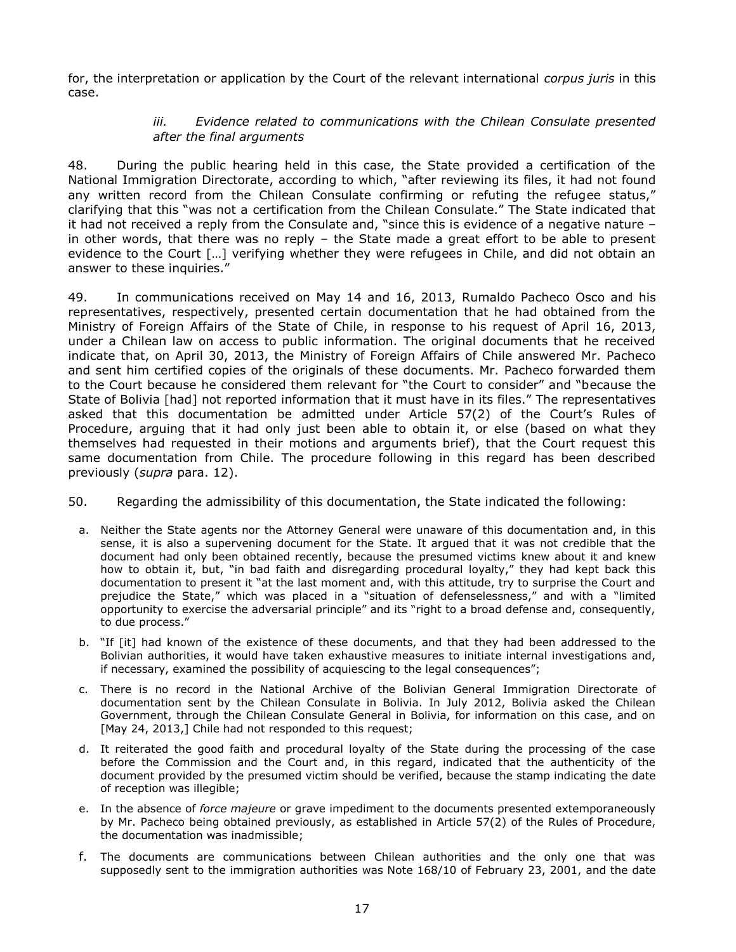for, the interpretation or application by the Court of the relevant international *corpus juris* in this case.

### *iii. Evidence related to communications with the Chilean Consulate presented after the final arguments*

48. During the public hearing held in this case, the State provided a certification of the National Immigration Directorate, according to which, "after reviewing its files, it had not found any written record from the Chilean Consulate confirming or refuting the refugee status," clarifying that this "was not a certification from the Chilean Consulate." The State indicated that it had not received a reply from the Consulate and, "since this is evidence of a negative nature – in other words, that there was no reply – the State made a great effort to be able to present evidence to the Court [...] verifying whether they were refugees in Chile, and did not obtain an answer to these inquiries."

49. In communications received on May 14 and 16, 2013, Rumaldo Pacheco Osco and his representatives, respectively, presented certain documentation that he had obtained from the Ministry of Foreign Affairs of the State of Chile, in response to his request of April 16, 2013, under a Chilean law on access to public information. The original documents that he received indicate that, on April 30, 2013, the Ministry of Foreign Affairs of Chile answered Mr. Pacheco and sent him certified copies of the originals of these documents. Mr. Pacheco forwarded them to the Court because he considered them relevant for "the Court to consider" and "because the State of Bolivia [had] not reported information that it must have in its files." The representatives asked that this documentation be admitted under Article 57(2) of the Court's Rules of Procedure, arguing that it had only just been able to obtain it, or else (based on what they themselves had requested in their motions and arguments brief), that the Court request this same documentation from Chile. The procedure following in this regard has been described previously (*supra* para. 12).

- 50. Regarding the admissibility of this documentation, the State indicated the following:
	- a. Neither the State agents nor the Attorney General were unaware of this documentation and, in this sense, it is also a supervening document for the State. It argued that it was not credible that the document had only been obtained recently, because the presumed victims knew about it and knew how to obtain it, but, "in bad faith and disregarding procedural loyalty," they had kept back this documentation to present it "at the last moment and, with this attitude, try to surprise the Court and prejudice the State," which was placed in a "situation of defenselessness," and with a "limited opportunity to exercise the adversarial principle" and its "right to a broad defense and, consequently, to due process."
	- b. "If [it] had known of the existence of these documents, and that they had been addressed to the Bolivian authorities, it would have taken exhaustive measures to initiate internal investigations and, if necessary, examined the possibility of acquiescing to the legal consequences";
	- c. There is no record in the National Archive of the Bolivian General Immigration Directorate of documentation sent by the Chilean Consulate in Bolivia. In July 2012, Bolivia asked the Chilean Government, through the Chilean Consulate General in Bolivia, for information on this case, and on [May 24, 2013,] Chile had not responded to this request;
	- d. It reiterated the good faith and procedural loyalty of the State during the processing of the case before the Commission and the Court and, in this regard, indicated that the authenticity of the document provided by the presumed victim should be verified, because the stamp indicating the date of reception was illegible;
	- e. In the absence of *force majeure* or grave impediment to the documents presented extemporaneously by Mr. Pacheco being obtained previously, as established in Article 57(2) of the Rules of Procedure, the documentation was inadmissible;
	- f. The documents are communications between Chilean authorities and the only one that was supposedly sent to the immigration authorities was Note 168/10 of February 23, 2001, and the date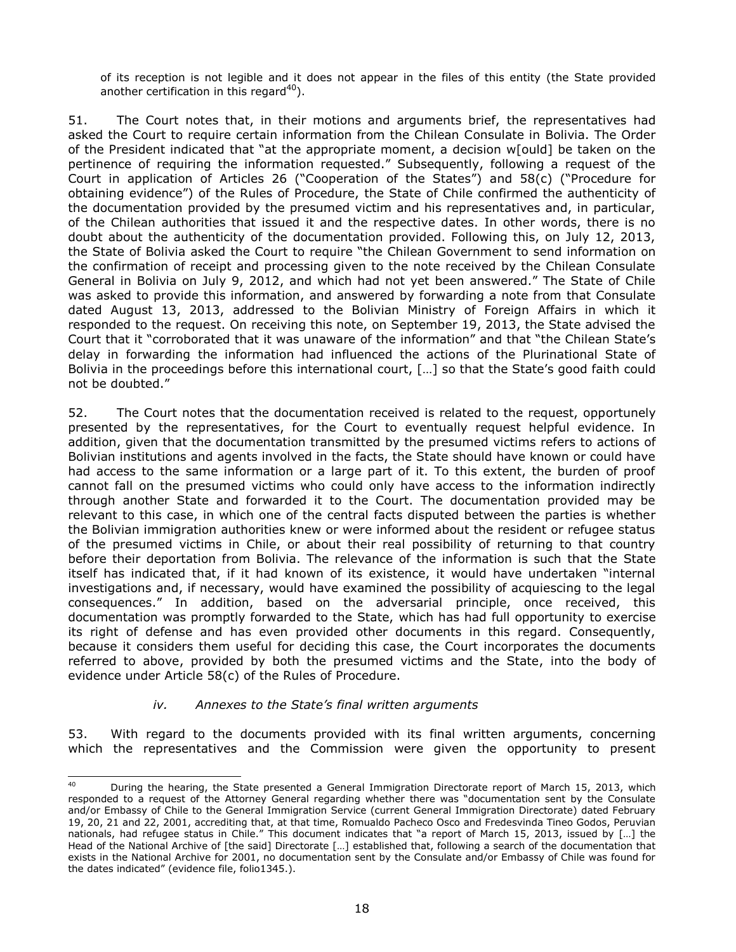of its reception is not legible and it does not appear in the files of this entity (the State provided another certification in this regard $^{40}$ ).

51. The Court notes that, in their motions and arguments brief, the representatives had asked the Court to require certain information from the Chilean Consulate in Bolivia. The Order of the President indicated that "at the appropriate moment, a decision w[ould] be taken on the pertinence of requiring the information requested." Subsequently, following a request of the Court in application of Articles 26 ("Cooperation of the States") and 58(c) ("Procedure for obtaining evidence") of the Rules of Procedure, the State of Chile confirmed the authenticity of the documentation provided by the presumed victim and his representatives and, in particular, of the Chilean authorities that issued it and the respective dates. In other words, there is no doubt about the authenticity of the documentation provided. Following this, on July 12, 2013, the State of Bolivia asked the Court to require "the Chilean Government to send information on the confirmation of receipt and processing given to the note received by the Chilean Consulate General in Bolivia on July 9, 2012, and which had not yet been answered." The State of Chile was asked to provide this information, and answered by forwarding a note from that Consulate dated August 13, 2013, addressed to the Bolivian Ministry of Foreign Affairs in which it responded to the request. On receiving this note, on September 19, 2013, the State advised the Court that it "corroborated that it was unaware of the information" and that "the Chilean State's delay in forwarding the information had influenced the actions of the Plurinational State of Bolivia in the proceedings before this international court, […] so that the State's good faith could not be doubted."

52. The Court notes that the documentation received is related to the request, opportunely presented by the representatives, for the Court to eventually request helpful evidence. In addition, given that the documentation transmitted by the presumed victims refers to actions of Bolivian institutions and agents involved in the facts, the State should have known or could have had access to the same information or a large part of it. To this extent, the burden of proof cannot fall on the presumed victims who could only have access to the information indirectly through another State and forwarded it to the Court. The documentation provided may be relevant to this case, in which one of the central facts disputed between the parties is whether the Bolivian immigration authorities knew or were informed about the resident or refugee status of the presumed victims in Chile, or about their real possibility of returning to that country before their deportation from Bolivia. The relevance of the information is such that the State itself has indicated that, if it had known of its existence, it would have undertaken "internal investigations and, if necessary, would have examined the possibility of acquiescing to the legal consequences." In addition, based on the adversarial principle, once received, this documentation was promptly forwarded to the State, which has had full opportunity to exercise its right of defense and has even provided other documents in this regard. Consequently, because it considers them useful for deciding this case, the Court incorporates the documents referred to above, provided by both the presumed victims and the State, into the body of evidence under Article 58(c) of the Rules of Procedure.

### *iv. Annexes to the State's final written arguments*

53. With regard to the documents provided with its final written arguments, concerning which the representatives and the Commission were given the opportunity to present

 $40<sup>1</sup>$ <sup>40</sup> During the hearing, the State presented a General Immigration Directorate report of March 15, 2013, which responded to a request of the Attorney General regarding whether there was "documentation sent by the Consulate and/or Embassy of Chile to the General Immigration Service (current General Immigration Directorate) dated February 19, 20, 21 and 22, 2001, accrediting that, at that time, Romualdo Pacheco Osco and Fredesvinda Tineo Godos, Peruvian nationals, had refugee status in Chile." This document indicates that "a report of March 15, 2013, issued by […] the Head of the National Archive of [the said] Directorate […] established that, following a search of the documentation that exists in the National Archive for 2001, no documentation sent by the Consulate and/or Embassy of Chile was found for the dates indicated" (evidence file, folio1345.).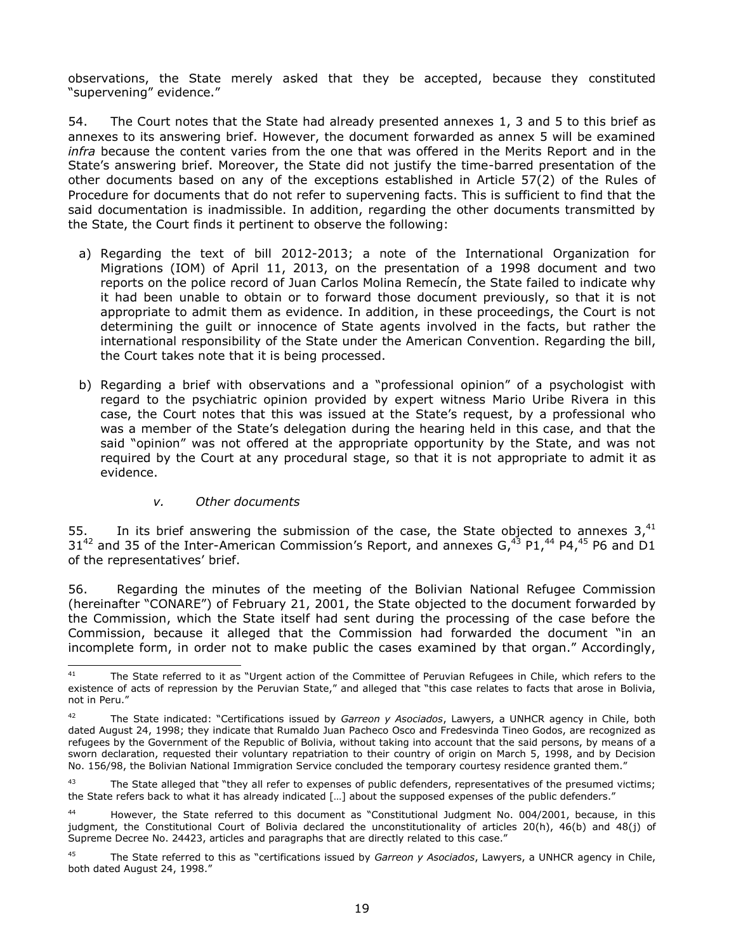observations, the State merely asked that they be accepted, because they constituted "supervening" evidence."

54. The Court notes that the State had already presented annexes 1, 3 and 5 to this brief as annexes to its answering brief. However, the document forwarded as annex 5 will be examined *infra* because the content varies from the one that was offered in the Merits Report and in the State's answering brief. Moreover, the State did not justify the time-barred presentation of the other documents based on any of the exceptions established in Article 57(2) of the Rules of Procedure for documents that do not refer to supervening facts. This is sufficient to find that the said documentation is inadmissible. In addition, regarding the other documents transmitted by the State, the Court finds it pertinent to observe the following:

- a) Regarding the text of bill 2012-2013; a note of the International Organization for Migrations (IOM) of April 11, 2013, on the presentation of a 1998 document and two reports on the police record of Juan Carlos Molina Remecín, the State failed to indicate why it had been unable to obtain or to forward those document previously, so that it is not appropriate to admit them as evidence. In addition, in these proceedings, the Court is not determining the guilt or innocence of State agents involved in the facts, but rather the international responsibility of the State under the American Convention. Regarding the bill, the Court takes note that it is being processed.
- b) Regarding a brief with observations and a "professional opinion" of a psychologist with regard to the psychiatric opinion provided by expert witness Mario Uribe Rivera in this case, the Court notes that this was issued at the State's request, by a professional who was a member of the State's delegation during the hearing held in this case, and that the said "opinion" was not offered at the appropriate opportunity by the State, and was not required by the Court at any procedural stage, so that it is not appropriate to admit it as evidence.

### *v. Other documents*

55. In its brief answering the submission of the case, the State objected to annexes  $3,^{41}$ 31<sup>42</sup> and 35 of the Inter-American Commission's Report, and annexes  $G<sub>1</sub><sup>43</sup>$  P1,<sup>44</sup> P4,<sup>45</sup> P6 and D1 of the representatives' brief.

56. Regarding the minutes of the meeting of the Bolivian National Refugee Commission (hereinafter "CONARE") of February 21, 2001, the State objected to the document forwarded by the Commission, which the State itself had sent during the processing of the case before the Commission, because it alleged that the Commission had forwarded the document "in an incomplete form, in order not to make public the cases examined by that organ." Accordingly,

 $41$ The State referred to it as "Urgent action of the Committee of Peruvian Refugees in Chile, which refers to the existence of acts of repression by the Peruvian State," and alleged that "this case relates to facts that arose in Bolivia, not in Peru."

<sup>42</sup> The State indicated: "Certifications issued by *Garreon y Asociados*, Lawyers, a UNHCR agency in Chile, both dated August 24, 1998; they indicate that Rumaldo Juan Pacheco Osco and Fredesvinda Tineo Godos, are recognized as refugees by the Government of the Republic of Bolivia, without taking into account that the said persons, by means of a sworn declaration, requested their voluntary repatriation to their country of origin on March 5, 1998, and by Decision No. 156/98, the Bolivian National Immigration Service concluded the temporary courtesy residence granted them."

<sup>&</sup>lt;sup>43</sup> The State alleged that "they all refer to expenses of public defenders, representatives of the presumed victims; the State refers back to what it has already indicated […] about the supposed expenses of the public defenders."

However, the State referred to this document as "Constitutional Judgment No. 004/2001, because, in this judgment, the Constitutional Court of Bolivia declared the unconstitutionality of articles 20(h), 46(b) and 48(j) of Supreme Decree No. 24423, articles and paragraphs that are directly related to this case."

<sup>45</sup> The State referred to this as "certifications issued by *Garreon y Asociados*, Lawyers, a UNHCR agency in Chile, both dated August 24, 1998."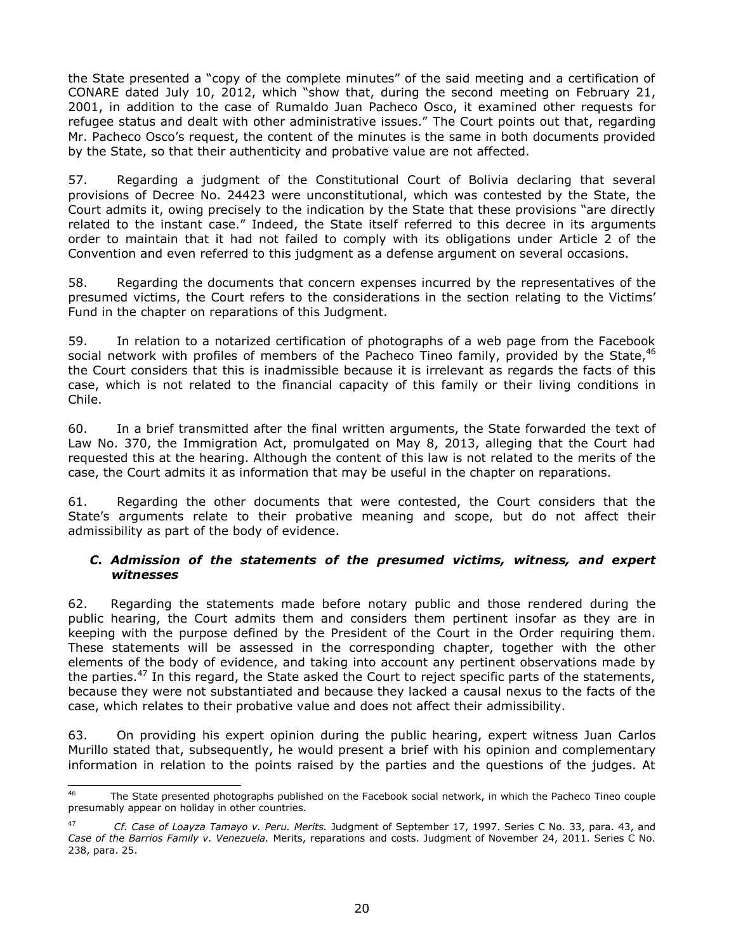the State presented a "copy of the complete minutes" of the said meeting and a certification of CONARE dated July 10, 2012, which "show that, during the second meeting on February 21, 2001, in addition to the case of Rumaldo Juan Pacheco Osco, it examined other requests for refugee status and dealt with other administrative issues." The Court points out that, regarding Mr. Pacheco Osco's request, the content of the minutes is the same in both documents provided by the State, so that their authenticity and probative value are not affected.

57. Regarding a judgment of the Constitutional Court of Bolivia declaring that several provisions of Decree No. 24423 were unconstitutional, which was contested by the State, the Court admits it, owing precisely to the indication by the State that these provisions "are directly related to the instant case." Indeed, the State itself referred to this decree in its arguments order to maintain that it had not failed to comply with its obligations under Article 2 of the Convention and even referred to this judgment as a defense argument on several occasions.

58. Regarding the documents that concern expenses incurred by the representatives of the presumed victims, the Court refers to the considerations in the section relating to the Victims' Fund in the chapter on reparations of this Judgment.

59. In relation to a notarized certification of photographs of a web page from the Facebook social network with profiles of members of the Pacheco Tineo family, provided by the State,<sup>46</sup> the Court considers that this is inadmissible because it is irrelevant as regards the facts of this case, which is not related to the financial capacity of this family or their living conditions in Chile.

60. In a brief transmitted after the final written arguments, the State forwarded the text of Law No. 370, the Immigration Act, promulgated on May 8, 2013, alleging that the Court had requested this at the hearing. Although the content of this law is not related to the merits of the case, the Court admits it as information that may be useful in the chapter on reparations.

61. Regarding the other documents that were contested, the Court considers that the State's arguments relate to their probative meaning and scope, but do not affect their admissibility as part of the body of evidence.

### <span id="page-19-0"></span>*C. Admission of the statements of the presumed victims, witness, and expert witnesses*

62. Regarding the statements made before notary public and those rendered during the public hearing, the Court admits them and considers them pertinent insofar as they are in keeping with the purpose defined by the President of the Court in the Order requiring them. These statements will be assessed in the corresponding chapter, together with the other elements of the body of evidence, and taking into account any pertinent observations made by the parties.<sup>47</sup> In this regard, the State asked the Court to reject specific parts of the statements, because they were not substantiated and because they lacked a causal nexus to the facts of the case, which relates to their probative value and does not affect their admissibility.

63. On providing his expert opinion during the public hearing, expert witness Juan Carlos Murillo stated that, subsequently, he would present a brief with his opinion and complementary information in relation to the points raised by the parties and the questions of the judges. At

<sup>46</sup> The State presented photographs published on the Facebook social network, in which the Pacheco Tineo couple presumably appear on holiday in other countries.

<sup>47</sup> *Cf. Case of Loayza Tamayo v. Peru. Merits.* Judgment of September 17, 1997. Series C No. 33, para. 43, and *Case of the Barrios Family v. Venezuela.* Merits, reparations and costs. Judgment of November 24, 2011. Series C No. 238, para. 25.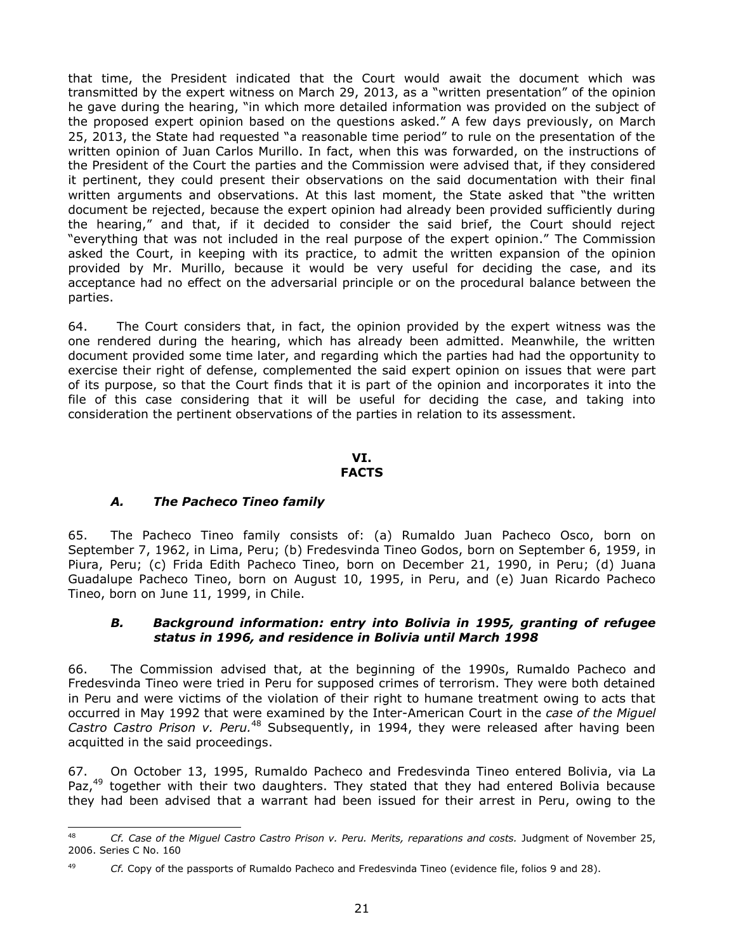that time, the President indicated that the Court would await the document which was transmitted by the expert witness on March 29, 2013, as a "written presentation" of the opinion he gave during the hearing, "in which more detailed information was provided on the subject of the proposed expert opinion based on the questions asked." A few days previously, on March 25, 2013, the State had requested "a reasonable time period" to rule on the presentation of the written opinion of Juan Carlos Murillo. In fact, when this was forwarded, on the instructions of the President of the Court the parties and the Commission were advised that, if they considered it pertinent, they could present their observations on the said documentation with their final written arguments and observations. At this last moment, the State asked that "the written document be rejected, because the expert opinion had already been provided sufficiently during the hearing," and that, if it decided to consider the said brief, the Court should reject "everything that was not included in the real purpose of the expert opinion." The Commission asked the Court, in keeping with its practice, to admit the written expansion of the opinion provided by Mr. Murillo, because it would be very useful for deciding the case, and its acceptance had no effect on the adversarial principle or on the procedural balance between the parties.

64. The Court considers that, in fact, the opinion provided by the expert witness was the one rendered during the hearing, which has already been admitted. Meanwhile, the written document provided some time later, and regarding which the parties had had the opportunity to exercise their right of defense, complemented the said expert opinion on issues that were part of its purpose, so that the Court finds that it is part of the opinion and incorporates it into the file of this case considering that it will be useful for deciding the case, and taking into consideration the pertinent observations of the parties in relation to its assessment.

#### **VI. FACTS**

## <span id="page-20-0"></span>*A. The Pacheco Tineo family*

65. The Pacheco Tineo family consists of: (a) Rumaldo Juan Pacheco Osco, born on September 7, 1962, in Lima, Peru; (b) Fredesvinda Tineo Godos, born on September 6, 1959, in Piura, Peru; (c) Frida Edith Pacheco Tineo, born on December 21, 1990, in Peru; (d) Juana Guadalupe Pacheco Tineo, born on August 10, 1995, in Peru, and (e) Juan Ricardo Pacheco Tineo, born on June 11, 1999, in Chile.

### <span id="page-20-1"></span>*B. Background information: entry into Bolivia in 1995, granting of refugee status in 1996, and residence in Bolivia until March 1998*

66. The Commission advised that, at the beginning of the 1990s, Rumaldo Pacheco and Fredesvinda Tineo were tried in Peru for supposed crimes of terrorism. They were both detained in Peru and were victims of the violation of their right to humane treatment owing to acts that occurred in May 1992 that were examined by the Inter-American Court in the *case of the Miguel*  Castro Castro Prison v. Peru.<sup>48</sup> Subsequently, in 1994, they were released after having been acquitted in the said proceedings.

67. On October 13, 1995, Rumaldo Pacheco and Fredesvinda Tineo entered Bolivia, via La Paz,<sup>49</sup> together with their two daughters. They stated that they had entered Bolivia because they had been advised that a warrant had been issued for their arrest in Peru, owing to the

<sup>48</sup> <sup>48</sup> *Cf. Case of the Miguel Castro Castro Prison v. Peru. Merits, reparations and costs.* Judgment of November 25, 2006. Series C No. 160

<sup>49</sup> *Cf.* Copy of the passports of Rumaldo Pacheco and Fredesvinda Tineo (evidence file, folios 9 and 28).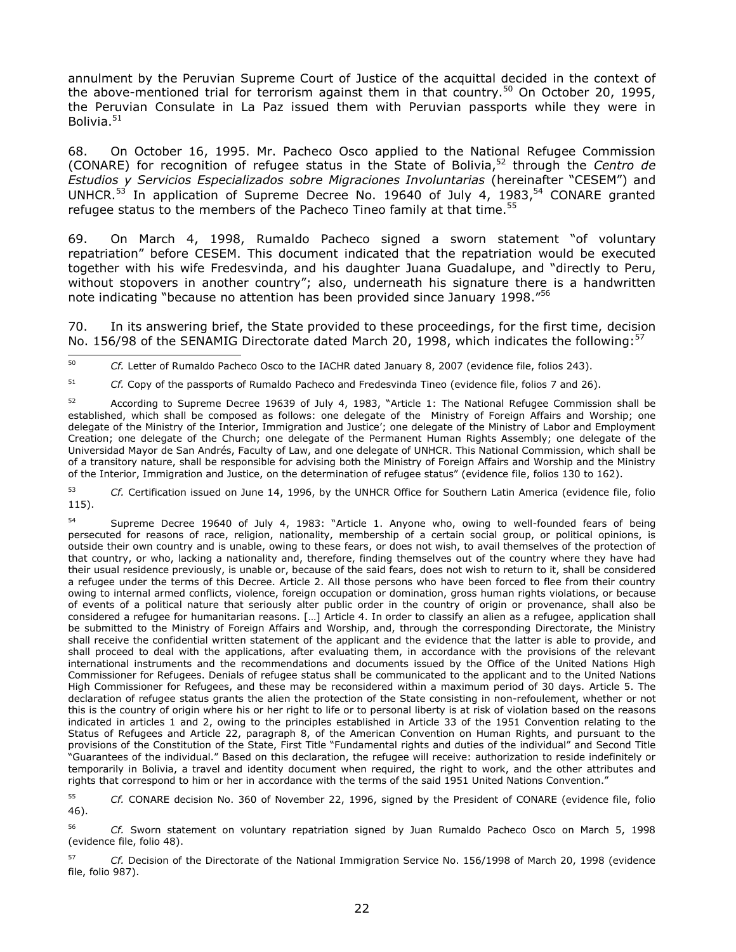annulment by the Peruvian Supreme Court of Justice of the acquittal decided in the context of the above-mentioned trial for terrorism against them in that country.<sup>50</sup> On October 20, 1995, the Peruvian Consulate in La Paz issued them with Peruvian passports while they were in Bolivia. $51$ 

68. On October 16, 1995. Mr. Pacheco Osco applied to the National Refugee Commission (CONARE) for recognition of refugee status in the State of Bolivia,<sup>52</sup> through the *Centro de Estudios y Servicios Especializados sobre Migraciones Involuntarias* (hereinafter "CESEM") and UNHCR.<sup>53</sup> In application of Supreme Decree No. 19640 of July 4, 1983,<sup>54</sup> CONARE granted refugee status to the members of the Pacheco Tineo family at that time.<sup>55</sup>

69. On March 4, 1998, Rumaldo Pacheco signed a sworn statement "of voluntary repatriation" before CESEM. This document indicated that the repatriation would be executed together with his wife Fredesvinda, and his daughter Juana Guadalupe, and "directly to Peru, without stopovers in another country"; also, underneath his signature there is a handwritten note indicating "because no attention has been provided since January 1998."<sup>56</sup>

70. In its answering brief, the State provided to these proceedings, for the first time, decision No. 156/98 of the SENAMIG Directorate dated March 20, 1998, which indicates the following:<sup>57</sup>

50 <sup>50</sup> *Cf.* Letter of Rumaldo Pacheco Osco to the IACHR dated January 8, 2007 (evidence file, folios 243).

<sup>51</sup> *Cf.* Copy of the passports of Rumaldo Pacheco and Fredesvinda Tineo (evidence file, folios 7 and 26).

52 According to Supreme Decree 19639 of July 4, 1983, "Article 1: The National Refugee Commission shall be established, which shall be composed as follows: one delegate of the Ministry of Foreign Affairs and Worship; one delegate of the Ministry of the Interior, Immigration and Justice'; one delegate of the Ministry of Labor and Employment Creation; one delegate of the Church; one delegate of the Permanent Human Rights Assembly; one delegate of the Universidad Mayor de San Andrés, Faculty of Law, and one delegate of UNHCR. This National Commission, which shall be of a transitory nature, shall be responsible for advising both the Ministry of Foreign Affairs and Worship and the Ministry of the Interior, Immigration and Justice, on the determination of refugee status" (evidence file, folios 130 to 162).

<sup>53</sup> *Cf.* Certification issued on June 14, 1996, by the UNHCR Office for Southern Latin America (evidence file, folio 115).

Supreme Decree 19640 of July 4, 1983: "Article 1. Anyone who, owing to well-founded fears of being persecuted for reasons of race, religion, nationality, membership of a certain social group, or political opinions, is outside their own country and is unable, owing to these fears, or does not wish, to avail themselves of the protection of that country, or who, lacking a nationality and, therefore, finding themselves out of the country where they have had their usual residence previously, is unable or, because of the said fears, does not wish to return to it, shall be considered a refugee under the terms of this Decree. Article 2. All those persons who have been forced to flee from their country owing to internal armed conflicts, violence, foreign occupation or domination, gross human rights violations, or because of events of a political nature that seriously alter public order in the country of origin or provenance, shall also be considered a refugee for humanitarian reasons. […] Article 4. In order to classify an alien as a refugee, application shall be submitted to the Ministry of Foreign Affairs and Worship, and, through the corresponding Directorate, the Ministry shall receive the confidential written statement of the applicant and the evidence that the latter is able to provide, and shall proceed to deal with the applications, after evaluating them, in accordance with the provisions of the relevant international instruments and the recommendations and documents issued by the Office of the United Nations High Commissioner for Refugees. Denials of refugee status shall be communicated to the applicant and to the United Nations High Commissioner for Refugees, and these may be reconsidered within a maximum period of 30 days. Article 5. The declaration of refugee status grants the alien the protection of the State consisting in non-refoulement, whether or not this is the country of origin where his or her right to life or to personal liberty is at risk of violation based on the reasons indicated in articles 1 and 2, owing to the principles established in Article 33 of the 1951 Convention relating to the Status of Refugees and Article 22, paragraph 8, of the American Convention on Human Rights, and pursuant to the provisions of the Constitution of the State, First Title "Fundamental rights and duties of the individual" and Second Title "Guarantees of the individual." Based on this declaration, the refugee will receive: authorization to reside indefinitely or temporarily in Bolivia, a travel and identity document when required, the right to work, and the other attributes and rights that correspond to him or her in accordance with the terms of the said 1951 United Nations Convention."

<sup>55</sup> *Cf.* CONARE decision No. 360 of November 22, 1996, signed by the President of CONARE (evidence file, folio 46).

<sup>56</sup> *Cf.* Sworn statement on voluntary repatriation signed by Juan Rumaldo Pacheco Osco on March 5, 1998 (evidence file, folio 48).

<sup>57</sup> *Cf.* Decision of the Directorate of the National Immigration Service No. 156/1998 of March 20, 1998 (evidence file, folio 987).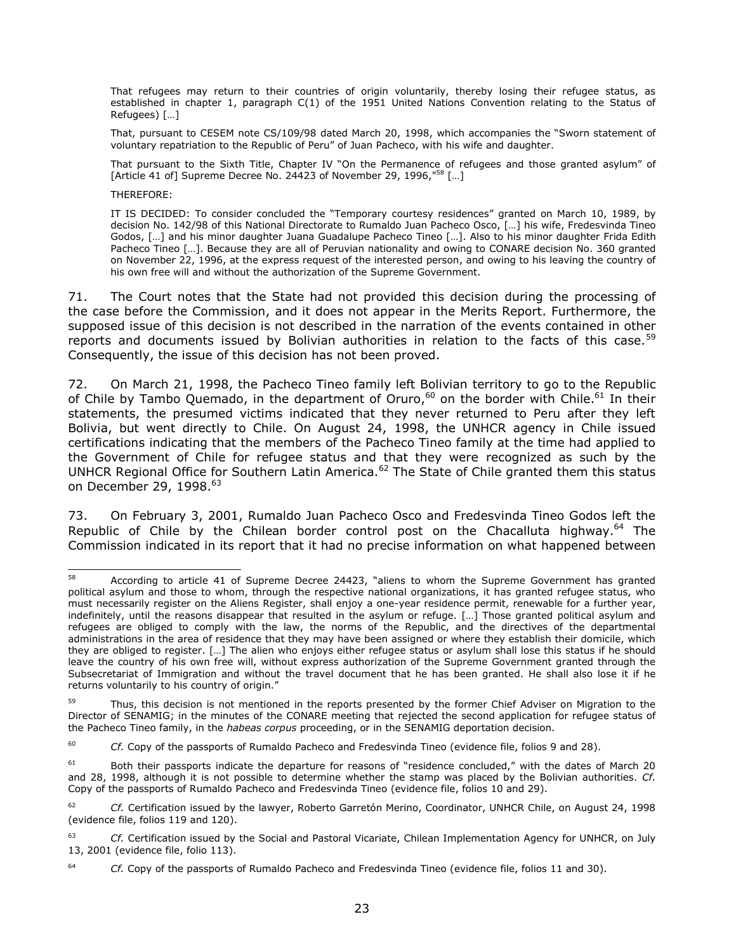That refugees may return to their countries of origin voluntarily, thereby losing their refugee status, as established in chapter 1, paragraph C(1) of the 1951 United Nations Convention relating to the Status of Refugees) […]

That, pursuant to CESEM note CS/109/98 dated March 20, 1998, which accompanies the "Sworn statement of voluntary repatriation to the Republic of Peru" of Juan Pacheco, with his wife and daughter.

That pursuant to the Sixth Title, Chapter IV "On the Permanence of refugees and those granted asylum" of [Article 41 of] Supreme Decree No. 24423 of November 29, 1996,"<sup>58</sup> [...]

THEREFORE:

IT IS DECIDED: To consider concluded the "Temporary courtesy residences" granted on March 10, 1989, by decision No. 142/98 of this National Directorate to Rumaldo Juan Pacheco Osco, […] his wife, Fredesvinda Tineo Godos, […] and his minor daughter Juana Guadalupe Pacheco Tineo […]. Also to his minor daughter Frida Edith Pacheco Tineo […]. Because they are all of Peruvian nationality and owing to CONARE decision No. 360 granted on November 22, 1996, at the express request of the interested person, and owing to his leaving the country of his own free will and without the authorization of the Supreme Government.

71. The Court notes that the State had not provided this decision during the processing of the case before the Commission, and it does not appear in the Merits Report. Furthermore, the supposed issue of this decision is not described in the narration of the events contained in other reports and documents issued by Bolivian authorities in relation to the facts of this case.<sup>59</sup> Consequently, the issue of this decision has not been proved.

72. On March 21, 1998, the Pacheco Tineo family left Bolivian territory to go to the Republic of Chile by Tambo Quemado, in the department of Oruro,<sup>60</sup> on the border with Chile.<sup>61</sup> In their statements, the presumed victims indicated that they never returned to Peru after they left Bolivia, but went directly to Chile. On August 24, 1998, the UNHCR agency in Chile issued certifications indicating that the members of the Pacheco Tineo family at the time had applied to the Government of Chile for refugee status and that they were recognized as such by the UNHCR Regional Office for Southern Latin America.<sup>62</sup> The State of Chile granted them this status on December 29, 1998. 63

73. On February 3, 2001, Rumaldo Juan Pacheco Osco and Fredesvinda Tineo Godos left the Republic of Chile by the Chilean border control post on the Chacalluta highway. $^{64}$  The Commission indicated in its report that it had no precise information on what happened between

<sup>58</sup> According to article 41 of Supreme Decree 24423, "aliens to whom the Supreme Government has granted political asylum and those to whom, through the respective national organizations, it has granted refugee status, who must necessarily register on the Aliens Register, shall enjoy a one-year residence permit, renewable for a further year, indefinitely, until the reasons disappear that resulted in the asylum or refuge. […] Those granted political asylum and refugees are obliged to comply with the law, the norms of the Republic, and the directives of the departmental administrations in the area of residence that they may have been assigned or where they establish their domicile, which they are obliged to register. […] The alien who enjoys either refugee status or asylum shall lose this status if he should leave the country of his own free will, without express authorization of the Supreme Government granted through the Subsecretariat of Immigration and without the travel document that he has been granted. He shall also lose it if he returns voluntarily to his country of origin."

Thus, this decision is not mentioned in the reports presented by the former Chief Adviser on Migration to the Director of SENAMIG; in the minutes of the CONARE meeting that rejected the second application for refugee status of the Pacheco Tineo family, in the *habeas corpus* proceeding, or in the SENAMIG deportation decision.

<sup>&</sup>lt;sup>60</sup> *Cf.* Copy of the passports of Rumaldo Pacheco and Fredesvinda Tineo (evidence file, folios 9 and 28).

<sup>&</sup>lt;sup>61</sup> Both their passports indicate the departure for reasons of "residence concluded," with the dates of March 20 and 28, 1998, although it is not possible to determine whether the stamp was placed by the Bolivian authorities. *Cf.* Copy of the passports of Rumaldo Pacheco and Fredesvinda Tineo (evidence file, folios 10 and 29).

<sup>62</sup> *Cf.* Certification issued by the lawyer, Roberto Garretón Merino, Coordinator, UNHCR Chile, on August 24, 1998 (evidence file, folios 119 and 120).

<sup>63</sup> *Cf.* Certification issued by the Social and Pastoral Vicariate, Chilean Implementation Agency for UNHCR, on July 13, 2001 (evidence file, folio 113).

<sup>64</sup> *Cf.* Copy of the passports of Rumaldo Pacheco and Fredesvinda Tineo (evidence file, folios 11 and 30).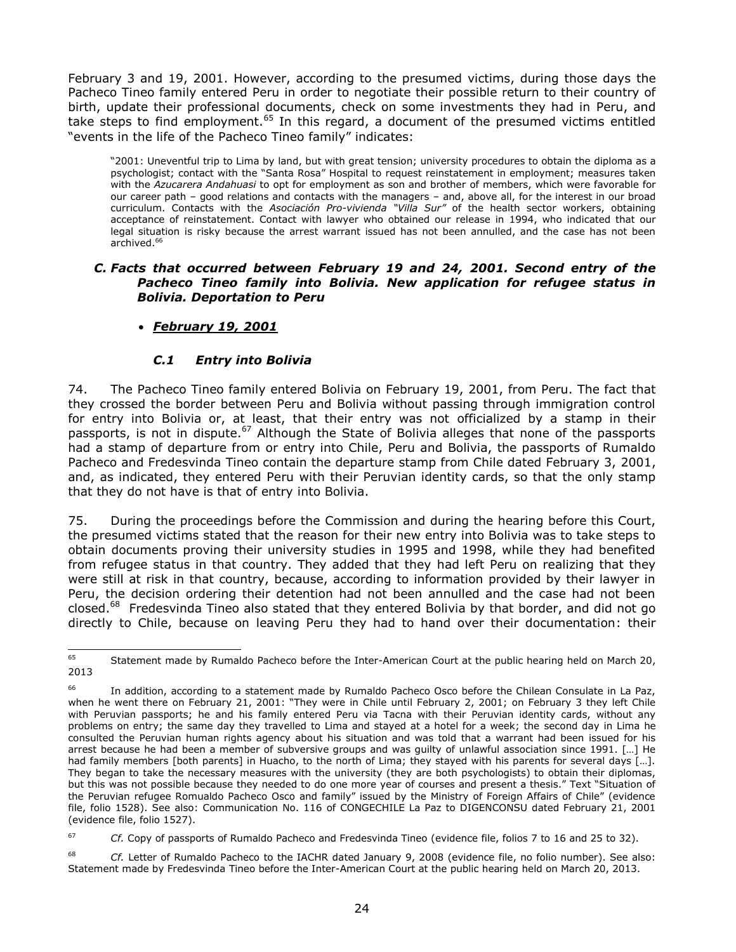February 3 and 19, 2001. However, according to the presumed victims, during those days the Pacheco Tineo family entered Peru in order to negotiate their possible return to their country of birth, update their professional documents, check on some investments they had in Peru, and take steps to find employment.<sup>65</sup> In this regard, a document of the presumed victims entitled "events in the life of the Pacheco Tineo family" indicates:

"2001: Uneventful trip to Lima by land, but with great tension; university procedures to obtain the diploma as a psychologist; contact with the "Santa Rosa" Hospital to request reinstatement in employment; measures taken with the *Azucarera Andahuasi* to opt for employment as son and brother of members, which were favorable for our career path – good relations and contacts with the managers – and, above all, for the interest in our broad curriculum. Contacts with the *Asociación Pro-vivienda "Villa Sur"* of the health sector workers, obtaining acceptance of reinstatement. Contact with lawyer who obtained our release in 1994, who indicated that our legal situation is risky because the arrest warrant issued has not been annulled, and the case has not been archived. 66

### <span id="page-23-0"></span>*C. Facts that occurred between February 19 and 24, 2001. Second entry of the Pacheco Tineo family into Bolivia. New application for refugee status in Bolivia. Deportation to Peru*

## *February 19, 2001*

## *C.1 Entry into Bolivia*

74. The Pacheco Tineo family entered Bolivia on February 19, 2001, from Peru. The fact that they crossed the border between Peru and Bolivia without passing through immigration control for entry into Bolivia or, at least, that their entry was not officialized by a stamp in their passports, is not in dispute.<sup>67</sup> Although the State of Bolivia alleges that none of the passports had a stamp of departure from or entry into Chile, Peru and Bolivia, the passports of Rumaldo Pacheco and Fredesvinda Tineo contain the departure stamp from Chile dated February 3, 2001, and, as indicated, they entered Peru with their Peruvian identity cards, so that the only stamp that they do not have is that of entry into Bolivia.

75. During the proceedings before the Commission and during the hearing before this Court, the presumed victims stated that the reason for their new entry into Bolivia was to take steps to obtain documents proving their university studies in 1995 and 1998, while they had benefited from refugee status in that country. They added that they had left Peru on realizing that they were still at risk in that country, because, according to information provided by their lawyer in Peru, the decision ordering their detention had not been annulled and the case had not been closed.<sup>68</sup> Fredesvinda Tineo also stated that they entered Bolivia by that border, and did not go directly to Chile, because on leaving Peru they had to hand over their documentation: their

<sup>67</sup> *Cf.* Copy of passports of Rumaldo Pacheco and Fredesvinda Tineo (evidence file, folios 7 to 16 and 25 to 32).

<sup>65</sup> <sup>65</sup> Statement made by Rumaldo Pacheco before the Inter-American Court at the public hearing held on March 20, 2013

In addition, according to a statement made by Rumaldo Pacheco Osco before the Chilean Consulate in La Paz, when he went there on February 21, 2001: "They were in Chile until February 2, 2001; on February 3 they left Chile with Peruvian passports; he and his family entered Peru via Tacna with their Peruvian identity cards, without any problems on entry; the same day they travelled to Lima and stayed at a hotel for a week; the second day in Lima he consulted the Peruvian human rights agency about his situation and was told that a warrant had been issued for his arrest because he had been a member of subversive groups and was guilty of unlawful association since 1991. […] He had family members [both parents] in Huacho, to the north of Lima; they stayed with his parents for several days [...]. They began to take the necessary measures with the university (they are both psychologists) to obtain their diplomas, but this was not possible because they needed to do one more year of courses and present a thesis." Text "Situation of the Peruvian refugee Romualdo Pacheco Osco and family" issued by the Ministry of Foreign Affairs of Chile" (evidence file, folio 1528). See also: Communication No. 116 of CONGECHILE La Paz to DIGENCONSU dated February 21, 2001 (evidence file, folio 1527).

<sup>&</sup>lt;sup>68</sup> *Cf.* Letter of Rumaldo Pacheco to the IACHR dated January 9, 2008 (evidence file, no folio number). See also: Statement made by Fredesvinda Tineo before the Inter-American Court at the public hearing held on March 20, 2013.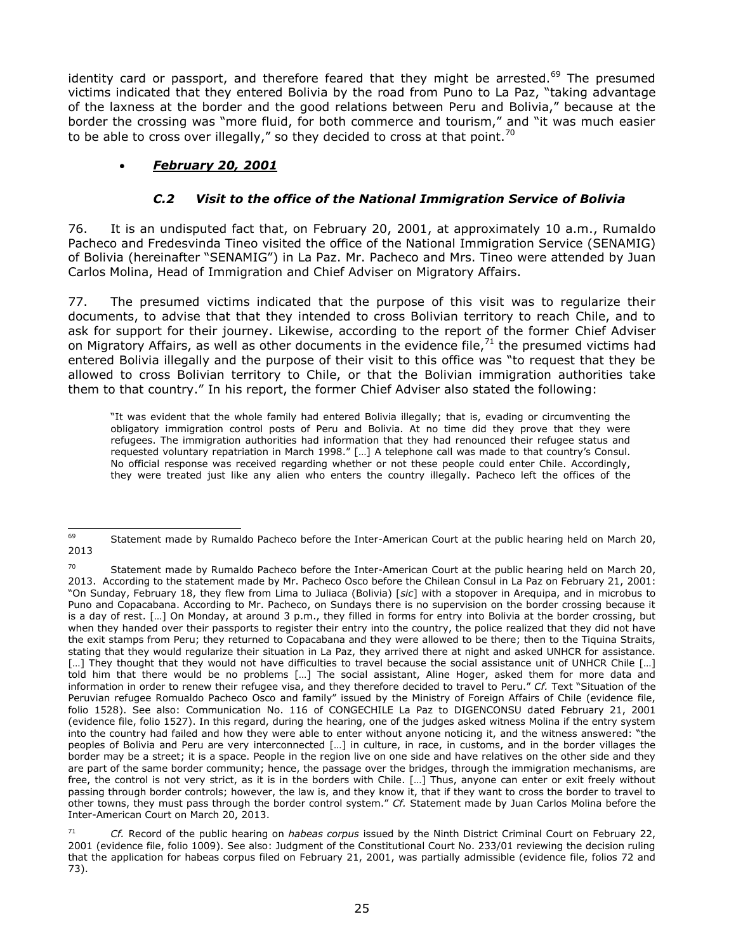identity card or passport, and therefore feared that they might be arrested.<sup>69</sup> The presumed victims indicated that they entered Bolivia by the road from Puno to La Paz, "taking advantage of the laxness at the border and the good relations between Peru and Bolivia," because at the border the crossing was "more fluid, for both commerce and tourism," and "it was much easier to be able to cross over illegally," so they decided to cross at that point.<sup>70</sup>

# *February 20, 2001*

# *C.2 Visit to the office of the National Immigration Service of Bolivia*

76. It is an undisputed fact that, on February 20, 2001, at approximately 10 a.m., Rumaldo Pacheco and Fredesvinda Tineo visited the office of the National Immigration Service (SENAMIG) of Bolivia (hereinafter "SENAMIG") in La Paz. Mr. Pacheco and Mrs. Tineo were attended by Juan Carlos Molina, Head of Immigration and Chief Adviser on Migratory Affairs.

77. The presumed victims indicated that the purpose of this visit was to regularize their documents, to advise that that they intended to cross Bolivian territory to reach Chile, and to ask for support for their journey. Likewise, according to the report of the former Chief Adviser on Migratory Affairs, as well as other documents in the evidence file,  $71$  the presumed victims had entered Bolivia illegally and the purpose of their visit to this office was "to request that they be allowed to cross Bolivian territory to Chile, or that the Bolivian immigration authorities take them to that country." In his report, the former Chief Adviser also stated the following:

"It was evident that the whole family had entered Bolivia illegally; that is, evading or circumventing the obligatory immigration control posts of Peru and Bolivia. At no time did they prove that they were refugees. The immigration authorities had information that they had renounced their refugee status and requested voluntary repatriation in March 1998." […] A telephone call was made to that country's Consul. No official response was received regarding whether or not these people could enter Chile. Accordingly, they were treated just like any alien who enters the country illegally. Pacheco left the offices of the

<sup>69</sup> Statement made by Rumaldo Pacheco before the Inter-American Court at the public hearing held on March 20, 2013

<sup>&</sup>lt;sup>70</sup> Statement made by Rumaldo Pacheco before the Inter-American Court at the public hearing held on March 20, 2013. According to the statement made by Mr. Pacheco Osco before the Chilean Consul in La Paz on February 21, 2001: "On Sunday, February 18, they flew from Lima to Juliaca (Bolivia) [*sic*] with a stopover in Arequipa, and in microbus to Puno and Copacabana. According to Mr. Pacheco, on Sundays there is no supervision on the border crossing because it is a day of rest. […] On Monday, at around 3 p.m., they filled in forms for entry into Bolivia at the border crossing, but when they handed over their passports to register their entry into the country, the police realized that they did not have the exit stamps from Peru; they returned to Copacabana and they were allowed to be there; then to the Tiquina Straits, stating that they would regularize their situation in La Paz, they arrived there at night and asked UNHCR for assistance. [...] They thought that they would not have difficulties to travel because the social assistance unit of UNHCR Chile [...] told him that there would be no problems […] The social assistant, Aline Hoger, asked them for more data and information in order to renew their refugee visa, and they therefore decided to travel to Peru." *Cf.* Text "Situation of the Peruvian refugee Romualdo Pacheco Osco and family" issued by the Ministry of Foreign Affairs of Chile (evidence file, folio 1528). See also: Communication No. 116 of CONGECHILE La Paz to DIGENCONSU dated February 21, 2001 (evidence file, folio 1527). In this regard, during the hearing, one of the judges asked witness Molina if the entry system into the country had failed and how they were able to enter without anyone noticing it, and the witness answered: "the peoples of Bolivia and Peru are very interconnected […] in culture, in race, in customs, and in the border villages the border may be a street; it is a space. People in the region live on one side and have relatives on the other side and they are part of the same border community; hence, the passage over the bridges, through the immigration mechanisms, are free, the control is not very strict, as it is in the borders with Chile. […] Thus, anyone can enter or exit freely without passing through border controls; however, the law is, and they know it, that if they want to cross the border to travel to other towns, they must pass through the border control system." *Cf.* Statement made by Juan Carlos Molina before the Inter-American Court on March 20, 2013.

<sup>71</sup> *Cf.* Record of the public hearing on *habeas corpus* issued by the Ninth District Criminal Court on February 22, 2001 (evidence file, folio 1009). See also: Judgment of the Constitutional Court No. 233/01 reviewing the decision ruling that the application for habeas corpus filed on February 21, 2001, was partially admissible (evidence file, folios 72 and 73).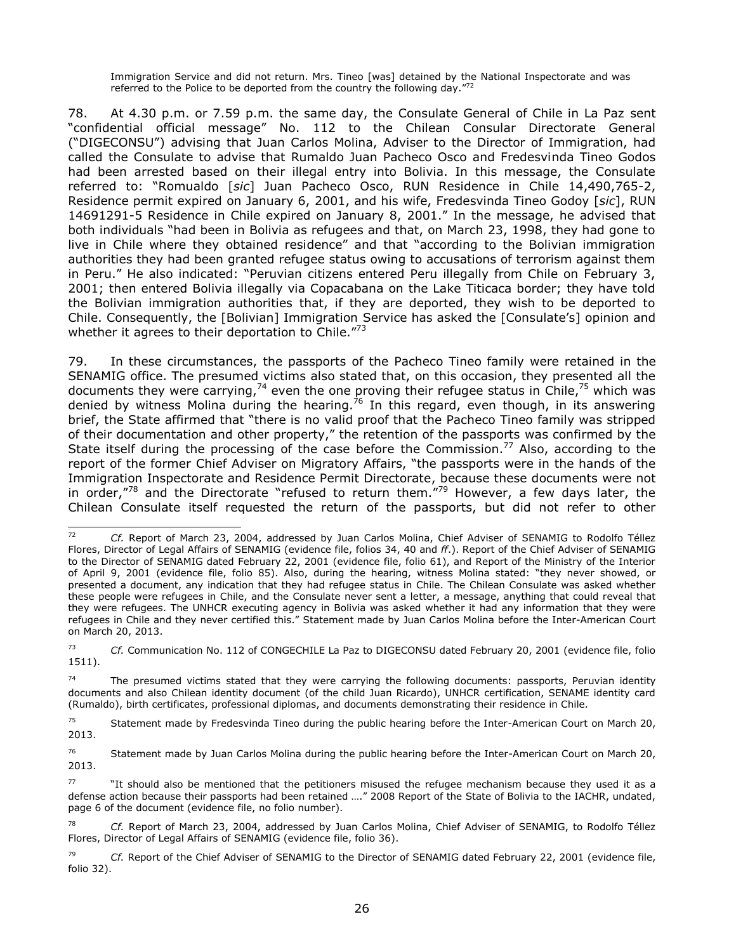Immigration Service and did not return. Mrs. Tineo [was] detained by the National Inspectorate and was referred to the Police to be deported from the country the following day. $"^{72}$ 

78. At 4.30 p.m. or 7.59 p.m. the same day, the Consulate General of Chile in La Paz sent "confidential official message" No. 112 to the Chilean Consular Directorate General ("DIGECONSU") advising that Juan Carlos Molina, Adviser to the Director of Immigration, had called the Consulate to advise that Rumaldo Juan Pacheco Osco and Fredesvinda Tineo Godos had been arrested based on their illegal entry into Bolivia. In this message, the Consulate referred to: "Romualdo [*sic*] Juan Pacheco Osco, RUN Residence in Chile 14,490,765-2, Residence permit expired on January 6, 2001, and his wife, Fredesvinda Tineo Godoy [*sic*], RUN 14691291-5 Residence in Chile expired on January 8, 2001." In the message, he advised that both individuals "had been in Bolivia as refugees and that, on March 23, 1998, they had gone to live in Chile where they obtained residence" and that "according to the Bolivian immigration authorities they had been granted refugee status owing to accusations of terrorism against them in Peru." He also indicated: "Peruvian citizens entered Peru illegally from Chile on February 3, 2001; then entered Bolivia illegally via Copacabana on the Lake Titicaca border; they have told the Bolivian immigration authorities that, if they are deported, they wish to be deported to Chile. Consequently, the [Bolivian] Immigration Service has asked the [Consulate's] opinion and whether it agrees to their deportation to Chile."<sup>73</sup>

79. In these circumstances, the passports of the Pacheco Tineo family were retained in the SENAMIG office. The presumed victims also stated that, on this occasion, they presented all the documents they were carrying,<sup>74</sup> even the one proving their refugee status in Chile,<sup>75</sup> which was denied by witness Molina during the hearing.<sup>76</sup> In this regard, even though, in its answering brief, the State affirmed that "there is no valid proof that the Pacheco Tineo family was stripped of their documentation and other property," the retention of the passports was confirmed by the State itself during the processing of the case before the Commission.<sup>77</sup> Also, according to the report of the former Chief Adviser on Migratory Affairs, "the passports were in the hands of the Immigration Inspectorate and Residence Permit Directorate, because these documents were not in order,"<sup>78</sup> and the Directorate "refused to return them."<sup>79</sup> However, a few days later, the Chilean Consulate itself requested the return of the passports, but did not refer to other

 $72$ <sup>72</sup> *Cf.* Report of March 23, 2004, addressed by Juan Carlos Molina, Chief Adviser of SENAMIG to Rodolfo Téllez Flores, Director of Legal Affairs of SENAMIG (evidence file, folios 34, 40 and *ff*.). Report of the Chief Adviser of SENAMIG to the Director of SENAMIG dated February 22, 2001 (evidence file, folio 61), and Report of the Ministry of the Interior of April 9, 2001 (evidence file, folio 85). Also, during the hearing, witness Molina stated: "they never showed, or presented a document, any indication that they had refugee status in Chile. The Chilean Consulate was asked whether these people were refugees in Chile, and the Consulate never sent a letter, a message, anything that could reveal that they were refugees. The UNHCR executing agency in Bolivia was asked whether it had any information that they were refugees in Chile and they never certified this." Statement made by Juan Carlos Molina before the Inter-American Court on March 20, 2013.

<sup>73</sup> *Cf.* Communication No. 112 of CONGECHILE La Paz to DIGECONSU dated February 20, 2001 (evidence file, folio 1511).

 $74$  The presumed victims stated that they were carrying the following documents: passports, Peruvian identity documents and also Chilean identity document (of the child Juan Ricardo), UNHCR certification, SENAME identity card (Rumaldo), birth certificates, professional diplomas, and documents demonstrating their residence in Chile.

<sup>&</sup>lt;sup>75</sup> Statement made by Fredesvinda Tineo during the public hearing before the Inter-American Court on March 20, 2013.

<sup>&</sup>lt;sup>76</sup> Statement made by Juan Carlos Molina during the public hearing before the Inter-American Court on March 20, 2013.

 $77$  "It should also be mentioned that the petitioners misused the refugee mechanism because they used it as a defense action because their passports had been retained …." 2008 Report of the State of Bolivia to the IACHR, undated, page 6 of the document (evidence file, no folio number).

<sup>78</sup> *Cf.* Report of March 23, 2004, addressed by Juan Carlos Molina, Chief Adviser of SENAMIG, to Rodolfo Téllez Flores, Director of Legal Affairs of SENAMIG (evidence file, folio 36).

<sup>79</sup> *Cf.* Report of the Chief Adviser of SENAMIG to the Director of SENAMIG dated February 22, 2001 (evidence file, folio 32).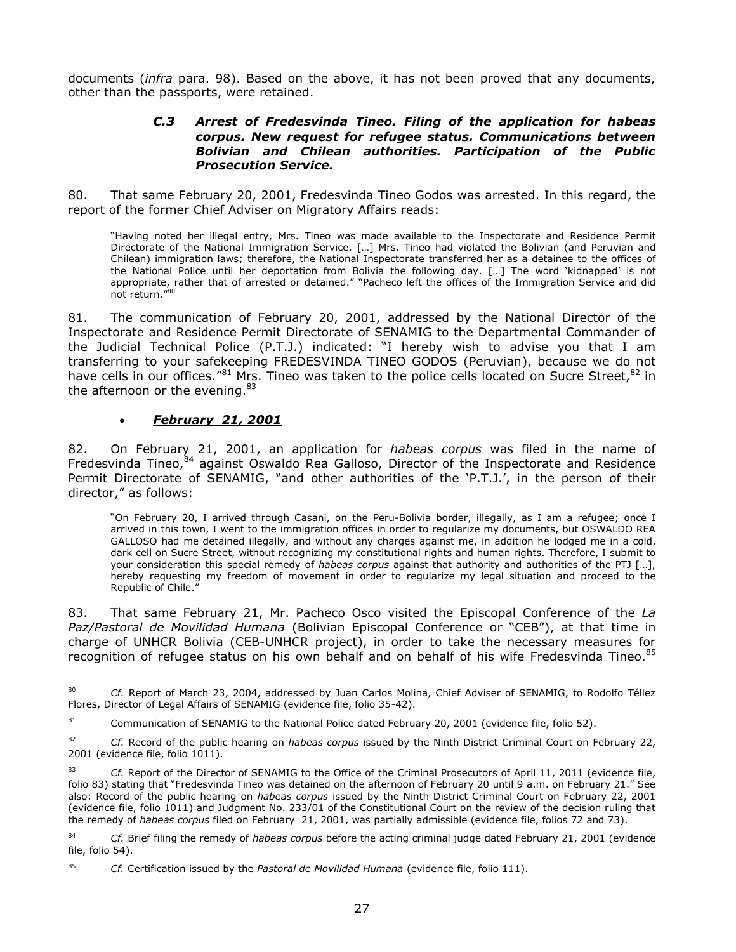documents (*infra* para. 98). Based on the above, it has not been proved that any documents, other than the passports, were retained.

#### *C.3 Arrest of Fredesvinda Tineo. Filing of the application for habeas corpus. New request for refugee status. Communications between Bolivian and Chilean authorities. Participation of the Public Prosecution Service.*

80. That same February 20, 2001, Fredesvinda Tineo Godos was arrested. In this regard, the report of the former Chief Adviser on Migratory Affairs reads:

"Having noted her illegal entry, Mrs. Tineo was made available to the Inspectorate and Residence Permit Directorate of the National Immigration Service. […] Mrs. Tineo had violated the Bolivian (and Peruvian and Chilean) immigration laws; therefore, the National Inspectorate transferred her as a detainee to the offices of the National Police until her deportation from Bolivia the following day. […] The word 'kidnapped' is not appropriate, rather that of arrested or detained." "Pacheco left the offices of the Immigration Service and did not return." 80

81. The communication of February 20, 2001, addressed by the National Director of the Inspectorate and Residence Permit Directorate of SENAMIG to the Departmental Commander of the Judicial Technical Police (P.T.J.) indicated: "I hereby wish to advise you that I am transferring to your safekeeping FREDESVINDA TINEO GODOS (Peruvian), because we do not have cells in our offices."<sup>81</sup> Mrs. Tineo was taken to the police cells located on Sucre Street, <sup>82</sup> in the afternoon or the evening. $83$ 

### *February 21, 2001*

82. On February 21, 2001, an application for *habeas corpus* was filed in the name of Fredesvinda Tineo,<sup>84</sup> against Oswaldo Rea Galloso, Director of the Inspectorate and Residence Permit Directorate of SENAMIG, "and other authorities of the 'P.T.J.', in the person of their director," as follows:

"On February 20, I arrived through Casani, on the Peru-Bolivia border, illegally, as I am a refugee; once I arrived in this town, I went to the immigration offices in order to regularize my documents, but OSWALDO REA GALLOSO had me detained illegally, and without any charges against me, in addition he lodged me in a cold, dark cell on Sucre Street, without recognizing my constitutional rights and human rights. Therefore, I submit to your consideration this special remedy of *habeas corpus* against that authority and authorities of the PTJ […], hereby requesting my freedom of movement in order to regularize my legal situation and proceed to the Republic of Chile."

83. That same February 21, Mr. Pacheco Osco visited the Episcopal Conference of the *La Paz/Pastoral de Movilidad Humana* (Bolivian Episcopal Conference or "CEB"), at that time in charge of UNHCR Bolivia (CEB-UNHCR project), in order to take the necessary measures for recognition of refugee status on his own behalf and on behalf of his wife Fredesvinda Tineo.<sup>85</sup>

<sup>80</sup> <sup>80</sup> *Cf.* Report of March 23, 2004, addressed by Juan Carlos Molina, Chief Adviser of SENAMIG, to Rodolfo Téllez Flores, Director of Legal Affairs of SENAMIG (evidence file, folio 35-42).

<sup>&</sup>lt;sup>81</sup> Communication of SENAMIG to the National Police dated February 20, 2001 (evidence file, folio 52).

<sup>82</sup> *Cf.* Record of the public hearing on *habeas corpus* issued by the Ninth District Criminal Court on February 22, 2001 (evidence file, folio 1011).

<sup>83</sup> *Cf.* Report of the Director of SENAMIG to the Office of the Criminal Prosecutors of April 11, 2011 (evidence file, folio 83) stating that "Fredesvinda Tineo was detained on the afternoon of February 20 until 9 a.m. on February 21." See also: Record of the public hearing on *habeas corpus* issued by the Ninth District Criminal Court on February 22, 2001 (evidence file, folio 1011) and Judgment No. 233/01 of the Constitutional Court on the review of the decision ruling that the remedy of *habeas corpus* filed on February 21, 2001, was partially admissible (evidence file, folios 72 and 73).

<sup>84</sup> *Cf.* Brief filing the remedy of *habeas corpus* before the acting criminal judge dated February 21, 2001 (evidence file, folio 54).

<sup>85</sup> *Cf.* Certification issued by the *Pastoral de Movilidad Humana* (evidence file, folio 111).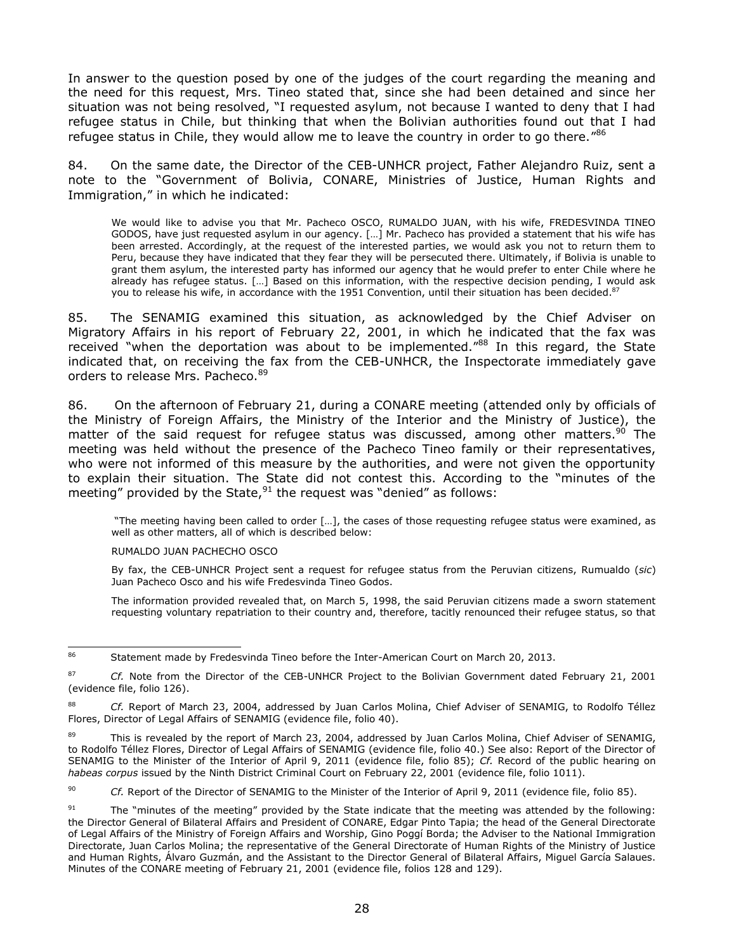In answer to the question posed by one of the judges of the court regarding the meaning and the need for this request, Mrs. Tineo stated that, since she had been detained and since her situation was not being resolved, "I requested asylum, not because I wanted to deny that I had refugee status in Chile, but thinking that when the Bolivian authorities found out that I had refugee status in Chile, they would allow me to leave the country in order to go there."<sup>86</sup>

84. On the same date, the Director of the CEB-UNHCR project, Father Alejandro Ruiz, sent a note to the "Government of Bolivia, CONARE, Ministries of Justice, Human Rights and Immigration," in which he indicated:

We would like to advise you that Mr. Pacheco OSCO, RUMALDO JUAN, with his wife, FREDESVINDA TINEO GODOS, have just requested asylum in our agency. […] Mr. Pacheco has provided a statement that his wife has been arrested. Accordingly, at the request of the interested parties, we would ask you not to return them to Peru, because they have indicated that they fear they will be persecuted there. Ultimately, if Bolivia is unable to grant them asylum, the interested party has informed our agency that he would prefer to enter Chile where he already has refugee status. […] Based on this information, with the respective decision pending, I would ask you to release his wife, in accordance with the 1951 Convention, until their situation has been decided.<sup>87</sup>

85. The SENAMIG examined this situation, as acknowledged by the Chief Adviser on Migratory Affairs in his report of February 22, 2001, in which he indicated that the fax was received "when the deportation was about to be implemented."<sup>88</sup> In this regard, the State indicated that, on receiving the fax from the CEB-UNHCR, the Inspectorate immediately gave orders to release Mrs. Pacheco. 89

86. On the afternoon of February 21, during a CONARE meeting (attended only by officials of the Ministry of Foreign Affairs, the Ministry of the Interior and the Ministry of Justice), the matter of the said request for refugee status was discussed, among other matters.<sup>90</sup> The meeting was held without the presence of the Pacheco Tineo family or their representatives, who were not informed of this measure by the authorities, and were not given the opportunity to explain their situation. The State did not contest this. According to the "minutes of the meeting" provided by the State, $91$  the request was "denied" as follows:

"The meeting having been called to order […], the cases of those requesting refugee status were examined, as well as other matters, all of which is described below:

RUMALDO JUAN PACHECHO OSCO

By fax, the CEB-UNHCR Project sent a request for refugee status from the Peruvian citizens, Rumualdo (*sic*) Juan Pacheco Osco and his wife Fredesvinda Tineo Godos.

The information provided revealed that, on March 5, 1998, the said Peruvian citizens made a sworn statement requesting voluntary repatriation to their country and, therefore, tacitly renounced their refugee status, so that

90 *Cf.* Report of the Director of SENAMIG to the Minister of the Interior of April 9, 2011 (evidence file, folio 85).

<sup>86</sup> Statement made by Fredesvinda Tineo before the Inter-American Court on March 20, 2013.

<sup>87</sup> *Cf.* Note from the Director of the CEB-UNHCR Project to the Bolivian Government dated February 21, 2001 (evidence file, folio 126).

<sup>88</sup> *Cf.* Report of March 23, 2004, addressed by Juan Carlos Molina, Chief Adviser of SENAMIG, to Rodolfo Téllez Flores, Director of Legal Affairs of SENAMIG (evidence file, folio 40).

<sup>&</sup>lt;sup>89</sup> This is revealed by the report of March 23, 2004, addressed by Juan Carlos Molina, Chief Adviser of SENAMIG, to Rodolfo Téllez Flores, Director of Legal Affairs of SENAMIG (evidence file, folio 40.) See also: Report of the Director of SENAMIG to the Minister of the Interior of April 9, 2011 (evidence file, folio 85); *Cf.* Record of the public hearing on *habeas corpus* issued by the Ninth District Criminal Court on February 22, 2001 (evidence file, folio 1011).

<sup>&</sup>lt;sup>91</sup> The "minutes of the meeting" provided by the State indicate that the meeting was attended by the following: the Director General of Bilateral Affairs and President of CONARE, Edgar Pinto Tapia; the head of the General Directorate of Legal Affairs of the Ministry of Foreign Affairs and Worship, Gino Poggí Borda; the Adviser to the National Immigration Directorate, Juan Carlos Molina; the representative of the General Directorate of Human Rights of the Ministry of Justice and Human Rights, Álvaro Guzmán, and the Assistant to the Director General of Bilateral Affairs, Miguel García Salaues. Minutes of the CONARE meeting of February 21, 2001 (evidence file, folios 128 and 129).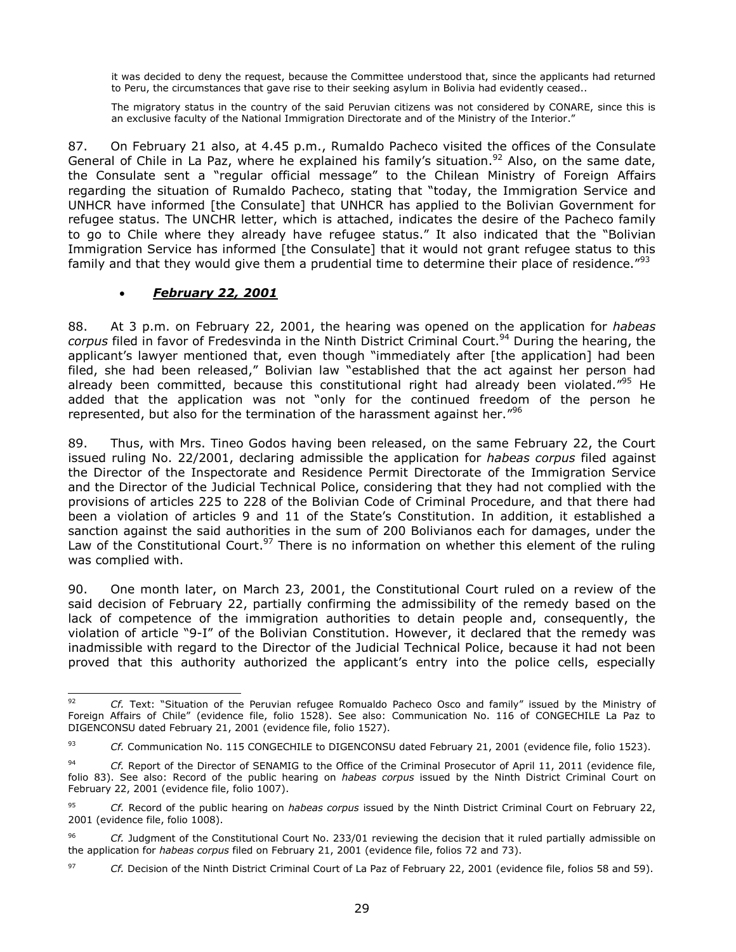it was decided to deny the request, because the Committee understood that, since the applicants had returned to Peru, the circumstances that gave rise to their seeking asylum in Bolivia had evidently ceased..

The migratory status in the country of the said Peruvian citizens was not considered by CONARE, since this is an exclusive faculty of the National Immigration Directorate and of the Ministry of the Interior."

87. On February 21 also, at 4.45 p.m., Rumaldo Pacheco visited the offices of the Consulate General of Chile in La Paz, where he explained his family's situation.<sup>92</sup> Also, on the same date, the Consulate sent a "regular official message" to the Chilean Ministry of Foreign Affairs regarding the situation of Rumaldo Pacheco, stating that "today, the Immigration Service and UNHCR have informed [the Consulate] that UNHCR has applied to the Bolivian Government for refugee status. The UNCHR letter, which is attached, indicates the desire of the Pacheco family to go to Chile where they already have refugee status." It also indicated that the "Bolivian Immigration Service has informed [the Consulate] that it would not grant refugee status to this family and that they would give them a prudential time to determine their place of residence."<sup>93</sup>

### *February 22, 2001*

88. At 3 p.m. on February 22, 2001, the hearing was opened on the application for *habeas corpus* filed in favor of Fredesvinda in the Ninth District Criminal Court.<sup>94</sup> During the hearing, the applicant's lawyer mentioned that, even though "immediately after [the application] had been filed, she had been released," Bolivian law "established that the act against her person had already been committed, because this constitutional right had already been violated."<sup>95</sup> He added that the application was not "only for the continued freedom of the person he represented, but also for the termination of the harassment against her." $96$ 

89. Thus, with Mrs. Tineo Godos having been released, on the same February 22, the Court issued ruling No. 22/2001, declaring admissible the application for *habeas corpus* filed against the Director of the Inspectorate and Residence Permit Directorate of the Immigration Service and the Director of the Judicial Technical Police, considering that they had not complied with the provisions of articles 225 to 228 of the Bolivian Code of Criminal Procedure, and that there had been a violation of articles 9 and 11 of the State's Constitution. In addition, it established a sanction against the said authorities in the sum of 200 Bolivianos each for damages, under the Law of the Constitutional Court.<sup>97</sup> There is no information on whether this element of the ruling was complied with.

90. One month later, on March 23, 2001, the Constitutional Court ruled on a review of the said decision of February 22, partially confirming the admissibility of the remedy based on the lack of competence of the immigration authorities to detain people and, consequently, the violation of article "9-I" of the Bolivian Constitution. However, it declared that the remedy was inadmissible with regard to the Director of the Judicial Technical Police, because it had not been proved that this authority authorized the applicant's entry into the police cells, especially

<sup>92</sup> Cf. Text: "Situation of the Peruvian refugee Romualdo Pacheco Osco and family" issued by the Ministry of Foreign Affairs of Chile" (evidence file, folio 1528). See also: Communication No. 116 of CONGECHILE La Paz to DIGENCONSU dated February 21, 2001 (evidence file, folio 1527).

<sup>93</sup> *Cf.* Communication No. 115 CONGECHILE to DIGENCONSU dated February 21, 2001 (evidence file, folio 1523).

<sup>94</sup> *Cf.* Report of the Director of SENAMIG to the Office of the Criminal Prosecutor of April 11, 2011 (evidence file, folio 83). See also: Record of the public hearing on *habeas corpus* issued by the Ninth District Criminal Court on February 22, 2001 (evidence file, folio 1007).

<sup>95</sup> *Cf.* Record of the public hearing on *habeas corpus* issued by the Ninth District Criminal Court on February 22, 2001 (evidence file, folio 1008).

<sup>96</sup> *Cf.* Judgment of the Constitutional Court No. 233/01 reviewing the decision that it ruled partially admissible on the application for *habeas corpus* filed on February 21, 2001 (evidence file, folios 72 and 73).

<sup>97</sup> *Cf.* Decision of the Ninth District Criminal Court of La Paz of February 22, 2001 (evidence file, folios 58 and 59).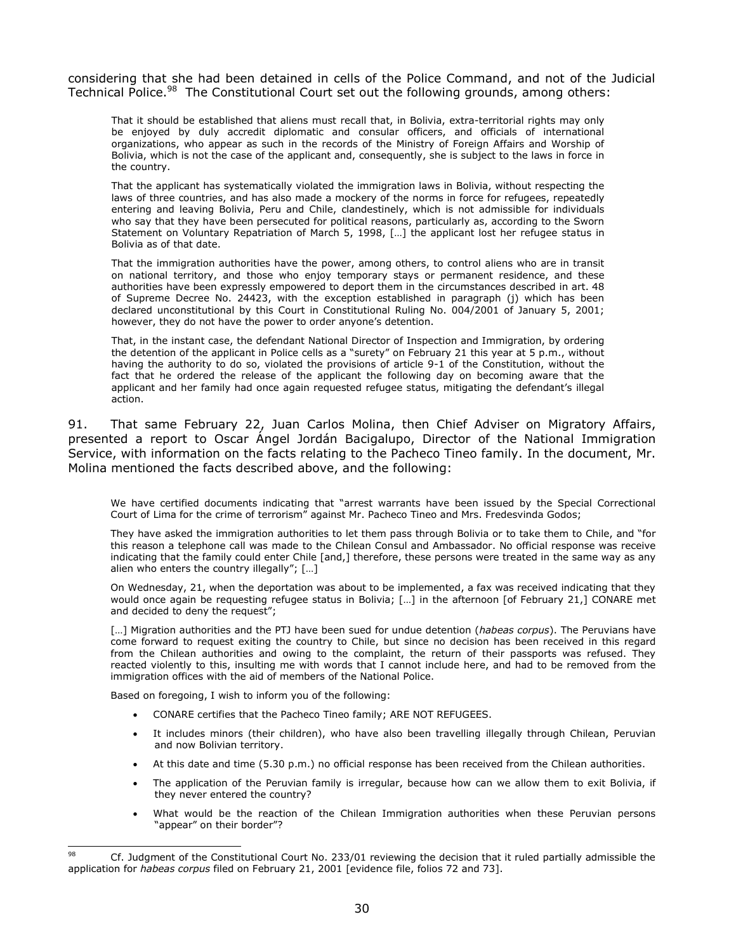considering that she had been detained in cells of the Police Command, and not of the Judicial Technical Police.<sup>98</sup> The Constitutional Court set out the following grounds, among others:

That it should be established that aliens must recall that, in Bolivia, extra-territorial rights may only be enjoyed by duly accredit diplomatic and consular officers, and officials of international organizations, who appear as such in the records of the Ministry of Foreign Affairs and Worship of Bolivia, which is not the case of the applicant and, consequently, she is subject to the laws in force in the country.

That the applicant has systematically violated the immigration laws in Bolivia, without respecting the laws of three countries, and has also made a mockery of the norms in force for refugees, repeatedly entering and leaving Bolivia, Peru and Chile, clandestinely, which is not admissible for individuals who say that they have been persecuted for political reasons, particularly as, according to the Sworn Statement on Voluntary Repatriation of March 5, 1998, […] the applicant lost her refugee status in Bolivia as of that date.

That the immigration authorities have the power, among others, to control aliens who are in transit on national territory, and those who enjoy temporary stays or permanent residence, and these authorities have been expressly empowered to deport them in the circumstances described in art. 48 of Supreme Decree No. 24423, with the exception established in paragraph (j) which has been declared unconstitutional by this Court in Constitutional Ruling No. 004/2001 of January 5, 2001; however, they do not have the power to order anyone's detention.

That, in the instant case, the defendant National Director of Inspection and Immigration, by ordering the detention of the applicant in Police cells as a "surety" on February 21 this year at 5 p.m., without having the authority to do so, violated the provisions of article 9-1 of the Constitution, without the fact that he ordered the release of the applicant the following day on becoming aware that the applicant and her family had once again requested refugee status, mitigating the defendant's illegal action.

91. That same February 22, Juan Carlos Molina, then Chief Adviser on Migratory Affairs, presented a report to Oscar Ángel Jordán Bacigalupo, Director of the National Immigration Service, with information on the facts relating to the Pacheco Tineo family. In the document, Mr. Molina mentioned the facts described above, and the following:

We have certified documents indicating that "arrest warrants have been issued by the Special Correctional Court of Lima for the crime of terrorism" against Mr. Pacheco Tineo and Mrs. Fredesvinda Godos;

They have asked the immigration authorities to let them pass through Bolivia or to take them to Chile, and "for this reason a telephone call was made to the Chilean Consul and Ambassador. No official response was receive indicating that the family could enter Chile [and,] therefore, these persons were treated in the same way as any alien who enters the country illegally"; […]

On Wednesday, 21, when the deportation was about to be implemented, a fax was received indicating that they would once again be requesting refugee status in Bolivia; [...] in the afternoon [of February 21,] CONARE met and decided to deny the request";

[...] Migration authorities and the PTJ have been sued for undue detention (*habeas corpus*). The Peruvians have come forward to request exiting the country to Chile, but since no decision has been received in this regard from the Chilean authorities and owing to the complaint, the return of their passports was refused. They reacted violently to this, insulting me with words that I cannot include here, and had to be removed from the immigration offices with the aid of members of the National Police.

Based on foregoing, I wish to inform you of the following:

- CONARE certifies that the Pacheco Tineo family; ARE NOT REFUGEES.
- It includes minors (their children), who have also been travelling illegally through Chilean, Peruvian and now Bolivian territory.
- At this date and time (5.30 p.m.) no official response has been received from the Chilean authorities.
- The application of the Peruvian family is irregular, because how can we allow them to exit Bolivia, if they never entered the country?
- What would be the reaction of the Chilean Immigration authorities when these Peruvian persons "appear" on their border"?

<sup>98</sup> <sup>98</sup> Cf. Judgment of the Constitutional Court No. 233/01 reviewing the decision that it ruled partially admissible the application for *habeas corpus* filed on February 21, 2001 [evidence file, folios 72 and 73].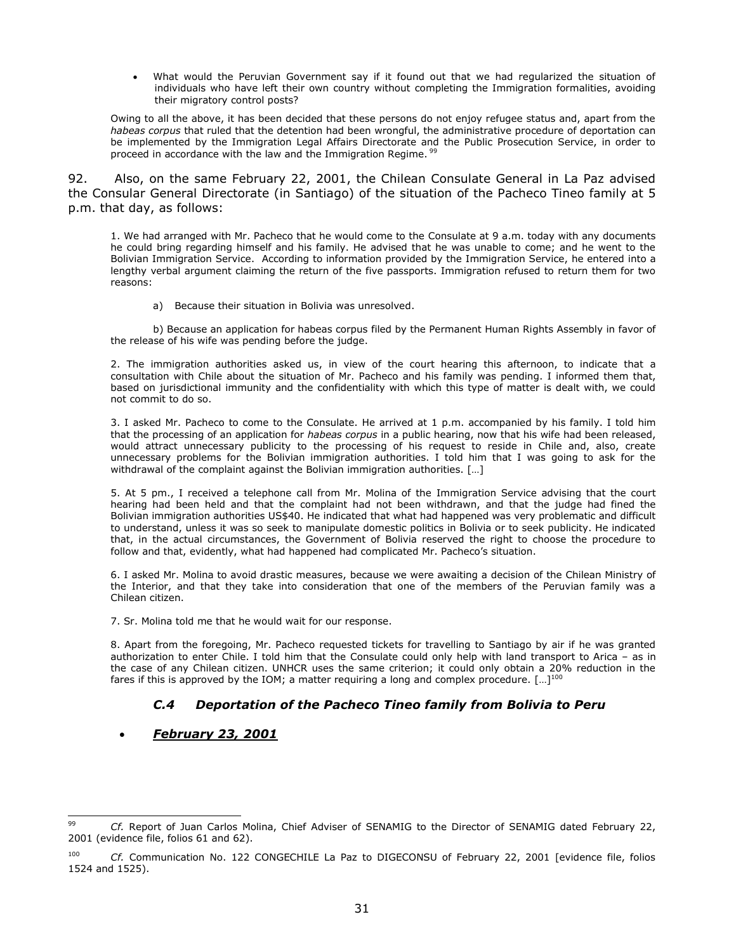What would the Peruvian Government say if it found out that we had regularized the situation of individuals who have left their own country without completing the Immigration formalities, avoiding their migratory control posts?

Owing to all the above, it has been decided that these persons do not enjoy refugee status and, apart from the *habeas corpus* that ruled that the detention had been wrongful, the administrative procedure of deportation can be implemented by the Immigration Legal Affairs Directorate and the Public Prosecution Service, in order to proceed in accordance with the law and the Immigration Regime. <sup>99</sup>

92. Also, on the same February 22, 2001, the Chilean Consulate General in La Paz advised the Consular General Directorate (in Santiago) of the situation of the Pacheco Tineo family at 5 p.m. that day, as follows:

1. We had arranged with Mr. Pacheco that he would come to the Consulate at 9 a.m. today with any documents he could bring regarding himself and his family. He advised that he was unable to come; and he went to the Bolivian Immigration Service. According to information provided by the Immigration Service, he entered into a lengthy verbal argument claiming the return of the five passports. Immigration refused to return them for two reasons:

a) Because their situation in Bolivia was unresolved.

b) Because an application for habeas corpus filed by the Permanent Human Rights Assembly in favor of the release of his wife was pending before the judge.

2. The immigration authorities asked us, in view of the court hearing this afternoon, to indicate that a consultation with Chile about the situation of Mr. Pacheco and his family was pending. I informed them that, based on jurisdictional immunity and the confidentiality with which this type of matter is dealt with, we could not commit to do so.

3. I asked Mr. Pacheco to come to the Consulate. He arrived at 1 p.m. accompanied by his family. I told him that the processing of an application for *habeas corpus* in a public hearing, now that his wife had been released, would attract unnecessary publicity to the processing of his request to reside in Chile and, also, create unnecessary problems for the Bolivian immigration authorities. I told him that I was going to ask for the withdrawal of the complaint against the Bolivian immigration authorities. [...]

5. At 5 pm., I received a telephone call from Mr. Molina of the Immigration Service advising that the court hearing had been held and that the complaint had not been withdrawn, and that the judge had fined the Bolivian immigration authorities US\$40. He indicated that what had happened was very problematic and difficult to understand, unless it was so seek to manipulate domestic politics in Bolivia or to seek publicity. He indicated that, in the actual circumstances, the Government of Bolivia reserved the right to choose the procedure to follow and that, evidently, what had happened had complicated Mr. Pacheco's situation.

6. I asked Mr. Molina to avoid drastic measures, because we were awaiting a decision of the Chilean Ministry of the Interior, and that they take into consideration that one of the members of the Peruvian family was a Chilean citizen.

7. Sr. Molina told me that he would wait for our response.

8. Apart from the foregoing, Mr. Pacheco requested tickets for travelling to Santiago by air if he was granted authorization to enter Chile. I told him that the Consulate could only help with land transport to Arica – as in the case of any Chilean citizen. UNHCR uses the same criterion; it could only obtain a 20% reduction in the fares if this is approved by the IOM; a matter requiring a long and complex procedure.  $[...]^{100}$ 

## *C.4 Deportation of the Pacheco Tineo family from Bolivia to Peru*

### *February 23, 2001*

<sup>99</sup> Cf. Report of Juan Carlos Molina, Chief Adviser of SENAMIG to the Director of SENAMIG dated February 22, 2001 (evidence file, folios 61 and 62).

<sup>100</sup> *Cf.* Communication No. 122 CONGECHILE La Paz to DIGECONSU of February 22, 2001 [evidence file, folios 1524 and 1525).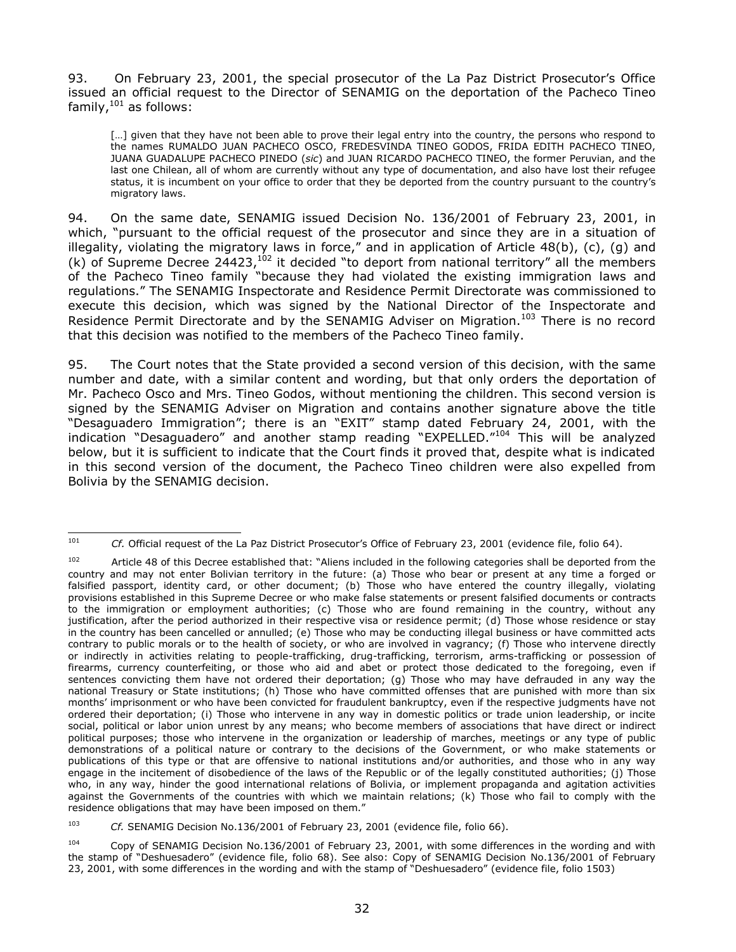93. On February 23, 2001, the special prosecutor of the La Paz District Prosecutor's Office issued an official request to the Director of SENAMIG on the deportation of the Pacheco Tineo family,<sup>101</sup> as follows:

[...] given that they have not been able to prove their legal entry into the country, the persons who respond to the names RUMALDO JUAN PACHECO OSCO, FREDESVINDA TINEO GODOS, FRIDA EDITH PACHECO TINEO, JUANA GUADALUPE PACHECO PINEDO (*sic*) and JUAN RICARDO PACHECO TINEO, the former Peruvian, and the last one Chilean, all of whom are currently without any type of documentation, and also have lost their refugee status, it is incumbent on your office to order that they be deported from the country pursuant to the country's migratory laws.

94. On the same date, SENAMIG issued Decision No. 136/2001 of February 23, 2001, in which, "pursuant to the official request of the prosecutor and since they are in a situation of illegality, violating the migratory laws in force," and in application of Article 48(b), (c), (g) and (k) of Supreme Decree 24423,  $102$  it decided "to deport from national territory" all the members of the Pacheco Tineo family "because they had violated the existing immigration laws and regulations." The SENAMIG Inspectorate and Residence Permit Directorate was commissioned to execute this decision, which was signed by the National Director of the Inspectorate and Residence Permit Directorate and by the SENAMIG Adviser on Migration.<sup>103</sup> There is no record that this decision was notified to the members of the Pacheco Tineo family.

95. The Court notes that the State provided a second version of this decision, with the same number and date, with a similar content and wording, but that only orders the deportation of Mr. Pacheco Osco and Mrs. Tineo Godos, without mentioning the children. This second version is signed by the SENAMIG Adviser on Migration and contains another signature above the title "Desaguadero Immigration"; there is an "EXIT" stamp dated February 24, 2001, with the indication "Desaguadero" and another stamp reading "EXPELLED."<sup>104</sup> This will be analyzed below, but it is sufficient to indicate that the Court finds it proved that, despite what is indicated in this second version of the document, the Pacheco Tineo children were also expelled from Bolivia by the SENAMIG decision.

 $101$ <sup>101</sup> *Cf.* Official request of the La Paz District Prosecutor's Office of February 23, 2001 (evidence file, folio 64).

<sup>102</sup> Article 48 of this Decree established that: "Aliens included in the following categories shall be deported from the country and may not enter Bolivian territory in the future: (a) Those who bear or present at any time a forged or falsified passport, identity card, or other document; (b) Those who have entered the country illegally, violating provisions established in this Supreme Decree or who make false statements or present falsified documents or contracts to the immigration or employment authorities; (c) Those who are found remaining in the country, without any justification, after the period authorized in their respective visa or residence permit; (d) Those whose residence or stay in the country has been cancelled or annulled; (e) Those who may be conducting illegal business or have committed acts contrary to public morals or to the health of society, or who are involved in vagrancy; (f) Those who intervene directly or indirectly in activities relating to people-trafficking, drug-trafficking, terrorism, arms-trafficking or possession of firearms, currency counterfeiting, or those who aid and abet or protect those dedicated to the foregoing, even if sentences convicting them have not ordered their deportation; (g) Those who may have defrauded in any way the national Treasury or State institutions; (h) Those who have committed offenses that are punished with more than six months' imprisonment or who have been convicted for fraudulent bankruptcy, even if the respective judgments have not ordered their deportation; (i) Those who intervene in any way in domestic politics or trade union leadership, or incite social, political or labor union unrest by any means; who become members of associations that have direct or indirect political purposes; those who intervene in the organization or leadership of marches, meetings or any type of public demonstrations of a political nature or contrary to the decisions of the Government, or who make statements or publications of this type or that are offensive to national institutions and/or authorities, and those who in any way engage in the incitement of disobedience of the laws of the Republic or of the legally constituted authorities; (j) Those who, in any way, hinder the good international relations of Bolivia, or implement propaganda and agitation activities against the Governments of the countries with which we maintain relations; (k) Those who fail to comply with the residence obligations that may have been imposed on them."

<sup>103</sup> *Cf.* SENAMIG Decision No.136/2001 of February 23, 2001 (evidence file, folio 66).

<sup>104</sup> Copy of SENAMIG Decision No.136/2001 of February 23, 2001, with some differences in the wording and with the stamp of "Deshuesadero" (evidence file, folio 68). See also: Copy of SENAMIG Decision No.136/2001 of February 23, 2001, with some differences in the wording and with the stamp of "Deshuesadero" (evidence file, folio 1503)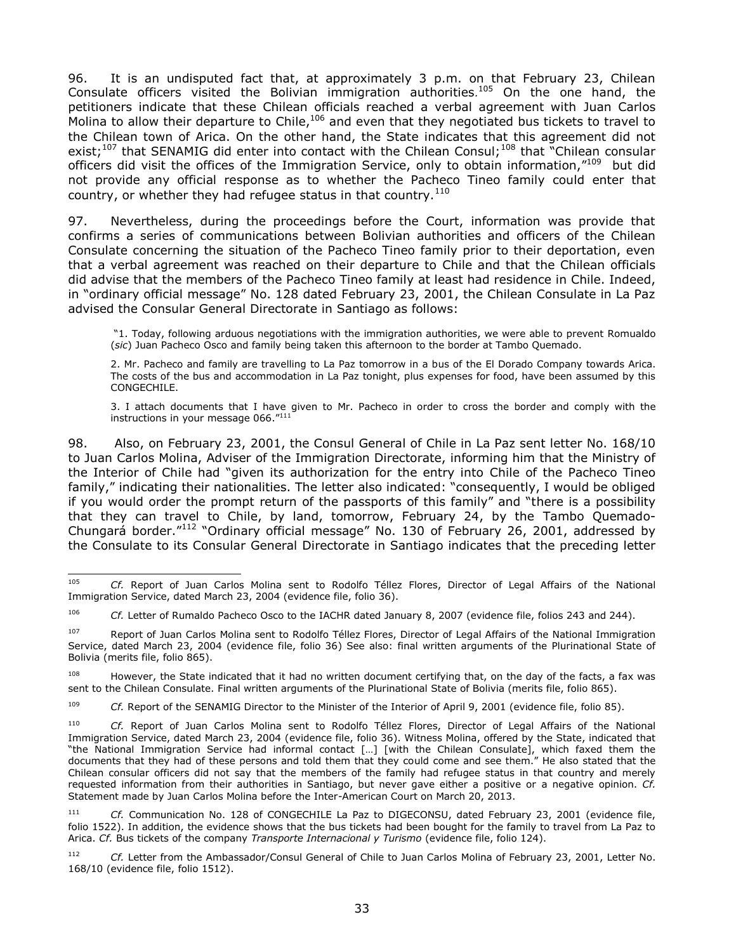96. It is an undisputed fact that, at approximately 3 p.m. on that February 23, Chilean Consulate officers visited the Bolivian immigration authorities*.* <sup>105</sup> On the one hand, the petitioners indicate that these Chilean officials reached a verbal agreement with Juan Carlos Molina to allow their departure to Chile,  $106$  and even that they negotiated bus tickets to travel to the Chilean town of Arica. On the other hand, the State indicates that this agreement did not exist;<sup>107</sup> that SENAMIG did enter into contact with the Chilean Consul;<sup>108</sup> that "Chilean consular officers did visit the offices of the Immigration Service, only to obtain information,"109 but did not provide any official response as to whether the Pacheco Tineo family could enter that country, or whether they had refugee status in that country. $110$ 

97. Nevertheless, during the proceedings before the Court, information was provide that confirms a series of communications between Bolivian authorities and officers of the Chilean Consulate concerning the situation of the Pacheco Tineo family prior to their deportation, even that a verbal agreement was reached on their departure to Chile and that the Chilean officials did advise that the members of the Pacheco Tineo family at least had residence in Chile. Indeed, in "ordinary official message" No. 128 dated February 23, 2001, the Chilean Consulate in La Paz advised the Consular General Directorate in Santiago as follows:

"1. Today, following arduous negotiations with the immigration authorities, we were able to prevent Romualdo (*sic*) Juan Pacheco Osco and family being taken this afternoon to the border at Tambo Quemado.

2. Mr. Pacheco and family are travelling to La Paz tomorrow in a bus of the El Dorado Company towards Arica. The costs of the bus and accommodation in La Paz tonight, plus expenses for food, have been assumed by this CONGECHILE.

3. I attach documents that I have given to Mr. Pacheco in order to cross the border and comply with the instructions in your message 066."<sup>111</sup>

98. Also, on February 23, 2001, the Consul General of Chile in La Paz sent letter No. 168/10 to Juan Carlos Molina, Adviser of the Immigration Directorate, informing him that the Ministry of the Interior of Chile had "given its authorization for the entry into Chile of the Pacheco Tineo family," indicating their nationalities. The letter also indicated: "consequently, I would be obliged if you would order the prompt return of the passports of this family" and "there is a possibility that they can travel to Chile, by land, tomorrow, February 24, by the Tambo Quemado-Chungará border."<sup>112</sup> "Ordinary official message" No. 130 of February 26, 2001, addressed by the Consulate to its Consular General Directorate in Santiago indicates that the preceding letter

<sup>109</sup> *Cf.* Report of the SENAMIG Director to the Minister of the Interior of April 9, 2001 (evidence file, folio 85).

<sup>105</sup> Cf. Report of Juan Carlos Molina sent to Rodolfo Téllez Flores, Director of Legal Affairs of the National Immigration Service, dated March 23, 2004 (evidence file, folio 36).

<sup>106</sup> *Cf.* Letter of Rumaldo Pacheco Osco to the IACHR dated January 8, 2007 (evidence file, folios 243 and 244).

<sup>&</sup>lt;sup>107</sup> Report of Juan Carlos Molina sent to Rodolfo Téllez Flores, Director of Legal Affairs of the National Immigration Service, dated March 23, 2004 (evidence file, folio 36) See also: final written arguments of the Plurinational State of Bolivia (merits file, folio 865).

<sup>&</sup>lt;sup>108</sup> However, the State indicated that it had no written document certifying that, on the day of the facts, a fax was sent to the Chilean Consulate. Final written arguments of the Plurinational State of Bolivia (merits file, folio 865).

<sup>110</sup> *Cf.* Report of Juan Carlos Molina sent to Rodolfo Téllez Flores, Director of Legal Affairs of the National Immigration Service, dated March 23, 2004 (evidence file, folio 36). Witness Molina, offered by the State, indicated that "the National Immigration Service had informal contact […] [with the Chilean Consulate], which faxed them the documents that they had of these persons and told them that they could come and see them." He also stated that the Chilean consular officers did not say that the members of the family had refugee status in that country and merely requested information from their authorities in Santiago, but never gave either a positive or a negative opinion. *Cf.* Statement made by Juan Carlos Molina before the Inter-American Court on March 20, 2013.

<sup>111</sup> *Cf.* Communication No. 128 of CONGECHILE La Paz to DIGECONSU, dated February 23, 2001 (evidence file, folio 1522). In addition, the evidence shows that the bus tickets had been bought for the family to travel from La Paz to Arica. *Cf.* Bus tickets of the company *Transporte Internacional y Turismo* (evidence file, folio 124).

<sup>112</sup> *Cf.* Letter from the Ambassador/Consul General of Chile to Juan Carlos Molina of February 23, 2001, Letter No. 168/10 (evidence file, folio 1512).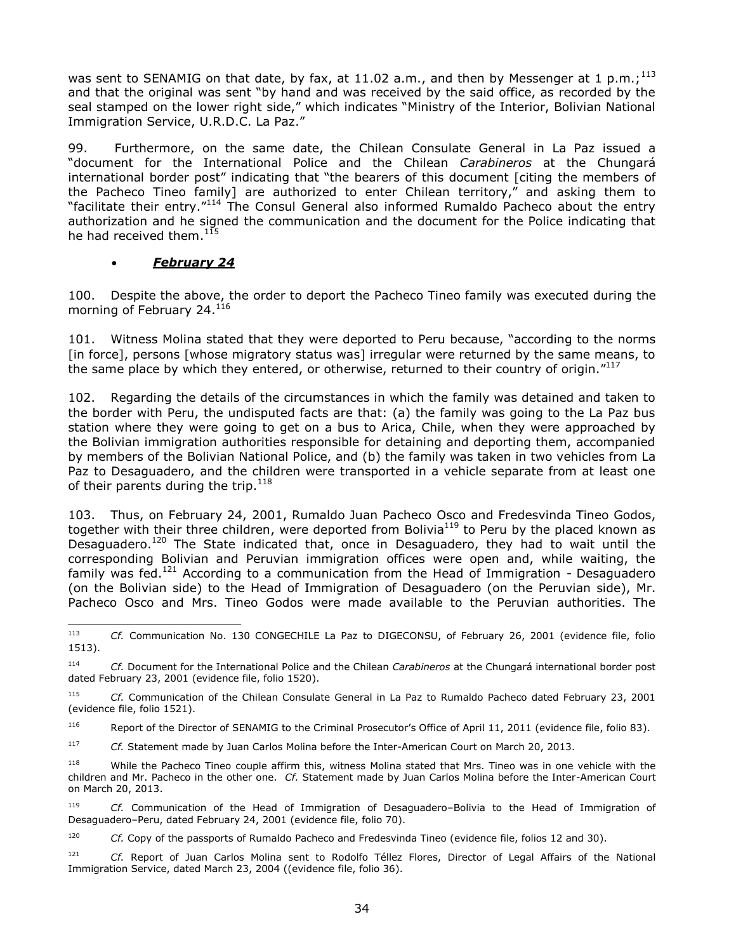was sent to SENAMIG on that date, by fax, at 11.02 a.m., and then by Messenger at 1 p.m.;  $^{113}$ and that the original was sent "by hand and was received by the said office, as recorded by the seal stamped on the lower right side," which indicates "Ministry of the Interior, Bolivian National Immigration Service, U.R.D.C. La Paz."

99. Furthermore, on the same date, the Chilean Consulate General in La Paz issued a "document for the International Police and the Chilean *Carabineros* at the Chungará international border post" indicating that "the bearers of this document [citing the members of the Pacheco Tineo family] are authorized to enter Chilean territory," and asking them to "facilitate their entry."<sup>114</sup> The Consul General also informed Rumaldo Pacheco about the entry authorization and he signed the communication and the document for the Police indicating that he had received them.<sup>115</sup>

### *February 24*

100. Despite the above, the order to deport the Pacheco Tineo family was executed during the morning of February 24.<sup>116</sup>

101. Witness Molina stated that they were deported to Peru because, "according to the norms [in force], persons [whose migratory status was] irregular were returned by the same means, to the same place by which they entered, or otherwise, returned to their country of origin."<sup>117</sup>

102. Regarding the details of the circumstances in which the family was detained and taken to the border with Peru, the undisputed facts are that: (a) the family was going to the La Paz bus station where they were going to get on a bus to Arica, Chile, when they were approached by the Bolivian immigration authorities responsible for detaining and deporting them, accompanied by members of the Bolivian National Police, and (b) the family was taken in two vehicles from La Paz to Desaguadero, and the children were transported in a vehicle separate from at least one of their parents during the trip.<sup>118</sup>

103. Thus, on February 24, 2001, Rumaldo Juan Pacheco Osco and Fredesvinda Tineo Godos, together with their three children, were deported from Bolivia<sup>119</sup> to Peru by the placed known as Desaguadero.<sup>120</sup> The State indicated that, once in Desaguadero, they had to wait until the corresponding Bolivian and Peruvian immigration offices were open and, while waiting, the family was fed.<sup>121</sup> According to a communication from the Head of Immigration - Desaguadero (on the Bolivian side) to the Head of Immigration of Desaguadero (on the Peruvian side), Mr. Pacheco Osco and Mrs. Tineo Godos were made available to the Peruvian authorities. The

<sup>116</sup> Report of the Director of SENAMIG to the Criminal Prosecutor's Office of April 11, 2011 (evidence file, folio 83).

<sup>117</sup> *Cf.* Statement made by Juan Carlos Molina before the Inter-American Court on March 20, 2013.

<sup>118</sup> While the Pacheco Tineo couple affirm this, witness Molina stated that Mrs. Tineo was in one vehicle with the children and Mr. Pacheco in the other one. *Cf.* Statement made by Juan Carlos Molina before the Inter-American Court on March 20, 2013.

<sup>119</sup> *Cf.* Communication of the Head of Immigration of Desaguadero–Bolivia to the Head of Immigration of Desaguadero–Peru, dated February 24, 2001 (evidence file, folio 70).

<sup>120</sup> *Cf.* Copy of the passports of Rumaldo Pacheco and Fredesvinda Tineo (evidence file, folios 12 and 30).

 $113$ Cf. Communication No. 130 CONGECHILE La Paz to DIGECONSU, of February 26, 2001 (evidence file, folio 1513).

<sup>114</sup> *Cf.* Document for the International Police and the Chilean *Carabineros* at the Chungará international border post dated February 23, 2001 (evidence file, folio 1520).

<sup>115</sup> *Cf.* Communication of the Chilean Consulate General in La Paz to Rumaldo Pacheco dated February 23, 2001 (evidence file, folio 1521).

<sup>121</sup> *Cf.* Report of Juan Carlos Molina sent to Rodolfo Téllez Flores, Director of Legal Affairs of the National Immigration Service, dated March 23, 2004 ((evidence file, folio 36).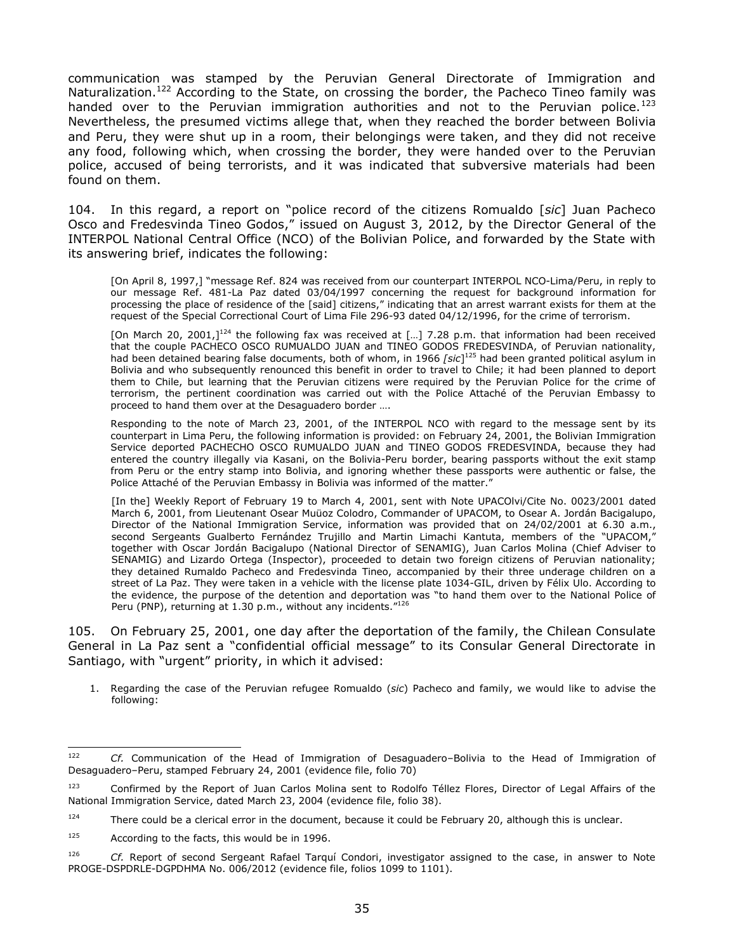communication was stamped by the Peruvian General Directorate of Immigration and Naturalization.<sup>122</sup> According to the State, on crossing the border, the Pacheco Tineo family was handed over to the Peruvian immigration authorities and not to the Peruvian police.<sup>123</sup> Nevertheless, the presumed victims allege that, when they reached the border between Bolivia and Peru, they were shut up in a room, their belongings were taken, and they did not receive any food, following which, when crossing the border, they were handed over to the Peruvian police, accused of being terrorists, and it was indicated that subversive materials had been found on them.

104. In this regard, a report on "police record of the citizens Romualdo [*sic*] Juan Pacheco Osco and Fredesvinda Tineo Godos," issued on August 3, 2012, by the Director General of the INTERPOL National Central Office (NCO) of the Bolivian Police, and forwarded by the State with its answering brief, indicates the following:

[On April 8, 1997,] "message Ref. 824 was received from our counterpart INTERPOL NCO-Lima/Peru, in reply to our message Ref. 481-La Paz dated 03/04/1997 concerning the request for background information for processing the place of residence of the [said] citizens," indicating that an arrest warrant exists for them at the request of the Special Correctional Court of Lima File 296-93 dated 04/12/1996, for the crime of terrorism.

[On March 20, 2001,]<sup>124</sup> the following fax was received at [...] 7.28 p.m. that information had been received that the couple PACHECO OSCO RUMUALDO JUAN and TINEO GODOS FREDESVINDA, of Peruvian nationality, had been detained bearing false documents, both of whom, in 1966 *[sic*] <sup>125</sup> had been granted political asylum in Bolivia and who subsequently renounced this benefit in order to travel to Chile; it had been planned to deport them to Chile, but learning that the Peruvian citizens were required by the Peruvian Police for the crime of terrorism, the pertinent coordination was carried out with the Police Attaché of the Peruvian Embassy to proceed to hand them over at the Desaguadero border ….

Responding to the note of March 23, 2001, of the INTERPOL NCO with regard to the message sent by its counterpart in Lima Peru, the following information is provided: on February 24, 2001, the Bolivian Immigration Service deported PACHECHO OSCO RUMUALDO JUAN and TINEO GODOS FREDESVINDA, because they had entered the country illegally via Kasani, on the Bolivia-Peru border, bearing passports without the exit stamp from Peru or the entry stamp into Bolivia, and ignoring whether these passports were authentic or false, the Police Attaché of the Peruvian Embassy in Bolivia was informed of the matter.

[In the] Weekly Report of February 19 to March 4, 2001, sent with Note UPACOlvi/Cite No. 0023/2001 dated March 6, 2001, from Lieutenant Osear Muüoz Colodro, Commander of UPACOM, to Osear A. Jordán Bacigalupo, Director of the National Immigration Service, information was provided that on 24/02/2001 at 6.30 a.m., second Sergeants Gualberto Fernández Trujillo and Martin Limachi Kantuta, members of the "UPACOM," together with Oscar Jordán Bacigalupo (National Director of SENAMIG), Juan Carlos Molina (Chief Adviser to SENAMIG) and Lizardo Ortega (Inspector), proceeded to detain two foreign citizens of Peruvian nationality; they detained Rumaldo Pacheco and Fredesvinda Tineo, accompanied by their three underage children on a street of La Paz. They were taken in a vehicle with the license plate 1034-GIL, driven by Félix Ulo. According to the evidence, the purpose of the detention and deportation was "to hand them over to the National Police of Peru (PNP), returning at 1.30 p.m., without any incidents."<sup>126</sup>

105. On February 25, 2001, one day after the deportation of the family, the Chilean Consulate General in La Paz sent a "confidential official message" to its Consular General Directorate in Santiago, with "urgent" priority, in which it advised:

1. Regarding the case of the Peruvian refugee Romualdo (*sic*) Pacheco and family, we would like to advise the following:

<sup>122</sup> <sup>122</sup> *Cf.* Communication of the Head of Immigration of Desaguadero–Bolivia to the Head of Immigration of Desaguadero–Peru, stamped February 24, 2001 (evidence file, folio 70)

<sup>&</sup>lt;sup>123</sup> Confirmed by the Report of Juan Carlos Molina sent to Rodolfo Téllez Flores, Director of Legal Affairs of the National Immigration Service, dated March 23, 2004 (evidence file, folio 38).

<sup>&</sup>lt;sup>124</sup> There could be a clerical error in the document, because it could be February 20, although this is unclear.

<sup>125</sup> According to the facts, this would be in 1996.

<sup>126</sup> *Cf.* Report of second Sergeant Rafael Tarquí Condori, investigator assigned to the case, in answer to Note PROGE-DSPDRLE-DGPDHMA No. 006/2012 (evidence file, folios 1099 to 1101).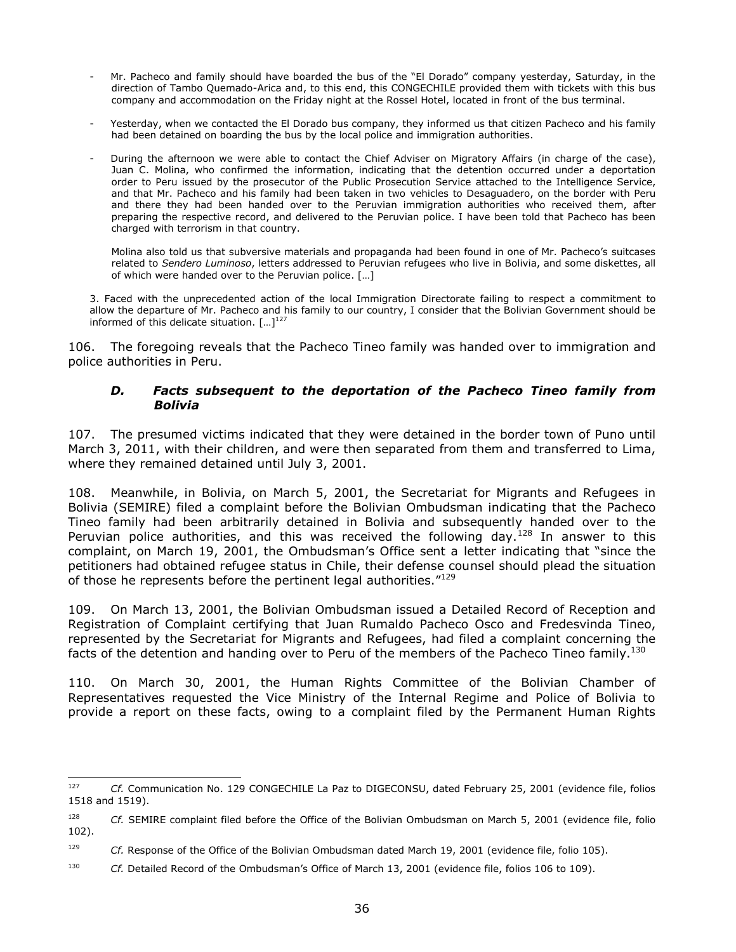- Mr. Pacheco and family should have boarded the bus of the "El Dorado" company yesterday, Saturday, in the direction of Tambo Quemado-Arica and, to this end, this CONGECHILE provided them with tickets with this bus company and accommodation on the Friday night at the Rossel Hotel, located in front of the bus terminal.
- Yesterday, when we contacted the El Dorado bus company, they informed us that citizen Pacheco and his family had been detained on boarding the bus by the local police and immigration authorities.
- During the afternoon we were able to contact the Chief Adviser on Migratory Affairs (in charge of the case), Juan C. Molina, who confirmed the information, indicating that the detention occurred under a deportation order to Peru issued by the prosecutor of the Public Prosecution Service attached to the Intelligence Service, and that Mr. Pacheco and his family had been taken in two vehicles to Desaguadero, on the border with Peru and there they had been handed over to the Peruvian immigration authorities who received them, after preparing the respective record, and delivered to the Peruvian police. I have been told that Pacheco has been charged with terrorism in that country.

Molina also told us that subversive materials and propaganda had been found in one of Mr. Pacheco's suitcases related to *Sendero Luminoso*, letters addressed to Peruvian refugees who live in Bolivia, and some diskettes, all of which were handed over to the Peruvian police. […]

3. Faced with the unprecedented action of the local Immigration Directorate failing to respect a commitment to allow the departure of Mr. Pacheco and his family to our country, I consider that the Bolivian Government should be informed of this delicate situation.  $[...]^{127}$ 

<span id="page-35-0"></span>106. The foregoing reveals that the Pacheco Tineo family was handed over to immigration and police authorities in Peru.

#### *D. Facts subsequent to the deportation of the Pacheco Tineo family from Bolivia*

107. The presumed victims indicated that they were detained in the border town of Puno until March 3, 2011, with their children, and were then separated from them and transferred to Lima, where they remained detained until July 3, 2001.

108. Meanwhile, in Bolivia, on March 5, 2001, the Secretariat for Migrants and Refugees in Bolivia (SEMIRE) filed a complaint before the Bolivian Ombudsman indicating that the Pacheco Tineo family had been arbitrarily detained in Bolivia and subsequently handed over to the Peruvian police authorities, and this was received the following day.<sup>128</sup> In answer to this complaint, on March 19, 2001, the Ombudsman's Office sent a letter indicating that "since the petitioners had obtained refugee status in Chile, their defense counsel should plead the situation of those he represents before the pertinent legal authorities."<sup>129</sup>

109. On March 13, 2001, the Bolivian Ombudsman issued a Detailed Record of Reception and Registration of Complaint certifying that Juan Rumaldo Pacheco Osco and Fredesvinda Tineo, represented by the Secretariat for Migrants and Refugees, had filed a complaint concerning the facts of the detention and handing over to Peru of the members of the Pacheco Tineo family.<sup>130</sup>

110. On March 30, 2001, the Human Rights Committee of the Bolivian Chamber of Representatives requested the Vice Ministry of the Internal Regime and Police of Bolivia to provide a report on these facts, owing to a complaint filed by the Permanent Human Rights

<sup>127</sup> <sup>127</sup> *Cf.* Communication No. 129 CONGECHILE La Paz to DIGECONSU, dated February 25, 2001 (evidence file, folios 1518 and 1519).

<sup>&</sup>lt;sup>128</sup> *Cf.* SEMIRE complaint filed before the Office of the Bolivian Ombudsman on March 5, 2001 (evidence file, folio 102).

<sup>129</sup> *Cf.* Response of the Office of the Bolivian Ombudsman dated March 19, 2001 (evidence file, folio 105).

<sup>130</sup> *Cf.* Detailed Record of the Ombudsman's Office of March 13, 2001 (evidence file, folios 106 to 109).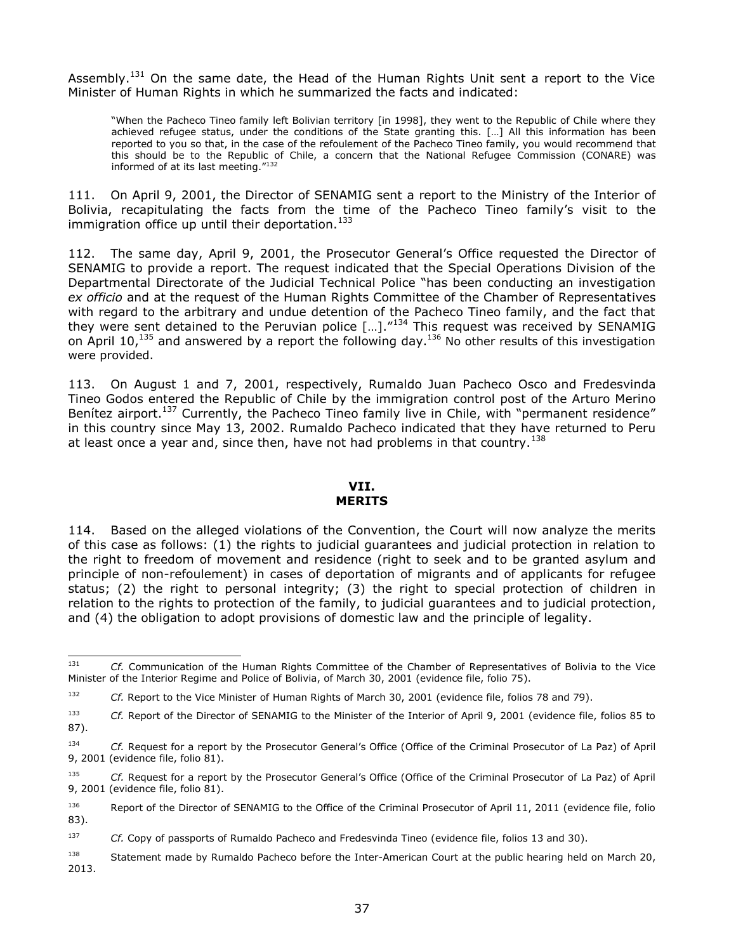Assembly.<sup>131</sup> On the same date, the Head of the Human Rights Unit sent a report to the Vice Minister of Human Rights in which he summarized the facts and indicated:

"When the Pacheco Tineo family left Bolivian territory [in 1998], they went to the Republic of Chile where they achieved refugee status, under the conditions of the State granting this. […] All this information has been reported to you so that, in the case of the refoulement of the Pacheco Tineo family, you would recommend that this should be to the Republic of Chile, a concern that the National Refugee Commission (CONARE) was informed of at its last meeting."<sup>132</sup>

111. On April 9, 2001, the Director of SENAMIG sent a report to the Ministry of the Interior of Bolivia, recapitulating the facts from the time of the Pacheco Tineo family's visit to the immigration office up until their deportation. $133$ 

112. The same day, April 9, 2001, the Prosecutor General's Office requested the Director of SENAMIG to provide a report. The request indicated that the Special Operations Division of the Departmental Directorate of the Judicial Technical Police "has been conducting an investigation *ex officio* and at the request of the Human Rights Committee of the Chamber of Representatives with regard to the arbitrary and undue detention of the Pacheco Tineo family, and the fact that they were sent detained to the Peruvian police  $[...]$ ."<sup>134</sup> This request was received by SENAMIG on April 10,<sup>135</sup> and answered by a report the following day.<sup>136</sup> No other results of this investigation were provided.

113. On August 1 and 7, 2001, respectively, Rumaldo Juan Pacheco Osco and Fredesvinda Tineo Godos entered the Republic of Chile by the immigration control post of the Arturo Merino Benítez airport.<sup>137</sup> Currently, the Pacheco Tineo family live in Chile, with "permanent residence" in this country since May 13, 2002. Rumaldo Pacheco indicated that they have returned to Peru at least once a year and, since then, have not had problems in that country.<sup>138</sup>

#### **VII. MERITS**

114. Based on the alleged violations of the Convention, the Court will now analyze the merits of this case as follows: (1) the rights to judicial guarantees and judicial protection in relation to the right to freedom of movement and residence (right to seek and to be granted asylum and principle of non-refoulement) in cases of deportation of migrants and of applicants for refugee status; (2) the right to personal integrity; (3) the right to special protection of children in relation to the rights to protection of the family, to judicial guarantees and to judicial protection, and (4) the obligation to adopt provisions of domestic law and the principle of legality.

<sup>137</sup> *Cf.* Copy of passports of Rumaldo Pacheco and Fredesvinda Tineo (evidence file, folios 13 and 30).

<sup>138</sup> Statement made by Rumaldo Pacheco before the Inter-American Court at the public hearing held on March 20, 2013.

<sup>131</sup> <sup>131</sup> *Cf.* Communication of the Human Rights Committee of the Chamber of Representatives of Bolivia to the Vice Minister of the Interior Regime and Police of Bolivia, of March 30, 2001 (evidence file, folio 75).

<sup>&</sup>lt;sup>132</sup> *Cf.* Report to the Vice Minister of Human Rights of March 30, 2001 (evidence file, folios 78 and 79).

<sup>133</sup> *Cf.* Report of the Director of SENAMIG to the Minister of the Interior of April 9, 2001 (evidence file, folios 85 to 87).

<sup>134</sup> *Cf.* Request for a report by the Prosecutor General's Office (Office of the Criminal Prosecutor of La Paz) of April 9, 2001 (evidence file, folio 81).

<sup>135</sup> *Cf.* Request for a report by the Prosecutor General's Office (Office of the Criminal Prosecutor of La Paz) of April 9, 2001 (evidence file, folio 81).

<sup>136</sup> Report of the Director of SENAMIG to the Office of the Criminal Prosecutor of April 11, 2011 (evidence file, folio 83).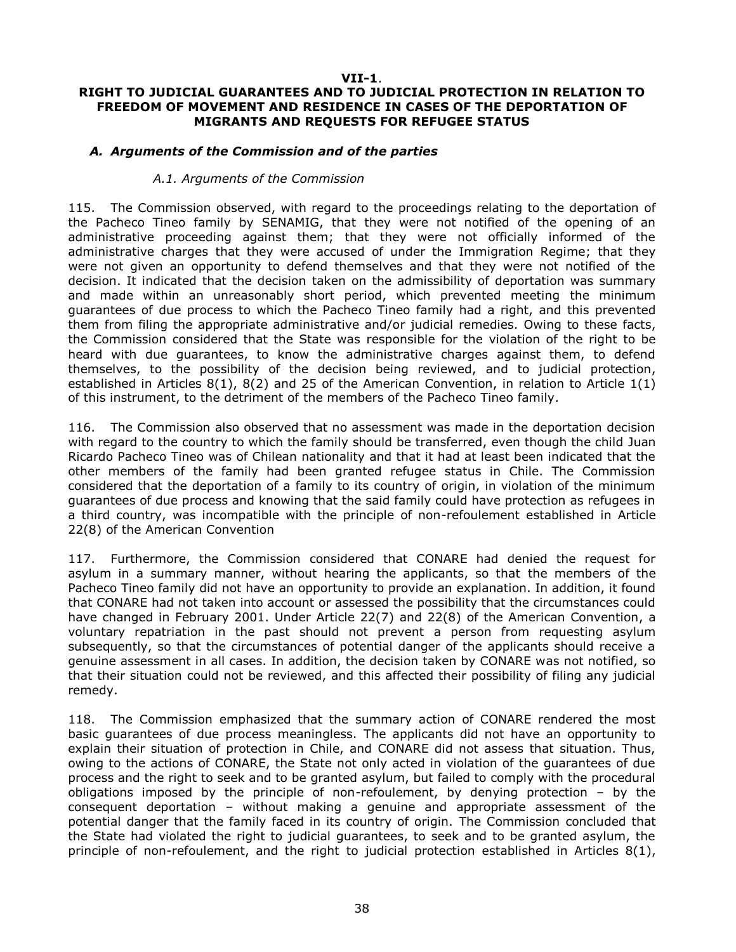### **VII-1**.

# **RIGHT TO JUDICIAL GUARANTEES AND TO JUDICIAL PROTECTION IN RELATION TO FREEDOM OF MOVEMENT AND RESIDENCE IN CASES OF THE DEPORTATION OF MIGRANTS AND REQUESTS FOR REFUGEE STATUS**

## *A. Arguments of the Commission and of the parties*

## *A.1. Arguments of the Commission*

115. The Commission observed, with regard to the proceedings relating to the deportation of the Pacheco Tineo family by SENAMIG, that they were not notified of the opening of an administrative proceeding against them; that they were not officially informed of the administrative charges that they were accused of under the Immigration Regime; that they were not given an opportunity to defend themselves and that they were not notified of the decision. It indicated that the decision taken on the admissibility of deportation was summary and made within an unreasonably short period, which prevented meeting the minimum guarantees of due process to which the Pacheco Tineo family had a right, and this prevented them from filing the appropriate administrative and/or judicial remedies. Owing to these facts, the Commission considered that the State was responsible for the violation of the right to be heard with due guarantees, to know the administrative charges against them, to defend themselves, to the possibility of the decision being reviewed, and to judicial protection, established in Articles 8(1), 8(2) and 25 of the American Convention, in relation to Article 1(1) of this instrument, to the detriment of the members of the Pacheco Tineo family.

116. The Commission also observed that no assessment was made in the deportation decision with regard to the country to which the family should be transferred, even though the child Juan Ricardo Pacheco Tineo was of Chilean nationality and that it had at least been indicated that the other members of the family had been granted refugee status in Chile. The Commission considered that the deportation of a family to its country of origin, in violation of the minimum guarantees of due process and knowing that the said family could have protection as refugees in a third country, was incompatible with the principle of non-refoulement established in Article 22(8) of the American Convention

117. Furthermore, the Commission considered that CONARE had denied the request for asylum in a summary manner, without hearing the applicants, so that the members of the Pacheco Tineo family did not have an opportunity to provide an explanation. In addition, it found that CONARE had not taken into account or assessed the possibility that the circumstances could have changed in February 2001. Under Article 22(7) and 22(8) of the American Convention, a voluntary repatriation in the past should not prevent a person from requesting asylum subsequently, so that the circumstances of potential danger of the applicants should receive a genuine assessment in all cases. In addition, the decision taken by CONARE was not notified, so that their situation could not be reviewed, and this affected their possibility of filing any judicial remedy.

118. The Commission emphasized that the summary action of CONARE rendered the most basic guarantees of due process meaningless. The applicants did not have an opportunity to explain their situation of protection in Chile, and CONARE did not assess that situation. Thus, owing to the actions of CONARE, the State not only acted in violation of the guarantees of due process and the right to seek and to be granted asylum, but failed to comply with the procedural obligations imposed by the principle of non-refoulement, by denying protection – by the consequent deportation – without making a genuine and appropriate assessment of the potential danger that the family faced in its country of origin. The Commission concluded that the State had violated the right to judicial guarantees, to seek and to be granted asylum, the principle of non-refoulement, and the right to judicial protection established in Articles 8(1),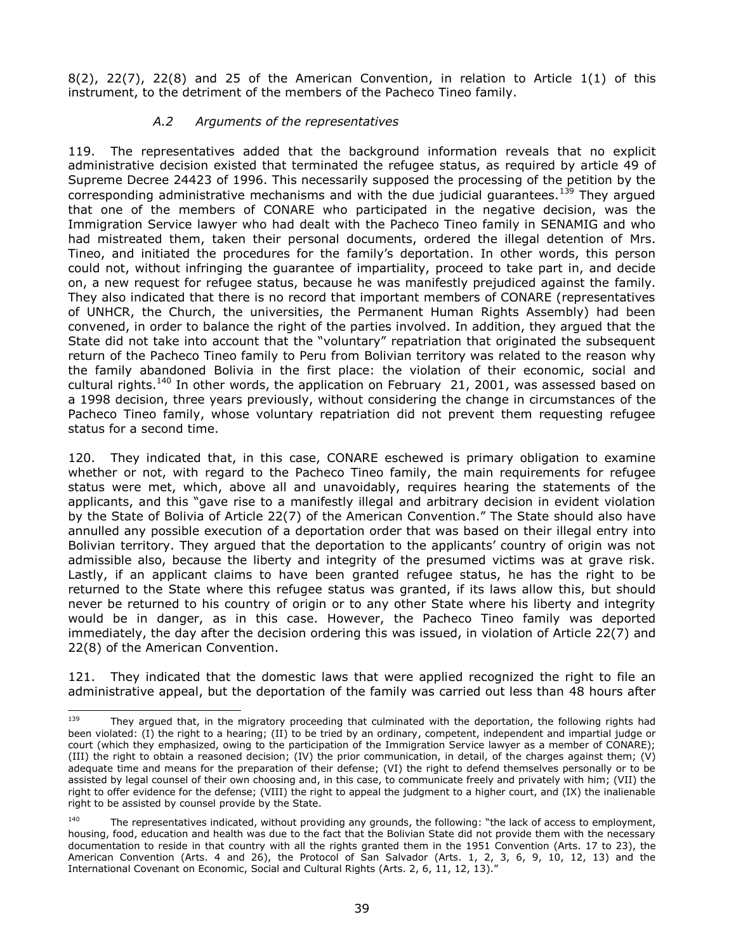$8(2)$ ,  $22(7)$ ,  $22(8)$  and 25 of the American Convention, in relation to Article  $1(1)$  of this instrument, to the detriment of the members of the Pacheco Tineo family.

## *A.2 Arguments of the representatives*

119. The representatives added that the background information reveals that no explicit administrative decision existed that terminated the refugee status, as required by article 49 of Supreme Decree 24423 of 1996. This necessarily supposed the processing of the petition by the corresponding administrative mechanisms and with the due judicial guarantees.<sup>139</sup> They argued that one of the members of CONARE who participated in the negative decision, was the Immigration Service lawyer who had dealt with the Pacheco Tineo family in SENAMIG and who had mistreated them, taken their personal documents, ordered the illegal detention of Mrs. Tineo, and initiated the procedures for the family's deportation. In other words, this person could not, without infringing the guarantee of impartiality, proceed to take part in, and decide on, a new request for refugee status, because he was manifestly prejudiced against the family. They also indicated that there is no record that important members of CONARE (representatives of UNHCR, the Church, the universities, the Permanent Human Rights Assembly) had been convened, in order to balance the right of the parties involved. In addition, they argued that the State did not take into account that the "voluntary" repatriation that originated the subsequent return of the Pacheco Tineo family to Peru from Bolivian territory was related to the reason why the family abandoned Bolivia in the first place: the violation of their economic, social and cultural rights.<sup>140</sup> In other words, the application on February 21, 2001, was assessed based on a 1998 decision, three years previously, without considering the change in circumstances of the Pacheco Tineo family, whose voluntary repatriation did not prevent them requesting refugee status for a second time.

120. They indicated that, in this case, CONARE eschewed is primary obligation to examine whether or not, with regard to the Pacheco Tineo family, the main requirements for refugee status were met, which, above all and unavoidably, requires hearing the statements of the applicants, and this "gave rise to a manifestly illegal and arbitrary decision in evident violation by the State of Bolivia of Article 22(7) of the American Convention." The State should also have annulled any possible execution of a deportation order that was based on their illegal entry into Bolivian territory. They argued that the deportation to the applicants' country of origin was not admissible also, because the liberty and integrity of the presumed victims was at grave risk. Lastly, if an applicant claims to have been granted refugee status, he has the right to be returned to the State where this refugee status was granted, if its laws allow this, but should never be returned to his country of origin or to any other State where his liberty and integrity would be in danger, as in this case. However, the Pacheco Tineo family was deported immediately, the day after the decision ordering this was issued, in violation of Article 22(7) and 22(8) of the American Convention.

121. They indicated that the domestic laws that were applied recognized the right to file an administrative appeal, but the deportation of the family was carried out less than 48 hours after

<sup>139</sup> They argued that, in the migratory proceeding that culminated with the deportation, the following rights had been violated: (I) the right to a hearing; (II) to be tried by an ordinary, competent, independent and impartial judge or court (which they emphasized, owing to the participation of the Immigration Service lawyer as a member of CONARE); (III) the right to obtain a reasoned decision; (IV) the prior communication, in detail, of the charges against them; (V) adequate time and means for the preparation of their defense; (VI) the right to defend themselves personally or to be assisted by legal counsel of their own choosing and, in this case, to communicate freely and privately with him; (VII) the right to offer evidence for the defense; (VIII) the right to appeal the judgment to a higher court, and (IX) the inalienable right to be assisted by counsel provide by the State.

 $140$  The representatives indicated, without providing any grounds, the following: "the lack of access to employment, housing, food, education and health was due to the fact that the Bolivian State did not provide them with the necessary documentation to reside in that country with all the rights granted them in the 1951 Convention (Arts. 17 to 23), the American Convention (Arts. 4 and 26), the Protocol of San Salvador (Arts. 1, 2, 3, 6, 9, 10, 12, 13) and the International Covenant on Economic, Social and Cultural Rights (Arts. 2, 6, 11, 12, 13)."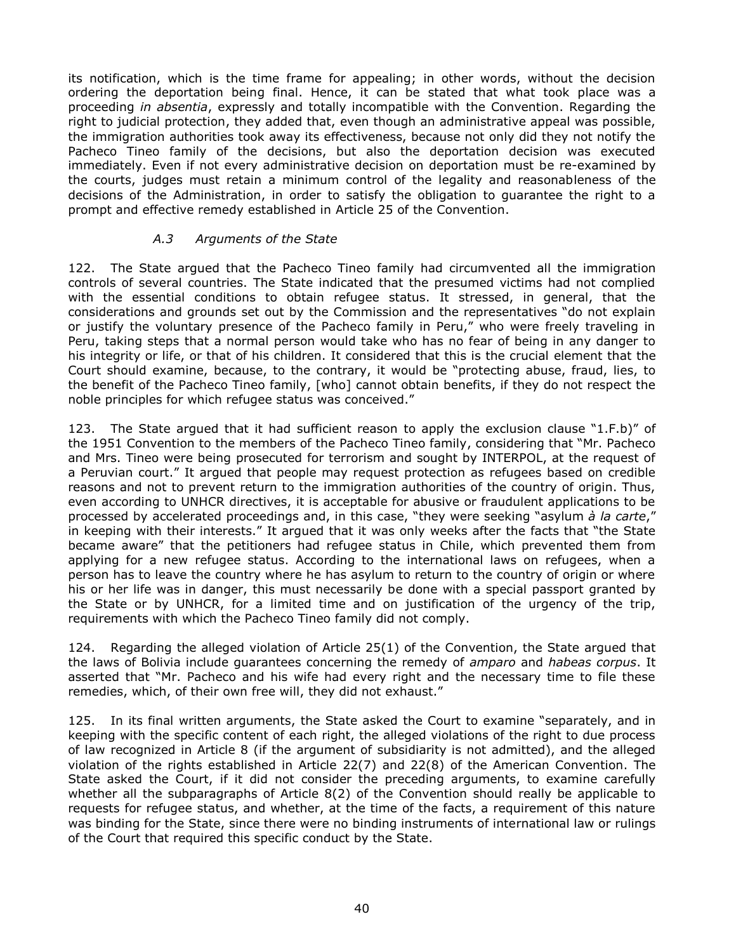its notification, which is the time frame for appealing; in other words, without the decision ordering the deportation being final. Hence, it can be stated that what took place was a proceeding *in absentia*, expressly and totally incompatible with the Convention. Regarding the right to judicial protection, they added that, even though an administrative appeal was possible, the immigration authorities took away its effectiveness, because not only did they not notify the Pacheco Tineo family of the decisions, but also the deportation decision was executed immediately. Even if not every administrative decision on deportation must be re-examined by the courts, judges must retain a minimum control of the legality and reasonableness of the decisions of the Administration, in order to satisfy the obligation to guarantee the right to a prompt and effective remedy established in Article 25 of the Convention.

## *A.3 Arguments of the State*

122. The State argued that the Pacheco Tineo family had circumvented all the immigration controls of several countries. The State indicated that the presumed victims had not complied with the essential conditions to obtain refugee status. It stressed, in general, that the considerations and grounds set out by the Commission and the representatives "do not explain or justify the voluntary presence of the Pacheco family in Peru," who were freely traveling in Peru, taking steps that a normal person would take who has no fear of being in any danger to his integrity or life, or that of his children. It considered that this is the crucial element that the Court should examine, because, to the contrary, it would be "protecting abuse, fraud, lies, to the benefit of the Pacheco Tineo family, [who] cannot obtain benefits, if they do not respect the noble principles for which refugee status was conceived."

123. The State argued that it had sufficient reason to apply the exclusion clause "1.F.b)" of the 1951 Convention to the members of the Pacheco Tineo family, considering that "Mr. Pacheco and Mrs. Tineo were being prosecuted for terrorism and sought by INTERPOL, at the request of a Peruvian court." It argued that people may request protection as refugees based on credible reasons and not to prevent return to the immigration authorities of the country of origin. Thus, even according to UNHCR directives, it is acceptable for abusive or fraudulent applications to be processed by accelerated proceedings and, in this case, "they were seeking "asylum *à la carte*," in keeping with their interests." It argued that it was only weeks after the facts that "the State became aware" that the petitioners had refugee status in Chile, which prevented them from applying for a new refugee status. According to the international laws on refugees, when a person has to leave the country where he has asylum to return to the country of origin or where his or her life was in danger, this must necessarily be done with a special passport granted by the State or by UNHCR, for a limited time and on justification of the urgency of the trip, requirements with which the Pacheco Tineo family did not comply.

124. Regarding the alleged violation of Article 25(1) of the Convention, the State argued that the laws of Bolivia include guarantees concerning the remedy of *amparo* and *habeas corpus*. It asserted that "Mr. Pacheco and his wife had every right and the necessary time to file these remedies, which, of their own free will, they did not exhaust."

125. In its final written arguments, the State asked the Court to examine "separately, and in keeping with the specific content of each right, the alleged violations of the right to due process of law recognized in Article 8 (if the argument of subsidiarity is not admitted), and the alleged violation of the rights established in Article 22(7) and 22(8) of the American Convention. The State asked the Court, if it did not consider the preceding arguments, to examine carefully whether all the subparagraphs of Article 8(2) of the Convention should really be applicable to requests for refugee status, and whether, at the time of the facts, a requirement of this nature was binding for the State, since there were no binding instruments of international law or rulings of the Court that required this specific conduct by the State.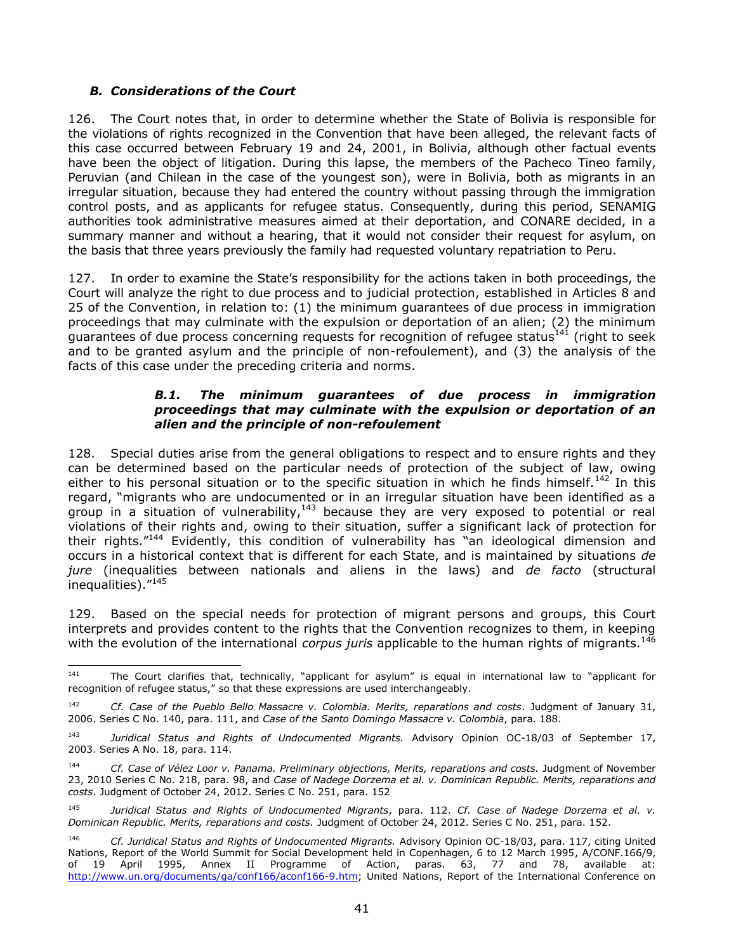# *B. Considerations of the Court*

126. The Court notes that, in order to determine whether the State of Bolivia is responsible for the violations of rights recognized in the Convention that have been alleged, the relevant facts of this case occurred between February 19 and 24, 2001, in Bolivia, although other factual events have been the object of litigation. During this lapse, the members of the Pacheco Tineo family, Peruvian (and Chilean in the case of the youngest son), were in Bolivia, both as migrants in an irregular situation, because they had entered the country without passing through the immigration control posts, and as applicants for refugee status. Consequently, during this period, SENAMIG authorities took administrative measures aimed at their deportation, and CONARE decided, in a summary manner and without a hearing, that it would not consider their request for asylum, on the basis that three years previously the family had requested voluntary repatriation to Peru.

127. In order to examine the State's responsibility for the actions taken in both proceedings, the Court will analyze the right to due process and to judicial protection, established in Articles 8 and 25 of the Convention, in relation to: (1) the minimum guarantees of due process in immigration proceedings that may culminate with the expulsion or deportation of an alien; (2) the minimum guarantees of due process concerning requests for recognition of refugee status $^{141}$  (right to seek and to be granted asylum and the principle of non-refoulement), and (3) the analysis of the facts of this case under the preceding criteria and norms.

## *B.1. The minimum guarantees of due process in immigration proceedings that may culminate with the expulsion or deportation of an alien and the principle of non-refoulement*

128. Special duties arise from the general obligations to respect and to ensure rights and they can be determined based on the particular needs of protection of the subject of law, owing either to his personal situation or to the specific situation in which he finds himself.<sup>142</sup> In this regard, "migrants who are undocumented or in an irregular situation have been identified as a group in a situation of vulnerability, $143$  because they are very exposed to potential or real violations of their rights and, owing to their situation, suffer a significant lack of protection for their rights."<sup>144</sup> Evidently, this condition of vulnerability has "an ideological dimension and occurs in a historical context that is different for each State, and is maintained by situations *de jure* (inequalities between nationals and aliens in the laws) and *de facto* (structural inequalities)."<sup>145</sup>

129. Based on the special needs for protection of migrant persons and groups, this Court interprets and provides content to the rights that the Convention recognizes to them, in keeping with the evolution of the international *corpus juris* applicable to the human rights of migrants.<sup>146</sup>

<sup>141</sup> The Court clarifies that, technically, "applicant for asylum" is equal in international law to "applicant for recognition of refugee status," so that these expressions are used interchangeably.

<sup>142</sup> *Cf. Case of the Pueblo Bello Massacre v. Colombia. Merits, reparations and costs*. Judgment of January 31, 2006. Series C No. 140, para. 111, and *Case of the Santo Domingo Massacre v. Colombia*, para. 188.

<sup>143</sup> *Juridical Status and Rights of Undocumented Migrants.* Advisory Opinion OC-18/03 of September 17, 2003. Series A No. 18, para. 114.

<sup>144</sup> *Cf. Case of Vélez Loor v. Panama. Preliminary objections, Merits, reparations and costs.* Judgment of November 23, 2010 Series C No. 218, para. 98, and *Case of Nadege Dorzema et al. v. Dominican Republic. Merits, reparations and costs*. Judgment of October 24, 2012. Series C No. 251, para. 152

<sup>145</sup> *Juridical Status and Rights of Undocumented Migrants*, para. 112. *Cf. Case of Nadege Dorzema et al. v. Dominican Republic. Merits, reparations and costs.* Judgment of October 24, 2012. Series C No. 251, para. 152.

<sup>146</sup> *Cf. Juridical Status and Rights of Undocumented Migrants.* Advisory Opinion OC-18/03, para. 117, citing United Nations, Report of the World Summit for Social Development held in Copenhagen, 6 to 12 March 1995, A/CONF.166/9, of 19 April 1995, Annex II Programme of Action, paras. 63, 77 and 78, available at: [http://www.un.org/documents/ga/conf166/aconf166-9.htm;](http://www.un.org/documents/ga/conf166/aconf166-9.htm) United Nations, Report of the International Conference on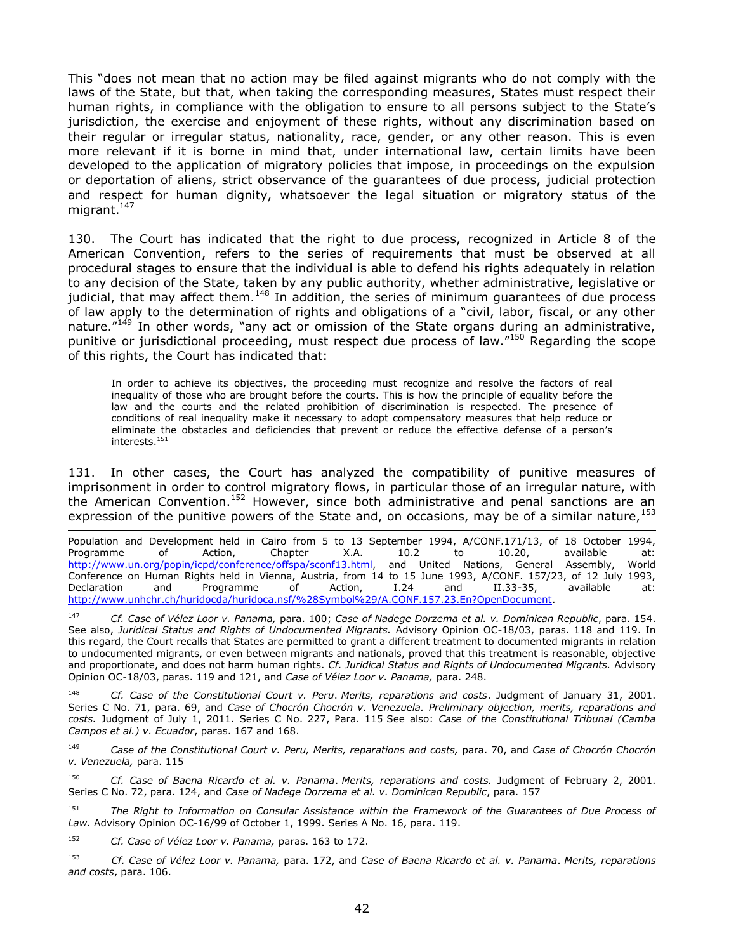This "does not mean that no action may be filed against migrants who do not comply with the laws of the State, but that, when taking the corresponding measures, States must respect their human rights, in compliance with the obligation to ensure to all persons subject to the State's jurisdiction, the exercise and enjoyment of these rights, without any discrimination based on their regular or irregular status, nationality, race, gender, or any other reason. This is even more relevant if it is borne in mind that, under international law, certain limits have been developed to the application of migratory policies that impose, in proceedings on the expulsion or deportation of aliens, strict observance of the guarantees of due process, judicial protection and respect for human dignity, whatsoever the legal situation or migratory status of the migrant.<sup>147</sup>

130. The Court has indicated that the right to due process, recognized in Article 8 of the American Convention, refers to the series of requirements that must be observed at all procedural stages to ensure that the individual is able to defend his rights adequately in relation to any decision of the State, taken by any public authority, whether administrative, legislative or judicial, that may affect them.<sup>148</sup> In addition, the series of minimum guarantees of due process of law apply to the determination of rights and obligations of a "civil, labor, fiscal, or any other nature."<sup>149</sup> In other words, "any act or omission of the State organs during an administrative, punitive or jurisdictional proceeding, must respect due process of law."<sup>150</sup> Regarding the scope of this rights, the Court has indicated that:

In order to achieve its objectives, the proceeding must recognize and resolve the factors of real inequality of those who are brought before the courts. This is how the principle of equality before the law and the courts and the related prohibition of discrimination is respected. The presence of conditions of real inequality make it necessary to adopt compensatory measures that help reduce or eliminate the obstacles and deficiencies that prevent or reduce the effective defense of a person's interests. $^{151}$ 

131. In other cases, the Court has analyzed the compatibility of punitive measures of imprisonment in order to control migratory flows, in particular those of an irregular nature, with the American Convention.<sup>152</sup> However, since both administrative and penal sanctions are an expression of the punitive powers of the State and, on occasions, may be of a similar nature,  $153$ 

l Population and Development held in Cairo from 5 to 13 September 1994, A/CONF.171/13, of 18 October 1994, Programme of Action, Chapter X.A. 10.2 to 10.20, available at: Programme of Action, Chapter X.A. 10.2 to 10.20, available at: [http://www.un.org/popin/icpd/conference/offspa/sconf13.html,](http://www.un.org/popin/icpd/conference/offspa/sconf13.html) and United Nations, General Assembly, World Conference on Human Rights held in Vienna, Austria, from 14 to 15 June 1993, A/CONF. 157/23, of 12 July 1993, Declaration and Programme of Action, I.24 and II.33-35, available at: [http://www.unhchr.ch/huridocda/huridoca.nsf/%28Symbol%29/A.CONF.157.23.En?OpenDocument.](http://www.unhchr.ch/huridocda/huridoca.nsf/%28Symbol%29/A.CONF.157.23.En?OpenDocument)

<sup>147</sup> *Cf. Case of Vélez Loor v. Panama,* para. 100; *Case of Nadege Dorzema et al. v. Dominican Republic*, para. 154. See also, *Juridical Status and Rights of Undocumented Migrants.* Advisory Opinion OC-18/03, paras. 118 and 119. In this regard, the Court recalls that States are permitted to grant a different treatment to documented migrants in relation to undocumented migrants, or even between migrants and nationals, proved that this treatment is reasonable, objective and proportionate, and does not harm human rights. *Cf. Juridical Status and Rights of Undocumented Migrants.* Advisory Opinion OC-18/03, paras. 119 and 121, and *Case of Vélez Loor v. Panama,* para. 248.

<sup>148</sup> *Cf. Case of the Constitutional Court v. Peru*. *Merits, reparations and costs*. Judgment of January 31, 2001. Series C No. 71, para. 69, and *Case of Chocrón Chocrón v. Venezuela. Preliminary objection, merits, reparations and costs.* Judgment of July 1, 2011. Series C No. 227, Para. 115 See also: *Case of the Constitutional Tribunal (Camba Campos et al.) v. Ecuador*, paras. 167 and 168.

<sup>149</sup> *Case of the Constitutional Court v. Peru, Merits, reparations and costs,* para. 70, and *Case of Chocrón Chocrón v. Venezuela,* para. 115

<sup>150</sup> *Cf. Case of Baena Ricardo et al. v. Panama*. *Merits, reparations and costs.* Judgment of February 2, 2001. Series C No. 72, para. 124, and *Case of Nadege Dorzema et al. v. Dominican Republic*, para. 157

<sup>151</sup> *The Right to Information on Consular Assistance within the Framework of the Guarantees of Due Process of Law.* Advisory Opinion OC-16/99 of October 1, 1999. Series A No. 16*,* para. 119.

<sup>152</sup> *Cf. Case of Vélez Loor v. Panama,* paras. 163 to 172.

<sup>153</sup> *Cf. Case of Vélez Loor v. Panama,* para. 172, and *Case of Baena Ricardo et al. v. Panama*. *Merits, reparations and costs*, para. 106.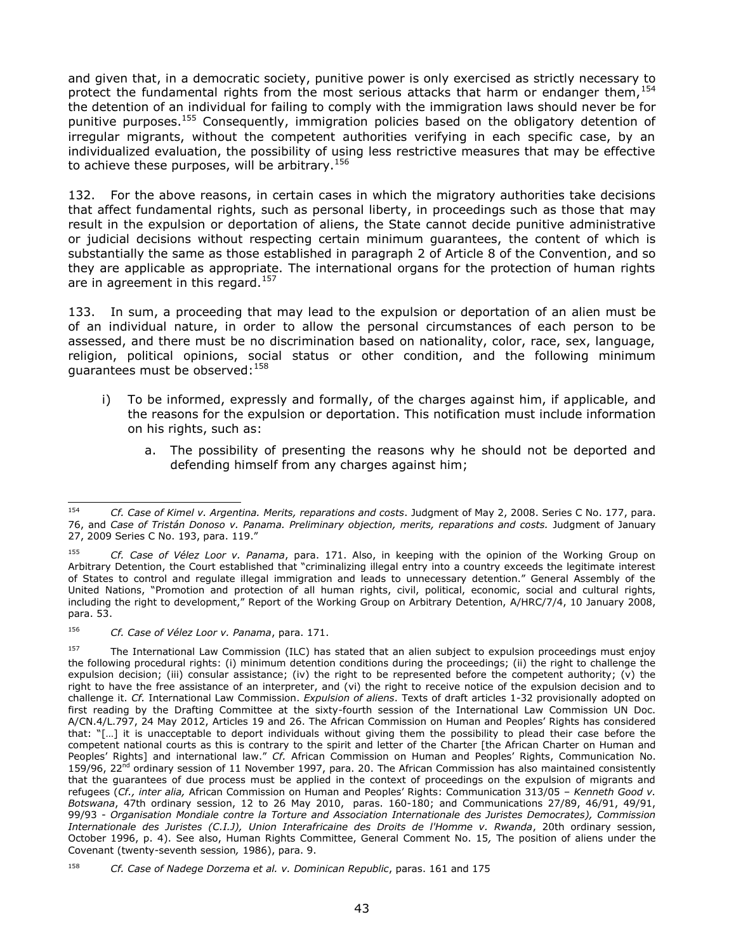and given that, in a democratic society, punitive power is only exercised as strictly necessary to protect the fundamental rights from the most serious attacks that harm or endanger them,  $154$ the detention of an individual for failing to comply with the immigration laws should never be for punitive purposes.<sup>155</sup> Consequently, immigration policies based on the obligatory detention of irregular migrants, without the competent authorities verifying in each specific case, by an individualized evaluation, the possibility of using less restrictive measures that may be effective to achieve these purposes, will be arbitrary.<sup>156</sup>

132. For the above reasons, in certain cases in which the migratory authorities take decisions that affect fundamental rights, such as personal liberty, in proceedings such as those that may result in the expulsion or deportation of aliens, the State cannot decide punitive administrative or judicial decisions without respecting certain minimum guarantees, the content of which is substantially the same as those established in paragraph 2 of Article 8 of the Convention, and so they are applicable as appropriate. The international organs for the protection of human rights are in agreement in this regard.<sup>157</sup>

133. In sum, a proceeding that may lead to the expulsion or deportation of an alien must be of an individual nature, in order to allow the personal circumstances of each person to be assessed, and there must be no discrimination based on nationality, color, race, sex, language, religion, political opinions, social status or other condition, and the following minimum guarantees must be observed:  $158$ 

- i) To be informed, expressly and formally, of the charges against him, if applicable, and the reasons for the expulsion or deportation. This notification must include information on his rights, such as:
	- a. The possibility of presenting the reasons why he should not be deported and defending himself from any charges against him;

<sup>154</sup> <sup>154</sup> *Cf. [Case of Kimel v. Argentina. Merits, reparations and costs](http://joomla.corteidh.or.cr:8080/joomla/es/casos-contenciosos/38-jurisprudencia/763-corte-idh-caso-kimel-vs-argentina-fondo-reparaciones-y-costas-sentencia-de-2-de-mayo-de-2008-serie-c-no-177)*. Judgment of May 2, 2008. Series C No. 177, para. 76, and *Case of Tristán Donoso v. Panama. Preliminary objection, merits, reparations and costs.* Judgment of January 27, 2009 Series C No. 193, para. 119."

<sup>155</sup> *Cf. Case of Vélez Loor v. Panama*, para. 171. Also, in keeping with the opinion of the Working Group on Arbitrary Detention, the Court established that "criminalizing illegal entry into a country exceeds the legitimate interest of States to control and regulate illegal immigration and leads to unnecessary detention." General Assembly of the United Nations, "Promotion and protection of all human rights, civil, political, economic, social and cultural rights, including the right to development," Report of the Working Group on Arbitrary Detention, A/HRC/7/4, 10 January 2008, para. 53.

<sup>156</sup> *Cf. Case of Vélez Loor v. Panama*, para. 171.

<sup>&</sup>lt;sup>157</sup> The International Law Commission (ILC) has stated that an alien subject to expulsion proceedings must enjoy the following procedural rights: (i) minimum detention conditions during the proceedings; (ii) the right to challenge the expulsion decision; (iii) consular assistance; (iv) the right to be represented before the competent authority; (v) the right to have the free assistance of an interpreter, and (vi) the right to receive notice of the expulsion decision and to challenge it. *Cf.* International Law Commission. *Expulsion of aliens*. Texts of draft articles 1-32 provisionally adopted on first reading by the Drafting Committee at the sixty-fourth session of the International Law Commission UN Doc. A/CN.4/L.797, 24 May 2012, Articles 19 and 26. The African Commission on Human and Peoples' Rights has considered that: "[…] it is unacceptable to deport individuals without giving them the possibility to plead their case before the competent national courts as this is contrary to the spirit and letter of the Charter [the African Charter on Human and Peoples' Rights] and international law." *Cf.* African Commission on Human and Peoples' Rights, Communication No. 159/96, 22 $^{\bar{n}d}$  ordinary session of 11 November 1997, para. 20. The African Commission has also maintained consistently that the guarantees of due process must be applied in the context of proceedings on the expulsion of migrants and refugees (*Cf., inter alia,* African Commission on Human and Peoples' Rights: Communication 313/05 – *Kenneth Good v. Botswana*, 47th ordinary session, 12 to 26 May 2010, paras. 160-180; and Communications 27/89, 46/91, 49/91, 99/93 - *Organisation Mondiale contre la Torture and Association Internationale des Juristes Democrates), Commission Internationale des Juristes (C.I.J), Union Interafricaine des Droits de l'Homme v. Rwanda*, 20th ordinary session, October 1996, p. 4). See also, Human Rights Committee, General Comment No. 15*,* The position of aliens under the Covenant (twenty-seventh session*,* 1986), para. 9.

<sup>158</sup> *Cf. Case of Nadege Dorzema et al. v. Dominican Republic*, paras. 161 and 175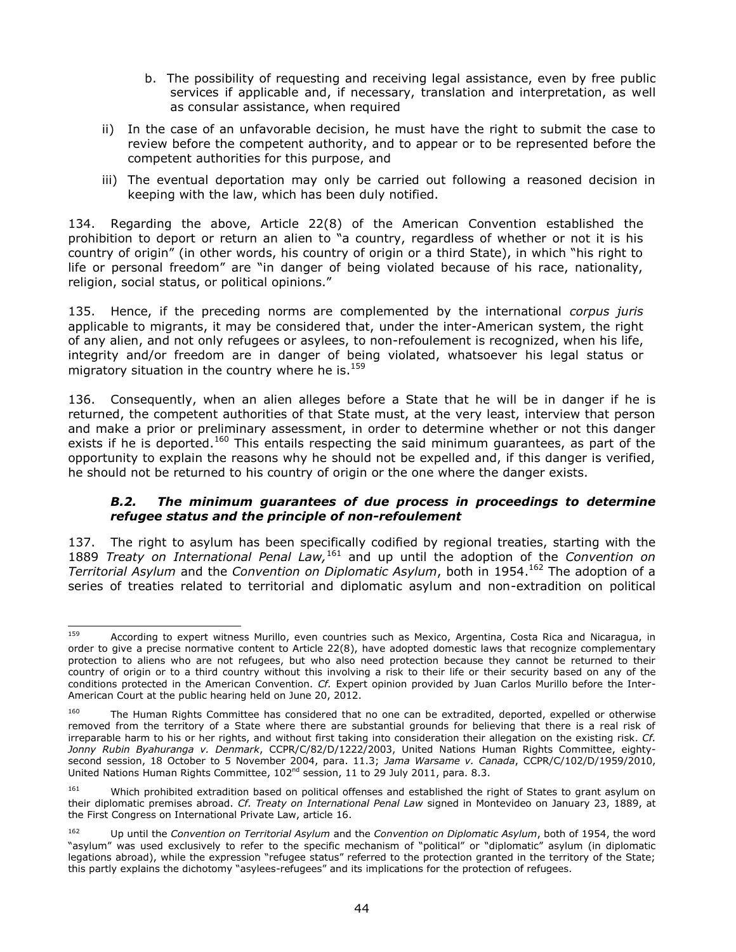- b. The possibility of requesting and receiving legal assistance, even by free public services if applicable and, if necessary, translation and interpretation, as well as consular assistance, when required
- ii) In the case of an unfavorable decision, he must have the right to submit the case to review before the competent authority, and to appear or to be represented before the competent authorities for this purpose, and
- iii) The eventual deportation may only be carried out following a reasoned decision in keeping with the law, which has been duly notified.

134. Regarding the above, Article 22(8) of the American Convention established the prohibition to deport or return an alien to "a country, regardless of whether or not it is his country of origin" (in other words, his country of origin or a third State), in which "his right to life or personal freedom" are "in danger of being violated because of his race, nationality, religion, social status, or political opinions."

135. Hence, if the preceding norms are complemented by the international *corpus juris*  applicable to migrants, it may be considered that, under the inter-American system, the right of any alien, and not only refugees or asylees, to non-refoulement is recognized, when his life, integrity and/or freedom are in danger of being violated, whatsoever his legal status or migratory situation in the country where he is.<sup>159</sup>

136. Consequently, when an alien alleges before a State that he will be in danger if he is returned, the competent authorities of that State must, at the very least, interview that person and make a prior or preliminary assessment, in order to determine whether or not this danger exists if he is deported.<sup>160</sup> This entails respecting the said minimum guarantees, as part of the opportunity to explain the reasons why he should not be expelled and, if this danger is verified, he should not be returned to his country of origin or the one where the danger exists.

# *B.2. The minimum guarantees of due process in proceedings to determine refugee status and the principle of non-refoulement*

137. The right to asylum has been specifically codified by regional treaties, starting with the 1889 *Treaty on International Penal Law,*<sup>161</sup> and up until the adoption of the *Convention on Territorial Asylum* and the *Convention on Diplomatic Asylum*, both in 1954. <sup>162</sup> The adoption of a series of treaties related to territorial and diplomatic asylum and non-extradition on political

<sup>159</sup> According to expert witness Murillo, even countries such as Mexico, Argentina, Costa Rica and Nicaragua, in order to give a precise normative content to Article 22(8), have adopted domestic laws that recognize complementary protection to aliens who are not refugees, but who also need protection because they cannot be returned to their country of origin or to a third country without this involving a risk to their life or their security based on any of the conditions protected in the American Convention. *Cf.* Expert opinion provided by Juan Carlos Murillo before the Inter-American Court at the public hearing held on June 20, 2012.

<sup>&</sup>lt;sup>160</sup> The Human Rights Committee has considered that no one can be extradited, deported, expelled or otherwise removed from the territory of a State where there are substantial grounds for believing that there is a real risk of irreparable harm to his or her rights, and without first taking into consideration their allegation on the existing risk. *Cf. Jonny Rubin Byahuranga v. Denmark*, CCPR/C/82/D/1222/2003, United Nations Human Rights Committee, eightysecond session, 18 October to 5 November 2004, para. 11.3; *Jama Warsame v. Canada*, CCPR/C/102/D/1959/2010, United Nations Human Rights Committee, 102nd session, 11 to 29 July 2011, para. 8.3.

<sup>&</sup>lt;sup>161</sup> Which prohibited extradition based on political offenses and established the right of States to grant asylum on their diplomatic premises abroad. *Cf. Treaty on International Penal Law* signed in Montevideo on January 23, 1889, at the First Congress on International Private Law, article 16.

<sup>162</sup> Up until the *Convention on Territorial Asylum* and the *Convention on Diplomatic Asylum*, both of 1954, the word "asylum" was used exclusively to refer to the specific mechanism of "political" or "diplomatic" asylum (in diplomatic legations abroad), while the expression "refugee status" referred to the protection granted in the territory of the State; this partly explains the dichotomy "asylees-refugees" and its implications for the protection of refugees.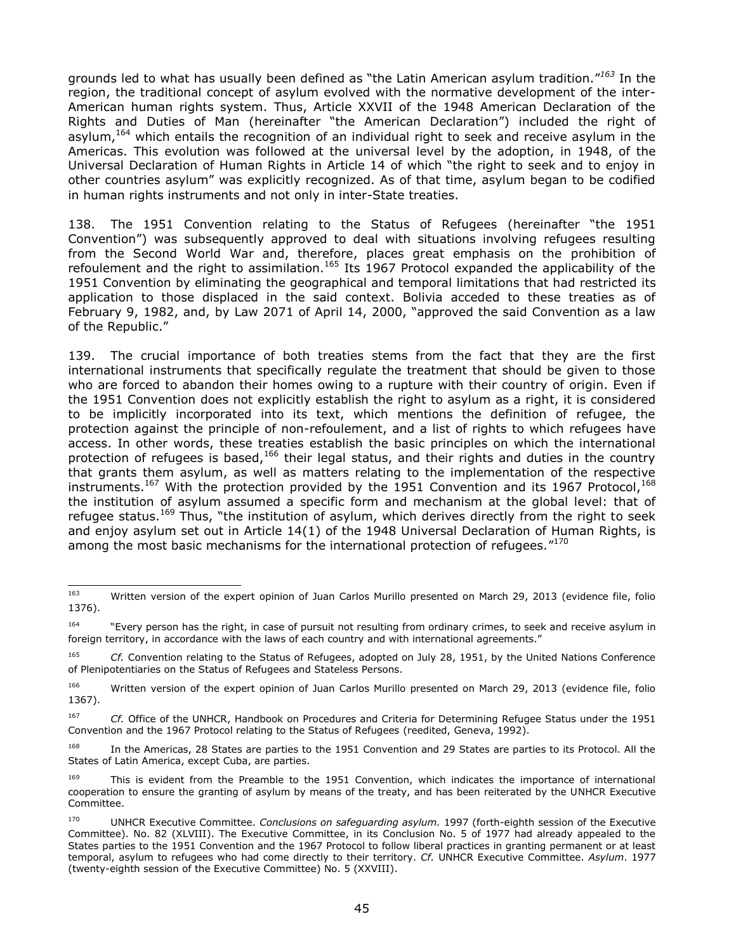grounds led to what has usually been defined as "the Latin American asylum tradition." *<sup>163</sup>* In the region, the traditional concept of asylum evolved with the normative development of the inter-American human rights system. Thus, Article XXVII of the 1948 American Declaration of the Rights and Duties of Man (hereinafter "the American Declaration") included the right of asylum,<sup>164</sup> which entails the recognition of an individual right to seek and receive asylum in the Americas. This evolution was followed at the universal level by the adoption, in 1948, of the Universal Declaration of Human Rights in Article 14 of which "the right to seek and to enjoy in other countries asylum" was explicitly recognized. As of that time, asylum began to be codified in human rights instruments and not only in inter-State treaties.

138. The 1951 Convention relating to the Status of Refugees (hereinafter "the 1951 Convention") was subsequently approved to deal with situations involving refugees resulting from the Second World War and, therefore, places great emphasis on the prohibition of refoulement and the right to assimilation.<sup>165</sup> Its 1967 Protocol expanded the applicability of the 1951 Convention by eliminating the geographical and temporal limitations that had restricted its application to those displaced in the said context. Bolivia acceded to these treaties as of February 9, 1982, and, by Law 2071 of April 14, 2000, "approved the said Convention as a law of the Republic."

139. The crucial importance of both treaties stems from the fact that they are the first international instruments that specifically regulate the treatment that should be given to those who are forced to abandon their homes owing to a rupture with their country of origin. Even if the 1951 Convention does not explicitly establish the right to asylum as a right, it is considered to be implicitly incorporated into its text, which mentions the definition of refugee, the protection against the principle of non-refoulement, and a list of rights to which refugees have access. In other words, these treaties establish the basic principles on which the international protection of refugees is based,<sup>166</sup> their legal status, and their rights and duties in the country that grants them asylum, as well as matters relating to the implementation of the respective instruments.<sup>167</sup> With the protection provided by the 1951 Convention and its 1967 Protocol,<sup>168</sup> the institution of asylum assumed a specific form and mechanism at the global level: that of refugee status.<sup>169</sup> Thus, "the institution of asylum, which derives directly from the right to seek and enjoy asylum set out in Article 14(1) of the 1948 Universal Declaration of Human Rights, is among the most basic mechanisms for the international protection of refugees." $^{170}$ 

<sup>163</sup> Written version of the expert opinion of Juan Carlos Murillo presented on March 29, 2013 (evidence file, folio 1376).

<sup>&</sup>lt;sup>164</sup> "Every person has the right, in case of pursuit not resulting from ordinary crimes, to seek and receive asylum in foreign territory, in accordance with the laws of each country and with international agreements."

<sup>165</sup> *Cf.* Convention relating to the Status of Refugees, adopted on July 28, 1951, by the United Nations Conference of Plenipotentiaries on the Status of Refugees and Stateless Persons.

<sup>166</sup> Written version of the expert opinion of Juan Carlos Murillo presented on March 29, 2013 (evidence file, folio 1367).

<sup>167</sup> *Cf.* Office of the UNHCR, Handbook on Procedures and Criteria for Determining Refugee Status under the 1951 Convention and the 1967 Protocol relating to the Status of Refugees (reedited, Geneva, 1992).

<sup>&</sup>lt;sup>168</sup> In the Americas, 28 States are parties to the 1951 Convention and 29 States are parties to its Protocol. All the States of Latin America, except Cuba, are parties.

This is evident from the Preamble to the 1951 Convention, which indicates the importance of international cooperation to ensure the granting of asylum by means of the treaty, and has been reiterated by the UNHCR Executive Committee.

<sup>170</sup> UNHCR Executive Committee. *Conclusions on safeguarding asylum.* 1997 (forth-eighth session of the Executive Committee). No. 82 (XLVIII). The Executive Committee, in its Conclusion No. 5 of 1977 had already appealed to the States parties to the 1951 Convention and the 1967 Protocol to follow liberal practices in granting permanent or at least temporal, asylum to refugees who had come directly to their territory. *Cf.* UNHCR Executive Committee. *Asylum*. 1977 (twenty-eighth session of the Executive Committee) No. 5 (XXVIII).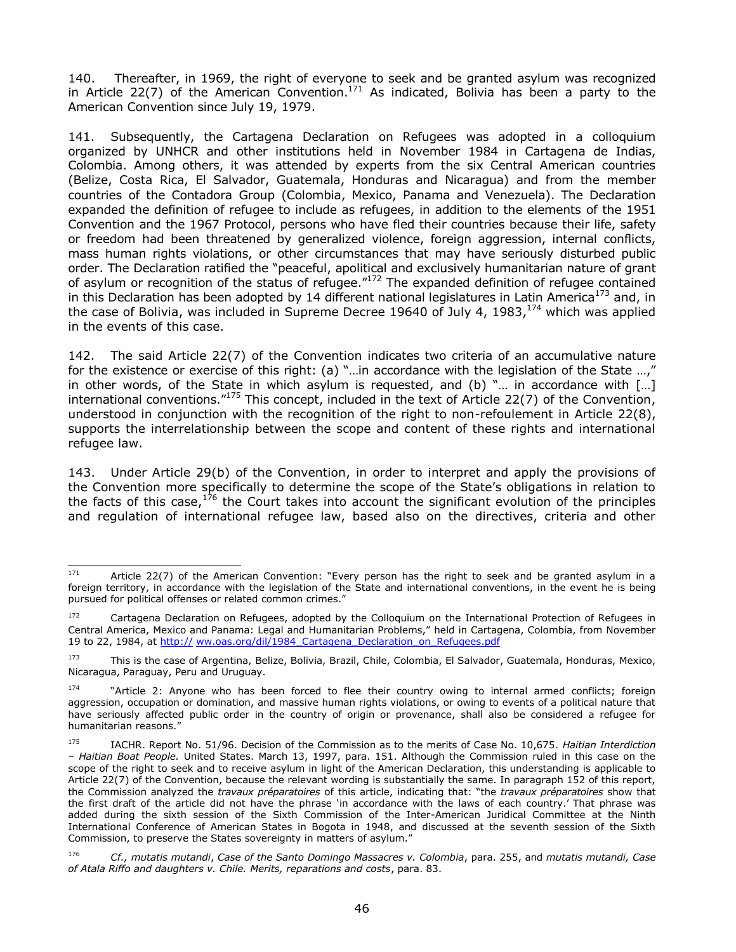140. Thereafter, in 1969, the right of everyone to seek and be granted asylum was recognized in Article 22(7) of the American Convention.<sup>171</sup> As indicated, Bolivia has been a party to the American Convention since July 19, 1979.

141. Subsequently, the Cartagena Declaration on Refugees was adopted in a colloquium organized by UNHCR and other institutions held in November 1984 in Cartagena de Indias, Colombia. Among others, it was attended by experts from the six Central American countries (Belize, Costa Rica, El Salvador, Guatemala, Honduras and Nicaragua) and from the member countries of the Contadora Group (Colombia, Mexico, Panama and Venezuela). The Declaration expanded the definition of refugee to include as refugees, in addition to the elements of the 1951 Convention and the 1967 Protocol, persons who have fled their countries because their life, safety or freedom had been threatened by generalized violence, foreign aggression, internal conflicts, mass human rights violations, or other circumstances that may have seriously disturbed public order. The Declaration ratified the "peaceful, apolitical and exclusively humanitarian nature of grant of asylum or recognition of the status of refugee."<sup>172</sup> The expanded definition of refugee contained in this Declaration has been adopted by 14 different national legislatures in Latin America<sup>173</sup> and, in the case of Bolivia, was included in Supreme Decree 19640 of July 4, 1983,<sup>174</sup> which was applied in the events of this case.

142. The said Article 22(7) of the Convention indicates two criteria of an accumulative nature for the existence or exercise of this right: (a) "…in accordance with the legislation of the State …," in other words, of the State in which asylum is requested, and (b) "… in accordance with […] international conventions."<sup>175</sup> This concept, included in the text of Article 22(7) of the Convention, understood in conjunction with the recognition of the right to non-refoulement in Article 22(8), supports the interrelationship between the scope and content of these rights and international refugee law.

143. Under Article 29(b) of the Convention, in order to interpret and apply the provisions of the Convention more specifically to determine the scope of the State's obligations in relation to the facts of this case,  $176$  the Court takes into account the significant evolution of the principles and regulation of international refugee law, based also on the directives, criteria and other

<sup>171</sup> Article 22(7) of the American Convention: "Every person has the right to seek and be granted asylum in a foreign territory, in accordance with the legislation of the State and international conventions, in the event he is being pursued for political offenses or related common crimes."

<sup>172</sup> Cartagena Declaration on Refugees, adopted by the Colloquium on the International Protection of Refugees in Central America, Mexico and Panama: Legal and Humanitarian Problems," held in Cartagena, Colombia, from November 19 to 22, 1984, at http:// [ww.oas.org/dil/1984\\_Cartagena\\_Declaration\\_on\\_Refugees.pdf](http://www.refworld.org/cgibin/texis/vtx/rwmain/opendocpdf.pdf?reldoc=y&docid=50ac93722) 

<sup>173</sup> This is the case of Argentina, Belize, Bolivia, Brazil, Chile, Colombia, El Salvador, Guatemala, Honduras, Mexico, Nicaragua, Paraguay, Peru and Uruguay.

<sup>174</sup> "Article 2: Anyone who has been forced to flee their country owing to internal armed conflicts; foreign aggression, occupation or domination, and massive human rights violations, or owing to events of a political nature that have seriously affected public order in the country of origin or provenance, shall also be considered a refugee for humanitarian reasons."

<sup>175</sup> IACHR. Report No. 51/96. Decision of the Commission as to the merits of Case No. 10,675. *Haitian Interdiction – Haitian Boat People.* United States. March 13, 1997, para. 151. Although the Commission ruled in this case on the scope of the right to seek and to receive asylum in light of the American Declaration, this understanding is applicable to Article 22(7) of the Convention, because the relevant wording is substantially the same. In paragraph 152 of this report, the Commission analyzed the *travaux préparatoires* of this article, indicating that: "the *travaux préparatoires* show that the first draft of the article did not have the phrase 'in accordance with the laws of each country.' That phrase was added during the sixth session of the Sixth Commission of the Inter-American Juridical Committee at the Ninth International Conference of American States in Bogota in 1948, and discussed at the seventh session of the Sixth Commission, to preserve the States sovereignty in matters of asylum."

<sup>176</sup> *Cf., mutatis mutandi*, *Case of the Santo Domingo Massacres v. Colombia*, para. 255, and *mutatis mutandi, Case of Atala Riffo and daughters v. Chile. Merits, reparations and costs*, para. 83.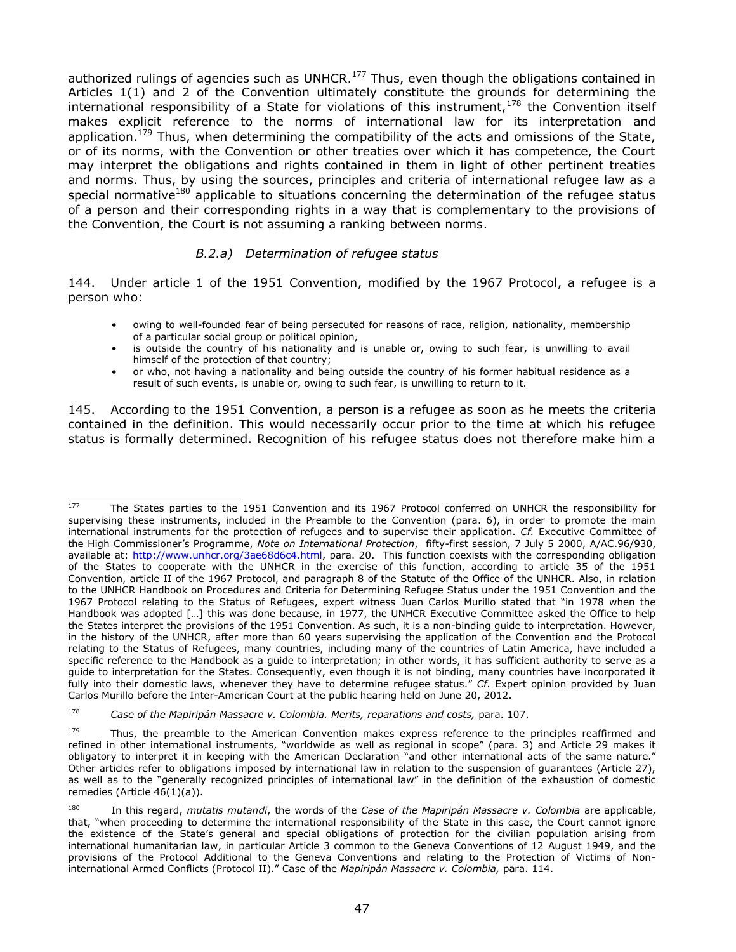authorized rulings of agencies such as UNHCR.<sup>177</sup> Thus, even though the obligations contained in Articles 1(1) and 2 of the Convention ultimately constitute the grounds for determining the international responsibility of a State for violations of this instrument,  $178$  the Convention itself makes explicit reference to the norms of international law for its interpretation and application.<sup>179</sup> Thus, when determining the compatibility of the acts and omissions of the State, or of its norms, with the Convention or other treaties over which it has competence, the Court may interpret the obligations and rights contained in them in light of other pertinent treaties and norms. Thus, by using the sources, principles and criteria of international refugee law as a special normative<sup>180</sup> applicable to situations concerning the determination of the refugee status of a person and their corresponding rights in a way that is complementary to the provisions of the Convention, the Court is not assuming a ranking between norms.

#### *B.2.a) Determination of refugee status*

144. Under article 1 of the 1951 Convention, modified by the 1967 Protocol, a refugee is a person who:

- owing to well-founded fear of being persecuted for reasons of race, religion, nationality, membership of a particular social group or political opinion,
- is outside the country of his nationality and is unable or, owing to such fear, is unwilling to avail himself of the protection of that country;
- or who, not having a nationality and being outside the country of his former habitual residence as a result of such events, is unable or, owing to such fear, is unwilling to return to it.

145. According to the 1951 Convention, a person is a refugee as soon as he meets the criteria contained in the definition. This would necessarily occur prior to the time at which his refugee status is formally determined. Recognition of his refugee status does not therefore make him a

 $\overline{\phantom{0}}$ 

The States parties to the 1951 Convention and its 1967 Protocol conferred on UNHCR the responsibility for supervising these instruments, included in the Preamble to the Convention (para. 6), in order to promote the main international instruments for the protection of refugees and to supervise their application. *Cf.* Executive Committee of the High Commissioner's Programme, *Note on International Protection*, fifty-first session, 7 July 5 2000, A/AC.96/930, available at: [http://www.unhcr.org/3ae68d6c4.html,](http://www.unhcr.org/3ae68d6c4.html) para. 20. This function coexists with the corresponding obligation of the States to cooperate with the UNHCR in the exercise of this function, according to article 35 of the 1951 Convention, article II of the 1967 Protocol, and paragraph 8 of the Statute of the Office of the UNHCR. Also, in relation to the UNHCR Handbook on Procedures and Criteria for Determining Refugee Status under the 1951 Convention and the 1967 Protocol relating to the Status of Refugees, expert witness Juan Carlos Murillo stated that "in 1978 when the Handbook was adopted […] this was done because, in 1977, the UNHCR Executive Committee asked the Office to help the States interpret the provisions of the 1951 Convention. As such, it is a non-binding guide to interpretation. However, in the history of the UNHCR, after more than 60 years supervising the application of the Convention and the Protocol relating to the Status of Refugees, many countries, including many of the countries of Latin America, have included a specific reference to the Handbook as a guide to interpretation; in other words, it has sufficient authority to serve as a guide to interpretation for the States. Consequently, even though it is not binding, many countries have incorporated it fully into their domestic laws, whenever they have to determine refugee status." *Cf.* Expert opinion provided by Juan Carlos Murillo before the Inter-American Court at the public hearing held on June 20, 2012.

<sup>178</sup> *Case of the Mapiripán Massacre v. Colombia. Merits, reparations and costs,* para. 107.

<sup>&</sup>lt;sup>179</sup> Thus, the preamble to the American Convention makes express reference to the principles reaffirmed and refined in other international instruments, "worldwide as well as regional in scope" (para. 3) and Article 29 makes it obligatory to interpret it in keeping with the American Declaration "and other international acts of the same nature." Other articles refer to obligations imposed by international law in relation to the suspension of guarantees (Article 27), as well as to the "generally recognized principles of international law" in the definition of the exhaustion of domestic remedies (Article 46(1)(a)).

<sup>180</sup> In this regard, *mutatis mutandi*, the words of the *Case of the Mapiripán Massacre v. Colombia* are applicable, that, "when proceeding to determine the international responsibility of the State in this case, the Court cannot ignore the existence of the State's general and special obligations of protection for the civilian population arising from international humanitarian law, in particular Article 3 common to the Geneva Conventions of 12 August 1949, and the provisions of the Protocol Additional to the Geneva Conventions and relating to the Protection of Victims of Noninternational Armed Conflicts (Protocol II)." Case of the *Mapiripán Massacre v. Colombia,* para. 114.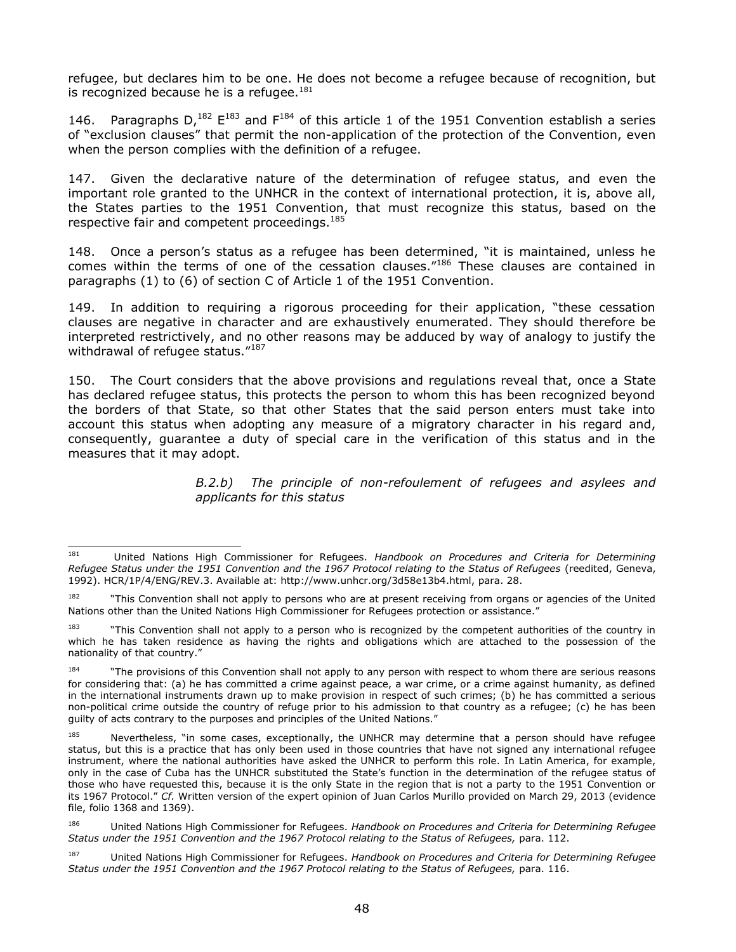refugee, but declares him to be one. He does not become a refugee because of recognition, but is recognized because he is a refugee.<sup>181</sup>

146. Paragraphs  $D<sub>1</sub><sup>182</sup> E<sup>183</sup>$  and  $F<sup>184</sup>$  of this article 1 of the 1951 Convention establish a series of "exclusion clauses" that permit the non-application of the protection of the Convention, even when the person complies with the definition of a refugee.

147. Given the declarative nature of the determination of refugee status, and even the important role granted to the UNHCR in the context of international protection, it is, above all, the States parties to the 1951 Convention, that must recognize this status, based on the respective fair and competent proceedings.<sup>185</sup>

148. Once a person's status as a refugee has been determined, "it is maintained, unless he comes within the terms of one of the cessation clauses."<sup>186</sup> These clauses are contained in paragraphs (1) to (6) of section C of Article 1 of the 1951 Convention.

149. In addition to requiring a rigorous proceeding for their application, "these cessation clauses are negative in character and are exhaustively enumerated. They should therefore be interpreted restrictively, and no other reasons may be adduced by way of analogy to justify the withdrawal of refugee status."<sup>187</sup>

150. The Court considers that the above provisions and regulations reveal that, once a State has declared refugee status, this protects the person to whom this has been recognized beyond the borders of that State, so that other States that the said person enters must take into account this status when adopting any measure of a migratory character in his regard and, consequently, guarantee a duty of special care in the verification of this status and in the measures that it may adopt.

> *B.2.b) The principle of non-refoulement of refugees and asylees and applicants for this status*

<sup>181</sup> <sup>181</sup> United Nations High Commissioner for Refugees. *Handbook on Procedures and Criteria for Determining Refugee Status under the 1951 Convention and the 1967 Protocol relating to the Status of Refugees* (reedited, Geneva, 1992). HCR/1P/4/ENG/REV.3. Available at: http://www.unhcr.org/3d58e13b4.html, para. 28.

<sup>&</sup>lt;sup>182</sup> "This Convention shall not apply to persons who are at present receiving from organs or agencies of the United Nations other than the United Nations High Commissioner for Refugees protection or assistance."

<sup>&</sup>lt;sup>183</sup> "This Convention shall not apply to a person who is recognized by the competent authorities of the country in which he has taken residence as having the rights and obligations which are attached to the possession of the nationality of that country."

<sup>&</sup>lt;sup>184</sup> "The provisions of this Convention shall not apply to any person with respect to whom there are serious reasons for considering that: (a) he has committed a crime against peace, a war crime, or a crime against humanity, as defined in the international instruments drawn up to make provision in respect of such crimes; (b) he has committed a serious non-political crime outside the country of refuge prior to his admission to that country as a refugee; (c) he has been guilty of acts contrary to the purposes and principles of the United Nations."

<sup>&</sup>lt;sup>185</sup> Nevertheless, "in some cases, exceptionally, the UNHCR may determine that a person should have refugee status, but this is a practice that has only been used in those countries that have not signed any international refugee instrument, where the national authorities have asked the UNHCR to perform this role. In Latin America, for example, only in the case of Cuba has the UNHCR substituted the State's function in the determination of the refugee status of those who have requested this, because it is the only State in the region that is not a party to the 1951 Convention or its 1967 Protocol." *Cf.* Written version of the expert opinion of Juan Carlos Murillo provided on March 29, 2013 (evidence file, folio 1368 and 1369).

<sup>186</sup> United Nations High Commissioner for Refugees. *Handbook on Procedures and Criteria for Determining Refugee Status under the 1951 Convention and the 1967 Protocol relating to the Status of Refugees,* para. 112.

<sup>187</sup> United Nations High Commissioner for Refugees. *Handbook on Procedures and Criteria for Determining Refugee Status under the 1951 Convention and the 1967 Protocol relating to the Status of Refugees,* para. 116.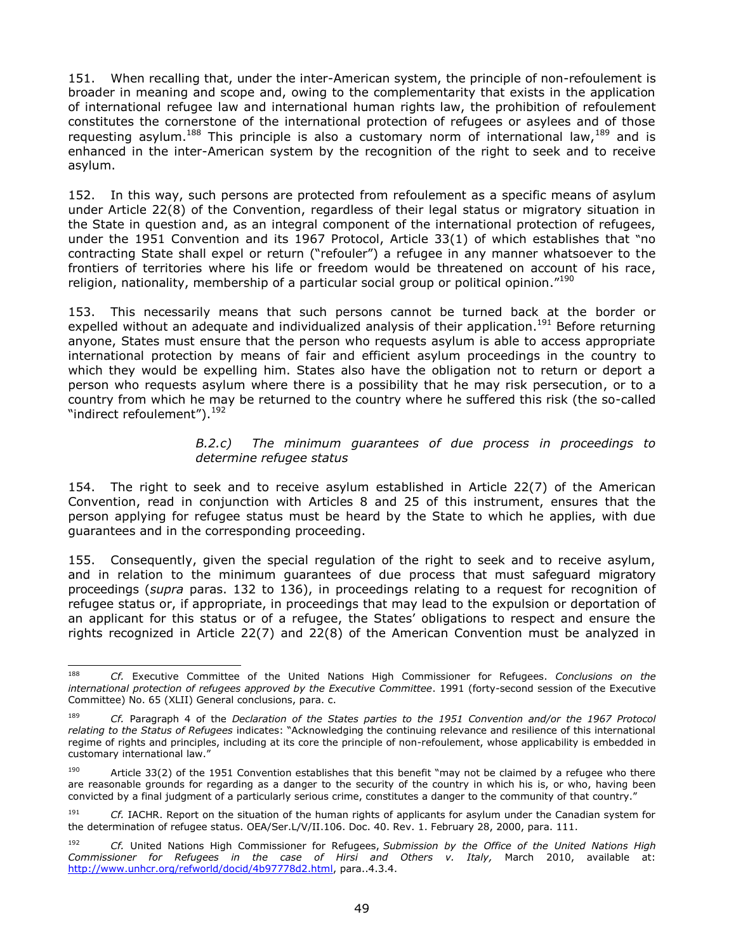151. When recalling that, under the inter-American system, the principle of non-refoulement is broader in meaning and scope and, owing to the complementarity that exists in the application of international refugee law and international human rights law, the prohibition of refoulement constitutes the cornerstone of the international protection of refugees or asylees and of those requesting asylum.<sup>188</sup> This principle is also a customary norm of international law,  $189$  and is enhanced in the inter-American system by the recognition of the right to seek and to receive asylum.

152. In this way, such persons are protected from refoulement as a specific means of asylum under Article 22(8) of the Convention, regardless of their legal status or migratory situation in the State in question and, as an integral component of the international protection of refugees, under the 1951 Convention and its 1967 Protocol, Article 33(1) of which establishes that "no contracting State shall expel or return ("refouler") a refugee in any manner whatsoever to the frontiers of territories where his life or freedom would be threatened on account of his race, religion, nationality, membership of a particular social group or political opinion."<sup>190</sup>

153. This necessarily means that such persons cannot be turned back at the border or expelled without an adequate and individualized analysis of their application.<sup>191</sup> Before returning anyone, States must ensure that the person who requests asylum is able to access appropriate international protection by means of fair and efficient asylum proceedings in the country to which they would be expelling him. States also have the obligation not to return or deport a person who requests asylum where there is a possibility that he may risk persecution, or to a country from which he may be returned to the country where he suffered this risk (the so-called "indirect refoulement").<sup>192</sup>

### *B.2.c) The minimum guarantees of due process in proceedings to determine refugee status*

154. The right to seek and to receive asylum established in Article 22(7) of the American Convention, read in conjunction with Articles 8 and 25 of this instrument, ensures that the person applying for refugee status must be heard by the State to which he applies, with due guarantees and in the corresponding proceeding.

155. Consequently, given the special regulation of the right to seek and to receive asylum, and in relation to the minimum guarantees of due process that must safeguard migratory proceedings (*supra* paras. 132 to 136), in proceedings relating to a request for recognition of refugee status or, if appropriate, in proceedings that may lead to the expulsion or deportation of an applicant for this status or of a refugee, the States' obligations to respect and ensure the rights recognized in Article 22(7) and 22(8) of the American Convention must be analyzed in

<sup>188</sup> <sup>188</sup> *Cf.* Executive Committee of the United Nations High Commissioner for Refugees. *Conclusions on the international protection of refugees approved by the Executive Committee*. 1991 (forty-second session of the Executive Committee) No. 65 (XLII) General conclusions, para. c.

<sup>189</sup> *Cf.* Paragraph 4 of the *Declaration of the States parties to the 1951 Convention and/or the 1967 Protocol relating to the Status of Refugees* indicates: "Acknowledging the continuing relevance and resilience of this international regime of rights and principles, including at its core the principle of non-refoulement, whose applicability is embedded in customary international law."

<sup>&</sup>lt;sup>190</sup> Article 33(2) of the 1951 Convention establishes that this benefit "may not be claimed by a refugee who there are reasonable grounds for regarding as a danger to the security of the country in which his is, or who, having been convicted by a final judgment of a particularly serious crime, constitutes a danger to the community of that country."

<sup>191</sup> *Cf.* IACHR. Report on the situation of the human rights of applicants for asylum under the Canadian system for the determination of refugee status. OEA/Ser.L/V/II.106. Doc. 40. Rev. 1. February 28, 2000, para. 111.

<sup>192</sup> *Cf.* United Nations High Commissioner for Refugees, *Submission by the Office of the United Nations High Commissioner for Refugees in the case of Hirsi and Others v. Italy,* March 2010, available at: [http://www.unhcr.org/refworld/docid/4b97778d2.html,](http://www.unhcr.org/refworld/docid/4b97778d2.html) para..4.3.4.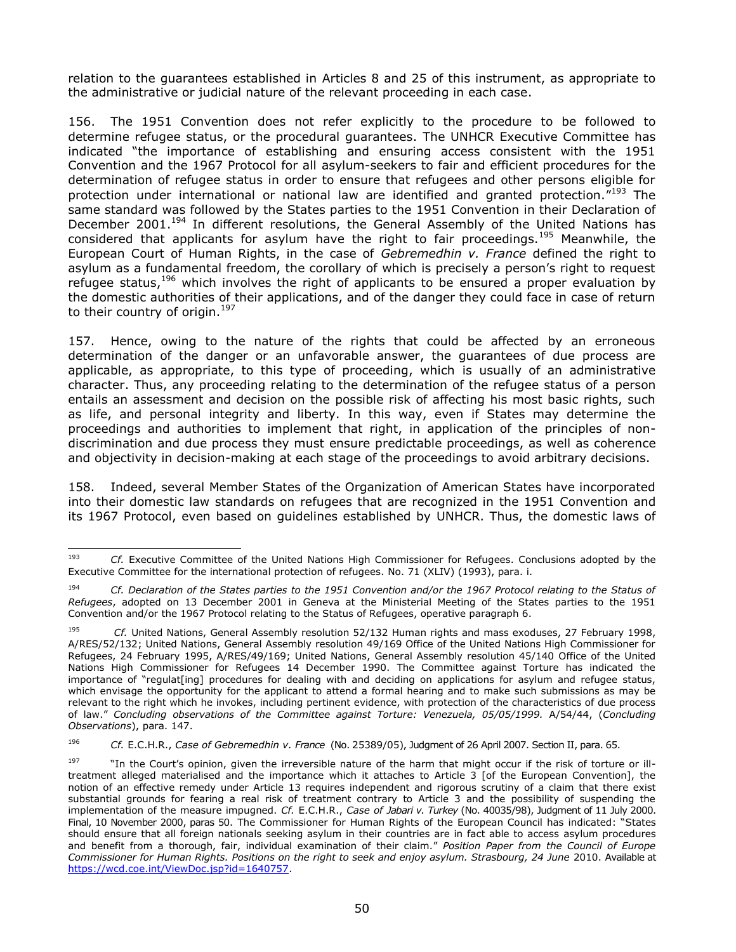relation to the guarantees established in Articles 8 and 25 of this instrument, as appropriate to the administrative or judicial nature of the relevant proceeding in each case.

156. The 1951 Convention does not refer explicitly to the procedure to be followed to determine refugee status, or the procedural guarantees. The UNHCR Executive Committee has indicated "the importance of establishing and ensuring access consistent with the 1951 Convention and the 1967 Protocol for all asylum-seekers to fair and efficient procedures for the determination of refugee status in order to ensure that refugees and other persons eligible for protection under international or national law are identified and granted protection."<sup>193</sup> The same standard was followed by the States parties to the 1951 Convention in their Declaration of December 2001.<sup>194</sup> In different resolutions, the General Assembly of the United Nations has considered that applicants for asylum have the right to fair proceedings.<sup>195</sup> Meanwhile, the European Court of Human Rights, in the case of *Gebremedhin v. France* defined the right to asylum as a fundamental freedom, the corollary of which is precisely a person's right to request refugee status,  $196$  which involves the right of applicants to be ensured a proper evaluation by the domestic authorities of their applications, and of the danger they could face in case of return to their country of origin. $197$ 

157. Hence, owing to the nature of the rights that could be affected by an erroneous determination of the danger or an unfavorable answer, the guarantees of due process are applicable, as appropriate, to this type of proceeding, which is usually of an administrative character. Thus, any proceeding relating to the determination of the refugee status of a person entails an assessment and decision on the possible risk of affecting his most basic rights, such as life, and personal integrity and liberty. In this way, even if States may determine the proceedings and authorities to implement that right, in application of the principles of nondiscrimination and due process they must ensure predictable proceedings, as well as coherence and objectivity in decision-making at each stage of the proceedings to avoid arbitrary decisions.

158. Indeed, several Member States of the Organization of American States have incorporated into their domestic law standards on refugees that are recognized in the 1951 Convention and its 1967 Protocol, even based on guidelines established by UNHCR. Thus, the domestic laws of

<sup>193</sup> <sup>193</sup> *Cf.* Executive Committee of the United Nations High Commissioner for Refugees. Conclusions adopted by the Executive Committee for the international protection of refugees. No. 71 (XLIV) (1993), para. i.

<sup>194</sup> *Cf. Declaration of the States parties to the 1951 Convention and/or the 1967 Protocol relating to the Status of Refugees*, adopted on 13 December 2001 in Geneva at the Ministerial Meeting of the States parties to the 1951 Convention and/or the 1967 Protocol relating to the Status of Refugees, operative paragraph 6.

<sup>195</sup> *Cf.* United Nations, General Assembly resolution 52/132 Human rights and mass exoduses, 27 February 1998, A/RES/52/132; United Nations, General Assembly resolution 49/169 Office of the United Nations High Commissioner for Refugees, 24 February 1995, A/RES/49/169; United Nations, General Assembly resolution 45/140 Office of the United Nations High Commissioner for Refugees 14 December 1990. The Committee against Torture has indicated the importance of "regulat[ing] procedures for dealing with and deciding on applications for asylum and refugee status, which envisage the opportunity for the applicant to attend a formal hearing and to make such submissions as may be relevant to the right which he invokes, including pertinent evidence, with protection of the characteristics of due process of law." *Concluding observations of the Committee against Torture: Venezuela, 05/05/1999.* A/54/44, (*Concluding Observations*), para. 147.

<sup>196</sup> *Cf.* E.C.H.R., *Case of Gebremedhin v. France* (No. 25389/05), Judgment of 26 April 2007. Section II, para. 65.

<sup>197</sup> "In the Court's opinion, given the irreversible nature of the harm that might occur if the risk of torture or illtreatment alleged materialised and the importance which it attaches to Article 3 [of the European Convention], the notion of an effective remedy under Article 13 requires independent and rigorous scrutiny of a claim that there exist substantial grounds for fearing a real risk of treatment contrary to Article 3 and the possibility of suspending the implementation of the measure impugned. *Cf.* E.C.H.R., *Case of Jabari v. Turkey* (No. 40035/98), Judgment of 11 July 2000. Final, 10 November 2000, paras 50. The Commissioner for Human Rights of the European Council has indicated: "States should ensure that all foreign nationals seeking asylum in their countries are in fact able to access asylum procedures and benefit from a thorough, fair, individual examination of their claim." *Position Paper from the Council of Europe Commissioner for Human Rights. Positions on the right to seek and enjoy asylum. Strasbourg, 24 June* 2010. Available at [https://wcd.coe.int/ViewDoc.jsp?id=1640757.](https://wcd.coe.int/ViewDoc.jsp?id=1640757)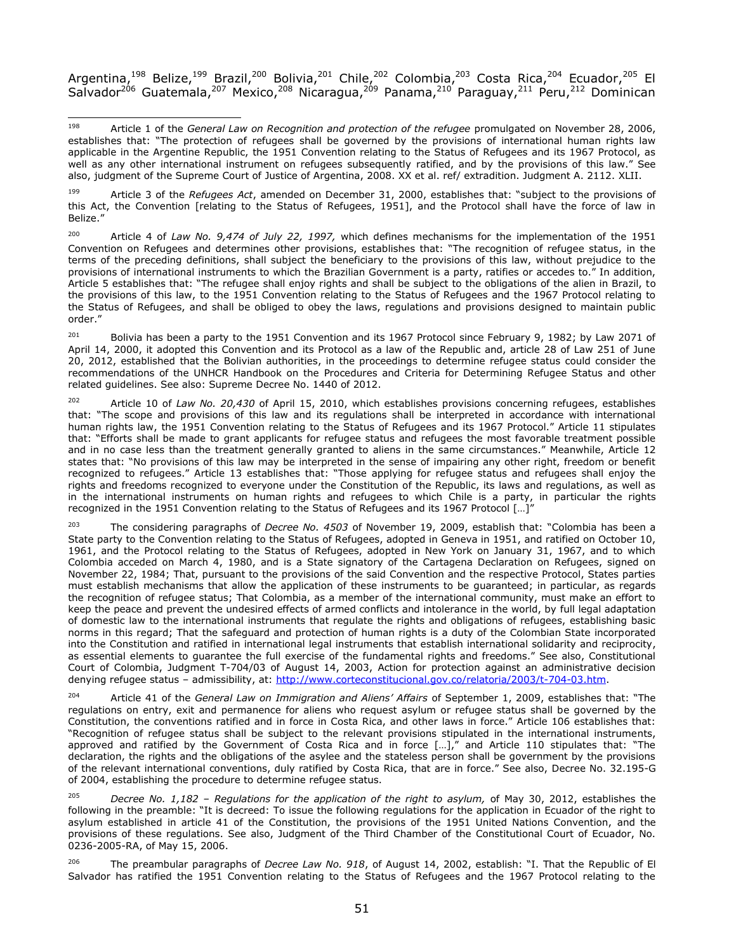Argentina,<sup>198</sup> Belize,<sup>199</sup> Brazil,<sup>200</sup> Bolivia,<sup>201</sup> Chile,<sup>202</sup> Colombia,<sup>203</sup> Costa Rica,<sup>204</sup> Ecuador,<sup>205</sup> El Salvador<sup>206</sup> Guatemala,<sup>207</sup> Mexico,<sup>208</sup> Nicaragua,<sup>209</sup> Panama,<sup>210</sup> Paraguay,<sup>211</sup> Peru,<sup>212</sup> Dominican

<sup>199</sup> Article 3 of the *Refugees Act*, amended on December 31, 2000, establishes that: "subject to the provisions of this Act, the Convention [relating to the Status of Refugees, 1951], and the Protocol shall have the force of law in Belize."

<sup>200</sup> Article 4 of *Law No. 9,474 of July 22, 1997,* which defines mechanisms for the implementation of the 1951 Convention on Refugees and determines other provisions, establishes that: "The recognition of refugee status, in the terms of the preceding definitions, shall subject the beneficiary to the provisions of this law, without prejudice to the provisions of international instruments to which the Brazilian Government is a party, ratifies or accedes to." In addition, Article 5 establishes that: "The refugee shall enjoy rights and shall be subject to the obligations of the alien in Brazil, to the provisions of this law, to the 1951 Convention relating to the Status of Refugees and the 1967 Protocol relating to the Status of Refugees, and shall be obliged to obey the laws, regulations and provisions designed to maintain public order."

<sup>201</sup> Bolivia has been a party to the 1951 Convention and its 1967 Protocol since February 9, 1982; by Law 2071 of April 14, 2000, it adopted this Convention and its Protocol as a law of the Republic and, article 28 of Law 251 of June 20, 2012, established that the Bolivian authorities, in the proceedings to determine refugee status could consider the recommendations of the UNHCR Handbook on the Procedures and Criteria for Determining Refugee Status and other related guidelines. See also: Supreme Decree No. 1440 of 2012.

<sup>202</sup> Article 10 of *Law No. 20,430* of April 15, 2010, which establishes provisions concerning refugees, establishes that: "The scope and provisions of this law and its regulations shall be interpreted in accordance with international human rights law, the 1951 Convention relating to the Status of Refugees and its 1967 Protocol." Article 11 stipulates that: "Efforts shall be made to grant applicants for refugee status and refugees the most favorable treatment possible and in no case less than the treatment generally granted to aliens in the same circumstances." Meanwhile, Article 12 states that: "No provisions of this law may be interpreted in the sense of impairing any other right, freedom or benefit recognized to refugees." Article 13 establishes that: "Those applying for refugee status and refugees shall enjoy the rights and freedoms recognized to everyone under the Constitution of the Republic, its laws and regulations, as well as in the international instruments on human rights and refugees to which Chile is a party, in particular the rights recognized in the 1951 Convention relating to the Status of Refugees and its 1967 Protocol […]"

<sup>203</sup> The considering paragraphs of *Decree No. 4503* of November 19, 2009, establish that: "Colombia has been a State party to the Convention relating to the Status of Refugees, adopted in Geneva in 1951, and ratified on October 10, 1961, and the Protocol relating to the Status of Refugees, adopted in New York on January 31, 1967, and to which Colombia acceded on March 4, 1980, and is a State signatory of the Cartagena Declaration on Refugees, signed on November 22, 1984; That, pursuant to the provisions of the said Convention and the respective Protocol, States parties must establish mechanisms that allow the application of these instruments to be guaranteed; in particular, as regards the recognition of refugee status; That Colombia, as a member of the international community, must make an effort to keep the peace and prevent the undesired effects of armed conflicts and intolerance in the world, by full legal adaptation of domestic law to the international instruments that regulate the rights and obligations of refugees, establishing basic norms in this regard; That the safeguard and protection of human rights is a duty of the Colombian State incorporated into the Constitution and ratified in international legal instruments that establish international solidarity and reciprocity, as essential elements to guarantee the full exercise of the fundamental rights and freedoms." See also, Constitutional Court of Colombia, Judgment T-704/03 of August 14, 2003, Action for protection against an administrative decision denying refugee status - admissibility, at: [http://www.corteconstitucional.gov.co/relatoria/2003/t-704-03.htm.](http://www.corteconstitucional.gov.co/relatoria/2003/t-704-03.htm)

<sup>204</sup> Article 41 of the *General Law on Immigration and Aliens' Affairs* of September 1, 2009, establishes that: "The regulations on entry, exit and permanence for aliens who request asylum or refugee status shall be governed by the Constitution, the conventions ratified and in force in Costa Rica, and other laws in force." Article 106 establishes that: "Recognition of refugee status shall be subject to the relevant provisions stipulated in the international instruments, approved and ratified by the Government of Costa Rica and in force […]," and Article 110 stipulates that: "The declaration, the rights and the obligations of the asylee and the stateless person shall be government by the provisions of the relevant international conventions, duly ratified by Costa Rica, that are in force." See also, Decree No. 32.195-G of 2004, establishing the procedure to determine refugee status.

<sup>205</sup> *Decree No. 1,182 – Regulations for the application of the right to asylum,* of May 30, 2012, establishes the following in the preamble: "It is decreed: To issue the following regulations for the application in Ecuador of the right to asylum established in article 41 of the Constitution, the provisions of the 1951 United Nations Convention, and the provisions of these regulations. See also, Judgment of the Third Chamber of the Constitutional Court of Ecuador, No. 0236-2005-RA, of May 15, 2006.

<sup>206</sup> The preambular paragraphs of *Decree Law No. 918*, of August 14, 2002, establish: "I. That the Republic of El Salvador has ratified the 1951 Convention relating to the Status of Refugees and the 1967 Protocol relating to the

<sup>198</sup> <sup>198</sup> Article 1 of the *General Law on Recognition and protection of the refugee* promulgated on November 28, 2006, establishes that: "The protection of refugees shall be governed by the provisions of international human rights law applicable in the Argentine Republic, the 1951 Convention relating to the Status of Refugees and its 1967 Protocol, as well as any other international instrument on refugees subsequently ratified, and by the provisions of this law." See also, judgment of the Supreme Court of Justice of Argentina, 2008. XX et al. ref/ extradition. Judgment A. 2112. XLII.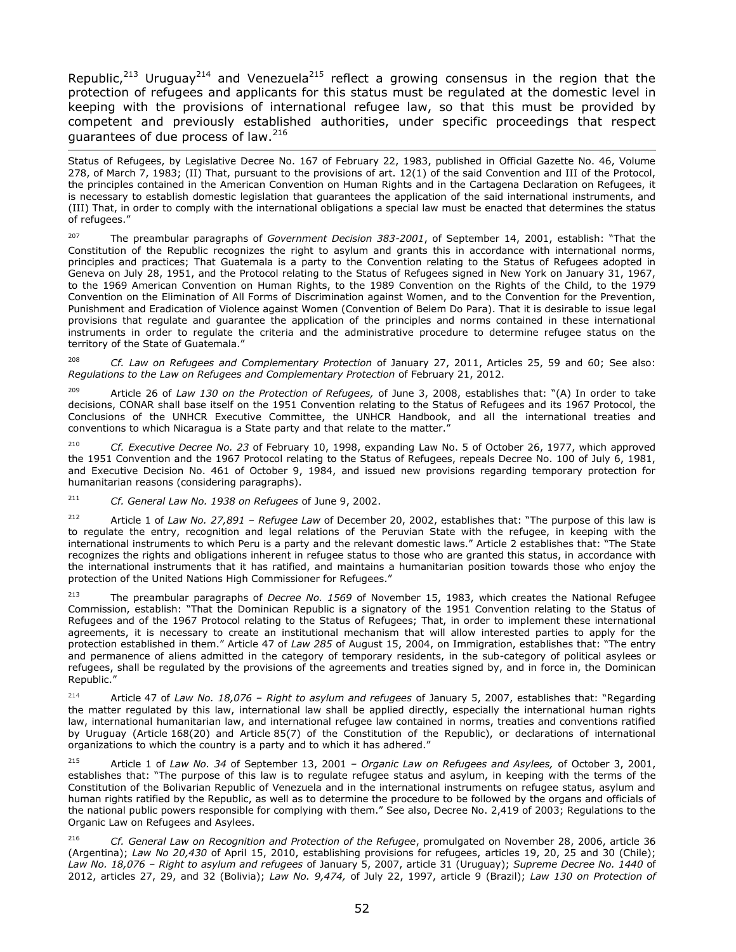Republic,<sup>213</sup> Uruguay<sup>214</sup> and Venezuela<sup>215</sup> reflect a growing consensus in the region that the protection of refugees and applicants for this status must be regulated at the domestic level in keeping with the provisions of international refugee law, so that this must be provided by competent and previously established authorities, under specific proceedings that respect guarantees of due process of law.<sup>216</sup>

j Status of Refugees, by Legislative Decree No. 167 of February 22, 1983, published in Official Gazette No. 46, Volume 278, of March 7, 1983; (II) That, pursuant to the provisions of art. 12(1) of the said Convention and III of the Protocol, the principles contained in the American Convention on Human Rights and in the Cartagena Declaration on Refugees, it is necessary to establish domestic legislation that guarantees the application of the said international instruments, and (III) That, in order to comply with the international obligations a special law must be enacted that determines the status of refugees."

<sup>207</sup> The preambular paragraphs of *Government Decision 383-2001*, of September 14, 2001, establish: "That the Constitution of the Republic recognizes the right to asylum and grants this in accordance with international norms, principles and practices; That Guatemala is a party to the Convention relating to the Status of Refugees adopted in Geneva on July 28, 1951, and the Protocol relating to the Status of Refugees signed in New York on January 31, 1967, to the 1969 American Convention on Human Rights, to the 1989 Convention on the Rights of the Child, to the 1979 Convention on the Elimination of All Forms of Discrimination against Women, and to the Convention for the Prevention, Punishment and Eradication of Violence against Women (Convention of Belem Do Para). That it is desirable to issue legal provisions that regulate and guarantee the application of the principles and norms contained in these international instruments in order to regulate the criteria and the administrative procedure to determine refugee status on the territory of the State of Guatemala."

<sup>208</sup> *Cf. Law on Refugees and Complementary Protection* of January 27, 2011, Articles 25, 59 and 60; See also: *Regulations to the Law on Refugees and Complementary Protection* of February 21, 2012.

<sup>209</sup> Article 26 of *Law 130 on the Protection of Refugees,* of June 3, 2008, establishes that: "(A) In order to take decisions, CONAR shall base itself on the 1951 Convention relating to the Status of Refugees and its 1967 Protocol, the Conclusions of the UNHCR Executive Committee, the UNHCR Handbook, and all the international treaties and conventions to which Nicaragua is a State party and that relate to the matter."

<sup>210</sup> *Cf. Executive Decree No. 23* of February 10, 1998, expanding Law No. 5 of October 26, 1977, which approved the 1951 Convention and the 1967 Protocol relating to the Status of Refugees, repeals Decree No. 100 of July 6, 1981, and Executive Decision No. 461 of October 9, 1984, and issued new provisions regarding temporary protection for humanitarian reasons (considering paragraphs).

<sup>211</sup> *Cf. General Law No. 1938 on Refugees* of June 9, 2002.

<sup>212</sup> Article 1 of *Law No. 27,891 – Refugee Law* of December 20, 2002, establishes that: "The purpose of this law is to regulate the entry, recognition and legal relations of the Peruvian State with the refugee, in keeping with the international instruments to which Peru is a party and the relevant domestic laws." Article 2 establishes that: "The State recognizes the rights and obligations inherent in refugee status to those who are granted this status, in accordance with the international instruments that it has ratified, and maintains a humanitarian position towards those who enjoy the protection of the United Nations High Commissioner for Refugees."

<sup>213</sup> The preambular paragraphs of *Decree No. 1569* of November 15, 1983, which creates the National Refugee Commission, establish: "That the Dominican Republic is a signatory of the 1951 Convention relating to the Status of Refugees and of the 1967 Protocol relating to the Status of Refugees; That, in order to implement these international agreements, it is necessary to create an institutional mechanism that will allow interested parties to apply for the protection established in them." Article 47 of *Law 285* of August 15, 2004, on Immigration, establishes that: "The entry and permanence of aliens admitted in the category of temporary residents, in the sub-category of political asylees or refugees, shall be regulated by the provisions of the agreements and treaties signed by, and in force in, the Dominican Republic."

<sup>214</sup> Article 47 of *Law No. 18,076 – Right to asylum and refugees* of January 5, 2007, establishes that: "Regarding the matter regulated by this law, international law shall be applied directly, especially the international human rights law, international humanitarian law, and international refugee law contained in norms, treaties and conventions ratified by Uruguay [\(Article](http://200.40.229.134/constituciones/const004.htm#art168) 168(20) and [Article](http://200.40.229.134/constituciones/const004.htm#art85) 85(7) of the Constitution of the Republic), or declarations of international organizations to which the country is a party and to which it has adhered."

<sup>215</sup> Article 1 of *Law No. 34* of September 13, 2001 *– Organic Law on Refugees and Asylees,* of October 3, 2001, establishes that: "The purpose of this law is to regulate refugee status and asylum, in keeping with the terms of the Constitution of the Bolivarian Republic of Venezuela and in the international instruments on refugee status, asylum and human rights ratified by the Republic, as well as to determine the procedure to be followed by the organs and officials of the national public powers responsible for complying with them." See also, Decree No. 2,419 of 2003; Regulations to the Organic Law on Refugees and Asylees.

<sup>216</sup> *Cf. General Law on Recognition and Protection of the Refugee*, promulgated on November 28, 2006, article 36 (Argentina); *Law No 20,430* of April 15, 2010, establishing provisions for refugees, articles 19, 20, 25 and 30 (Chile); *Law No. 18,076 – Right to asylum and refugees* of January 5, 2007, article 31 (Uruguay); *Supreme Decree No. 1440* of 2012, articles 27, 29, and 32 (Bolivia); *Law No. 9,474,* of July 22, 1997, article 9 (Brazil); *Law 130 on Protection of*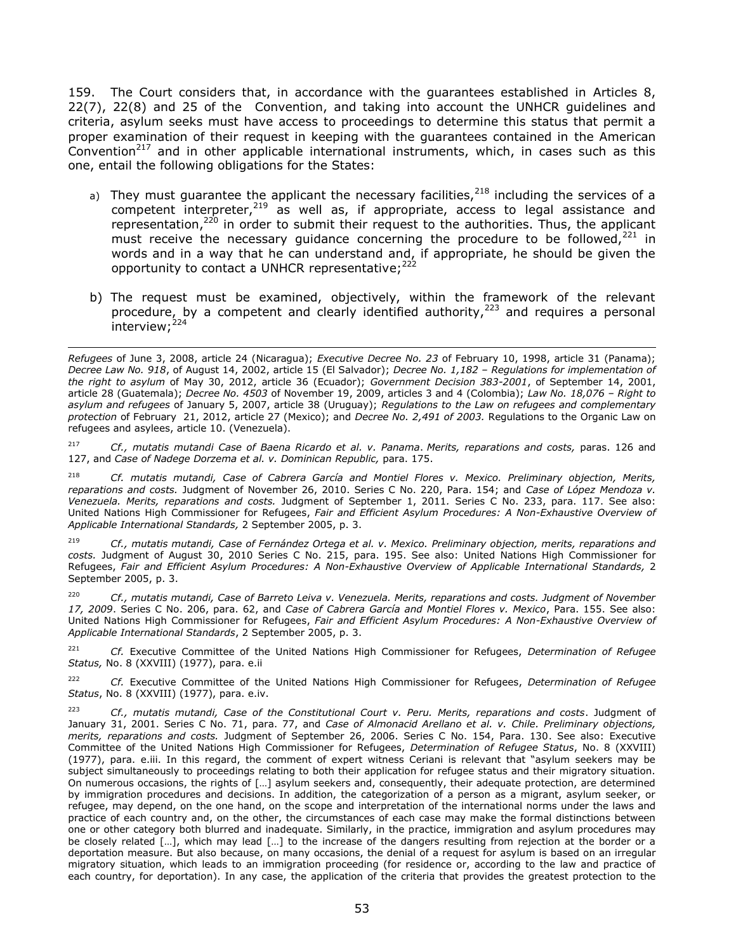159. The Court considers that, in accordance with the guarantees established in Articles 8, 22(7), 22(8) and 25 of the Convention, and taking into account the UNHCR guidelines and criteria, asylum seeks must have access to proceedings to determine this status that permit a proper examination of their request in keeping with the guarantees contained in the American Convention<sup>217</sup> and in other applicable international instruments, which, in cases such as this one, entail the following obligations for the States:

- a) They must guarantee the applicant the necessary facilities,  $218$  including the services of a competent interpreter,  $219$  as well as, if appropriate, access to legal assistance and representation,<sup>220</sup> in order to submit their request to the authorities. Thus, the applicant must receive the necessary guidance concerning the procedure to be followed, $^{221}$  in words and in a way that he can understand and, if appropriate, he should be given the opportunity to contact a UNHCR representative; $^{222}$
- b) The request must be examined, objectively, within the framework of the relevant procedure, by a competent and clearly identified authority,  $223$  and requires a personal interview;<sup>224</sup>

 $\overline{\phantom{0}}$ 

<sup>217</sup> *Cf., mutatis mutandi Case of Baena Ricardo et al. v. Panama*. *Merits, reparations and costs,* paras. 126 and 127, and *Case of Nadege Dorzema et al. v. Dominican Republic,* para. 175.

<sup>218</sup> *Cf. mutatis mutandi, Case of Cabrera García and Montiel Flores v. Mexico. Preliminary objection, Merits, reparations and costs.* Judgment of November 26, 2010. Series C No. 220, Para. 154; and *Case of López Mendoza v. Venezuela. Merits, reparations and costs.* Judgment of September 1, 2011*.* Series C No. 233, para. 117. See also: United Nations High Commissioner for Refugees, *Fair and Efficient Asylum Procedures: A Non-Exhaustive Overview of Applicable International Standards,* 2 September 2005, p. 3.

<sup>219</sup> *Cf., mutatis mutandi, Case of Fernández Ortega et al. v. Mexico. Preliminary objection, merits, reparations and costs.* Judgment of August 30, 2010 Series C No. 215, para. 195. See also: United Nations High Commissioner for Refugees, *Fair and Efficient Asylum Procedures: A Non-Exhaustive Overview of Applicable International Standards,* 2 September 2005, p. 3.

<sup>220</sup> *Cf., mutatis mutandi, Case of Barreto Leiva v. Venezuela. Merits, reparations and costs. Judgment of November 17, 2009*. Series C No. 206, para. 62, and *Case of Cabrera García and Montiel Flores v. Mexico*, Para. 155. See also: United Nations High Commissioner for Refugees, *Fair and Efficient Asylum Procedures: A Non-Exhaustive Overview of Applicable International Standards*, 2 September 2005, p. 3.

<sup>221</sup> *Cf.* Executive Committee of the United Nations High Commissioner for Refugees, *Determination of Refugee Status,* No. 8 (XXVIII) (1977), para. e.ii

<sup>222</sup> *Cf.* Executive Committee of the United Nations High Commissioner for Refugees, *Determination of Refugee Status*, No. 8 (XXVIII) (1977), para. e.iv.

<sup>223</sup> *Cf., mutatis mutandi, Case of the Constitutional Court v. Peru. Merits, reparations and costs*. Judgment of January 31, 2001. Series C No. 71, para. 77, and *Case of Almonacid Arellano et al. v. Chile. Preliminary objections, merits, reparations and costs.* Judgment of September 26, 2006. Series C No. 154, Para. 130. See also: Executive Committee of the United Nations High Commissioner for Refugees, *Determination of Refugee Status*, No. 8 (XXVIII) (1977), para. e.iii. In this regard, the comment of expert witness Ceriani is relevant that "asylum seekers may be subject simultaneously to proceedings relating to both their application for refugee status and their migratory situation. On numerous occasions, the rights of […] asylum seekers and, consequently, their adequate protection, are determined by immigration procedures and decisions. In addition, the categorization of a person as a migrant, asylum seeker, or refugee, may depend, on the one hand, on the scope and interpretation of the international norms under the laws and practice of each country and, on the other, the circumstances of each case may make the formal distinctions between one or other category both blurred and inadequate. Similarly, in the practice, immigration and asylum procedures may be closely related [...], which may lead [...] to the increase of the dangers resulting from rejection at the border or a deportation measure. But also because, on many occasions, the denial of a request for asylum is based on an irregular migratory situation, which leads to an immigration proceeding (for residence or, according to the law and practice of each country, for deportation). In any case, the application of the criteria that provides the greatest protection to the

*Refugees* of June 3, 2008, article 24 (Nicaragua); *Executive Decree No. 23* of February 10, 1998, article 31 (Panama); *Decree Law No. 918*, of August 14, 2002, article 15 (El Salvador); *Decree No. 1,182 – Regulations for implementation of the right to asylum* of May 30, 2012, article 36 (Ecuador); *Government Decision 383-2001*, of September 14, 2001, article 28 (Guatemala); *Decree No. 4503* of November 19, 2009, articles 3 and 4 (Colombia); *Law No. 18,076 – Right to asylum and refugees* of January 5, 2007, article 38 (Uruguay); *Regulations to the Law on refugees and complementary protection* of February 21, 2012, article 27 (Mexico); and *Decree No. 2,491 of 2003.* Regulations to the Organic Law on refugees and asylees, article 10. (Venezuela).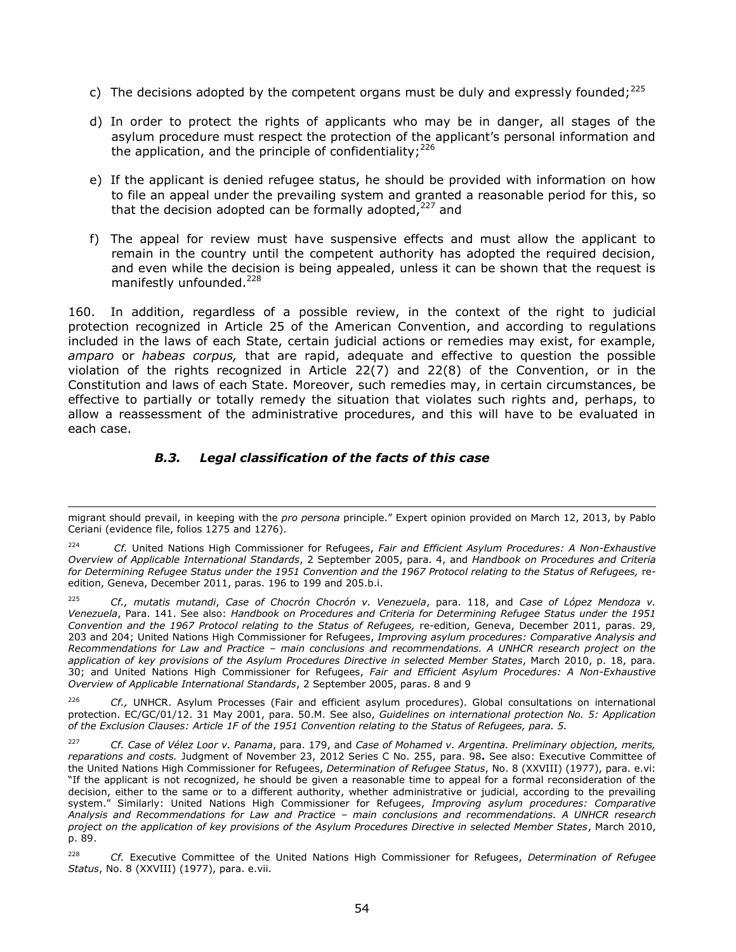- c) The decisions adopted by the competent organs must be duly and expressly founded;<sup>225</sup>
- d) In order to protect the rights of applicants who may be in danger, all stages of the asylum procedure must respect the protection of the applicant's personal information and the application, and the principle of confidentiality; $^{226}$
- e) If the applicant is denied refugee status, he should be provided with information on how to file an appeal under the prevailing system and granted a reasonable period for this, so that the decision adopted can be formally adopted, $227$  and
- f) The appeal for review must have suspensive effects and must allow the applicant to remain in the country until the competent authority has adopted the required decision, and even while the decision is being appealed, unless it can be shown that the request is manifestly unfounded.<sup>228</sup>

160. In addition, regardless of a possible review, in the context of the right to judicial protection recognized in Article 25 of the American Convention, and according to regulations included in the laws of each State, certain judicial actions or remedies may exist, for example, *amparo* or *habeas corpus,* that are rapid, adequate and effective to question the possible violation of the rights recognized in Article 22(7) and 22(8) of the Convention, or in the Constitution and laws of each State. Moreover, such remedies may, in certain circumstances, be effective to partially or totally remedy the situation that violates such rights and, perhaps, to allow a reassessment of the administrative procedures, and this will have to be evaluated in each case.

# *B.3. Legal classification of the facts of this case*

 $\overline{\phantom{0}}$ 

<sup>226</sup> *Cf.*, UNHCR. Asylum Processes (Fair and efficient asylum procedures). Global consultations on international protection. EC/GC/01/12. 31 May 2001, para. 50.M. See also, *Guidelines on international protection No. 5: Application of the Exclusion Clauses: Article 1F of the 1951 Convention relating to the Status of Refugees, para. 5.* 

migrant should prevail, in keeping with the *pro persona* principle." Expert opinion provided on March 12, 2013, by Pablo Ceriani (evidence file, folios 1275 and 1276).

<sup>224</sup> *Cf.* United Nations High Commissioner for Refugees, *Fair and Efficient Asylum Procedures: A Non-Exhaustive Overview of Applicable International Standards*, 2 September 2005, para. 4, and *Handbook on Procedures and Criteria for Determining Refugee Status under the 1951 Convention and the 1967 Protocol relating to the Status of Refugees,* reedition, Geneva, December 2011, paras. 196 to 199 and 205.b.i.

<sup>225</sup> *Cf., mutatis mutandi*, *Case of Chocrón Chocrón v. Venezuela*, para. 118, and *Case of López Mendoza v. Venezuela*, Para. 141. See also: *Handbook on Procedures and Criteria for Determining Refugee Status under the 1951 Convention and the 1967 Protocol relating to the Status of Refugees,* re-edition, Geneva, December 2011, paras. 29, 203 and 204; United Nations High Commissioner for Refugees, *Improving asylum procedures: Comparative Analysis and Recommendations for Law and Practice – main conclusions and recommendations. A UNHCR research project on the application of key provisions of the Asylum Procedures Directive in selected Member States*, March 2010, p. 18, para. 30; and United Nations High Commissioner for Refugees, *Fair and Efficient Asylum Procedures: A Non-Exhaustive Overview of Applicable International Standards*, 2 September 2005, paras. 8 and 9

<sup>227</sup> *Cf. Case of Vélez Loor v. Panama*, para. 179, and *[Case of Mohamed v. Argentina. Preliminary objection, merits,](http://joomla.corteidh.or.cr:8080/joomla/es/casos-contenciosos/38-jurisprudencia/1948-corte-idh-caso-mohamed-vs-argentina-excepcion-preliminar-fondo-reparaciones-y-costas-sentencia-de-23-noviembre-de-2012-serie-c-no-255)  reparations and costs.* [Judgment of November 23, 2012 Series C No. 255,](http://joomla.corteidh.or.cr:8080/joomla/es/casos-contenciosos/38-jurisprudencia/1948-corte-idh-caso-mohamed-vs-argentina-excepcion-preliminar-fondo-reparaciones-y-costas-sentencia-de-23-noviembre-de-2012-serie-c-no-255) para. 98**.** See also: Executive Committee of the United Nations High Commissioner for Refugees, *Determination of Refugee Status*, No. 8 (XXVIII) (1977), para. e.vi: "If the applicant is not recognized, he should be given a reasonable time to appeal for a formal reconsideration of the decision, either to the same or to a different authority, whether administrative or judicial, according to the prevailing system." Similarly: United Nations High Commissioner for Refugees, *Improving asylum procedures: Comparative Analysis and Recommendations for Law and Practice – main conclusions and recommendations. A UNHCR research project on the application of key provisions of the Asylum Procedures Directive in selected Member States*, March 2010, p. 89.

<sup>228</sup> *Cf.* Executive Committee of the United Nations High Commissioner for Refugees, *Determination of Refugee Status*, No. 8 (XXVIII) (1977), para. e.vii.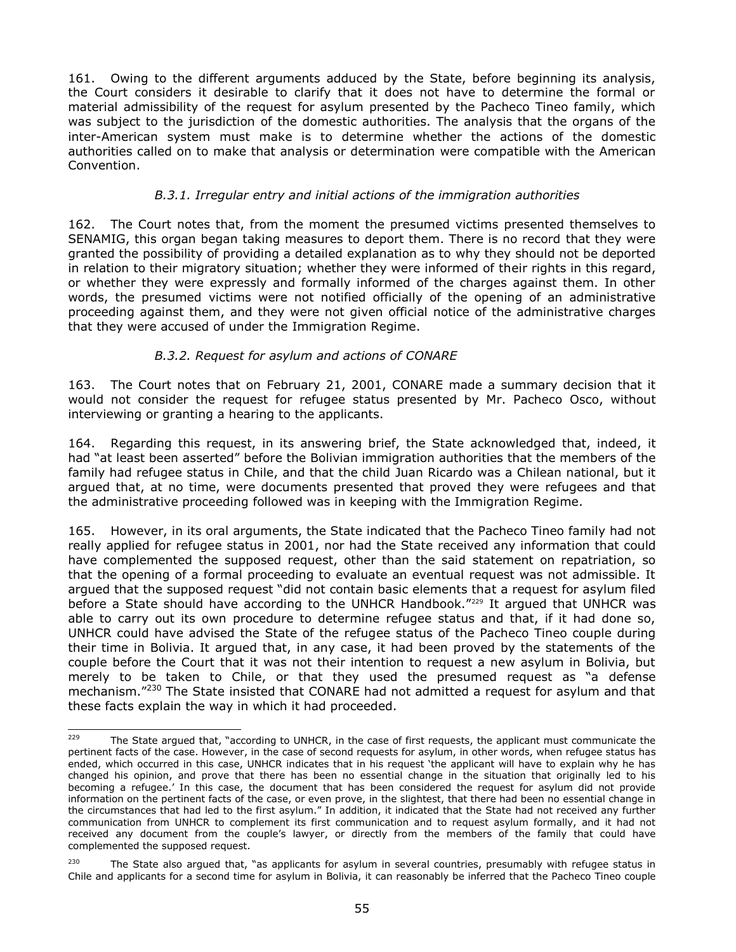161. Owing to the different arguments adduced by the State, before beginning its analysis, the Court considers it desirable to clarify that it does not have to determine the formal or material admissibility of the request for asylum presented by the Pacheco Tineo family, which was subject to the jurisdiction of the domestic authorities. The analysis that the organs of the inter-American system must make is to determine whether the actions of the domestic authorities called on to make that analysis or determination were compatible with the American Convention.

# *B.3.1. Irregular entry and initial actions of the immigration authorities*

162. The Court notes that, from the moment the presumed victims presented themselves to SENAMIG, this organ began taking measures to deport them. There is no record that they were granted the possibility of providing a detailed explanation as to why they should not be deported in relation to their migratory situation; whether they were informed of their rights in this regard, or whether they were expressly and formally informed of the charges against them. In other words, the presumed victims were not notified officially of the opening of an administrative proceeding against them, and they were not given official notice of the administrative charges that they were accused of under the Immigration Regime.

# *B.3.2. Request for asylum and actions of CONARE*

163. The Court notes that on February 21, 2001, CONARE made a summary decision that it would not consider the request for refugee status presented by Mr. Pacheco Osco, without interviewing or granting a hearing to the applicants.

164. Regarding this request, in its answering brief, the State acknowledged that, indeed, it had "at least been asserted" before the Bolivian immigration authorities that the members of the family had refugee status in Chile, and that the child Juan Ricardo was a Chilean national, but it argued that, at no time, were documents presented that proved they were refugees and that the administrative proceeding followed was in keeping with the Immigration Regime.

165. However, in its oral arguments, the State indicated that the Pacheco Tineo family had not really applied for refugee status in 2001, nor had the State received any information that could have complemented the supposed request, other than the said statement on repatriation, so that the opening of a formal proceeding to evaluate an eventual request was not admissible. It argued that the supposed request "did not contain basic elements that a request for asylum filed before a State should have according to the UNHCR Handbook."<sup>229</sup> It argued that UNHCR was able to carry out its own procedure to determine refugee status and that, if it had done so, UNHCR could have advised the State of the refugee status of the Pacheco Tineo couple during their time in Bolivia. It argued that, in any case, it had been proved by the statements of the couple before the Court that it was not their intention to request a new asylum in Bolivia, but merely to be taken to Chile, or that they used the presumed request as "a defense mechanism."<sup>230</sup> The State insisted that CONARE had not admitted a request for asylum and that these facts explain the way in which it had proceeded.

<sup>229</sup> The State argued that, "according to UNHCR, in the case of first requests, the applicant must communicate the pertinent facts of the case. However, in the case of second requests for asylum, in other words, when refugee status has ended, which occurred in this case, UNHCR indicates that in his request 'the applicant will have to explain why he has changed his opinion, and prove that there has been no essential change in the situation that originally led to his becoming a refugee.' In this case, the document that has been considered the request for asylum did not provide information on the pertinent facts of the case, or even prove, in the slightest, that there had been no essential change in the circumstances that had led to the first asylum." In addition, it indicated that the State had not received any further communication from UNHCR to complement its first communication and to request asylum formally, and it had not received any document from the couple's lawyer, or directly from the members of the family that could have complemented the supposed request.

 $230$  The State also argued that, "as applicants for asylum in several countries, presumably with refugee status in Chile and applicants for a second time for asylum in Bolivia, it can reasonably be inferred that the Pacheco Tineo couple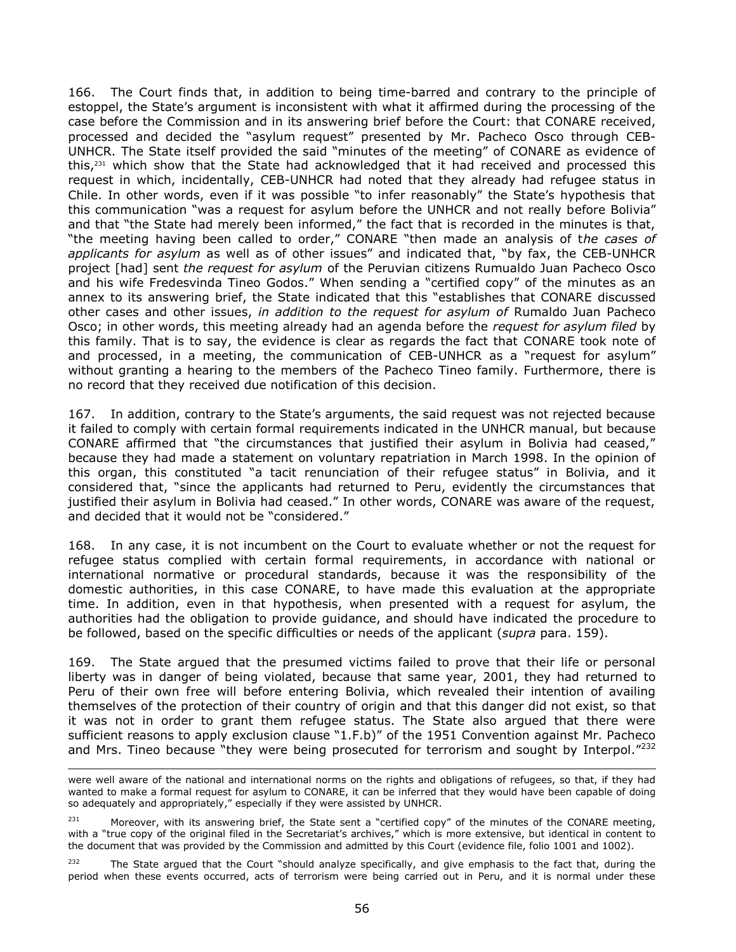166. The Court finds that, in addition to being time-barred and contrary to the principle of estoppel, the State's argument is inconsistent with what it affirmed during the processing of the case before the Commission and in its answering brief before the Court: that CONARE received, processed and decided the "asylum request" presented by Mr. Pacheco Osco through CEB-UNHCR. The State itself provided the said "minutes of the meeting" of CONARE as evidence of this,<sup>231</sup> which show that the State had acknowledged that it had received and processed this request in which, incidentally, CEB-UNHCR had noted that they already had refugee status in Chile. In other words, even if it was possible "to infer reasonably" the State's hypothesis that this communication "was a request for asylum before the UNHCR and not really before Bolivia" and that "the State had merely been informed," the fact that is recorded in the minutes is that, "the meeting having been called to order," CONARE "then made an analysis of t*he cases of applicants for asylum* as well as of other issues" and indicated that, "by fax, the CEB-UNHCR project [had] sent *the request for asylum* of the Peruvian citizens Rumualdo Juan Pacheco Osco and his wife Fredesvinda Tineo Godos." When sending a "certified copy" of the minutes as an annex to its answering brief, the State indicated that this "establishes that CONARE discussed other cases and other issues, *in addition to the request for asylum of* Rumaldo Juan Pacheco Osco; in other words, this meeting already had an agenda before the *request for asylum filed* by this family. That is to say, the evidence is clear as regards the fact that CONARE took note of and processed, in a meeting, the communication of CEB-UNHCR as a "request for asylum" without granting a hearing to the members of the Pacheco Tineo family. Furthermore, there is no record that they received due notification of this decision.

167. In addition, contrary to the State's arguments, the said request was not rejected because it failed to comply with certain formal requirements indicated in the UNHCR manual, but because CONARE affirmed that "the circumstances that justified their asylum in Bolivia had ceased," because they had made a statement on voluntary repatriation in March 1998. In the opinion of this organ, this constituted "a tacit renunciation of their refugee status" in Bolivia, and it considered that, "since the applicants had returned to Peru, evidently the circumstances that justified their asylum in Bolivia had ceased." In other words, CONARE was aware of the request, and decided that it would not be "considered."

168. In any case, it is not incumbent on the Court to evaluate whether or not the request for refugee status complied with certain formal requirements, in accordance with national or international normative or procedural standards, because it was the responsibility of the domestic authorities, in this case CONARE, to have made this evaluation at the appropriate time. In addition, even in that hypothesis, when presented with a request for asylum, the authorities had the obligation to provide guidance, and should have indicated the procedure to be followed, based on the specific difficulties or needs of the applicant (*supra* para. 159).

169. The State argued that the presumed victims failed to prove that their life or personal liberty was in danger of being violated, because that same year, 2001, they had returned to Peru of their own free will before entering Bolivia, which revealed their intention of availing themselves of the protection of their country of origin and that this danger did not exist, so that it was not in order to grant them refugee status. The State also argued that there were sufficient reasons to apply exclusion clause "1.F.b)" of the 1951 Convention against Mr. Pacheco and Mrs. Tineo because "they were being prosecuted for terrorism and sought by Interpol."<sup>232</sup>

l

<sup>232</sup> The State argued that the Court "should analyze specifically, and give emphasis to the fact that, during the period when these events occurred, acts of terrorism were being carried out in Peru, and it is normal under these

were well aware of the national and international norms on the rights and obligations of refugees, so that, if they had wanted to make a formal request for asylum to CONARE, it can be inferred that they would have been capable of doing so adequately and appropriately," especially if they were assisted by UNHCR.

 $231$  Moreover, with its answering brief, the State sent a "certified copy" of the minutes of the CONARE meeting, with a "true copy of the original filed in the Secretariat's archives," which is more extensive, but identical in content to the document that was provided by the Commission and admitted by this Court (evidence file, folio 1001 and 1002).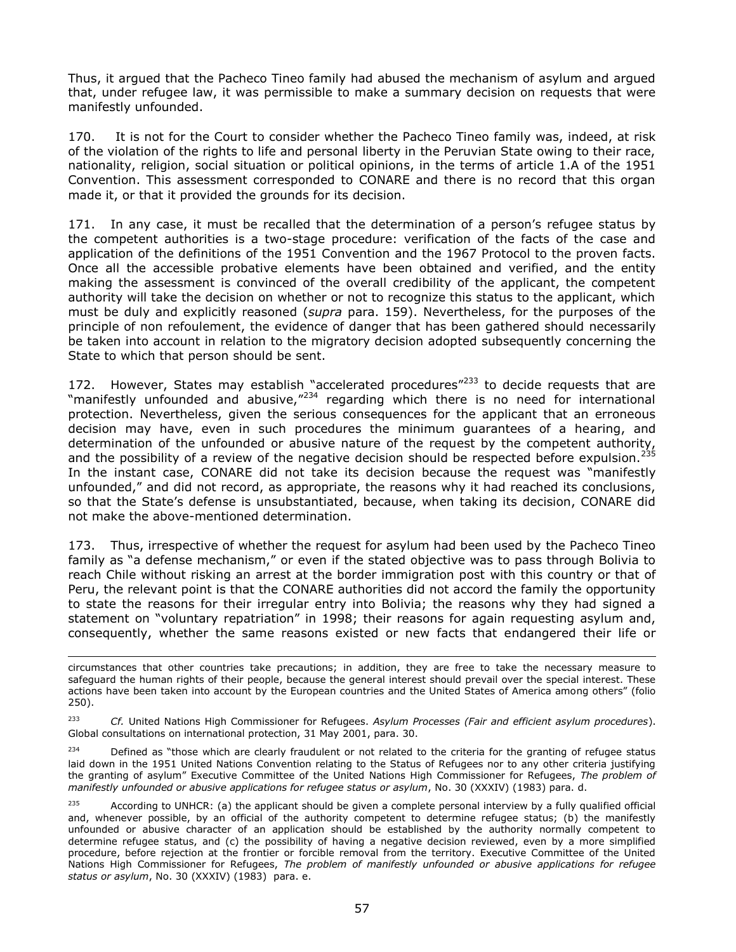Thus, it argued that the Pacheco Tineo family had abused the mechanism of asylum and argued that, under refugee law, it was permissible to make a summary decision on requests that were manifestly unfounded.

170. It is not for the Court to consider whether the Pacheco Tineo family was, indeed, at risk of the violation of the rights to life and personal liberty in the Peruvian State owing to their race, nationality, religion, social situation or political opinions, in the terms of article 1.A of the 1951 Convention. This assessment corresponded to CONARE and there is no record that this organ made it, or that it provided the grounds for its decision.

171. In any case, it must be recalled that the determination of a person's refugee status by the competent authorities is a two-stage procedure: verification of the facts of the case and application of the definitions of the 1951 Convention and the 1967 Protocol to the proven facts. Once all the accessible probative elements have been obtained and verified, and the entity making the assessment is convinced of the overall credibility of the applicant, the competent authority will take the decision on whether or not to recognize this status to the applicant, which must be duly and explicitly reasoned (*supra* para. 159). Nevertheless, for the purposes of the principle of non refoulement, the evidence of danger that has been gathered should necessarily be taken into account in relation to the migratory decision adopted subsequently concerning the State to which that person should be sent.

172. However, States may establish "accelerated procedures" $^{233}$  to decide requests that are "manifestly unfounded and abusive,"<sup>234</sup> regarding which there is no need for international protection. Nevertheless, given the serious consequences for the applicant that an erroneous decision may have, even in such procedures the minimum guarantees of a hearing, and determination of the unfounded or abusive nature of the request by the competent authority, and the possibility of a review of the negative decision should be respected before expulsion.<sup>235</sup> In the instant case, CONARE did not take its decision because the request was "manifestly unfounded," and did not record, as appropriate, the reasons why it had reached its conclusions, so that the State's defense is unsubstantiated, because, when taking its decision, CONARE did not make the above-mentioned determination.

173. Thus, irrespective of whether the request for asylum had been used by the Pacheco Tineo family as "a defense mechanism," or even if the stated objective was to pass through Bolivia to reach Chile without risking an arrest at the border immigration post with this country or that of Peru, the relevant point is that the CONARE authorities did not accord the family the opportunity to state the reasons for their irregular entry into Bolivia; the reasons why they had signed a statement on "voluntary repatriation" in 1998; their reasons for again requesting asylum and, consequently, whether the same reasons existed or new facts that endangered their life or

 $\overline{\phantom{0}}$ 

 $234$  Defined as "those which are clearly fraudulent or not related to the criteria for the granting of refugee status laid down in the 1951 United Nations Convention relating to the Status of Refugees nor to any other criteria justifying the granting of asylum" Executive Committee of the United Nations High Commissioner for Refugees, *The problem of manifestly unfounded or abusive applications for refugee status or asylum*, No. 30 (XXXIV) (1983) para. d.

circumstances that other countries take precautions; in addition, they are free to take the necessary measure to safeguard the human rights of their people, because the general interest should prevail over the special interest. These actions have been taken into account by the European countries and the United States of America among others" (folio 250).

<sup>233</sup> *Cf.* United Nations High Commissioner for Refugees. *Asylum Processes (Fair and efficient asylum procedures*). Global consultations on international protection, 31 May 2001, para. 30.

 $235$  According to UNHCR: (a) the applicant should be given a complete personal interview by a fully qualified official and, whenever possible, by an official of the authority competent to determine refugee status; (b) the manifestly unfounded or abusive character of an application should be established by the authority normally competent to determine refugee status, and (c) the possibility of having a negative decision reviewed, even by a more simplified procedure, before rejection at the frontier or forcible removal from the territory. Executive Committee of the United Nations High Commissioner for Refugees, *The problem of manifestly unfounded or abusive applications for refugee status or asylum*, No. 30 (XXXIV) (1983) para. e.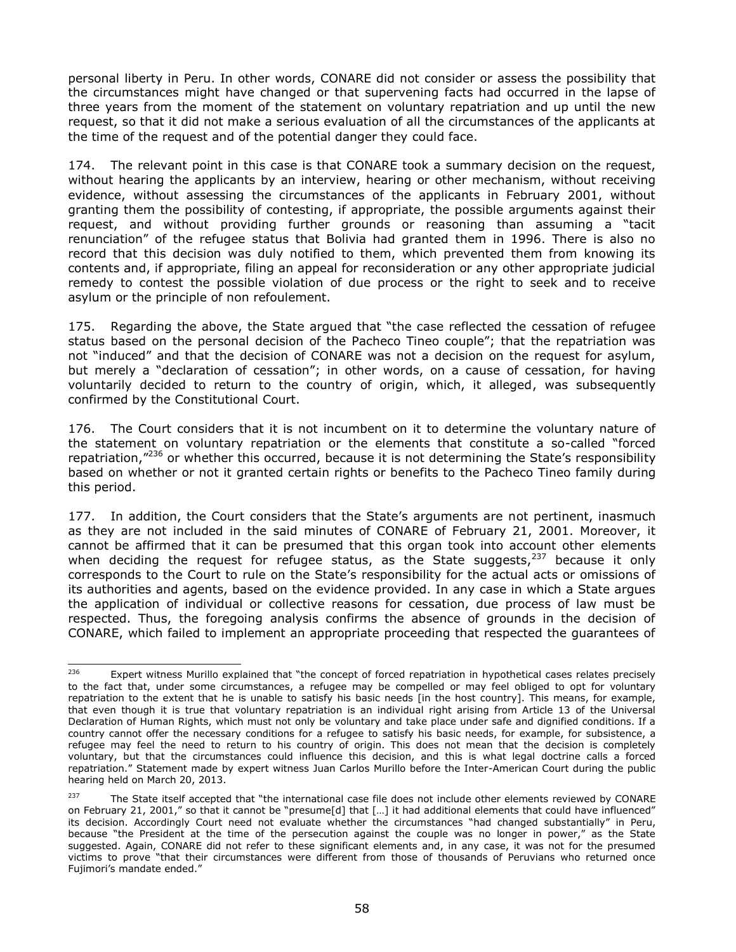personal liberty in Peru. In other words, CONARE did not consider or assess the possibility that the circumstances might have changed or that supervening facts had occurred in the lapse of three years from the moment of the statement on voluntary repatriation and up until the new request, so that it did not make a serious evaluation of all the circumstances of the applicants at the time of the request and of the potential danger they could face.

174. The relevant point in this case is that CONARE took a summary decision on the request, without hearing the applicants by an interview, hearing or other mechanism, without receiving evidence, without assessing the circumstances of the applicants in February 2001, without granting them the possibility of contesting, if appropriate, the possible arguments against their request, and without providing further grounds or reasoning than assuming a "tacit renunciation" of the refugee status that Bolivia had granted them in 1996. There is also no record that this decision was duly notified to them, which prevented them from knowing its contents and, if appropriate, filing an appeal for reconsideration or any other appropriate judicial remedy to contest the possible violation of due process or the right to seek and to receive asylum or the principle of non refoulement.

175. Regarding the above, the State argued that "the case reflected the cessation of refugee status based on the personal decision of the Pacheco Tineo couple"; that the repatriation was not "induced" and that the decision of CONARE was not a decision on the request for asylum, but merely a "declaration of cessation"; in other words, on a cause of cessation, for having voluntarily decided to return to the country of origin, which, it alleged, was subsequently confirmed by the Constitutional Court.

176. The Court considers that it is not incumbent on it to determine the voluntary nature of the statement on voluntary repatriation or the elements that constitute a so-called "forced repatriation,"<sup>236</sup> or whether this occurred, because it is not determining the State's responsibility based on whether or not it granted certain rights or benefits to the Pacheco Tineo family during this period.

177. In addition, the Court considers that the State's arguments are not pertinent, inasmuch as they are not included in the said minutes of CONARE of February 21, 2001. Moreover, it cannot be affirmed that it can be presumed that this organ took into account other elements when deciding the request for refugee status, as the State suggests,  $237$  because it only corresponds to the Court to rule on the State's responsibility for the actual acts or omissions of its authorities and agents, based on the evidence provided. In any case in which a State argues the application of individual or collective reasons for cessation, due process of law must be respected. Thus, the foregoing analysis confirms the absence of grounds in the decision of CONARE, which failed to implement an appropriate proceeding that respected the guarantees of

<sup>236</sup> Expert witness Murillo explained that "the concept of forced repatriation in hypothetical cases relates precisely to the fact that, under some circumstances, a refugee may be compelled or may feel obliged to opt for voluntary repatriation to the extent that he is unable to satisfy his basic needs [in the host country]. This means, for example, that even though it is true that voluntary repatriation is an individual right arising from Article 13 of the Universal Declaration of Human Rights, which must not only be voluntary and take place under safe and dignified conditions. If a country cannot offer the necessary conditions for a refugee to satisfy his basic needs, for example, for subsistence, a refugee may feel the need to return to his country of origin. This does not mean that the decision is completely voluntary, but that the circumstances could influence this decision, and this is what legal doctrine calls a forced repatriation." Statement made by expert witness Juan Carlos Murillo before the Inter-American Court during the public hearing held on March 20, 2013.

<sup>&</sup>lt;sup>237</sup> The State itself accepted that "the international case file does not include other elements reviewed by CONARE on February 21, 2001," so that it cannot be "presume[d] that […] it had additional elements that could have influenced" its decision. Accordingly Court need not evaluate whether the circumstances "had changed substantially" in Peru, because "the President at the time of the persecution against the couple was no longer in power," as the State suggested. Again, CONARE did not refer to these significant elements and, in any case, it was not for the presumed victims to prove "that their circumstances were different from those of thousands of Peruvians who returned once Fujimori's mandate ended."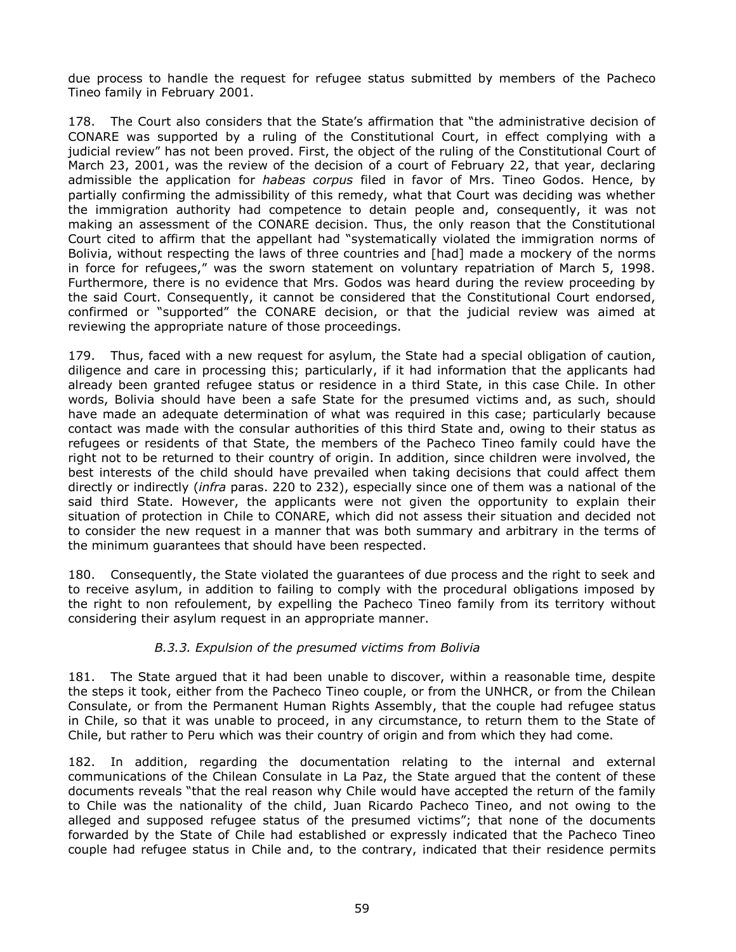due process to handle the request for refugee status submitted by members of the Pacheco Tineo family in February 2001.

178. The Court also considers that the State's affirmation that "the administrative decision of CONARE was supported by a ruling of the Constitutional Court, in effect complying with a judicial review" has not been proved. First, the object of the ruling of the Constitutional Court of March 23, 2001, was the review of the decision of a court of February 22, that year, declaring admissible the application for *habeas corpus* filed in favor of Mrs. Tineo Godos. Hence, by partially confirming the admissibility of this remedy, what that Court was deciding was whether the immigration authority had competence to detain people and, consequently, it was not making an assessment of the CONARE decision. Thus, the only reason that the Constitutional Court cited to affirm that the appellant had "systematically violated the immigration norms of Bolivia, without respecting the laws of three countries and [had] made a mockery of the norms in force for refugees," was the sworn statement on voluntary repatriation of March 5, 1998. Furthermore, there is no evidence that Mrs. Godos was heard during the review proceeding by the said Court. Consequently, it cannot be considered that the Constitutional Court endorsed, confirmed or "supported" the CONARE decision, or that the judicial review was aimed at reviewing the appropriate nature of those proceedings.

179. Thus, faced with a new request for asylum, the State had a special obligation of caution, diligence and care in processing this; particularly, if it had information that the applicants had already been granted refugee status or residence in a third State, in this case Chile. In other words, Bolivia should have been a safe State for the presumed victims and, as such, should have made an adequate determination of what was required in this case; particularly because contact was made with the consular authorities of this third State and, owing to their status as refugees or residents of that State, the members of the Pacheco Tineo family could have the right not to be returned to their country of origin. In addition, since children were involved, the best interests of the child should have prevailed when taking decisions that could affect them directly or indirectly (*infra* paras. 220 to 232), especially since one of them was a national of the said third State. However, the applicants were not given the opportunity to explain their situation of protection in Chile to CONARE, which did not assess their situation and decided not to consider the new request in a manner that was both summary and arbitrary in the terms of the minimum guarantees that should have been respected.

180. Consequently, the State violated the guarantees of due process and the right to seek and to receive asylum, in addition to failing to comply with the procedural obligations imposed by the right to non refoulement, by expelling the Pacheco Tineo family from its territory without considering their asylum request in an appropriate manner.

# *B.3.3. Expulsion of the presumed victims from Bolivia*

181. The State argued that it had been unable to discover, within a reasonable time, despite the steps it took, either from the Pacheco Tineo couple, or from the UNHCR, or from the Chilean Consulate, or from the Permanent Human Rights Assembly, that the couple had refugee status in Chile, so that it was unable to proceed, in any circumstance, to return them to the State of Chile, but rather to Peru which was their country of origin and from which they had come.

182. In addition, regarding the documentation relating to the internal and external communications of the Chilean Consulate in La Paz, the State argued that the content of these documents reveals "that the real reason why Chile would have accepted the return of the family to Chile was the nationality of the child, Juan Ricardo Pacheco Tineo, and not owing to the alleged and supposed refugee status of the presumed victims"; that none of the documents forwarded by the State of Chile had established or expressly indicated that the Pacheco Tineo couple had refugee status in Chile and, to the contrary, indicated that their residence permits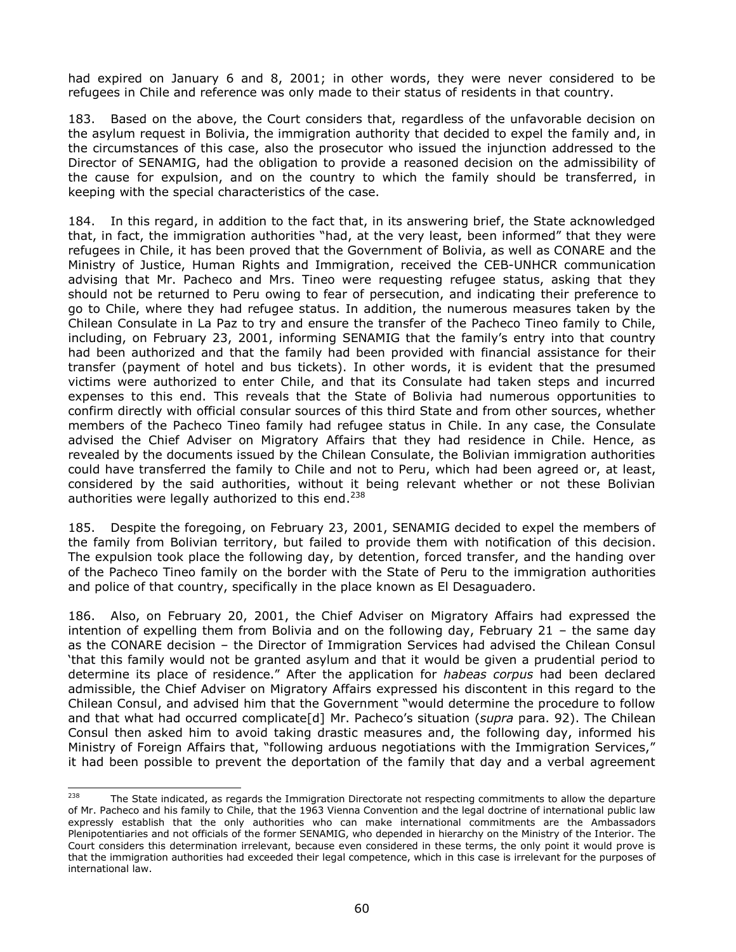had expired on January 6 and 8, 2001; in other words, they were never considered to be refugees in Chile and reference was only made to their status of residents in that country.

183. Based on the above, the Court considers that, regardless of the unfavorable decision on the asylum request in Bolivia, the immigration authority that decided to expel the family and, in the circumstances of this case, also the prosecutor who issued the injunction addressed to the Director of SENAMIG, had the obligation to provide a reasoned decision on the admissibility of the cause for expulsion, and on the country to which the family should be transferred, in keeping with the special characteristics of the case.

184. In this regard, in addition to the fact that, in its answering brief, the State acknowledged that, in fact, the immigration authorities "had, at the very least, been informed" that they were refugees in Chile, it has been proved that the Government of Bolivia, as well as CONARE and the Ministry of Justice, Human Rights and Immigration, received the CEB-UNHCR communication advising that Mr. Pacheco and Mrs. Tineo were requesting refugee status, asking that they should not be returned to Peru owing to fear of persecution, and indicating their preference to go to Chile, where they had refugee status. In addition, the numerous measures taken by the Chilean Consulate in La Paz to try and ensure the transfer of the Pacheco Tineo family to Chile, including, on February 23, 2001, informing SENAMIG that the family's entry into that country had been authorized and that the family had been provided with financial assistance for their transfer (payment of hotel and bus tickets). In other words, it is evident that the presumed victims were authorized to enter Chile, and that its Consulate had taken steps and incurred expenses to this end. This reveals that the State of Bolivia had numerous opportunities to confirm directly with official consular sources of this third State and from other sources, whether members of the Pacheco Tineo family had refugee status in Chile. In any case, the Consulate advised the Chief Adviser on Migratory Affairs that they had residence in Chile. Hence, as revealed by the documents issued by the Chilean Consulate, the Bolivian immigration authorities could have transferred the family to Chile and not to Peru, which had been agreed or, at least, considered by the said authorities, without it being relevant whether or not these Bolivian authorities were legally authorized to this end.<sup>238</sup>

185. Despite the foregoing, on February 23, 2001, SENAMIG decided to expel the members of the family from Bolivian territory, but failed to provide them with notification of this decision. The expulsion took place the following day, by detention, forced transfer, and the handing over of the Pacheco Tineo family on the border with the State of Peru to the immigration authorities and police of that country, specifically in the place known as El Desaguadero.

186. Also, on February 20, 2001, the Chief Adviser on Migratory Affairs had expressed the intention of expelling them from Bolivia and on the following day, February 21 – the same day as the CONARE decision – the Director of Immigration Services had advised the Chilean Consul 'that this family would not be granted asylum and that it would be given a prudential period to determine its place of residence." After the application for *habeas corpus* had been declared admissible, the Chief Adviser on Migratory Affairs expressed his discontent in this regard to the Chilean Consul, and advised him that the Government "would determine the procedure to follow and that what had occurred complicate[d] Mr. Pacheco's situation (*supra* para. 92). The Chilean Consul then asked him to avoid taking drastic measures and, the following day, informed his Ministry of Foreign Affairs that, "following arduous negotiations with the Immigration Services," it had been possible to prevent the deportation of the family that day and a verbal agreement

<sup>238</sup> The State indicated, as regards the Immigration Directorate not respecting commitments to allow the departure of Mr. Pacheco and his family to Chile, that the 1963 Vienna Convention and the legal doctrine of international public law expressly establish that the only authorities who can make international commitments are the Ambassadors Plenipotentiaries and not officials of the former SENAMIG, who depended in hierarchy on the Ministry of the Interior. The Court considers this determination irrelevant, because even considered in these terms, the only point it would prove is that the immigration authorities had exceeded their legal competence, which in this case is irrelevant for the purposes of international law.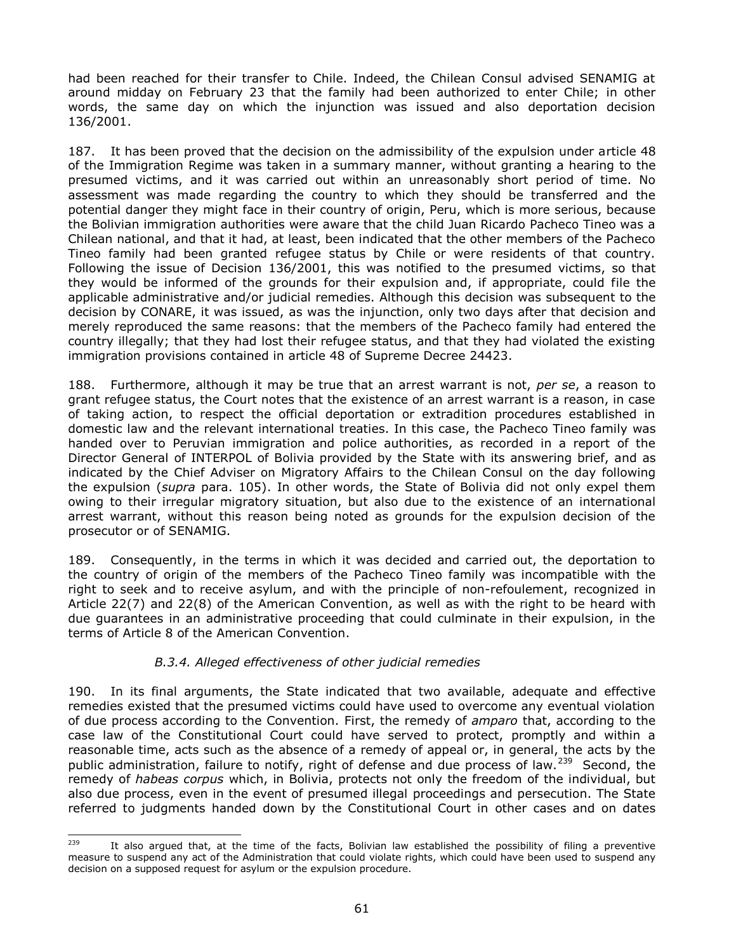had been reached for their transfer to Chile. Indeed, the Chilean Consul advised SENAMIG at around midday on February 23 that the family had been authorized to enter Chile; in other words, the same day on which the injunction was issued and also deportation decision 136/2001.

187. It has been proved that the decision on the admissibility of the expulsion under article 48 of the Immigration Regime was taken in a summary manner, without granting a hearing to the presumed victims, and it was carried out within an unreasonably short period of time. No assessment was made regarding the country to which they should be transferred and the potential danger they might face in their country of origin, Peru, which is more serious, because the Bolivian immigration authorities were aware that the child Juan Ricardo Pacheco Tineo was a Chilean national, and that it had, at least, been indicated that the other members of the Pacheco Tineo family had been granted refugee status by Chile or were residents of that country. Following the issue of Decision 136/2001, this was notified to the presumed victims, so that they would be informed of the grounds for their expulsion and, if appropriate, could file the applicable administrative and/or judicial remedies. Although this decision was subsequent to the decision by CONARE, it was issued, as was the injunction, only two days after that decision and merely reproduced the same reasons: that the members of the Pacheco family had entered the country illegally; that they had lost their refugee status, and that they had violated the existing immigration provisions contained in article 48 of Supreme Decree 24423.

188. Furthermore, although it may be true that an arrest warrant is not, *per se*, a reason to grant refugee status, the Court notes that the existence of an arrest warrant is a reason, in case of taking action, to respect the official deportation or extradition procedures established in domestic law and the relevant international treaties. In this case, the Pacheco Tineo family was handed over to Peruvian immigration and police authorities, as recorded in a report of the Director General of INTERPOL of Bolivia provided by the State with its answering brief, and as indicated by the Chief Adviser on Migratory Affairs to the Chilean Consul on the day following the expulsion (*supra* para. 105). In other words, the State of Bolivia did not only expel them owing to their irregular migratory situation, but also due to the existence of an international arrest warrant, without this reason being noted as grounds for the expulsion decision of the prosecutor or of SENAMIG.

189. Consequently, in the terms in which it was decided and carried out, the deportation to the country of origin of the members of the Pacheco Tineo family was incompatible with the right to seek and to receive asylum, and with the principle of non-refoulement, recognized in Article 22(7) and 22(8) of the American Convention, as well as with the right to be heard with due guarantees in an administrative proceeding that could culminate in their expulsion, in the terms of Article 8 of the American Convention.

## *B.3.4. Alleged effectiveness of other judicial remedies*

190. In its final arguments, the State indicated that two available, adequate and effective remedies existed that the presumed victims could have used to overcome any eventual violation of due process according to the Convention. First, the remedy of *amparo* that, according to the case law of the Constitutional Court could have served to protect, promptly and within a reasonable time, acts such as the absence of a remedy of appeal or, in general, the acts by the public administration, failure to notify, right of defense and due process of law.<sup>239</sup> Second, the remedy of *habeas corpus* which, in Bolivia, protects not only the freedom of the individual, but also due process, even in the event of presumed illegal proceedings and persecution. The State referred to judgments handed down by the Constitutional Court in other cases and on dates

<sup>239</sup> It also argued that, at the time of the facts, Bolivian law established the possibility of filing a preventive measure to suspend any act of the Administration that could violate rights, which could have been used to suspend any decision on a supposed request for asylum or the expulsion procedure.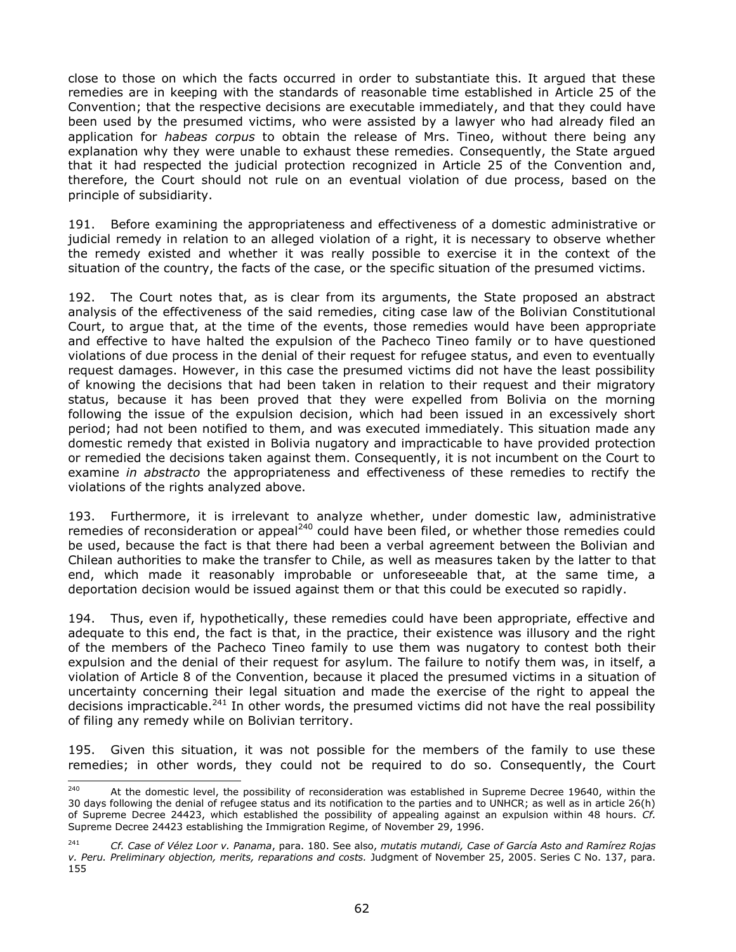close to those on which the facts occurred in order to substantiate this. It argued that these remedies are in keeping with the standards of reasonable time established in Article 25 of the Convention; that the respective decisions are executable immediately, and that they could have been used by the presumed victims, who were assisted by a lawyer who had already filed an application for *habeas corpus* to obtain the release of Mrs. Tineo, without there being any explanation why they were unable to exhaust these remedies. Consequently, the State argued that it had respected the judicial protection recognized in Article 25 of the Convention and, therefore, the Court should not rule on an eventual violation of due process, based on the principle of subsidiarity.

191. Before examining the appropriateness and effectiveness of a domestic administrative or judicial remedy in relation to an alleged violation of a right, it is necessary to observe whether the remedy existed and whether it was really possible to exercise it in the context of the situation of the country, the facts of the case, or the specific situation of the presumed victims.

192. The Court notes that, as is clear from its arguments, the State proposed an abstract analysis of the effectiveness of the said remedies, citing case law of the Bolivian Constitutional Court, to argue that, at the time of the events, those remedies would have been appropriate and effective to have halted the expulsion of the Pacheco Tineo family or to have questioned violations of due process in the denial of their request for refugee status, and even to eventually request damages. However, in this case the presumed victims did not have the least possibility of knowing the decisions that had been taken in relation to their request and their migratory status, because it has been proved that they were expelled from Bolivia on the morning following the issue of the expulsion decision, which had been issued in an excessively short period; had not been notified to them, and was executed immediately. This situation made any domestic remedy that existed in Bolivia nugatory and impracticable to have provided protection or remedied the decisions taken against them. Consequently, it is not incumbent on the Court to examine *in abstracto* the appropriateness and effectiveness of these remedies to rectify the violations of the rights analyzed above.

193. Furthermore, it is irrelevant to analyze whether, under domestic law, administrative remedies of reconsideration or appeal<sup>240</sup> could have been filed, or whether those remedies could be used, because the fact is that there had been a verbal agreement between the Bolivian and Chilean authorities to make the transfer to Chile, as well as measures taken by the latter to that end, which made it reasonably improbable or unforeseeable that, at the same time, a deportation decision would be issued against them or that this could be executed so rapidly.

194. Thus, even if, hypothetically, these remedies could have been appropriate, effective and adequate to this end, the fact is that, in the practice, their existence was illusory and the right of the members of the Pacheco Tineo family to use them was nugatory to contest both their expulsion and the denial of their request for asylum. The failure to notify them was, in itself, a violation of Article 8 of the Convention, because it placed the presumed victims in a situation of uncertainty concerning their legal situation and made the exercise of the right to appeal the decisions impracticable.<sup>241</sup> In other words, the presumed victims did not have the real possibility of filing any remedy while on Bolivian territory.

195. Given this situation, it was not possible for the members of the family to use these remedies; in other words, they could not be required to do so. Consequently, the Court

<sup>240</sup> At the domestic level, the possibility of reconsideration was established in Supreme Decree 19640, within the 30 days following the denial of refugee status and its notification to the parties and to UNHCR; as well as in article 26(h) of Supreme Decree 24423, which established the possibility of appealing against an expulsion within 48 hours. *Cf.*  Supreme Decree 24423 establishing the Immigration Regime, of November 29, 1996.

<sup>241</sup> *Cf. Case of Vélez Loor v. Panama*, para. 180. See also, *mutatis mutandi, Case of García Asto and Ramírez Rojas v. Peru. Preliminary objection, merits, reparations and costs.* Judgment of November 25, 2005. Series C No. 137, para. 155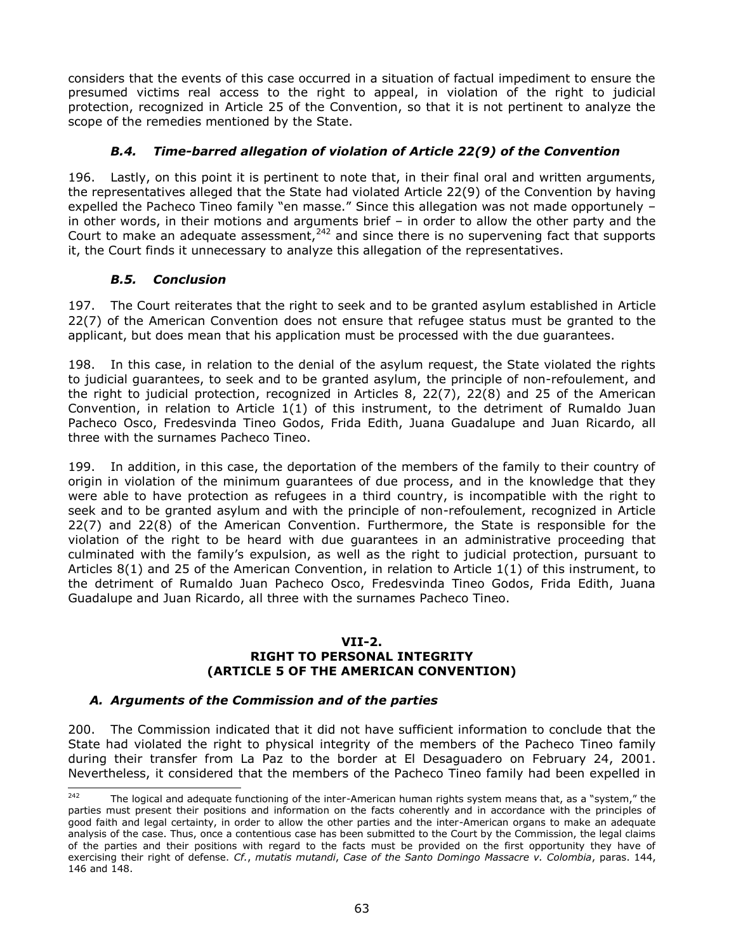considers that the events of this case occurred in a situation of factual impediment to ensure the presumed victims real access to the right to appeal, in violation of the right to judicial protection, recognized in Article 25 of the Convention, so that it is not pertinent to analyze the scope of the remedies mentioned by the State.

# *B.4. Time-barred allegation of violation of Article 22(9) of the Convention*

196. Lastly, on this point it is pertinent to note that, in their final oral and written arguments, the representatives alleged that the State had violated Article 22(9) of the Convention by having expelled the Pacheco Tineo family "en masse." Since this allegation was not made opportunely – in other words, in their motions and arguments brief – in order to allow the other party and the Court to make an adequate assessment,<sup>242</sup> and since there is no supervening fact that supports it, the Court finds it unnecessary to analyze this allegation of the representatives.

# *B.5. Conclusion*

197. The Court reiterates that the right to seek and to be granted asylum established in Article 22(7) of the American Convention does not ensure that refugee status must be granted to the applicant, but does mean that his application must be processed with the due guarantees.

198. In this case, in relation to the denial of the asylum request, the State violated the rights to judicial guarantees, to seek and to be granted asylum, the principle of non-refoulement, and the right to judicial protection, recognized in Articles 8, 22(7), 22(8) and 25 of the American Convention, in relation to Article 1(1) of this instrument, to the detriment of Rumaldo Juan Pacheco Osco, Fredesvinda Tineo Godos, Frida Edith, Juana Guadalupe and Juan Ricardo, all three with the surnames Pacheco Tineo.

199. In addition, in this case, the deportation of the members of the family to their country of origin in violation of the minimum guarantees of due process, and in the knowledge that they were able to have protection as refugees in a third country, is incompatible with the right to seek and to be granted asylum and with the principle of non-refoulement, recognized in Article 22(7) and 22(8) of the American Convention. Furthermore, the State is responsible for the violation of the right to be heard with due guarantees in an administrative proceeding that culminated with the family's expulsion, as well as the right to judicial protection, pursuant to Articles 8(1) and 25 of the American Convention, in relation to Article 1(1) of this instrument, to the detriment of Rumaldo Juan Pacheco Osco, Fredesvinda Tineo Godos, Frida Edith, Juana Guadalupe and Juan Ricardo, all three with the surnames Pacheco Tineo.

# **VII-2.**

#### **RIGHT TO PERSONAL INTEGRITY (ARTICLE 5 OF THE AMERICAN CONVENTION)**

# *A. Arguments of the Commission and of the parties*

200. The Commission indicated that it did not have sufficient information to conclude that the State had violated the right to physical integrity of the members of the Pacheco Tineo family during their transfer from La Paz to the border at El Desaguadero on February 24, 2001. Nevertheless, it considered that the members of the Pacheco Tineo family had been expelled in

<sup>242</sup> The logical and adequate functioning of the inter-American human rights system means that, as a "system," the parties must present their positions and information on the facts coherently and in accordance with the principles of good faith and legal certainty, in order to allow the other parties and the inter-American organs to make an adequate analysis of the case. Thus, once a contentious case has been submitted to the Court by the Commission, the legal claims of the parties and their positions with regard to the facts must be provided on the first opportunity they have of exercising their right of defense. *Cf.*, *mutatis mutandi*, *Case of the Santo Domingo Massacre v. Colombia*, paras. 144, 146 and 148.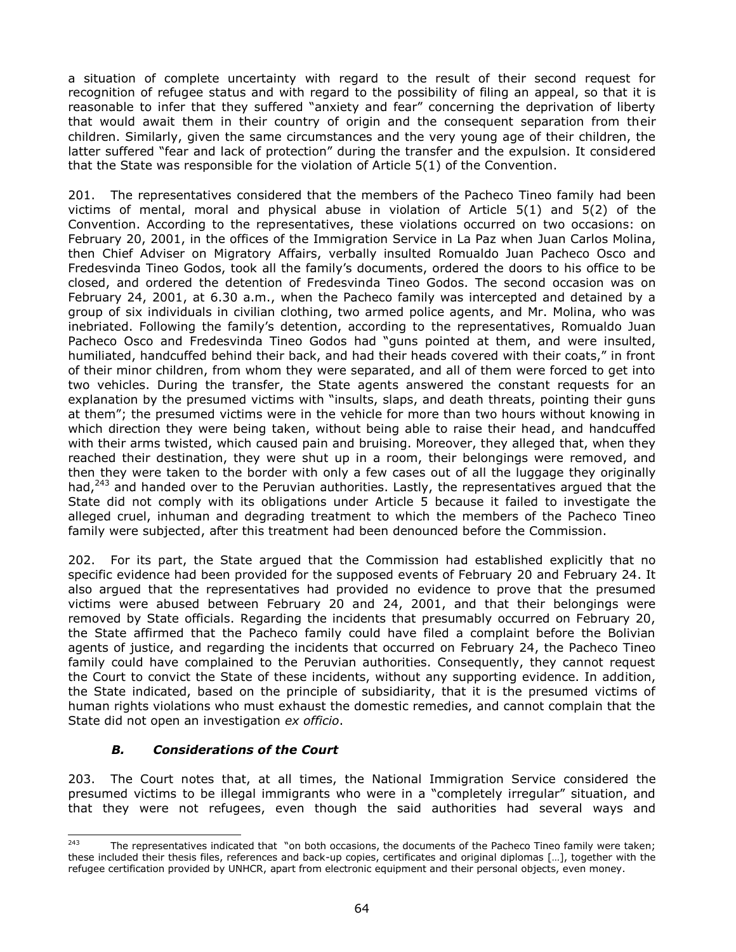a situation of complete uncertainty with regard to the result of their second request for recognition of refugee status and with regard to the possibility of filing an appeal, so that it is reasonable to infer that they suffered "anxiety and fear" concerning the deprivation of liberty that would await them in their country of origin and the consequent separation from their children. Similarly, given the same circumstances and the very young age of their children, the latter suffered "fear and lack of protection" during the transfer and the expulsion. It considered that the State was responsible for the violation of Article 5(1) of the Convention.

201. The representatives considered that the members of the Pacheco Tineo family had been victims of mental, moral and physical abuse in violation of Article 5(1) and 5(2) of the Convention. According to the representatives, these violations occurred on two occasions: on February 20, 2001, in the offices of the Immigration Service in La Paz when Juan Carlos Molina, then Chief Adviser on Migratory Affairs, verbally insulted Romualdo Juan Pacheco Osco and Fredesvinda Tineo Godos, took all the family's documents, ordered the doors to his office to be closed, and ordered the detention of Fredesvinda Tineo Godos. The second occasion was on February 24, 2001, at 6.30 a.m., when the Pacheco family was intercepted and detained by a group of six individuals in civilian clothing, two armed police agents, and Mr. Molina, who was inebriated. Following the family's detention, according to the representatives, Romualdo Juan Pacheco Osco and Fredesvinda Tineo Godos had "guns pointed at them, and were insulted, humiliated, handcuffed behind their back, and had their heads covered with their coats," in front of their minor children, from whom they were separated, and all of them were forced to get into two vehicles. During the transfer, the State agents answered the constant requests for an explanation by the presumed victims with "insults, slaps, and death threats, pointing their guns at them"; the presumed victims were in the vehicle for more than two hours without knowing in which direction they were being taken, without being able to raise their head, and handcuffed with their arms twisted, which caused pain and bruising. Moreover, they alleged that, when they reached their destination, they were shut up in a room, their belongings were removed, and then they were taken to the border with only a few cases out of all the luggage they originally had, $243$  and handed over to the Peruvian authorities. Lastly, the representatives argued that the State did not comply with its obligations under Article 5 because it failed to investigate the alleged cruel, inhuman and degrading treatment to which the members of the Pacheco Tineo family were subjected, after this treatment had been denounced before the Commission.

202. For its part, the State argued that the Commission had established explicitly that no specific evidence had been provided for the supposed events of February 20 and February 24. It also argued that the representatives had provided no evidence to prove that the presumed victims were abused between February 20 and 24, 2001, and that their belongings were removed by State officials. Regarding the incidents that presumably occurred on February 20, the State affirmed that the Pacheco family could have filed a complaint before the Bolivian agents of justice, and regarding the incidents that occurred on February 24, the Pacheco Tineo family could have complained to the Peruvian authorities. Consequently, they cannot request the Court to convict the State of these incidents, without any supporting evidence. In addition, the State indicated, based on the principle of subsidiarity, that it is the presumed victims of human rights violations who must exhaust the domestic remedies, and cannot complain that the State did not open an investigation *ex officio*.

# *B. Considerations of the Court*

203. The Court notes that, at all times, the National Immigration Service considered the presumed victims to be illegal immigrants who were in a "completely irregular" situation, and that they were not refugees, even though the said authorities had several ways and

<sup>243</sup> The representatives indicated that "on both occasions, the documents of the Pacheco Tineo family were taken; these included their thesis files, references and back-up copies, certificates and original diplomas […], together with the refugee certification provided by UNHCR, apart from electronic equipment and their personal objects, even money.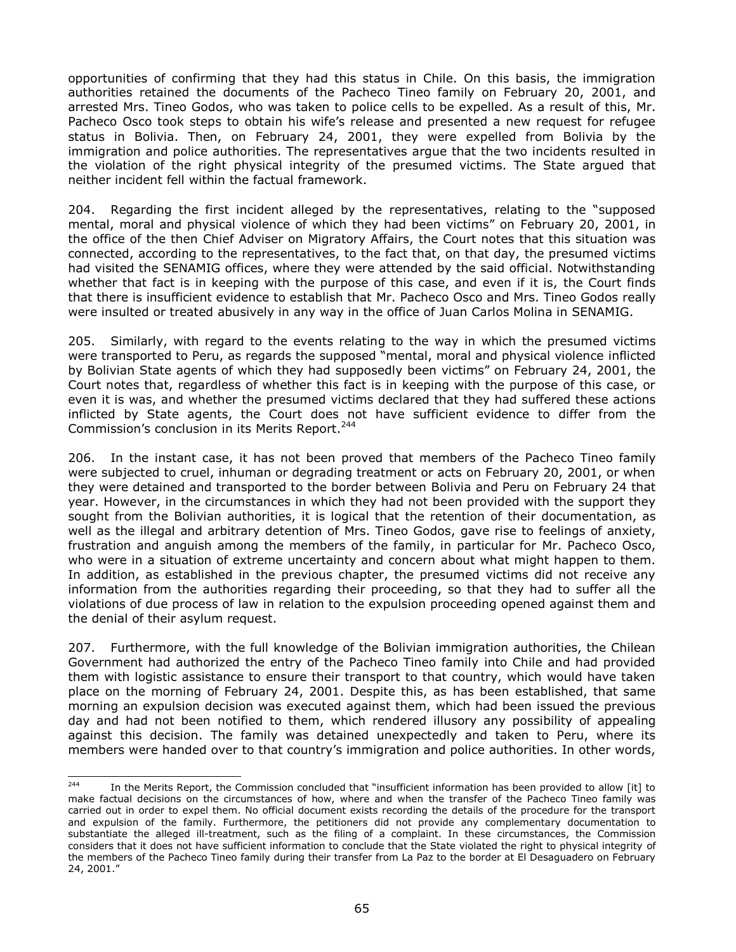opportunities of confirming that they had this status in Chile. On this basis, the immigration authorities retained the documents of the Pacheco Tineo family on February 20, 2001, and arrested Mrs. Tineo Godos, who was taken to police cells to be expelled. As a result of this, Mr. Pacheco Osco took steps to obtain his wife's release and presented a new request for refugee status in Bolivia. Then, on February 24, 2001, they were expelled from Bolivia by the immigration and police authorities. The representatives argue that the two incidents resulted in the violation of the right physical integrity of the presumed victims. The State argued that neither incident fell within the factual framework.

204. Regarding the first incident alleged by the representatives, relating to the "supposed mental, moral and physical violence of which they had been victims" on February 20, 2001, in the office of the then Chief Adviser on Migratory Affairs, the Court notes that this situation was connected, according to the representatives, to the fact that, on that day, the presumed victims had visited the SENAMIG offices, where they were attended by the said official. Notwithstanding whether that fact is in keeping with the purpose of this case, and even if it is, the Court finds that there is insufficient evidence to establish that Mr. Pacheco Osco and Mrs. Tineo Godos really were insulted or treated abusively in any way in the office of Juan Carlos Molina in SENAMIG.

205. Similarly, with regard to the events relating to the way in which the presumed victims were transported to Peru, as regards the supposed "mental, moral and physical violence inflicted by Bolivian State agents of which they had supposedly been victims" on February 24, 2001, the Court notes that, regardless of whether this fact is in keeping with the purpose of this case, or even it is was, and whether the presumed victims declared that they had suffered these actions inflicted by State agents, the Court does not have sufficient evidence to differ from the Commission's conclusion in its Merits Report.<sup>244</sup>

206. In the instant case, it has not been proved that members of the Pacheco Tineo family were subjected to cruel, inhuman or degrading treatment or acts on February 20, 2001, or when they were detained and transported to the border between Bolivia and Peru on February 24 that year. However, in the circumstances in which they had not been provided with the support they sought from the Bolivian authorities, it is logical that the retention of their documentation, as well as the illegal and arbitrary detention of Mrs. Tineo Godos, gave rise to feelings of anxiety, frustration and anguish among the members of the family, in particular for Mr. Pacheco Osco, who were in a situation of extreme uncertainty and concern about what might happen to them. In addition, as established in the previous chapter, the presumed victims did not receive any information from the authorities regarding their proceeding, so that they had to suffer all the violations of due process of law in relation to the expulsion proceeding opened against them and the denial of their asylum request.

207. Furthermore, with the full knowledge of the Bolivian immigration authorities, the Chilean Government had authorized the entry of the Pacheco Tineo family into Chile and had provided them with logistic assistance to ensure their transport to that country, which would have taken place on the morning of February 24, 2001. Despite this, as has been established, that same morning an expulsion decision was executed against them, which had been issued the previous day and had not been notified to them, which rendered illusory any possibility of appealing against this decision. The family was detained unexpectedly and taken to Peru, where its members were handed over to that country's immigration and police authorities. In other words,

<sup>244</sup> In the Merits Report, the Commission concluded that "insufficient information has been provided to allow [it] to make factual decisions on the circumstances of how, where and when the transfer of the Pacheco Tineo family was carried out in order to expel them. No official document exists recording the details of the procedure for the transport and expulsion of the family. Furthermore, the petitioners did not provide any complementary documentation to substantiate the alleged ill-treatment, such as the filing of a complaint. In these circumstances, the Commission considers that it does not have sufficient information to conclude that the State violated the right to physical integrity of the members of the Pacheco Tineo family during their transfer from La Paz to the border at El Desaguadero on February 24, 2001."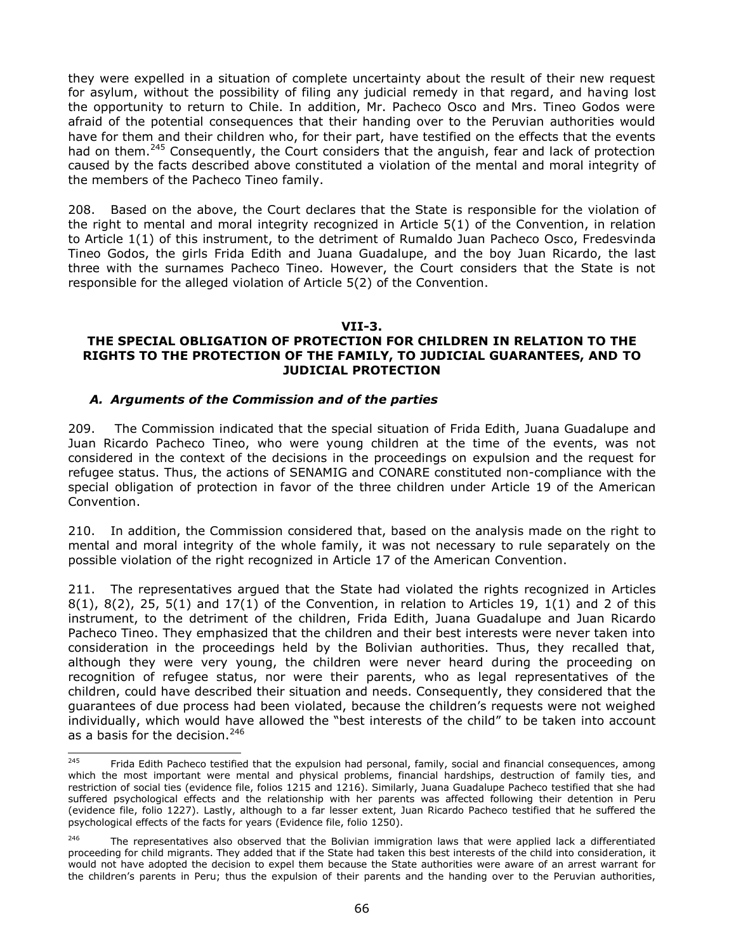they were expelled in a situation of complete uncertainty about the result of their new request for asylum, without the possibility of filing any judicial remedy in that regard, and having lost the opportunity to return to Chile. In addition, Mr. Pacheco Osco and Mrs. Tineo Godos were afraid of the potential consequences that their handing over to the Peruvian authorities would have for them and their children who, for their part, have testified on the effects that the events had on them.<sup>245</sup> Consequently, the Court considers that the anguish, fear and lack of protection caused by the facts described above constituted a violation of the mental and moral integrity of the members of the Pacheco Tineo family.

208. Based on the above, the Court declares that the State is responsible for the violation of the right to mental and moral integrity recognized in Article 5(1) of the Convention, in relation to Article 1(1) of this instrument, to the detriment of Rumaldo Juan Pacheco Osco, Fredesvinda Tineo Godos, the girls Frida Edith and Juana Guadalupe, and the boy Juan Ricardo, the last three with the surnames Pacheco Tineo. However, the Court considers that the State is not responsible for the alleged violation of Article 5(2) of the Convention.

#### **VII-3.**

# **THE SPECIAL OBLIGATION OF PROTECTION FOR CHILDREN IN RELATION TO THE RIGHTS TO THE PROTECTION OF THE FAMILY, TO JUDICIAL GUARANTEES, AND TO JUDICIAL PROTECTION**

## *A. Arguments of the Commission and of the parties*

209. The Commission indicated that the special situation of Frida Edith, Juana Guadalupe and Juan Ricardo Pacheco Tineo, who were young children at the time of the events, was not considered in the context of the decisions in the proceedings on expulsion and the request for refugee status. Thus, the actions of SENAMIG and CONARE constituted non-compliance with the special obligation of protection in favor of the three children under Article 19 of the American Convention.

210. In addition, the Commission considered that, based on the analysis made on the right to mental and moral integrity of the whole family, it was not necessary to rule separately on the possible violation of the right recognized in Article 17 of the American Convention.

211. The representatives argued that the State had violated the rights recognized in Articles 8(1), 8(2), 25, 5(1) and 17(1) of the Convention, in relation to Articles 19, 1(1) and 2 of this instrument, to the detriment of the children, Frida Edith, Juana Guadalupe and Juan Ricardo Pacheco Tineo. They emphasized that the children and their best interests were never taken into consideration in the proceedings held by the Bolivian authorities. Thus, they recalled that, although they were very young, the children were never heard during the proceeding on recognition of refugee status, nor were their parents, who as legal representatives of the children, could have described their situation and needs. Consequently, they considered that the guarantees of due process had been violated, because the children's requests were not weighed individually, which would have allowed the "best interests of the child" to be taken into account as a basis for the decision.<sup>246</sup>

<sup>245</sup> Frida Edith Pacheco testified that the expulsion had personal, family, social and financial consequences, among which the most important were mental and physical problems, financial hardships, destruction of family ties, and restriction of social ties (evidence file, folios 1215 and 1216). Similarly, Juana Guadalupe Pacheco testified that she had suffered psychological effects and the relationship with her parents was affected following their detention in Peru (evidence file, folio 1227). Lastly, although to a far lesser extent, Juan Ricardo Pacheco testified that he suffered the psychological effects of the facts for years (Evidence file, folio 1250).

The representatives also observed that the Bolivian immigration laws that were applied lack a differentiated proceeding for child migrants. They added that if the State had taken this best interests of the child into consideration, it would not have adopted the decision to expel them because the State authorities were aware of an arrest warrant for the children's parents in Peru; thus the expulsion of their parents and the handing over to the Peruvian authorities,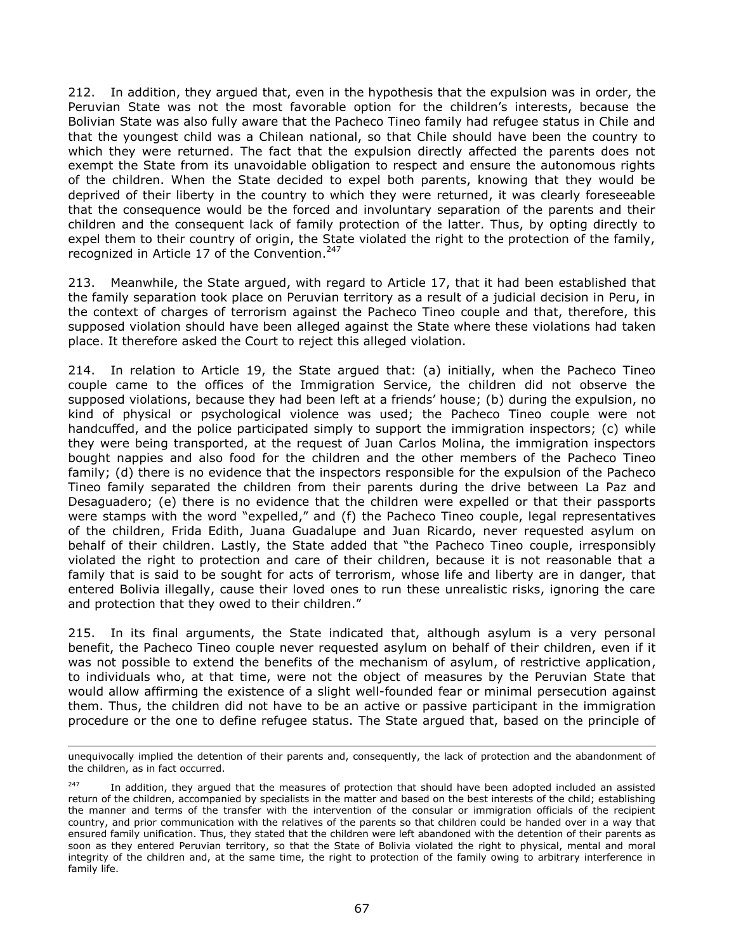212. In addition, they argued that, even in the hypothesis that the expulsion was in order, the Peruvian State was not the most favorable option for the children's interests, because the Bolivian State was also fully aware that the Pacheco Tineo family had refugee status in Chile and that the youngest child was a Chilean national, so that Chile should have been the country to which they were returned. The fact that the expulsion directly affected the parents does not exempt the State from its unavoidable obligation to respect and ensure the autonomous rights of the children. When the State decided to expel both parents, knowing that they would be deprived of their liberty in the country to which they were returned, it was clearly foreseeable that the consequence would be the forced and involuntary separation of the parents and their children and the consequent lack of family protection of the latter. Thus, by opting directly to expel them to their country of origin, the State violated the right to the protection of the family, recognized in Article 17 of the Convention.<sup>247</sup>

213. Meanwhile, the State argued, with regard to Article 17, that it had been established that the family separation took place on Peruvian territory as a result of a judicial decision in Peru, in the context of charges of terrorism against the Pacheco Tineo couple and that, therefore, this supposed violation should have been alleged against the State where these violations had taken place. It therefore asked the Court to reject this alleged violation.

214. In relation to Article 19, the State argued that: (a) initially, when the Pacheco Tineo couple came to the offices of the Immigration Service, the children did not observe the supposed violations, because they had been left at a friends' house; (b) during the expulsion, no kind of physical or psychological violence was used; the Pacheco Tineo couple were not handcuffed, and the police participated simply to support the immigration inspectors; (c) while they were being transported, at the request of Juan Carlos Molina, the immigration inspectors bought nappies and also food for the children and the other members of the Pacheco Tineo family; (d) there is no evidence that the inspectors responsible for the expulsion of the Pacheco Tineo family separated the children from their parents during the drive between La Paz and Desaguadero; (e) there is no evidence that the children were expelled or that their passports were stamps with the word "expelled," and (f) the Pacheco Tineo couple, legal representatives of the children, Frida Edith, Juana Guadalupe and Juan Ricardo, never requested asylum on behalf of their children. Lastly, the State added that "the Pacheco Tineo couple, irresponsibly violated the right to protection and care of their children, because it is not reasonable that a family that is said to be sought for acts of terrorism, whose life and liberty are in danger, that entered Bolivia illegally, cause their loved ones to run these unrealistic risks, ignoring the care and protection that they owed to their children."

215. In its final arguments, the State indicated that, although asylum is a very personal benefit, the Pacheco Tineo couple never requested asylum on behalf of their children, even if it was not possible to extend the benefits of the mechanism of asylum, of restrictive application, to individuals who, at that time, were not the object of measures by the Peruvian State that would allow affirming the existence of a slight well-founded fear or minimal persecution against them. Thus, the children did not have to be an active or passive participant in the immigration procedure or the one to define refugee status. The State argued that, based on the principle of

l unequivocally implied the detention of their parents and, consequently, the lack of protection and the abandonment of the children, as in fact occurred.

<sup>&</sup>lt;sup>247</sup> In addition, they argued that the measures of protection that should have been adopted included an assisted return of the children, accompanied by specialists in the matter and based on the best interests of the child; establishing the manner and terms of the transfer with the intervention of the consular or immigration officials of the recipient country, and prior communication with the relatives of the parents so that children could be handed over in a way that ensured family unification. Thus, they stated that the children were left abandoned with the detention of their parents as soon as they entered Peruvian territory, so that the State of Bolivia violated the right to physical, mental and moral integrity of the children and, at the same time, the right to protection of the family owing to arbitrary interference in family life.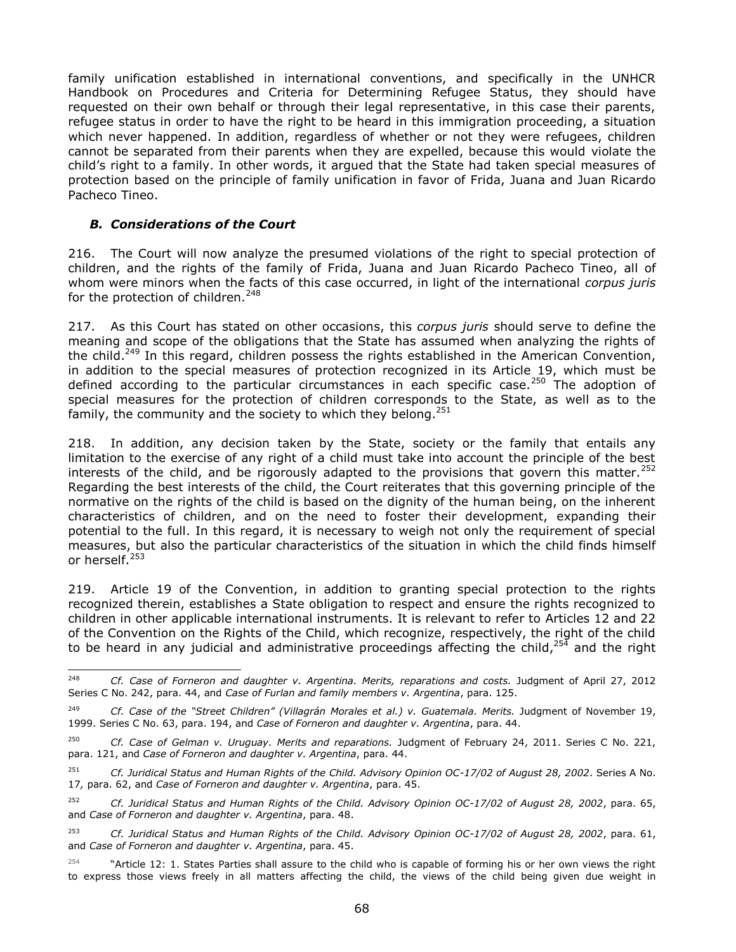family unification established in international conventions, and specifically in the UNHCR Handbook on Procedures and Criteria for Determining Refugee Status, they should have requested on their own behalf or through their legal representative, in this case their parents, refugee status in order to have the right to be heard in this immigration proceeding, a situation which never happened. In addition, regardless of whether or not they were refugees, children cannot be separated from their parents when they are expelled, because this would violate the child's right to a family. In other words, it argued that the State had taken special measures of protection based on the principle of family unification in favor of Frida, Juana and Juan Ricardo Pacheco Tineo.

# *B. Considerations of the Court*

216. The Court will now analyze the presumed violations of the right to special protection of children, and the rights of the family of Frida, Juana and Juan Ricardo Pacheco Tineo, all of whom were minors when the facts of this case occurred, in light of the international *corpus juris*  for the protection of children.<sup>248</sup>

217. As this Court has stated on other occasions, this *corpus juris* should serve to define the meaning and scope of the obligations that the State has assumed when analyzing the rights of the child.<sup>249</sup> In this regard, children possess the rights established in the American Convention, in addition to the special measures of protection recognized in its Article 19, which must be defined according to the particular circumstances in each specific case.<sup>250</sup> The adoption of special measures for the protection of children corresponds to the State, as well as to the family, the community and the society to which they belong.  $251$ 

218. In addition, any decision taken by the State, society or the family that entails any limitation to the exercise of any right of a child must take into account the principle of the best interests of the child, and be rigorously adapted to the provisions that govern this matter.<sup>252</sup> Regarding the best interests of the child, the Court reiterates that this governing principle of the normative on the rights of the child is based on the dignity of the human being, on the inherent characteristics of children, and on the need to foster their development, expanding their potential to the full. In this regard, it is necessary to weigh not only the requirement of special measures, but also the particular characteristics of the situation in which the child finds himself or herself.<sup>253</sup>

219. Article 19 of the Convention, in addition to granting special protection to the rights recognized therein, establishes a State obligation to respect and ensure the rights recognized to children in other applicable international instruments. It is relevant to refer to Articles 12 and 22 of the Convention on the Rights of the Child, which recognize, respectively, the right of the child to be heard in any judicial and administrative proceedings affecting the child,  $25\overline{4}$  and the right

- <sup>251</sup> *Cf. Juridical Status and Human Rights of the Child. Advisory Opinion OC-17/02 of August 28, 2002*. Series A No. 17*,* para. 62, and *Case of Forneron and daughter v. Argentina*, para. 45.
- <sup>252</sup> *Cf. Juridical Status and Human Rights of the Child. Advisory Opinion OC-17/02 of August 28, 2002*, para. 65, and *Case of Forneron and daughter v. Argentina*, para. 48.
- <sup>253</sup> *Cf. Juridical Status and Human Rights of the Child. Advisory Opinion OC-17/02 of August 28, 2002*, para. 61, and *Case of Forneron and daughter v. Argentina*, para. 45.
- $254$  "Article 12: 1. States Parties shall assure to the child who is capable of forming his or her own views the right to express those views freely in all matters affecting the child, the views of the child being given due weight in

<sup>248</sup> <sup>248</sup> *Cf. Case of Forneron and daughter v. Argentina. Merits, reparations and costs.* Judgment of April 27, 2012 Series C No. 242, para. 44, and *Case of Furlan and family members v. Argentina*, para. 125.

<sup>249</sup> *Cf. Case of the "Street Children" (Villagrán Morales et al.) v. Guatemala. Merits.* Judgment of November 19, 1999. Series C No. 63, para. 194, and *Case of Forneron and daughter v. Argentina*, para. 44.

<sup>250</sup> *Cf. Case of Gelman v. Uruguay. Merits and reparations.* Judgment of February 24, 2011. Series C No. 221, para. 121, and *Case of Forneron and daughter v. Argentina*, para. 44.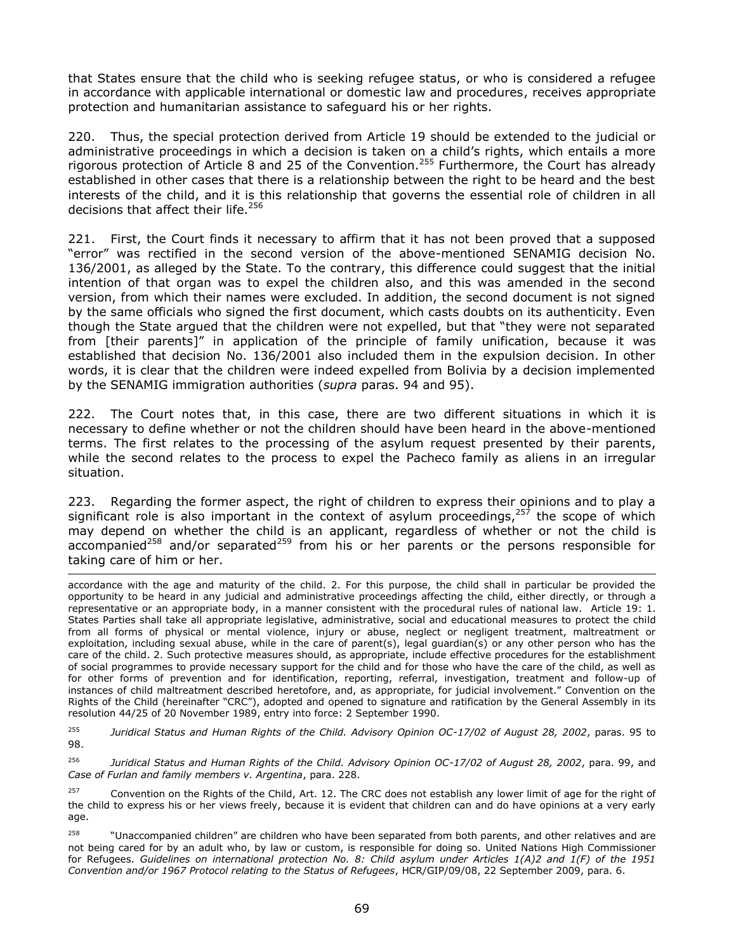that States ensure that the child who is seeking refugee status, or who is considered a refugee in accordance with applicable international or domestic law and procedures, receives appropriate protection and humanitarian assistance to safeguard his or her rights.

220. Thus, the special protection derived from Article 19 should be extended to the judicial or administrative proceedings in which a decision is taken on a child's rights, which entails a more rigorous protection of Article 8 and 25 of the Convention. <sup>255</sup> Furthermore, the Court has already established in other cases that there is a relationship between the right to be heard and the best interests of the child, and it is this relationship that governs the essential role of children in all decisions that affect their life.<sup>256</sup>

221. First, the Court finds it necessary to affirm that it has not been proved that a supposed "error" was rectified in the second version of the above-mentioned SENAMIG decision No. 136/2001, as alleged by the State. To the contrary, this difference could suggest that the initial intention of that organ was to expel the children also, and this was amended in the second version, from which their names were excluded. In addition, the second document is not signed by the same officials who signed the first document, which casts doubts on its authenticity. Even though the State argued that the children were not expelled, but that "they were not separated from [their parents]" in application of the principle of family unification, because it was established that decision No. 136/2001 also included them in the expulsion decision. In other words, it is clear that the children were indeed expelled from Bolivia by a decision implemented by the SENAMIG immigration authorities (*supra* paras. 94 and 95).

222. The Court notes that, in this case, there are two different situations in which it is necessary to define whether or not the children should have been heard in the above-mentioned terms. The first relates to the processing of the asylum request presented by their parents, while the second relates to the process to expel the Pacheco family as aliens in an irregular situation.

223. Regarding the former aspect, the right of children to express their opinions and to play a significant role is also important in the context of asylum proceedings,  $257$  the scope of which may depend on whether the child is an applicant, regardless of whether or not the child is accompanied<sup>258</sup> and/or separated<sup>259</sup> from his or her parents or the persons responsible for taking care of him or her.

j accordance with the age and maturity of the child. 2. For this purpose, the child shall in particular be provided the opportunity to be heard in any judicial and administrative proceedings affecting the child, either directly, or through a representative or an appropriate body, in a manner consistent with the procedural rules of national law. Article 19: 1. States Parties shall take all appropriate legislative, administrative, social and educational measures to protect the child from all forms of physical or mental violence, injury or abuse, neglect or negligent treatment, maltreatment or exploitation, including sexual abuse, while in the care of parent(s), legal guardian(s) or any other person who has the care of the child. 2. Such protective measures should, as appropriate, include effective procedures for the establishment of social programmes to provide necessary support for the child and for those who have the care of the child, as well as for other forms of prevention and for identification, reporting, referral, investigation, treatment and follow-up of instances of child maltreatment described heretofore, and, as appropriate, for judicial involvement." Convention on the Rights of the Child (hereinafter "CRC"), adopted and opened to signature and ratification by the General Assembly in its resolution 44/25 of 20 November 1989, entry into force: 2 September 1990.

<sup>255</sup> *Juridical Status and Human Rights of the Child. Advisory Opinion OC-17/02 of August 28, 2002*, paras. 95 to 98.

<sup>256</sup> *Juridical Status and Human Rights of the Child. Advisory Opinion OC-17/02 of August 28, 2002*, para. 99, and *Case of Furlan and family members v. Argentina*, para. 228.

 $257$  Convention on the Rights of the Child, Art. 12. The CRC does not establish any lower limit of age for the right of the child to express his or her views freely, because it is evident that children can and do have opinions at a very early age.

<sup>258</sup> "Unaccompanied children" are children who have been separated from both parents, and other relatives and are not being cared for by an adult who, by law or custom, is responsible for doing so. United Nations High Commissioner for Refugees. *Guidelines on international protection No. 8: Child asylum under Articles 1(A)2 and 1(F) of the 1951 Convention and/or 1967 Protocol relating to the Status of Refugees*, HCR/GIP/09/08, 22 September 2009, para. 6.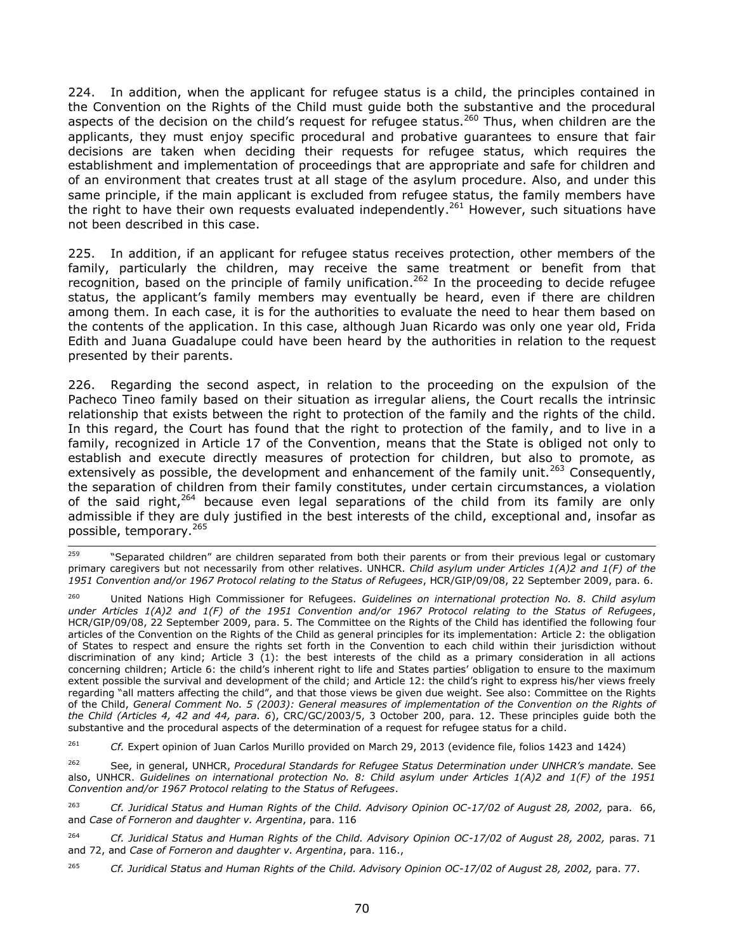224. In addition, when the applicant for refugee status is a child, the principles contained in the Convention on the Rights of the Child must guide both the substantive and the procedural aspects of the decision on the child's request for refugee status.<sup>260</sup> Thus, when children are the applicants, they must enjoy specific procedural and probative guarantees to ensure that fair decisions are taken when deciding their requests for refugee status, which requires the establishment and implementation of proceedings that are appropriate and safe for children and of an environment that creates trust at all stage of the asylum procedure. Also, and under this same principle, if the main applicant is excluded from refugee status, the family members have the right to have their own requests evaluated independently.<sup>261</sup> However, such situations have not been described in this case.

225. In addition, if an applicant for refugee status receives protection, other members of the family, particularly the children, may receive the same treatment or benefit from that recognition, based on the principle of family unification.<sup>262</sup> In the proceeding to decide refugee status, the applicant's family members may eventually be heard, even if there are children among them. In each case, it is for the authorities to evaluate the need to hear them based on the contents of the application. In this case, although Juan Ricardo was only one year old, Frida Edith and Juana Guadalupe could have been heard by the authorities in relation to the request presented by their parents.

226. Regarding the second aspect, in relation to the proceeding on the expulsion of the Pacheco Tineo family based on their situation as irregular aliens, the Court recalls the intrinsic relationship that exists between the right to protection of the family and the rights of the child. In this regard, the Court has found that the right to protection of the family, and to live in a family, recognized in Article 17 of the Convention, means that the State is obliged not only to establish and execute directly measures of protection for children, but also to promote, as extensively as possible, the development and enhancement of the family unit.<sup>263</sup> Consequently, the separation of children from their family constitutes, under certain circumstances, a violation of the said right,<sup>264</sup> because even legal separations of the child from its family are only admissible if they are duly justified in the best interests of the child, exceptional and, insofar as possible, temporary.<sup>265</sup>

<sup>259</sup> "Separated children" are children separated from both their parents or from their previous legal or customary primary caregivers but not necessarily from other relatives. UNHCR. *Child asylum under Articles 1(A)2 and 1(F) of the 1951 Convention and/or 1967 Protocol relating to the Status of Refugees*, HCR/GIP/09/08, 22 September 2009, para. 6.

<sup>260</sup> United Nations High Commissioner for Refugees. *Guidelines on international protection No. 8. Child asylum under Articles 1(A)2 and 1(F) of the 1951 Convention and/or 1967 Protocol relating to the Status of Refugees*, HCR/GIP/09/08, 22 September 2009, para. 5. The Committee on the Rights of the Child has identified the following four articles of the Convention on the Rights of the Child as general principles for its implementation: Article 2: the obligation of States to respect and ensure the rights set forth in the Convention to each child within their jurisdiction without discrimination of any kind; Article 3 (1): the best interests of the child as a primary consideration in all actions concerning children; Article 6: the child's inherent right to life and States parties' obligation to ensure to the maximum extent possible the survival and development of the child; and Article 12: the child's right to express his/her views freely regarding "all matters affecting the child", and that those views be given due weight. See also: Committee on the Rights of the Child, *General Comment No. 5 (2003): General measures of implementation of the Convention on the Rights of the Child (Articles 4, 42 and 44, para. 6*), CRC/GC/2003/5, 3 October 200, para. 12. These principles guide both the substantive and the procedural aspects of the determination of a request for refugee status for a child.

<sup>&</sup>lt;sup>261</sup> *Cf.* Expert opinion of Juan Carlos Murillo provided on March 29, 2013 (evidence file, folios 1423 and 1424)

<sup>262</sup> See, in general, UNHCR, *Procedural Standards for Refugee Status Determination under UNHCR's mandate.* See also, UNHCR. *Guidelines on international protection No. 8: Child asylum under Articles 1(A)2 and 1(F) of the 1951 Convention and/or 1967 Protocol relating to the Status of Refugees*.

<sup>263</sup> *Cf. Juridical Status and Human Rights of the Child. Advisory Opinion OC-17/02 of August 28, 2002,* para. 66, and *Case of Forneron and daughter v. Argentina*, para. 116

<sup>264</sup> *Cf. Juridical Status and Human Rights of the Child. Advisory Opinion OC-17/02 of August 28, 2002,* paras. 71 and 72, and *Case of Forneron and daughter v. Argentina*, para. 116.,

<sup>265</sup> *Cf. Juridical Status and Human Rights of the Child. Advisory Opinion OC-17/02 of August 28, 2002,* para. 77.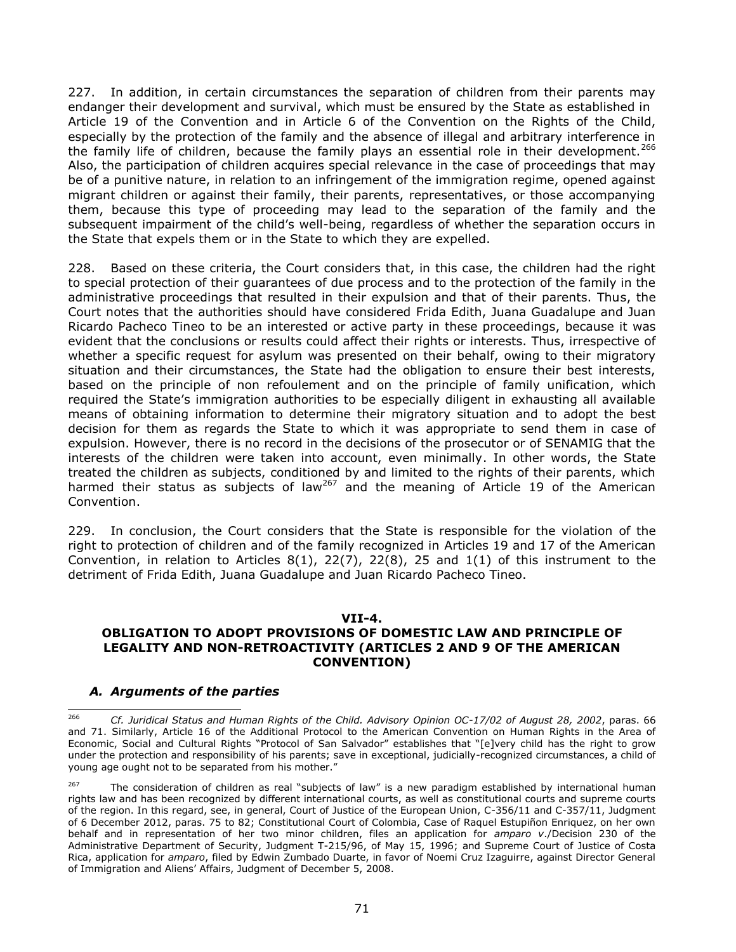227. In addition, in certain circumstances the separation of children from their parents may endanger their development and survival, which must be ensured by the State as established in Article 19 of the Convention and in Article 6 of the Convention on the Rights of the Child, especially by the protection of the family and the absence of illegal and arbitrary interference in the family life of children, because the family plays an essential role in their development.<sup>266</sup> Also, the participation of children acquires special relevance in the case of proceedings that may be of a punitive nature, in relation to an infringement of the immigration regime, opened against migrant children or against their family, their parents, representatives, or those accompanying them, because this type of proceeding may lead to the separation of the family and the subsequent impairment of the child's well-being, regardless of whether the separation occurs in the State that expels them or in the State to which they are expelled.

228. Based on these criteria, the Court considers that, in this case, the children had the right to special protection of their guarantees of due process and to the protection of the family in the administrative proceedings that resulted in their expulsion and that of their parents. Thus, the Court notes that the authorities should have considered Frida Edith, Juana Guadalupe and Juan Ricardo Pacheco Tineo to be an interested or active party in these proceedings, because it was evident that the conclusions or results could affect their rights or interests. Thus, irrespective of whether a specific request for asylum was presented on their behalf, owing to their migratory situation and their circumstances, the State had the obligation to ensure their best interests, based on the principle of non refoulement and on the principle of family unification, which required the State's immigration authorities to be especially diligent in exhausting all available means of obtaining information to determine their migratory situation and to adopt the best decision for them as regards the State to which it was appropriate to send them in case of expulsion. However, there is no record in the decisions of the prosecutor or of SENAMIG that the interests of the children were taken into account, even minimally. In other words, the State treated the children as subjects, conditioned by and limited to the rights of their parents, which harmed their status as subjects of law<sup>267</sup> and the meaning of Article 19 of the American Convention.

229. In conclusion, the Court considers that the State is responsible for the violation of the right to protection of children and of the family recognized in Articles 19 and 17 of the American Convention, in relation to Articles  $8(1)$ ,  $22(7)$ ,  $22(8)$ , 25 and  $1(1)$  of this instrument to the detriment of Frida Edith, Juana Guadalupe and Juan Ricardo Pacheco Tineo.

#### **VII-4.**

# **OBLIGATION TO ADOPT PROVISIONS OF DOMESTIC LAW AND PRINCIPLE OF LEGALITY AND NON-RETROACTIVITY (ARTICLES 2 AND 9 OF THE AMERICAN CONVENTION)**

## *A. Arguments of the parties*

<sup>266</sup> <sup>266</sup> *Cf. Juridical Status and Human Rights of the Child. Advisory Opinion OC-17/02 of August 28, 2002*, paras. 66 and 71. Similarly, Article 16 of the Additional Protocol to the American Convention on Human Rights in the Area of Economic, Social and Cultural Rights "Protocol of San Salvador" establishes that "[e]very child has the right to grow under the protection and responsibility of his parents; save in exceptional, judicially-recognized circumstances, a child of young age ought not to be separated from his mother."

<sup>&</sup>lt;sup>267</sup> The consideration of children as real "subjects of law" is a new paradigm established by international human rights law and has been recognized by different international courts, as well as constitutional courts and supreme courts of the region. In this regard, see, in general, Court of Justice of the European Union, C-356/11 and C-357/11, Judgment of 6 December 2012, paras. 75 to 82; Constitutional Court of Colombia, Case of Raquel Estupiñon Enriquez, on her own behalf and in representation of her two minor children, files an application for *amparo v*./Decision 230 of the Administrative Department of Security, Judgment T-215/96, of May 15, 1996; and Supreme Court of Justice of Costa Rica, application for *amparo*, filed by Edwin Zumbado Duarte, in favor of Noemi Cruz Izaguirre, against Director General of Immigration and Aliens' Affairs, Judgment of December 5, 2008.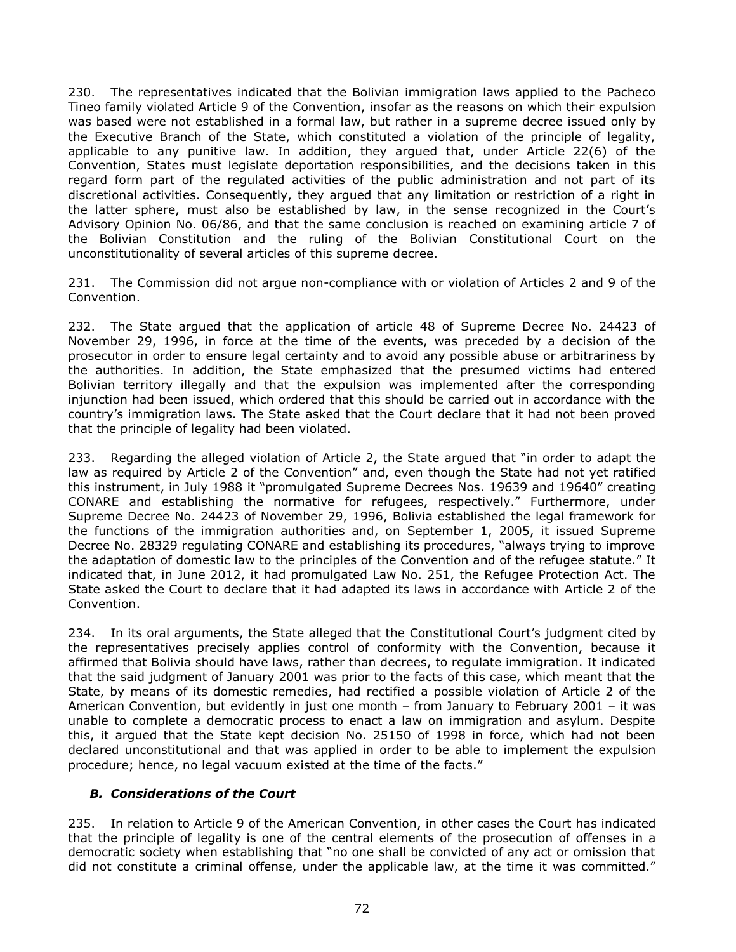230. The representatives indicated that the Bolivian immigration laws applied to the Pacheco Tineo family violated Article 9 of the Convention, insofar as the reasons on which their expulsion was based were not established in a formal law, but rather in a supreme decree issued only by the Executive Branch of the State, which constituted a violation of the principle of legality, applicable to any punitive law. In addition, they argued that, under Article 22(6) of the Convention, States must legislate deportation responsibilities, and the decisions taken in this regard form part of the regulated activities of the public administration and not part of its discretional activities. Consequently, they argued that any limitation or restriction of a right in the latter sphere, must also be established by law, in the sense recognized in the Court's Advisory Opinion No. 06/86, and that the same conclusion is reached on examining article 7 of the Bolivian Constitution and the ruling of the Bolivian Constitutional Court on the unconstitutionality of several articles of this supreme decree.

231. The Commission did not argue non-compliance with or violation of Articles 2 and 9 of the Convention.

232. The State argued that the application of article 48 of Supreme Decree No. 24423 of November 29, 1996, in force at the time of the events, was preceded by a decision of the prosecutor in order to ensure legal certainty and to avoid any possible abuse or arbitrariness by the authorities. In addition, the State emphasized that the presumed victims had entered Bolivian territory illegally and that the expulsion was implemented after the corresponding injunction had been issued, which ordered that this should be carried out in accordance with the country's immigration laws. The State asked that the Court declare that it had not been proved that the principle of legality had been violated.

233. Regarding the alleged violation of Article 2, the State argued that "in order to adapt the law as required by Article 2 of the Convention" and, even though the State had not yet ratified this instrument, in July 1988 it "promulgated Supreme Decrees Nos. 19639 and 19640" creating CONARE and establishing the normative for refugees, respectively." Furthermore, under Supreme Decree No. 24423 of November 29, 1996, Bolivia established the legal framework for the functions of the immigration authorities and, on September 1, 2005, it issued Supreme Decree No. 28329 regulating CONARE and establishing its procedures, "always trying to improve the adaptation of domestic law to the principles of the Convention and of the refugee statute." It indicated that, in June 2012, it had promulgated Law No. 251, the Refugee Protection Act. The State asked the Court to declare that it had adapted its laws in accordance with Article 2 of the Convention.

234. In its oral arguments, the State alleged that the Constitutional Court's judgment cited by the representatives precisely applies control of conformity with the Convention, because it affirmed that Bolivia should have laws, rather than decrees, to regulate immigration. It indicated that the said judgment of January 2001 was prior to the facts of this case, which meant that the State, by means of its domestic remedies, had rectified a possible violation of Article 2 of the American Convention, but evidently in just one month – from January to February 2001 – it was unable to complete a democratic process to enact a law on immigration and asylum. Despite this, it argued that the State kept decision No. 25150 of 1998 in force, which had not been declared unconstitutional and that was applied in order to be able to implement the expulsion procedure; hence, no legal vacuum existed at the time of the facts."

## *B. Considerations of the Court*

235. In relation to Article 9 of the American Convention, in other cases the Court has indicated that the principle of legality is one of the central elements of the prosecution of offenses in a democratic society when establishing that "no one shall be convicted of any act or omission that did not constitute a criminal offense, under the applicable law, at the time it was committed."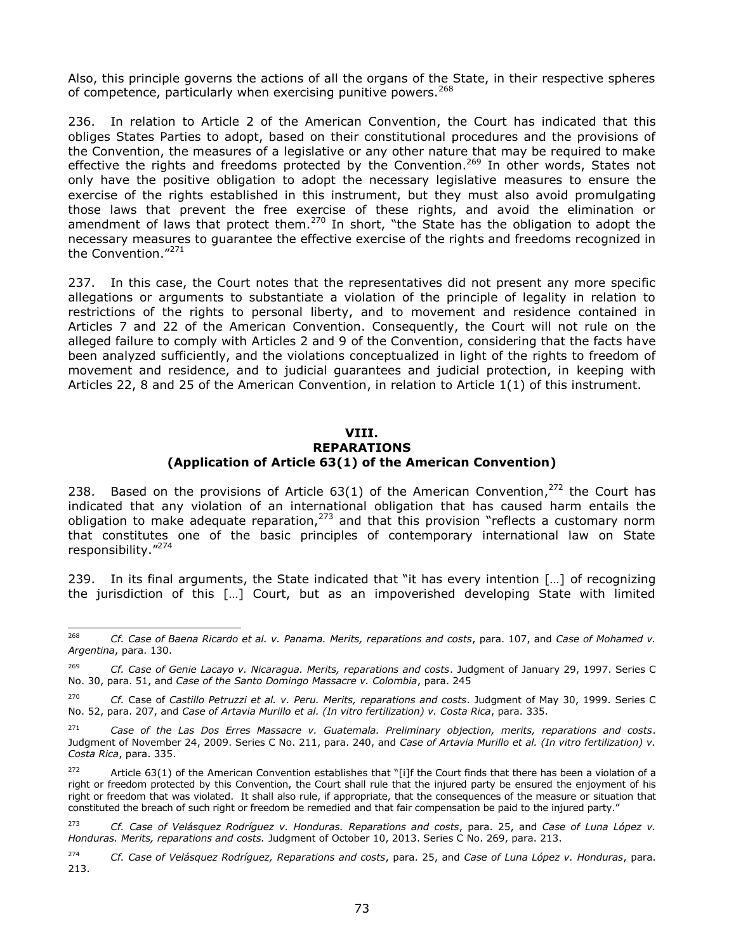Also, this principle governs the actions of all the organs of the State, in their respective spheres of competence, particularly when exercising punitive powers.<sup>268</sup>

236. In relation to Article 2 of the American Convention, the Court has indicated that this obliges States Parties to adopt, based on their constitutional procedures and the provisions of the Convention, the measures of a legislative or any other nature that may be required to make effective the rights and freedoms protected by the Convention.<sup>269</sup> In other words, States not only have the positive obligation to adopt the necessary legislative measures to ensure the exercise of the rights established in this instrument, but they must also avoid promulgating those laws that prevent the free exercise of these rights, and avoid the elimination or amendment of laws that protect them.<sup>270</sup> In short, "the State has the obligation to adopt the necessary measures to guarantee the effective exercise of the rights and freedoms recognized in the Convention."<sup>271</sup>

237. In this case, the Court notes that the representatives did not present any more specific allegations or arguments to substantiate a violation of the principle of legality in relation to restrictions of the rights to personal liberty, and to movement and residence contained in Articles 7 and 22 of the American Convention. Consequently, the Court will not rule on the alleged failure to comply with Articles 2 and 9 of the Convention, considering that the facts have been analyzed sufficiently, and the violations conceptualized in light of the rights to freedom of movement and residence, and to judicial guarantees and judicial protection, in keeping with Articles 22, 8 and 25 of the American Convention, in relation to Article 1(1) of this instrument.

#### **VIII. REPARATIONS (Application of Article 63(1) of the American Convention)**

238. Based on the provisions of Article  $63(1)$  of the American Convention,<sup>272</sup> the Court has indicated that any violation of an international obligation that has caused harm entails the obligation to make adequate reparation,<sup>273</sup> and that this provision "reflects a customary norm that constitutes one of the basic principles of contemporary international law on State responsibility." 274

239. In its final arguments, the State indicated that "it has every intention […] of recognizing the jurisdiction of this […] Court, but as an impoverished developing State with limited

<sup>268</sup> <sup>268</sup> *Cf. Case of Baena Ricardo et al. v. Panama. Merits, reparations and costs*, para. 107, and *Case of Mohamed v. Argentina*, para. 130.

<sup>269</sup> *Cf. Case of Genie Lacayo v. Nicaragua. Merits, reparations and costs*. Judgment of January 29, 1997. Series C No. 30, para. 51, and *Case of the Santo Domingo Massacre v. Colombia*, para. 245

<sup>270</sup> *Cf.* Case of *Castillo Petruzzi et al. v. Peru. Merits, reparations and costs*. Judgment of May 30, 1999. Series C No. 52, para. 207, and *Case of Artavia Murillo et al. (In vitro fertilization) v. Costa Rica*, para. 335.

<sup>271</sup> *Case of the Las Dos Erres Massacre v. Guatemala. Preliminary objection, merits, reparations and costs*. Judgment of November 24, 2009. Series C No. 211, para. 240, and *Case of Artavia Murillo et al. (In vitro fertilization) v. Costa Rica*, para. 335.

<sup>&</sup>lt;sup>272</sup> Article 63(1) of the American Convention establishes that "[i]f the Court finds that there has been a violation of a right or freedom protected by this Convention, the Court shall rule that the injured party be ensured the enjoyment of his right or freedom that was violated. It shall also rule, if appropriate, that the consequences of the measure or situation that constituted the breach of such right or freedom be remedied and that fair compensation be paid to the injured party."

<sup>273</sup> *Cf. Case of Velásquez Rodríguez v. Honduras. Reparations and costs*, para. 25, and *Case of Luna López v. Honduras. Merits, reparations and costs.* Judgment of October 10, 2013. Series C No. 269, para. 213.

<sup>274</sup> *Cf. Case of Velásquez Rodríguez, Reparations and costs*, para. 25, and *Case of Luna López v. Honduras*, para. 213.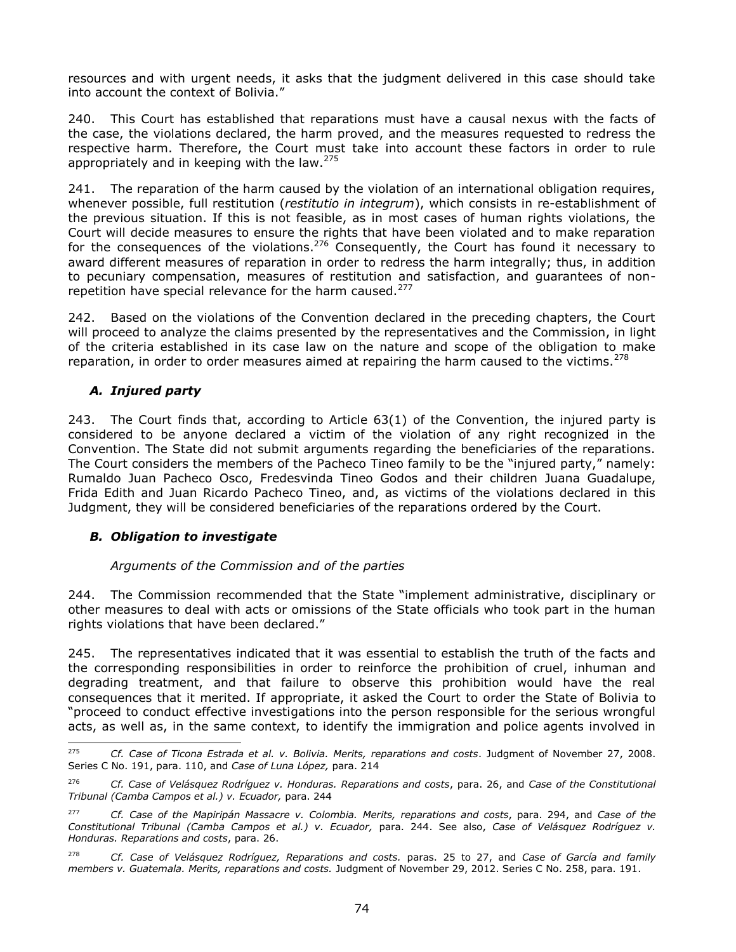resources and with urgent needs, it asks that the judgment delivered in this case should take into account the context of Bolivia."

240. This Court has established that reparations must have a causal nexus with the facts of the case, the violations declared, the harm proved, and the measures requested to redress the respective harm. Therefore, the Court must take into account these factors in order to rule appropriately and in keeping with the law.  $275$ 

241. The reparation of the harm caused by the violation of an international obligation requires, whenever possible, full restitution (*restitutio in integrum*), which consists in re-establishment of the previous situation. If this is not feasible, as in most cases of human rights violations, the Court will decide measures to ensure the rights that have been violated and to make reparation for the consequences of the violations.<sup>276</sup> Consequently, the Court has found it necessary to award different measures of reparation in order to redress the harm integrally; thus, in addition to pecuniary compensation, measures of restitution and satisfaction, and guarantees of nonrepetition have special relevance for the harm caused.<sup>277</sup>

242. Based on the violations of the Convention declared in the preceding chapters, the Court will proceed to analyze the claims presented by the representatives and the Commission, in light of the criteria established in its case law on the nature and scope of the obligation to make reparation, in order to order measures aimed at repairing the harm caused to the victims.<sup>278</sup>

# *A. Injured party*

243. The Court finds that, according to Article 63(1) of the Convention, the injured party is considered to be anyone declared a victim of the violation of any right recognized in the Convention. The State did not submit arguments regarding the beneficiaries of the reparations. The Court considers the members of the Pacheco Tineo family to be the "injured party," namely: Rumaldo Juan Pacheco Osco, Fredesvinda Tineo Godos and their children Juana Guadalupe, Frida Edith and Juan Ricardo Pacheco Tineo, and, as victims of the violations declared in this Judgment, they will be considered beneficiaries of the reparations ordered by the Court.

# *B. Obligation to investigate*

### *Arguments of the Commission and of the parties*

244. The Commission recommended that the State "implement administrative, disciplinary or other measures to deal with acts or omissions of the State officials who took part in the human rights violations that have been declared."

245. The representatives indicated that it was essential to establish the truth of the facts and the corresponding responsibilities in order to reinforce the prohibition of cruel, inhuman and degrading treatment, and that failure to observe this prohibition would have the real consequences that it merited. If appropriate, it asked the Court to order the State of Bolivia to "proceed to conduct effective investigations into the person responsible for the serious wrongful acts, as well as, in the same context, to identify the immigration and police agents involved in

<sup>275</sup> <sup>275</sup> *Cf. Case of Ticona Estrada et al. v. Bolivia. Merits, reparations and costs*. Judgment of November 27, 2008. Series C No. 191, para. 110, and *Case of Luna López,* para. 214

<sup>276</sup> *Cf. Case of Velásquez Rodríguez v. Honduras. Reparations and costs*, para. 26, and *Case of the Constitutional Tribunal (Camba Campos et al.) v. Ecuador,* para. 244

<sup>277</sup> *Cf. Case of the Mapiripán Massacre v. Colombia. Merits, reparations and costs*, para. 294, and *Case of the Constitutional Tribunal (Camba Campos et al.) v. Ecuador,* para. 244. See also, *Case of Velásquez Rodríguez v. Honduras. Reparations and costs*, para. 26.

<sup>278</sup> *Cf. Case of Velásquez Rodríguez, Reparations and costs.* paras. 25 to 27, and *Case of García and family members v. Guatemala. Merits, reparations and costs.* Judgment of November 29, 2012. Series C No. 258, para. 191.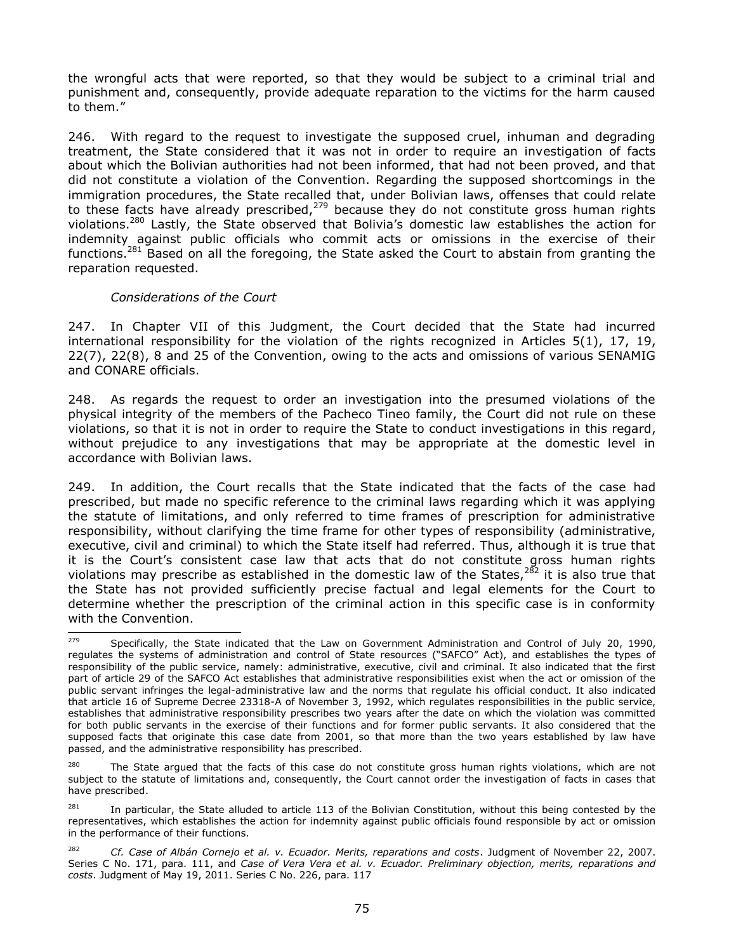the wrongful acts that were reported, so that they would be subject to a criminal trial and punishment and, consequently, provide adequate reparation to the victims for the harm caused to them."

246. With regard to the request to investigate the supposed cruel, inhuman and degrading treatment, the State considered that it was not in order to require an investigation of facts about which the Bolivian authorities had not been informed, that had not been proved, and that did not constitute a violation of the Convention. Regarding the supposed shortcomings in the immigration procedures, the State recalled that, under Bolivian laws, offenses that could relate to these facts have already prescribed, $279$  because they do not constitute gross human rights violations.<sup>280</sup> Lastly, the State observed that Bolivia's domestic law establishes the action for indemnity against public officials who commit acts or omissions in the exercise of their functions.<sup>281</sup> Based on all the foregoing, the State asked the Court to abstain from granting the reparation requested.

### *Considerations of the Court*

247. In Chapter VII of this Judgment, the Court decided that the State had incurred international responsibility for the violation of the rights recognized in Articles 5(1), 17, 19, 22(7), 22(8), 8 and 25 of the Convention, owing to the acts and omissions of various SENAMIG and CONARE officials.

248. As regards the request to order an investigation into the presumed violations of the physical integrity of the members of the Pacheco Tineo family, the Court did not rule on these violations, so that it is not in order to require the State to conduct investigations in this regard, without prejudice to any investigations that may be appropriate at the domestic level in accordance with Bolivian laws.

249. In addition, the Court recalls that the State indicated that the facts of the case had prescribed, but made no specific reference to the criminal laws regarding which it was applying the statute of limitations, and only referred to time frames of prescription for administrative responsibility, without clarifying the time frame for other types of responsibility (administrative, executive, civil and criminal) to which the State itself had referred. Thus, although it is true that it is the Court's consistent case law that acts that do not constitute gross human rights violations may prescribe as established in the domestic law of the States,  $282$  it is also true that the State has not provided sufficiently precise factual and legal elements for the Court to determine whether the prescription of the criminal action in this specific case is in conformity with the Convention.

The State argued that the facts of this case do not constitute gross human rights violations, which are not subject to the statute of limitations and, consequently, the Court cannot order the investigation of facts in cases that have prescribed.

<sup>279</sup> Specifically, the State indicated that the Law on Government Administration and Control of July 20, 1990, regulates the systems of administration and control of State resources ("SAFCO" Act), and establishes the types of responsibility of the public service, namely: administrative, executive, civil and criminal. It also indicated that the first part of article 29 of the SAFCO Act establishes that administrative responsibilities exist when the act or omission of the public servant infringes the legal-administrative law and the norms that regulate his official conduct. It also indicated that article 16 of Supreme Decree 23318-A of November 3, 1992, which regulates responsibilities in the public service, establishes that administrative responsibility prescribes two years after the date on which the violation was committed for both public servants in the exercise of their functions and for former public servants. It also considered that the supposed facts that originate this case date from 2001, so that more than the two years established by law have passed, and the administrative responsibility has prescribed.

 $^{281}$  In particular, the State alluded to article 113 of the Bolivian Constitution, without this being contested by the representatives, which establishes the action for indemnity against public officials found responsible by act or omission in the performance of their functions.

<sup>282</sup> *Cf. Case of Albán Cornejo et al. v. Ecuador. Merits, reparations and costs*. Judgment of November 22, 2007. Series C No. 171, para. 111, and *Case of Vera Vera et al. v. Ecuador. Preliminary objection, merits, reparations and costs*. Judgment of May 19, 2011. Series C No. 226, para. 117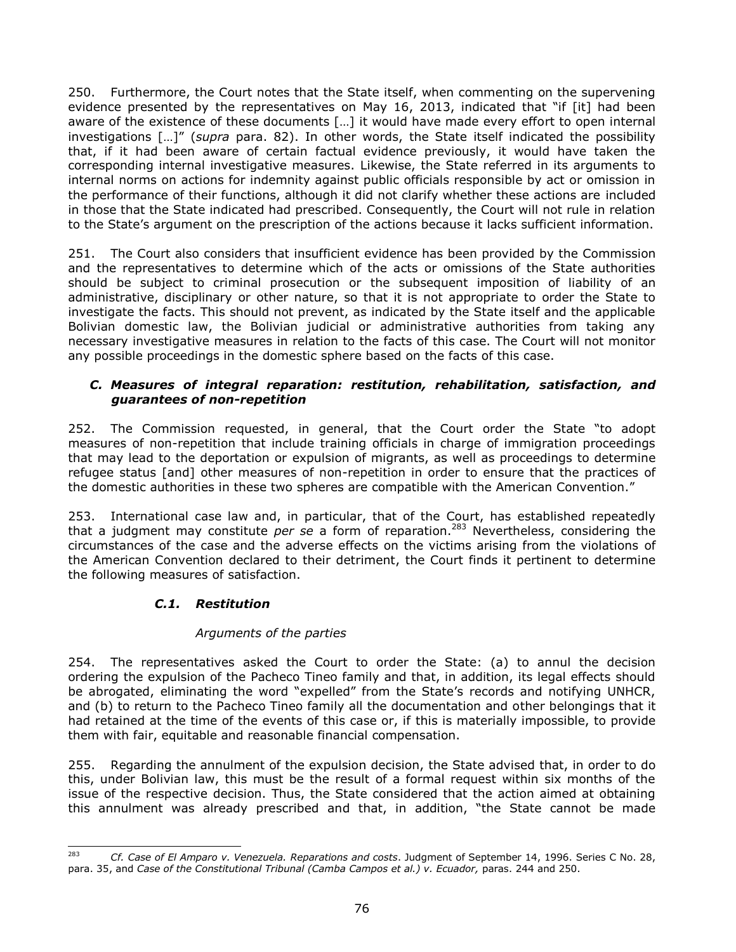250. Furthermore, the Court notes that the State itself, when commenting on the supervening evidence presented by the representatives on May 16, 2013, indicated that "if [it] had been aware of the existence of these documents […] it would have made every effort to open internal investigations […]" (*supra* para. 82). In other words, the State itself indicated the possibility that, if it had been aware of certain factual evidence previously, it would have taken the corresponding internal investigative measures. Likewise, the State referred in its arguments to internal norms on actions for indemnity against public officials responsible by act or omission in the performance of their functions, although it did not clarify whether these actions are included in those that the State indicated had prescribed. Consequently, the Court will not rule in relation to the State's argument on the prescription of the actions because it lacks sufficient information.

251. The Court also considers that insufficient evidence has been provided by the Commission and the representatives to determine which of the acts or omissions of the State authorities should be subject to criminal prosecution or the subsequent imposition of liability of an administrative, disciplinary or other nature, so that it is not appropriate to order the State to investigate the facts. This should not prevent, as indicated by the State itself and the applicable Bolivian domestic law, the Bolivian judicial or administrative authorities from taking any necessary investigative measures in relation to the facts of this case. The Court will not monitor any possible proceedings in the domestic sphere based on the facts of this case.

### *C. Measures of integral reparation: restitution, rehabilitation, satisfaction, and guarantees of non-repetition*

252. The Commission requested, in general, that the Court order the State "to adopt measures of non-repetition that include training officials in charge of immigration proceedings that may lead to the deportation or expulsion of migrants, as well as proceedings to determine refugee status [and] other measures of non-repetition in order to ensure that the practices of the domestic authorities in these two spheres are compatible with the American Convention."

253. International case law and, in particular, that of the Court, has established repeatedly that a judgment may constitute *per se* a form of reparation.<sup>283</sup> Nevertheless, considering the circumstances of the case and the adverse effects on the victims arising from the violations of the American Convention declared to their detriment, the Court finds it pertinent to determine the following measures of satisfaction.

# *C.1. Restitution*

### *Arguments of the parties*

254. The representatives asked the Court to order the State: (a) to annul the decision ordering the expulsion of the Pacheco Tineo family and that, in addition, its legal effects should be abrogated, eliminating the word "expelled" from the State's records and notifying UNHCR, and (b) to return to the Pacheco Tineo family all the documentation and other belongings that it had retained at the time of the events of this case or, if this is materially impossible, to provide them with fair, equitable and reasonable financial compensation.

255. Regarding the annulment of the expulsion decision, the State advised that, in order to do this, under Bolivian law, this must be the result of a formal request within six months of the issue of the respective decision. Thus, the State considered that the action aimed at obtaining this annulment was already prescribed and that, in addition, "the State cannot be made

<sup>283</sup> <sup>283</sup> *Cf. Case of El Amparo v. Venezuela. Reparations and costs*. Judgment of September 14, 1996. Series C No. 28, para. 35, and *Case of the Constitutional Tribunal (Camba Campos et al.) v. Ecuador, paras.* 244 and 250.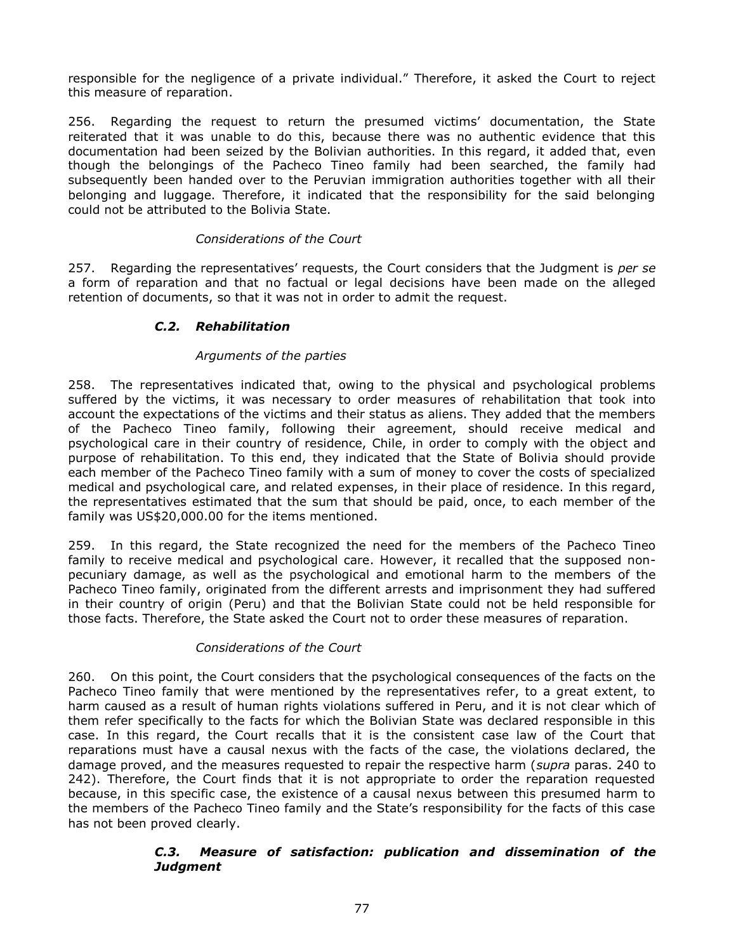responsible for the negligence of a private individual." Therefore, it asked the Court to reject this measure of reparation.

256. Regarding the request to return the presumed victims' documentation, the State reiterated that it was unable to do this, because there was no authentic evidence that this documentation had been seized by the Bolivian authorities. In this regard, it added that, even though the belongings of the Pacheco Tineo family had been searched, the family had subsequently been handed over to the Peruvian immigration authorities together with all their belonging and luggage. Therefore, it indicated that the responsibility for the said belonging could not be attributed to the Bolivia State.

### *Considerations of the Court*

257. Regarding the representatives' requests, the Court considers that the Judgment is *per se*  a form of reparation and that no factual or legal decisions have been made on the alleged retention of documents, so that it was not in order to admit the request.

## *C.2. Rehabilitation*

#### *Arguments of the parties*

258. The representatives indicated that, owing to the physical and psychological problems suffered by the victims, it was necessary to order measures of rehabilitation that took into account the expectations of the victims and their status as aliens. They added that the members of the Pacheco Tineo family, following their agreement, should receive medical and psychological care in their country of residence, Chile, in order to comply with the object and purpose of rehabilitation. To this end, they indicated that the State of Bolivia should provide each member of the Pacheco Tineo family with a sum of money to cover the costs of specialized medical and psychological care, and related expenses, in their place of residence. In this regard, the representatives estimated that the sum that should be paid, once, to each member of the family was US\$20,000.00 for the items mentioned.

259. In this regard, the State recognized the need for the members of the Pacheco Tineo family to receive medical and psychological care. However, it recalled that the supposed nonpecuniary damage, as well as the psychological and emotional harm to the members of the Pacheco Tineo family, originated from the different arrests and imprisonment they had suffered in their country of origin (Peru) and that the Bolivian State could not be held responsible for those facts. Therefore, the State asked the Court not to order these measures of reparation.

### *Considerations of the Court*

260. On this point, the Court considers that the psychological consequences of the facts on the Pacheco Tineo family that were mentioned by the representatives refer, to a great extent, to harm caused as a result of human rights violations suffered in Peru, and it is not clear which of them refer specifically to the facts for which the Bolivian State was declared responsible in this case. In this regard, the Court recalls that it is the consistent case law of the Court that reparations must have a causal nexus with the facts of the case, the violations declared, the damage proved, and the measures requested to repair the respective harm (*supra* paras. 240 to 242). Therefore, the Court finds that it is not appropriate to order the reparation requested because, in this specific case, the existence of a causal nexus between this presumed harm to the members of the Pacheco Tineo family and the State's responsibility for the facts of this case has not been proved clearly.

### *C.3. Measure of satisfaction: publication and dissemination of the Judgment*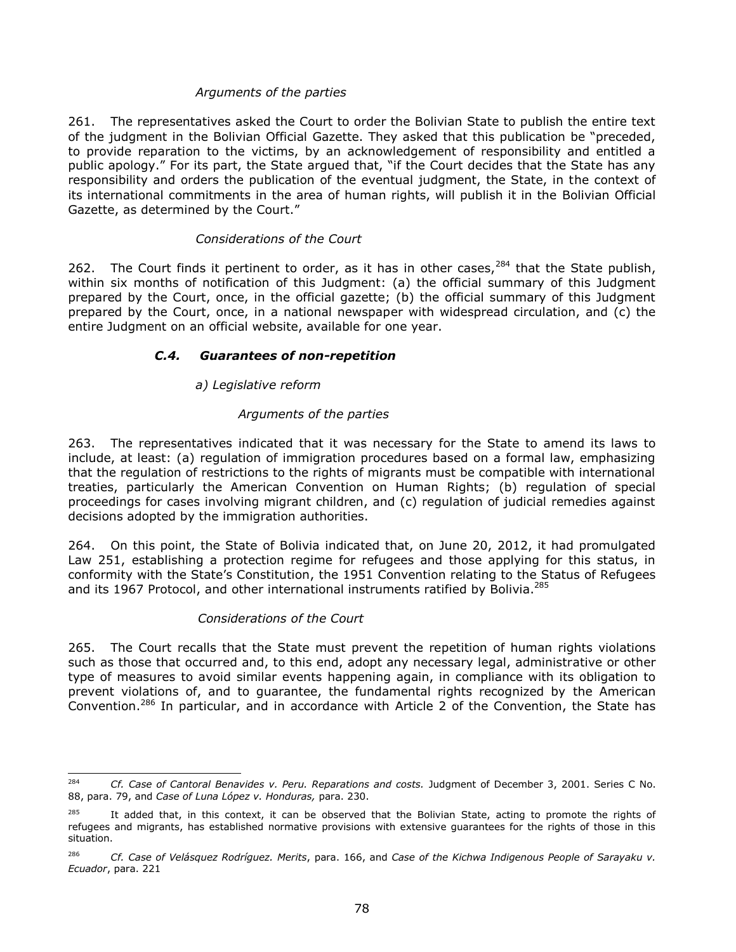## *Arguments of the parties*

261. The representatives asked the Court to order the Bolivian State to publish the entire text of the judgment in the Bolivian Official Gazette. They asked that this publication be "preceded, to provide reparation to the victims, by an acknowledgement of responsibility and entitled a public apology." For its part, the State argued that, "if the Court decides that the State has any responsibility and orders the publication of the eventual judgment, the State, in the context of its international commitments in the area of human rights, will publish it in the Bolivian Official Gazette, as determined by the Court."

### *Considerations of the Court*

262. The Court finds it pertinent to order, as it has in other cases,  $284$  that the State publish, within six months of notification of this Judgment: (a) the official summary of this Judgment prepared by the Court, once, in the official gazette; (b) the official summary of this Judgment prepared by the Court, once, in a national newspaper with widespread circulation, and (c) the entire Judgment on an official website, available for one year.

## *C.4. Guarantees of non-repetition*

## *a) Legislative reform*

## *Arguments of the parties*

263. The representatives indicated that it was necessary for the State to amend its laws to include, at least: (a) regulation of immigration procedures based on a formal law, emphasizing that the regulation of restrictions to the rights of migrants must be compatible with international treaties, particularly the American Convention on Human Rights; (b) regulation of special proceedings for cases involving migrant children, and (c) regulation of judicial remedies against decisions adopted by the immigration authorities.

264. On this point, the State of Bolivia indicated that, on June 20, 2012, it had promulgated Law 251, establishing a protection regime for refugees and those applying for this status, in conformity with the State's Constitution, the 1951 Convention relating to the Status of Refugees and its 1967 Protocol, and other international instruments ratified by Bolivia.<sup>285</sup>

### *Considerations of the Court*

265. The Court recalls that the State must prevent the repetition of human rights violations such as those that occurred and, to this end, adopt any necessary legal, administrative or other type of measures to avoid similar events happening again, in compliance with its obligation to prevent violations of, and to guarantee, the fundamental rights recognized by the American Convention.<sup>286</sup> In particular, and in accordance with Article 2 of the Convention, the State has

<sup>284</sup> <sup>284</sup> *Cf. Case of Cantoral Benavides v. Peru. Reparations and costs.* Judgment of December 3, 2001. Series C No. 88, para. 79, and *Case of Luna López v. Honduras,* para. 230.

It added that, in this context, it can be observed that the Bolivian State, acting to promote the rights of refugees and migrants, has established normative provisions with extensive guarantees for the rights of those in this situation.

<sup>286</sup> *Cf. Case of Velásquez Rodríguez. Merits*, para. 166, and *Case of the Kichwa Indigenous People of Sarayaku v. Ecuador*, para. 221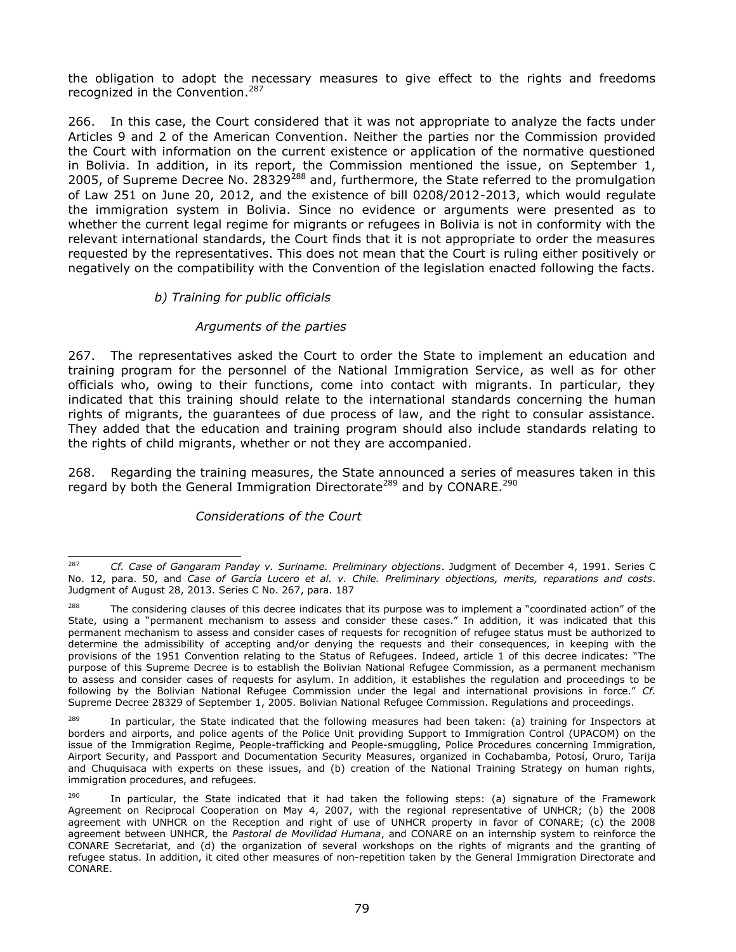the obligation to adopt the necessary measures to give effect to the rights and freedoms recognized in the Convention.<sup>287</sup>

266. In this case, the Court considered that it was not appropriate to analyze the facts under Articles 9 and 2 of the American Convention. Neither the parties nor the Commission provided the Court with information on the current existence or application of the normative questioned in Bolivia. In addition, in its report, the Commission mentioned the issue, on September 1, 2005, of Supreme Decree No. 28329 $^{288}$  and, furthermore, the State referred to the promulgation of Law 251 on June 20, 2012, and the existence of bill 0208/2012-2013, which would regulate the immigration system in Bolivia. Since no evidence or arguments were presented as to whether the current legal regime for migrants or refugees in Bolivia is not in conformity with the relevant international standards, the Court finds that it is not appropriate to order the measures requested by the representatives. This does not mean that the Court is ruling either positively or negatively on the compatibility with the Convention of the legislation enacted following the facts.

# *b) Training for public officials*

### *Arguments of the parties*

267. The representatives asked the Court to order the State to implement an education and training program for the personnel of the National Immigration Service, as well as for other officials who, owing to their functions, come into contact with migrants. In particular, they indicated that this training should relate to the international standards concerning the human rights of migrants, the guarantees of due process of law, and the right to consular assistance. They added that the education and training program should also include standards relating to the rights of child migrants, whether or not they are accompanied.

268. Regarding the training measures, the State announced a series of measures taken in this regard by both the General Immigration Directorate<sup>289</sup> and by CONARE.<sup>290</sup>

### *Considerations of the Court*

<sup>287</sup> <sup>287</sup> *Cf. Case of Gangaram Panday v. Suriname. Preliminary objections*. Judgment of December 4, 1991. Series C No. 12, para. 50, and *Case of García Lucero et al. v. Chile. Preliminary objections, merits, reparations and costs*. Judgment of August 28, 2013. Series C No. 267, para. 187

<sup>&</sup>lt;sup>288</sup> The considering clauses of this decree indicates that its purpose was to implement a "coordinated action" of the State, using a "permanent mechanism to assess and consider these cases." In addition, it was indicated that this permanent mechanism to assess and consider cases of requests for recognition of refugee status must be authorized to determine the admissibility of accepting and/or denying the requests and their consequences, in keeping with the provisions of the 1951 Convention relating to the Status of Refugees. Indeed, article 1 of this decree indicates: "The purpose of this Supreme Decree is to establish the Bolivian National Refugee Commission, as a permanent mechanism to assess and consider cases of requests for asylum. In addition, it establishes the regulation and proceedings to be following by the Bolivian National Refugee Commission under the legal and international provisions in force." *Cf.*  Supreme Decree 28329 of September 1, 2005. Bolivian National Refugee Commission. Regulations and proceedings.

<sup>&</sup>lt;sup>289</sup> In particular, the State indicated that the following measures had been taken: (a) training for Inspectors at borders and airports, and police agents of the Police Unit providing Support to Immigration Control (UPACOM) on the issue of the Immigration Regime, People-trafficking and People-smuggling, Police Procedures concerning Immigration, Airport Security, and Passport and Documentation Security Measures, organized in Cochabamba, Potosí, Oruro, Tarija and Chuquisaca with experts on these issues, and (b) creation of the National Training Strategy on human rights, immigration procedures, and refugees.

 $290$  In particular, the State indicated that it had taken the following steps: (a) signature of the Framework Agreement on Reciprocal Cooperation on May 4, 2007, with the regional representative of UNHCR; (b) the 2008 agreement with UNHCR on the Reception and right of use of UNHCR property in favor of CONARE; (c) the 2008 agreement between UNHCR, the *Pastoral de Movilidad Humana*, and CONARE on an internship system to reinforce the CONARE Secretariat, and (d) the organization of several workshops on the rights of migrants and the granting of refugee status. In addition, it cited other measures of non-repetition taken by the General Immigration Directorate and CONARE.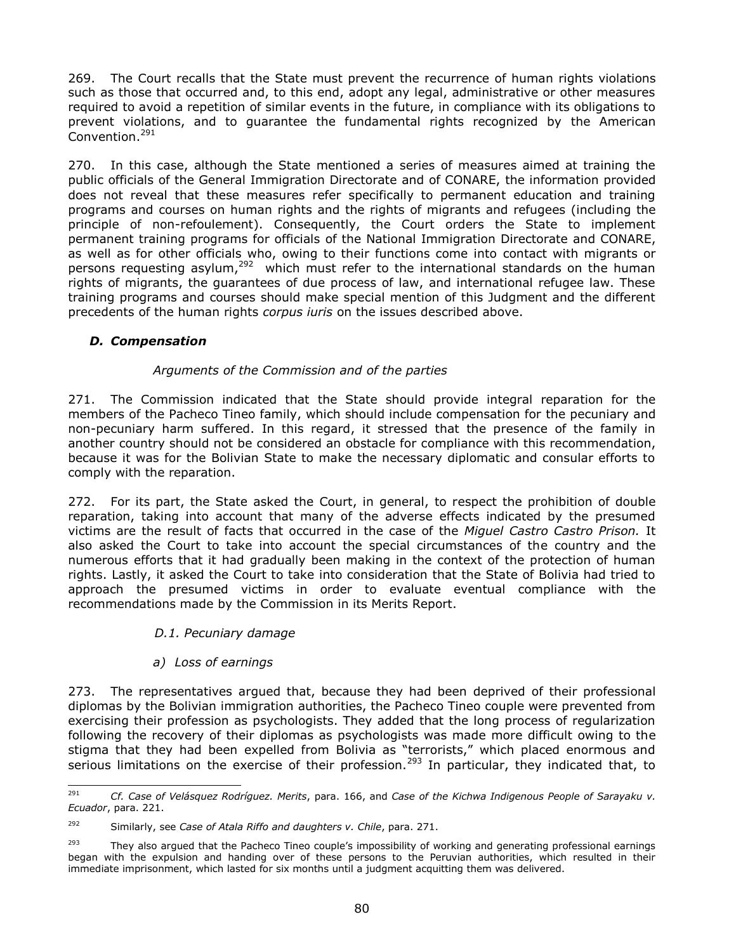269. The Court recalls that the State must prevent the recurrence of human rights violations such as those that occurred and, to this end, adopt any legal, administrative or other measures required to avoid a repetition of similar events in the future, in compliance with its obligations to prevent violations, and to guarantee the fundamental rights recognized by the American Convention.<sup>291</sup>

270. In this case, although the State mentioned a series of measures aimed at training the public officials of the General Immigration Directorate and of CONARE, the information provided does not reveal that these measures refer specifically to permanent education and training programs and courses on human rights and the rights of migrants and refugees (including the principle of non-refoulement). Consequently, the Court orders the State to implement permanent training programs for officials of the National Immigration Directorate and CONARE, as well as for other officials who, owing to their functions come into contact with migrants or persons requesting asylum,<sup>292</sup> which must refer to the international standards on the human rights of migrants, the guarantees of due process of law, and international refugee law. These training programs and courses should make special mention of this Judgment and the different precedents of the human rights *corpus iuris* on the issues described above.

# *D. Compensation*

## *Arguments of the Commission and of the parties*

271. The Commission indicated that the State should provide integral reparation for the members of the Pacheco Tineo family, which should include compensation for the pecuniary and non-pecuniary harm suffered. In this regard, it stressed that the presence of the family in another country should not be considered an obstacle for compliance with this recommendation, because it was for the Bolivian State to make the necessary diplomatic and consular efforts to comply with the reparation.

272. For its part, the State asked the Court, in general, to respect the prohibition of double reparation, taking into account that many of the adverse effects indicated by the presumed victims are the result of facts that occurred in the case of the *Miguel Castro Castro Prison.* It also asked the Court to take into account the special circumstances of the country and the numerous efforts that it had gradually been making in the context of the protection of human rights. Lastly, it asked the Court to take into consideration that the State of Bolivia had tried to approach the presumed victims in order to evaluate eventual compliance with the recommendations made by the Commission in its Merits Report.

### *D.1. Pecuniary damage*

### *a) Loss of earnings*

273. The representatives argued that, because they had been deprived of their professional diplomas by the Bolivian immigration authorities, the Pacheco Tineo couple were prevented from exercising their profession as psychologists. They added that the long process of regularization following the recovery of their diplomas as psychologists was made more difficult owing to the stigma that they had been expelled from Bolivia as "terrorists," which placed enormous and serious limitations on the exercise of their profession.<sup>293</sup> In particular, they indicated that, to

<sup>291</sup> <sup>291</sup> *Cf. Case of Velásquez Rodríguez. Merits*, para. 166, and *Case of the Kichwa Indigenous People of Sarayaku v. Ecuador*, para. 221.

<sup>292</sup> Similarly, see *Case of Atala Riffo and daughters v. Chile*, para. 271.

<sup>&</sup>lt;sup>293</sup> They also argued that the Pacheco Tineo couple's impossibility of working and generating professional earnings began with the expulsion and handing over of these persons to the Peruvian authorities, which resulted in their immediate imprisonment, which lasted for six months until a judgment acquitting them was delivered.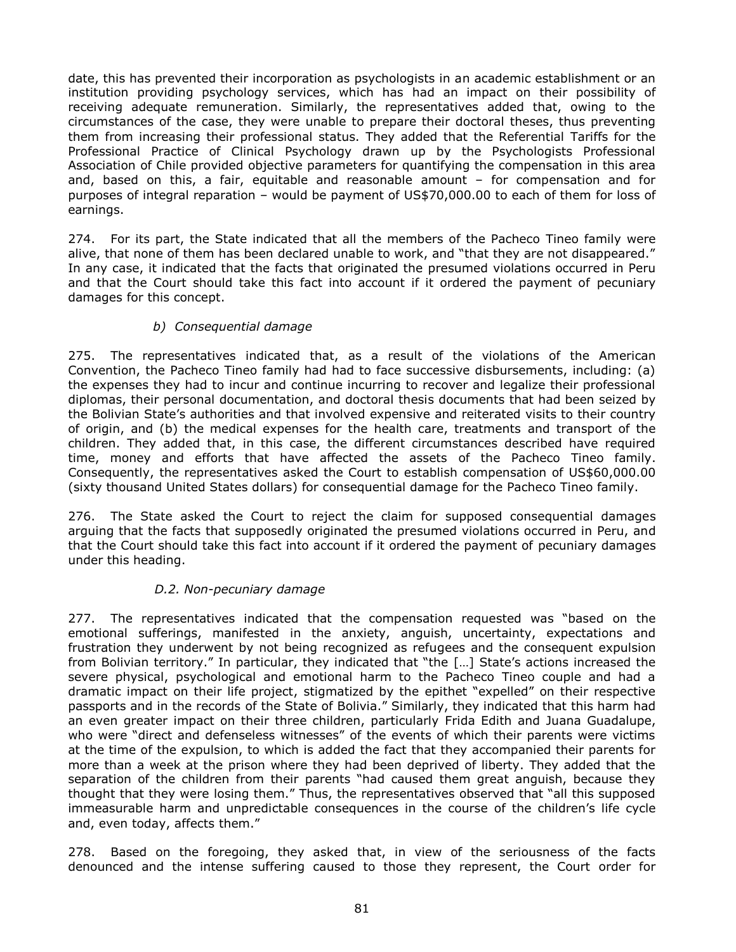date, this has prevented their incorporation as psychologists in an academic establishment or an institution providing psychology services, which has had an impact on their possibility of receiving adequate remuneration. Similarly, the representatives added that, owing to the circumstances of the case, they were unable to prepare their doctoral theses, thus preventing them from increasing their professional status. They added that the Referential Tariffs for the Professional Practice of Clinical Psychology drawn up by the Psychologists Professional Association of Chile provided objective parameters for quantifying the compensation in this area and, based on this, a fair, equitable and reasonable amount – for compensation and for purposes of integral reparation – would be payment of US\$70,000.00 to each of them for loss of earnings.

274. For its part, the State indicated that all the members of the Pacheco Tineo family were alive, that none of them has been declared unable to work, and "that they are not disappeared." In any case, it indicated that the facts that originated the presumed violations occurred in Peru and that the Court should take this fact into account if it ordered the payment of pecuniary damages for this concept.

## *b) Consequential damage*

275. The representatives indicated that, as a result of the violations of the American Convention, the Pacheco Tineo family had had to face successive disbursements, including: (a) the expenses they had to incur and continue incurring to recover and legalize their professional diplomas, their personal documentation, and doctoral thesis documents that had been seized by the Bolivian State's authorities and that involved expensive and reiterated visits to their country of origin, and (b) the medical expenses for the health care, treatments and transport of the children. They added that, in this case, the different circumstances described have required time, money and efforts that have affected the assets of the Pacheco Tineo family. Consequently, the representatives asked the Court to establish compensation of US\$60,000.00 (sixty thousand United States dollars) for consequential damage for the Pacheco Tineo family.

276. The State asked the Court to reject the claim for supposed consequential damages arguing that the facts that supposedly originated the presumed violations occurred in Peru, and that the Court should take this fact into account if it ordered the payment of pecuniary damages under this heading.

### *D.2. Non-pecuniary damage*

277. The representatives indicated that the compensation requested was "based on the emotional sufferings, manifested in the anxiety, anguish, uncertainty, expectations and frustration they underwent by not being recognized as refugees and the consequent expulsion from Bolivian territory." In particular, they indicated that "the […] State's actions increased the severe physical, psychological and emotional harm to the Pacheco Tineo couple and had a dramatic impact on their life project, stigmatized by the epithet "expelled" on their respective passports and in the records of the State of Bolivia." Similarly, they indicated that this harm had an even greater impact on their three children, particularly Frida Edith and Juana Guadalupe, who were "direct and defenseless witnesses" of the events of which their parents were victims at the time of the expulsion, to which is added the fact that they accompanied their parents for more than a week at the prison where they had been deprived of liberty. They added that the separation of the children from their parents "had caused them great anguish, because they thought that they were losing them." Thus, the representatives observed that "all this supposed immeasurable harm and unpredictable consequences in the course of the children's life cycle and, even today, affects them."

278. Based on the foregoing, they asked that, in view of the seriousness of the facts denounced and the intense suffering caused to those they represent, the Court order for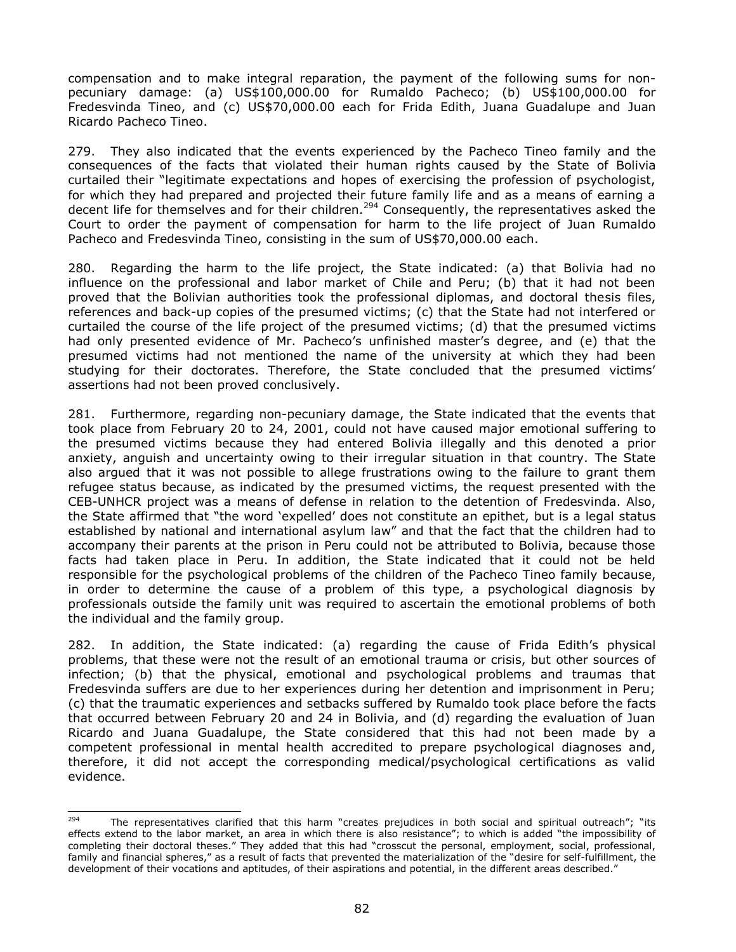compensation and to make integral reparation, the payment of the following sums for nonpecuniary damage: (a) US\$100,000.00 for Rumaldo Pacheco; (b) US\$100,000.00 for Fredesvinda Tineo, and (c) US\$70,000.00 each for Frida Edith, Juana Guadalupe and Juan Ricardo Pacheco Tineo.

279. They also indicated that the events experienced by the Pacheco Tineo family and the consequences of the facts that violated their human rights caused by the State of Bolivia curtailed their "legitimate expectations and hopes of exercising the profession of psychologist, for which they had prepared and projected their future family life and as a means of earning a decent life for themselves and for their children.<sup>294</sup> Consequently, the representatives asked the Court to order the payment of compensation for harm to the life project of Juan Rumaldo Pacheco and Fredesvinda Tineo, consisting in the sum of US\$70,000.00 each.

280. Regarding the harm to the life project, the State indicated: (a) that Bolivia had no influence on the professional and labor market of Chile and Peru; (b) that it had not been proved that the Bolivian authorities took the professional diplomas, and doctoral thesis files, references and back-up copies of the presumed victims; (c) that the State had not interfered or curtailed the course of the life project of the presumed victims; (d) that the presumed victims had only presented evidence of Mr. Pacheco's unfinished master's degree, and (e) that the presumed victims had not mentioned the name of the university at which they had been studying for their doctorates. Therefore, the State concluded that the presumed victims' assertions had not been proved conclusively.

281. Furthermore, regarding non-pecuniary damage, the State indicated that the events that took place from February 20 to 24, 2001, could not have caused major emotional suffering to the presumed victims because they had entered Bolivia illegally and this denoted a prior anxiety, anguish and uncertainty owing to their irregular situation in that country. The State also argued that it was not possible to allege frustrations owing to the failure to grant them refugee status because, as indicated by the presumed victims, the request presented with the CEB-UNHCR project was a means of defense in relation to the detention of Fredesvinda. Also, the State affirmed that "the word 'expelled' does not constitute an epithet, but is a legal status established by national and international asylum law" and that the fact that the children had to accompany their parents at the prison in Peru could not be attributed to Bolivia, because those facts had taken place in Peru. In addition, the State indicated that it could not be held responsible for the psychological problems of the children of the Pacheco Tineo family because, in order to determine the cause of a problem of this type, a psychological diagnosis by professionals outside the family unit was required to ascertain the emotional problems of both the individual and the family group.

282. In addition, the State indicated: (a) regarding the cause of Frida Edith's physical problems, that these were not the result of an emotional trauma or crisis, but other sources of infection; (b) that the physical, emotional and psychological problems and traumas that Fredesvinda suffers are due to her experiences during her detention and imprisonment in Peru; (c) that the traumatic experiences and setbacks suffered by Rumaldo took place before the facts that occurred between February 20 and 24 in Bolivia, and (d) regarding the evaluation of Juan Ricardo and Juana Guadalupe, the State considered that this had not been made by a competent professional in mental health accredited to prepare psychological diagnoses and, therefore, it did not accept the corresponding medical/psychological certifications as valid evidence.

<sup>294</sup> <sup>294</sup> The representatives clarified that this harm "creates prejudices in both social and spiritual outreach"; "its effects extend to the labor market, an area in which there is also resistance"; to which is added "the impossibility of completing their doctoral theses." They added that this had "crosscut the personal, employment, social, professional, family and financial spheres," as a result of facts that prevented the materialization of the "desire for self-fulfillment, the development of their vocations and aptitudes, of their aspirations and potential, in the different areas described."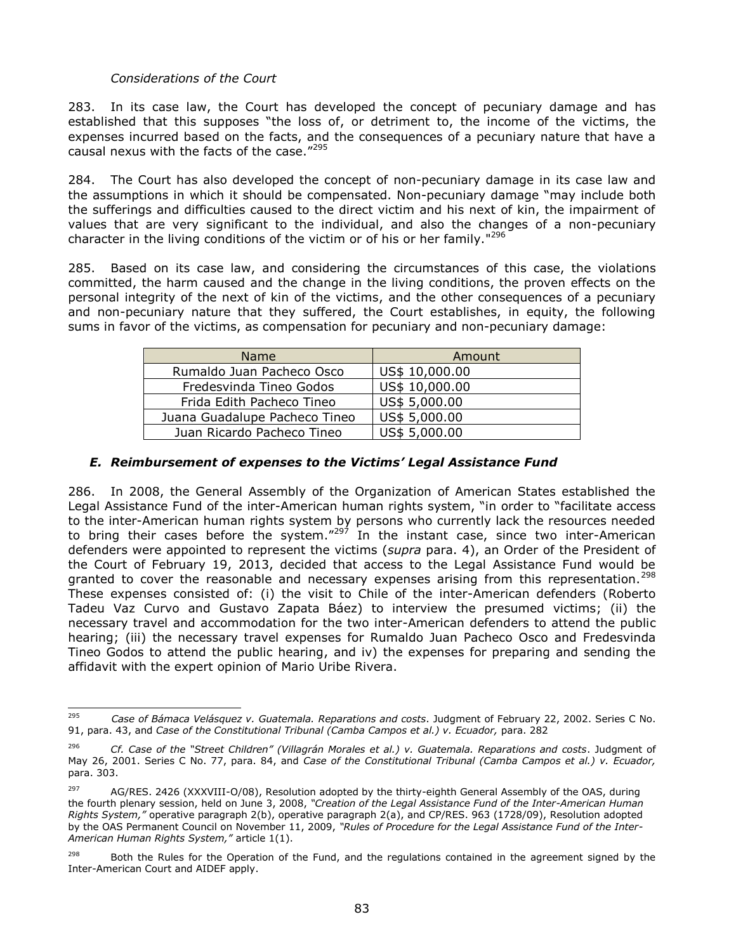### *Considerations of the Court*

283. In its case law, the Court has developed the concept of pecuniary damage and has established that this supposes "the loss of, or detriment to, the income of the victims, the expenses incurred based on the facts, and the consequences of a pecuniary nature that have a causal nexus with the facts of the case."<sup>295</sup>

284. The Court has also developed the concept of non-pecuniary damage in its case law and the assumptions in which it should be compensated. Non-pecuniary damage "may include both the sufferings and difficulties caused to the direct victim and his next of kin, the impairment of values that are very significant to the individual, and also the changes of a non-pecuniary character in the living conditions of the victim or of his or her family."<sup>296</sup>

285. Based on its case law, and considering the circumstances of this case, the violations committed, the harm caused and the change in the living conditions, the proven effects on the personal integrity of the next of kin of the victims, and the other consequences of a pecuniary and non-pecuniary nature that they suffered, the Court establishes, in equity, the following sums in favor of the victims, as compensation for pecuniary and non-pecuniary damage:

| <b>Name</b>                   | Amount         |
|-------------------------------|----------------|
| Rumaldo Juan Pacheco Osco     | US\$ 10,000.00 |
| Fredesvinda Tineo Godos       | US\$ 10,000.00 |
| Frida Edith Pacheco Tineo     | US\$ 5,000.00  |
| Juana Guadalupe Pacheco Tineo | US\$ 5,000.00  |
| Juan Ricardo Pacheco Tineo    | US\$ 5,000.00  |

## *E. Reimbursement of expenses to the Victims' Legal Assistance Fund*

286. In 2008, the General Assembly of the Organization of American States established the Legal Assistance Fund of the inter-American human rights system, "in order to "facilitate access to the inter-American human rights system by persons who currently lack the resources needed to bring their cases before the system."<sup>297</sup> In the instant case, since two inter-American defenders were appointed to represent the victims (*supra* para. 4), an Order of the President of the Court of February 19, 2013, decided that access to the Legal Assistance Fund would be granted to cover the reasonable and necessary expenses arising from this representation.<sup>298</sup> These expenses consisted of: (i) the visit to Chile of the inter-American defenders (Roberto Tadeu Vaz Curvo and Gustavo Zapata Báez) to interview the presumed victims; (ii) the necessary travel and accommodation for the two inter-American defenders to attend the public hearing; (iii) the necessary travel expenses for Rumaldo Juan Pacheco Osco and Fredesvinda Tineo Godos to attend the public hearing, and iv) the expenses for preparing and sending the affidavit with the expert opinion of Mario Uribe Rivera.

<sup>295</sup> <sup>295</sup> *Case of Bámaca Velásquez v. Guatemala. Reparations and costs*. Judgment of February 22, 2002. Series C No. 91, para. 43, and *Case of the Constitutional Tribunal (Camba Campos et al.) v. Ecuador,* para. 282

<sup>296</sup> *Cf. Case of the "Street Children" (Villagrán Morales et al.) v. Guatemala. Reparations and costs*. Judgment of May 26, 2001. Series C No. 77, para. 84, and *Case of the Constitutional Tribunal (Camba Campos et al.) v. Ecuador,*  para. 303.

 $297$  AG/RES. 2426 (XXXVIII-O/08), Resolution adopted by the thirty-eighth General Assembly of the OAS, during the fourth plenary session, held on June 3, 2008, *"Creation of the Legal Assistance Fund of the Inter-American Human Rights System,"* operative paragraph 2(b), operative paragraph 2(a), and CP/RES. 963 (1728/09), Resolution adopted by the OAS Permanent Council on November 11, 2009, *"Rules of Procedure for the Legal Assistance Fund of the Inter-American Human Rights System,"* article 1(1).

 $298$  Both the Rules for the Operation of the Fund, and the regulations contained in the agreement signed by the Inter-American Court and AIDEF apply.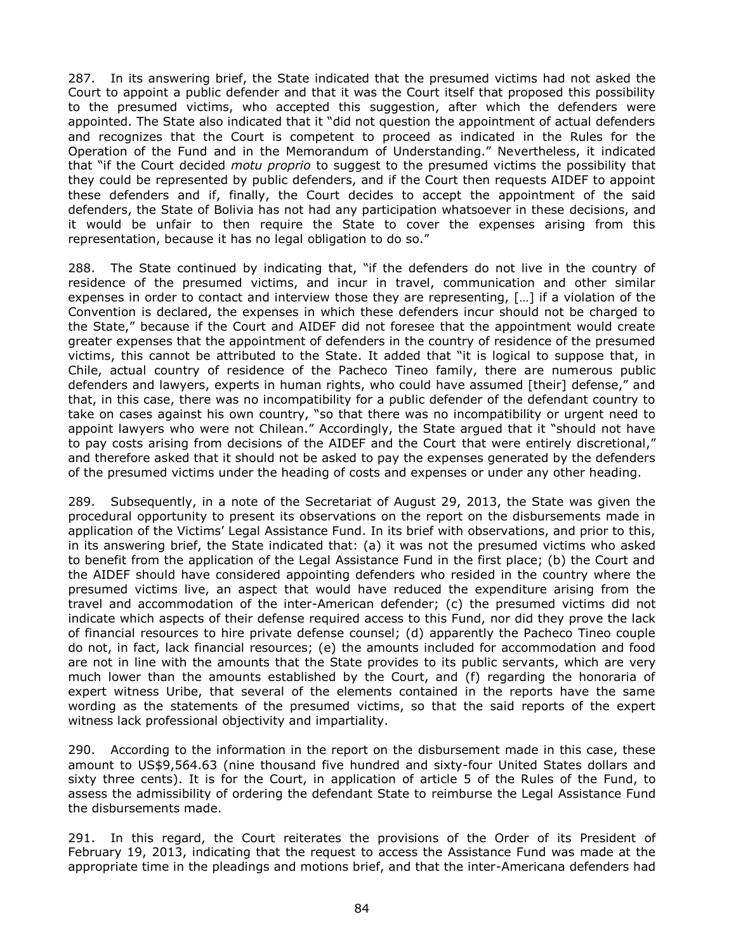287. In its answering brief, the State indicated that the presumed victims had not asked the Court to appoint a public defender and that it was the Court itself that proposed this possibility to the presumed victims, who accepted this suggestion, after which the defenders were appointed. The State also indicated that it "did not question the appointment of actual defenders and recognizes that the Court is competent to proceed as indicated in the Rules for the Operation of the Fund and in the Memorandum of Understanding." Nevertheless, it indicated that "if the Court decided *motu proprio* to suggest to the presumed victims the possibility that they could be represented by public defenders, and if the Court then requests AIDEF to appoint these defenders and if, finally, the Court decides to accept the appointment of the said defenders, the State of Bolivia has not had any participation whatsoever in these decisions, and it would be unfair to then require the State to cover the expenses arising from this representation, because it has no legal obligation to do so."

288. The State continued by indicating that, "if the defenders do not live in the country of residence of the presumed victims, and incur in travel, communication and other similar expenses in order to contact and interview those they are representing, […] if a violation of the Convention is declared, the expenses in which these defenders incur should not be charged to the State," because if the Court and AIDEF did not foresee that the appointment would create greater expenses that the appointment of defenders in the country of residence of the presumed victims, this cannot be attributed to the State. It added that "it is logical to suppose that, in Chile, actual country of residence of the Pacheco Tineo family, there are numerous public defenders and lawyers, experts in human rights, who could have assumed [their] defense," and that, in this case, there was no incompatibility for a public defender of the defendant country to take on cases against his own country, "so that there was no incompatibility or urgent need to appoint lawyers who were not Chilean." Accordingly, the State argued that it "should not have to pay costs arising from decisions of the AIDEF and the Court that were entirely discretional," and therefore asked that it should not be asked to pay the expenses generated by the defenders of the presumed victims under the heading of costs and expenses or under any other heading.

289. Subsequently, in a note of the Secretariat of August 29, 2013, the State was given the procedural opportunity to present its observations on the report on the disbursements made in application of the Victims' Legal Assistance Fund. In its brief with observations, and prior to this, in its answering brief, the State indicated that: (a) it was not the presumed victims who asked to benefit from the application of the Legal Assistance Fund in the first place; (b) the Court and the AIDEF should have considered appointing defenders who resided in the country where the presumed victims live, an aspect that would have reduced the expenditure arising from the travel and accommodation of the inter-American defender; (c) the presumed victims did not indicate which aspects of their defense required access to this Fund, nor did they prove the lack of financial resources to hire private defense counsel; (d) apparently the Pacheco Tineo couple do not, in fact, lack financial resources; (e) the amounts included for accommodation and food are not in line with the amounts that the State provides to its public servants, which are very much lower than the amounts established by the Court, and (f) regarding the honoraria of expert witness Uribe, that several of the elements contained in the reports have the same wording as the statements of the presumed victims, so that the said reports of the expert witness lack professional objectivity and impartiality.

290. According to the information in the report on the disbursement made in this case, these amount to US\$9,564.63 (nine thousand five hundred and sixty-four United States dollars and sixty three cents). It is for the Court, in application of article 5 of the Rules of the Fund, to assess the admissibility of ordering the defendant State to reimburse the Legal Assistance Fund the disbursements made.

291. In this regard, the Court reiterates the provisions of the Order of its President of February 19, 2013, indicating that the request to access the Assistance Fund was made at the appropriate time in the pleadings and motions brief, and that the inter-Americana defenders had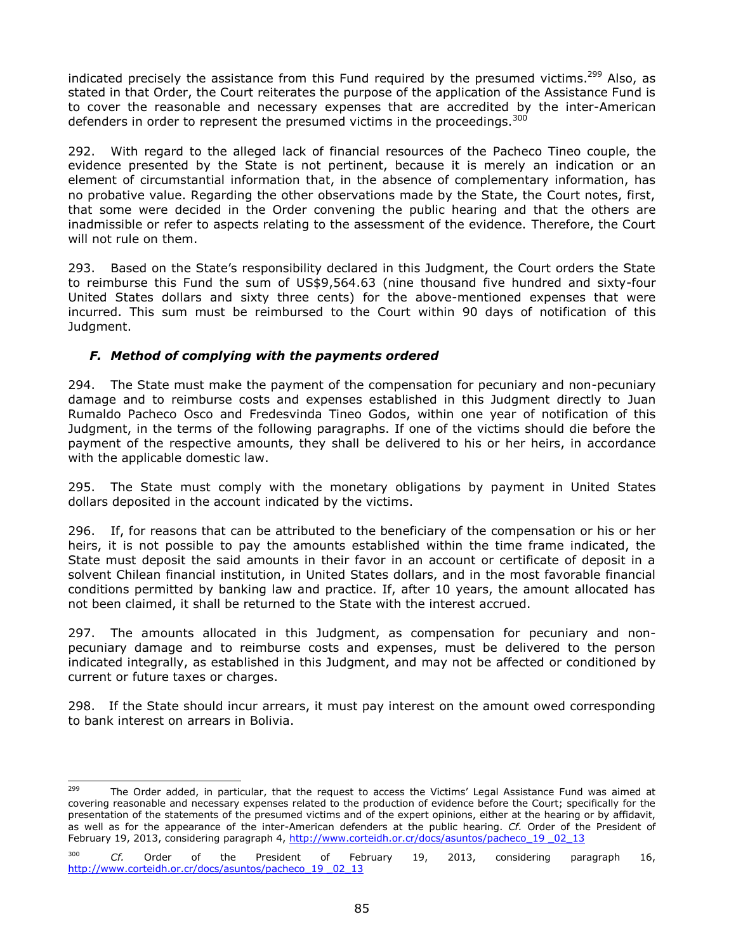indicated precisely the assistance from this Fund required by the presumed victims.<sup>299</sup> Also, as stated in that Order, the Court reiterates the purpose of the application of the Assistance Fund is to cover the reasonable and necessary expenses that are accredited by the inter-American defenders in order to represent the presumed victims in the proceedings.<sup>300</sup>

292. With regard to the alleged lack of financial resources of the Pacheco Tineo couple, the evidence presented by the State is not pertinent, because it is merely an indication or an element of circumstantial information that, in the absence of complementary information, has no probative value. Regarding the other observations made by the State, the Court notes, first, that some were decided in the Order convening the public hearing and that the others are inadmissible or refer to aspects relating to the assessment of the evidence. Therefore, the Court will not rule on them.

293. Based on the State's responsibility declared in this Judgment, the Court orders the State to reimburse this Fund the sum of US\$9,564.63 (nine thousand five hundred and sixty-four United States dollars and sixty three cents) for the above-mentioned expenses that were incurred. This sum must be reimbursed to the Court within 90 days of notification of this Judgment.

## *F. Method of complying with the payments ordered*

294. The State must make the payment of the compensation for pecuniary and non-pecuniary damage and to reimburse costs and expenses established in this Judgment directly to Juan Rumaldo Pacheco Osco and Fredesvinda Tineo Godos, within one year of notification of this Judgment, in the terms of the following paragraphs. If one of the victims should die before the payment of the respective amounts, they shall be delivered to his or her heirs, in accordance with the applicable domestic law.

295. The State must comply with the monetary obligations by payment in United States dollars deposited in the account indicated by the victims.

296. If, for reasons that can be attributed to the beneficiary of the compensation or his or her heirs, it is not possible to pay the amounts established within the time frame indicated, the State must deposit the said amounts in their favor in an account or certificate of deposit in a solvent Chilean financial institution, in United States dollars, and in the most favorable financial conditions permitted by banking law and practice. If, after 10 years, the amount allocated has not been claimed, it shall be returned to the State with the interest accrued.

297. The amounts allocated in this Judgment, as compensation for pecuniary and nonpecuniary damage and to reimburse costs and expenses, must be delivered to the person indicated integrally, as established in this Judgment, and may not be affected or conditioned by current or future taxes or charges.

298. If the State should incur arrears, it must pay interest on the amount owed corresponding to bank interest on arrears in Bolivia.

<sup>299</sup> The Order added, in particular, that the request to access the Victims' Legal Assistance Fund was aimed at covering reasonable and necessary expenses related to the production of evidence before the Court; specifically for the presentation of the statements of the presumed victims and of the expert opinions, either at the hearing or by affidavit, as well as for the appearance of the inter-American defenders at the public hearing. *Cf.* Order of the President of February 19, 2013, considering paragraph 4, [http://www.corteidh.or.cr/docs/asuntos/pacheco\\_19 \\_02\\_13](http://www.corteidh.or.cr/docs/asuntos/pacheco_19%20_02_13)

<sup>300</sup> *Cf.* Order of the President of February 19, 2013, considering paragraph 16, [http://www.corteidh.or.cr/docs/asuntos/pacheco\\_19 \\_02\\_13](http://www.corteidh.or.cr/docs/asuntos/pacheco_19%20_02_13)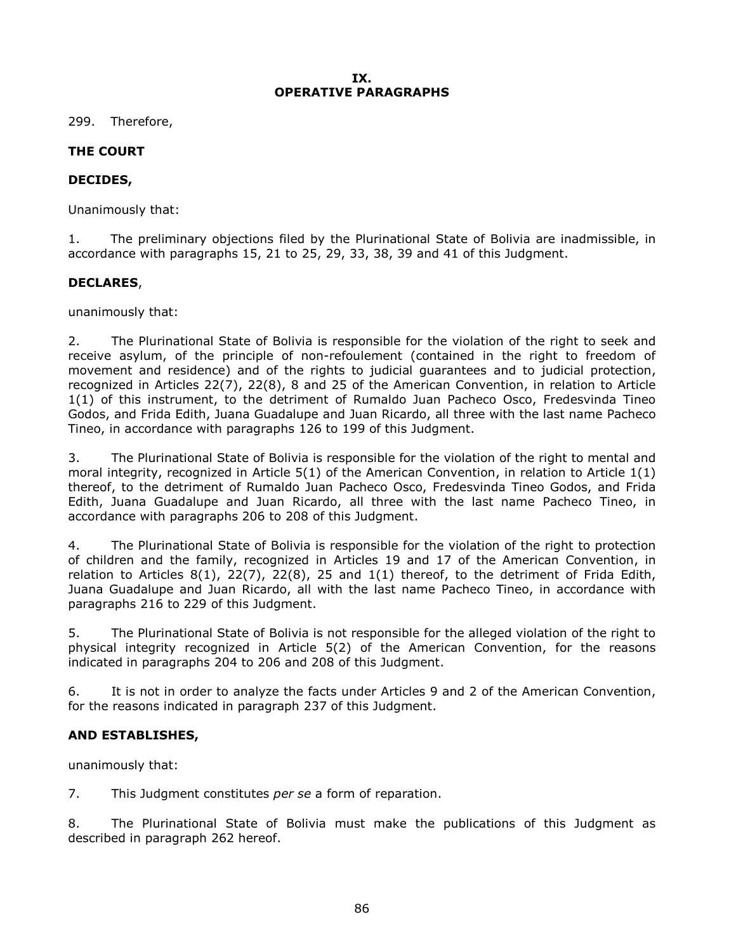### **IX. OPERATIVE PARAGRAPHS**

299. Therefore,

# **THE COURT**

# **DECIDES,**

Unanimously that:

1. The preliminary objections filed by the Plurinational State of Bolivia are inadmissible, in accordance with paragraphs 15, 21 to 25, 29, 33, 38, 39 and 41 of this Judgment.

### **DECLARES**,

unanimously that:

2. The Plurinational State of Bolivia is responsible for the violation of the right to seek and receive asylum, of the principle of non-refoulement (contained in the right to freedom of movement and residence) and of the rights to judicial guarantees and to judicial protection, recognized in Articles 22(7), 22(8), 8 and 25 of the American Convention, in relation to Article 1(1) of this instrument, to the detriment of Rumaldo Juan Pacheco Osco, Fredesvinda Tineo Godos, and Frida Edith, Juana Guadalupe and Juan Ricardo, all three with the last name Pacheco Tineo, in accordance with paragraphs 126 to 199 of this Judgment.

3. The Plurinational State of Bolivia is responsible for the violation of the right to mental and moral integrity, recognized in Article 5(1) of the American Convention, in relation to Article 1(1) thereof, to the detriment of Rumaldo Juan Pacheco Osco, Fredesvinda Tineo Godos, and Frida Edith, Juana Guadalupe and Juan Ricardo, all three with the last name Pacheco Tineo, in accordance with paragraphs 206 to 208 of this Judgment.

4. The Plurinational State of Bolivia is responsible for the violation of the right to protection of children and the family, recognized in Articles 19 and 17 of the American Convention, in relation to Articles  $8(1)$ ,  $22(7)$ ,  $22(8)$ , 25 and  $1(1)$  thereof, to the detriment of Frida Edith, Juana Guadalupe and Juan Ricardo, all with the last name Pacheco Tineo, in accordance with paragraphs 216 to 229 of this Judgment.

5. The Plurinational State of Bolivia is not responsible for the alleged violation of the right to physical integrity recognized in Article 5(2) of the American Convention, for the reasons indicated in paragraphs 204 to 206 and 208 of this Judgment.

6. It is not in order to analyze the facts under Articles 9 and 2 of the American Convention, for the reasons indicated in paragraph 237 of this Judgment.

# **AND ESTABLISHES,**

unanimously that:

7. This Judgment constitutes *per se* a form of reparation.

8. The Plurinational State of Bolivia must make the publications of this Judgment as described in paragraph 262 hereof.